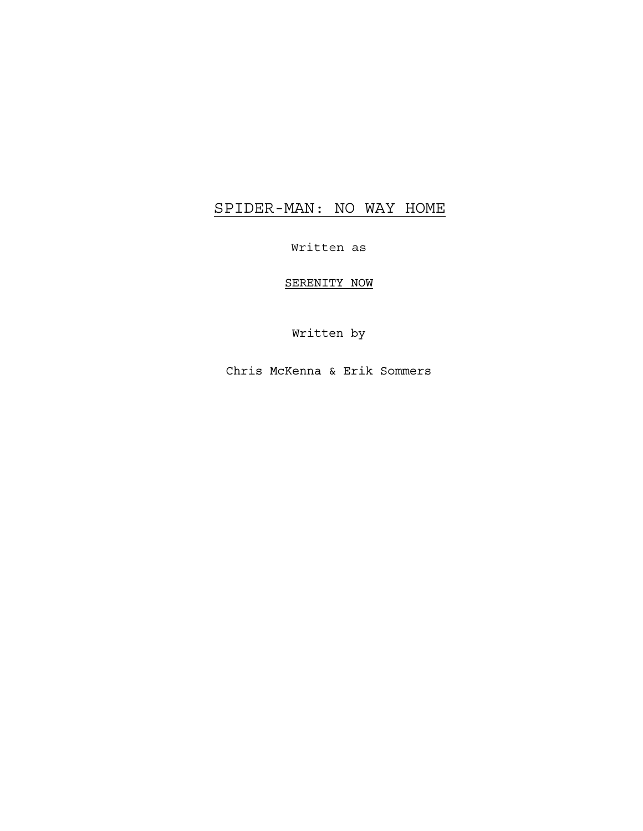# SPIDER-MAN: NO WAY HOME

Written as

SERENITY NOW

Written by

Chris McKenna & Erik Sommers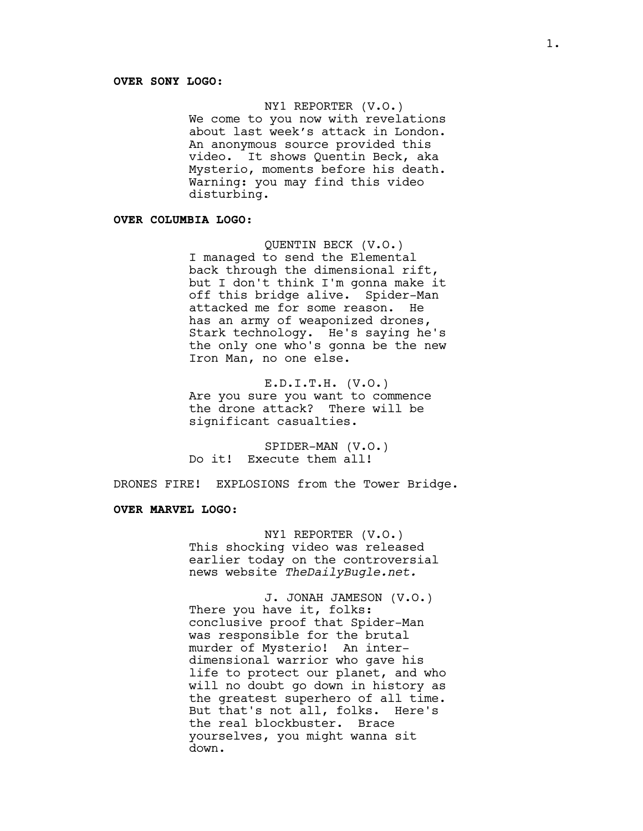#### NY1 REPORTER (V.O.)

We come to you now with revelations about last week's attack in London. An anonymous source provided this video. It shows Quentin Beck, aka Mysterio, moments before his death. Warning: you may find this video disturbing.

## **OVER COLUMBIA LOGO:**

QUENTIN BECK (V.O.) I managed to send the Elemental back through the dimensional rift, but I don't think I'm gonna make it off this bridge alive. Spider-Man attacked me for some reason. He has an army of weaponized drones, Stark technology. He's saying he's the only one who's gonna be the new Iron Man, no one else.

E.D.I.T.H. (V.O.) Are you sure you want to commence the drone attack? There will be significant casualties.

SPIDER-MAN (V.O.) Do it! Execute them all!

DRONES FIRE! EXPLOSIONS from the Tower Bridge.

#### **OVER MARVEL LOGO:**

NY1 REPORTER (V.O.) This shocking video was released earlier today on the controversial news website *TheDailyBugle.net.*

J. JONAH JAMESON (V.O.) There you have it, folks: conclusive proof that Spider-Man was responsible for the brutal murder of Mysterio! An interdimensional warrior who gave his life to protect our planet, and who will no doubt go down in history as the greatest superhero of all time. But that's not all, folks. Here's the real blockbuster. Brace yourselves, you might wanna sit down.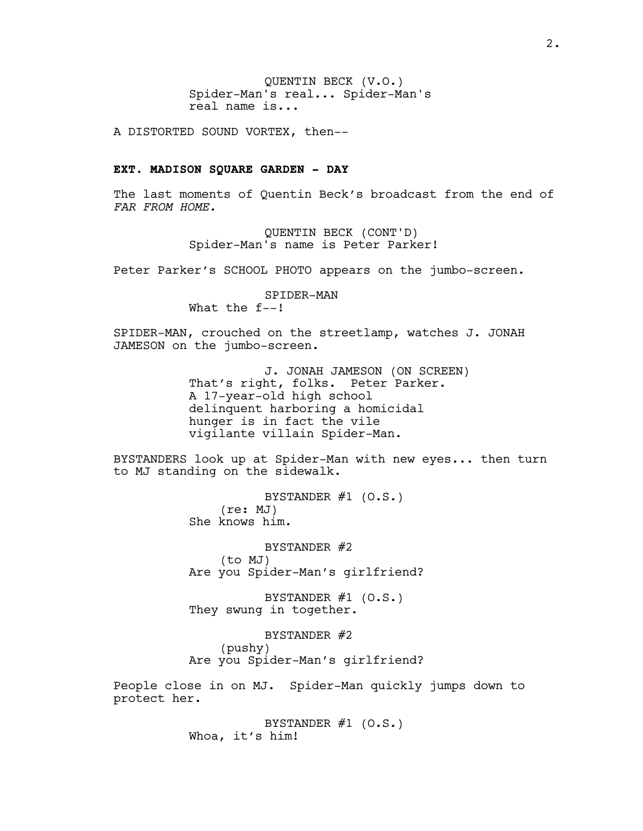QUENTIN BECK (V.O.) Spider-Man's real... Spider-Man's real name is...

A DISTORTED SOUND VORTEX, then--

#### **EXT. MADISON SQUARE GARDEN - DAY**

The last moments of Quentin Beck's broadcast from the end of *FAR FROM HOME.*

> QUENTIN BECK (CONT'D) Spider-Man's name is Peter Parker!

Peter Parker's SCHOOL PHOTO appears on the jumbo-screen.

SPIDER-MAN What the f--!

SPIDER-MAN, crouched on the streetlamp, watches J. JONAH JAMESON on the jumbo-screen.

> J. JONAH JAMESON (ON SCREEN) That's right, folks. Peter Parker. A 17-year-old high school delinquent harboring a homicidal hunger is in fact the vile vigilante villain Spider-Man.

BYSTANDERS look up at Spider-Man with new eyes... then turn to MJ standing on the sidewalk.

> BYSTANDER  $#1$  (O.S.) (re: MJ) She knows him.

BYSTANDER #2 (to MJ) Are you Spider-Man's girlfriend?

BYSTANDER #1 (O.S.) They swung in together.

BYSTANDER #2 (pushy) Are you Spider-Man's girlfriend?

People close in on MJ. Spider-Man quickly jumps down to protect her.

> BYSTANDER  $#1$  (O.S.) Whoa, it's him!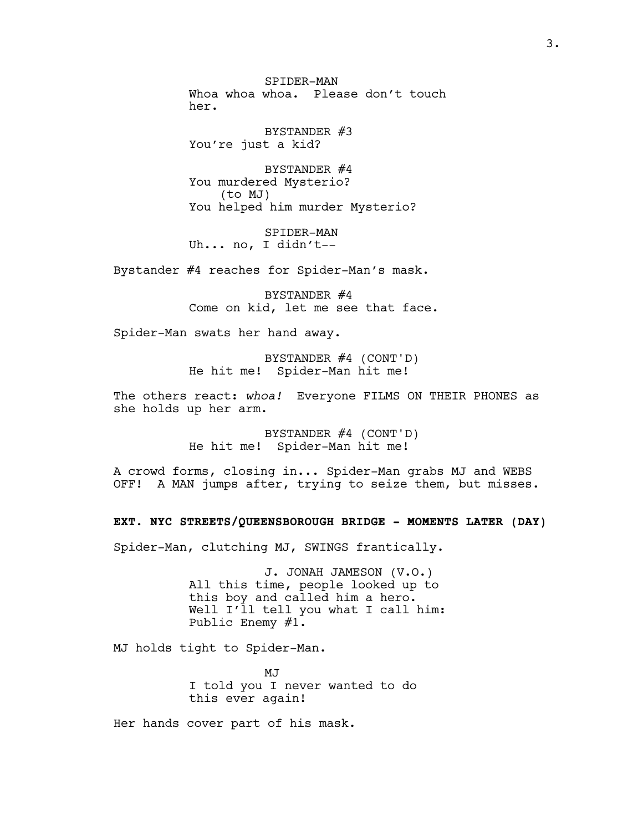SPIDER-MAN Whoa whoa whoa. Please don't touch her.

BYSTANDER #3 You're just a kid?

BYSTANDER #4 You murdered Mysterio? (to MJ) You helped him murder Mysterio?

SPIDER-MAN Uh... no, I didn't--

Bystander #4 reaches for Spider-Man's mask.

BYSTANDER #4 Come on kid, let me see that face.

Spider-Man swats her hand away.

BYSTANDER #4 (CONT'D) He hit me! Spider-Man hit me!

The others react: *whoa!* Everyone FILMS ON THEIR PHONES as she holds up her arm.

> BYSTANDER #4 (CONT'D) He hit me! Spider-Man hit me!

A crowd forms, closing in... Spider-Man grabs MJ and WEBS OFF! A MAN jumps after, trying to seize them, but misses.

**EXT. NYC STREETS/QUEENSBOROUGH BRIDGE - MOMENTS LATER (DAY)**

Spider-Man, clutching MJ, SWINGS frantically.

J. JONAH JAMESON (V.O.) All this time, people looked up to this boy and called him a hero. Well I'll tell you what I call him: Public Enemy #1.

MJ holds tight to Spider-Man.

MJ I told you I never wanted to do this ever again!

Her hands cover part of his mask.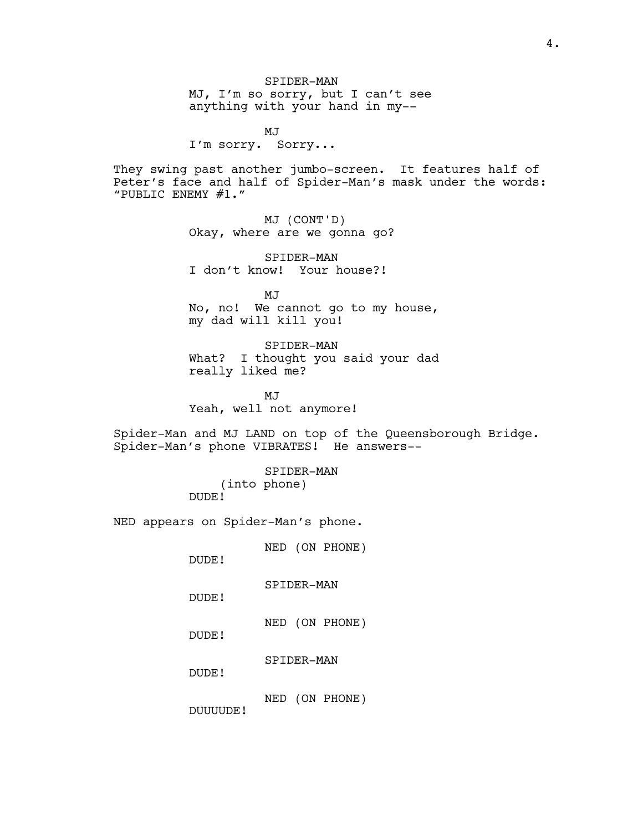SPIDER-MAN MJ, I'm so sorry, but I can't see anything with your hand in my--

MJ I'm sorry. Sorry...

They swing past another jumbo-screen. It features half of Peter's face and half of Spider-Man's mask under the words: "PUBLIC ENEMY #1."

> MJ (CONT'D) Okay, where are we gonna go?

SPIDER-MAN I don't know! Your house?!

MJ No, no! We cannot go to my house, my dad will kill you!

SPIDER-MAN What? I thought you said your dad really liked me?

MJ Yeah, well not anymore!

Spider-Man and MJ LAND on top of the Queensborough Bridge. Spider-Man's phone VIBRATES! He answers--

> SPIDER-MAN (into phone) DUDE!

NED appears on Spider-Man's phone.

NED (ON PHONE)

DUDE!

SPIDER-MAN

DUDE!

NED (ON PHONE)

DUDE!

SPIDER-MAN

DUDE!

NED (ON PHONE)

DUUUUDE!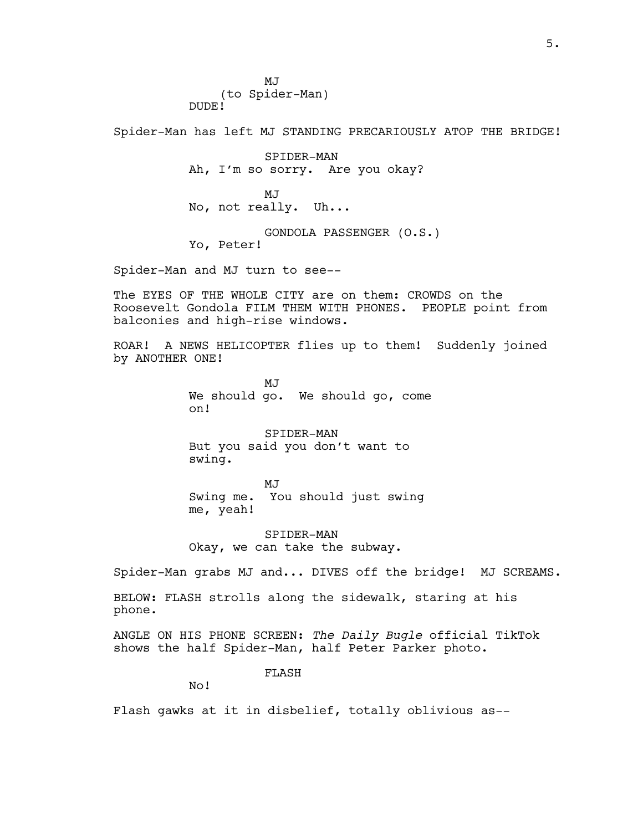MJ<sub>J</sub> (to Spider-Man) DUDE!

Spider-Man has left MJ STANDING PRECARIOUSLY ATOP THE BRIDGE!

SPIDER-MAN Ah, I'm so sorry. Are you okay? MJ No, not really. Uh... GONDOLA PASSENGER (O.S.) Yo, Peter!

Spider-Man and MJ turn to see--

The EYES OF THE WHOLE CITY are on them: CROWDS on the Roosevelt Gondola FILM THEM WITH PHONES. PEOPLE point from balconies and high-rise windows.

ROAR! A NEWS HELICOPTER flies up to them! Suddenly joined by ANOTHER ONE!

> **MJ** We should go. We should go, come on!

SPIDER-MAN But you said you don't want to swing.

MJ Swing me. You should just swing me, yeah!

SPIDER-MAN Okay, we can take the subway.

Spider-Man grabs MJ and... DIVES off the bridge! MJ SCREAMS.

BELOW: FLASH strolls along the sidewalk, staring at his phone.

ANGLE ON HIS PHONE SCREEN: *The Daily Bugle* official TikTok shows the half Spider-Man, half Peter Parker photo.

FLASH

No!

Flash gawks at it in disbelief, totally oblivious as--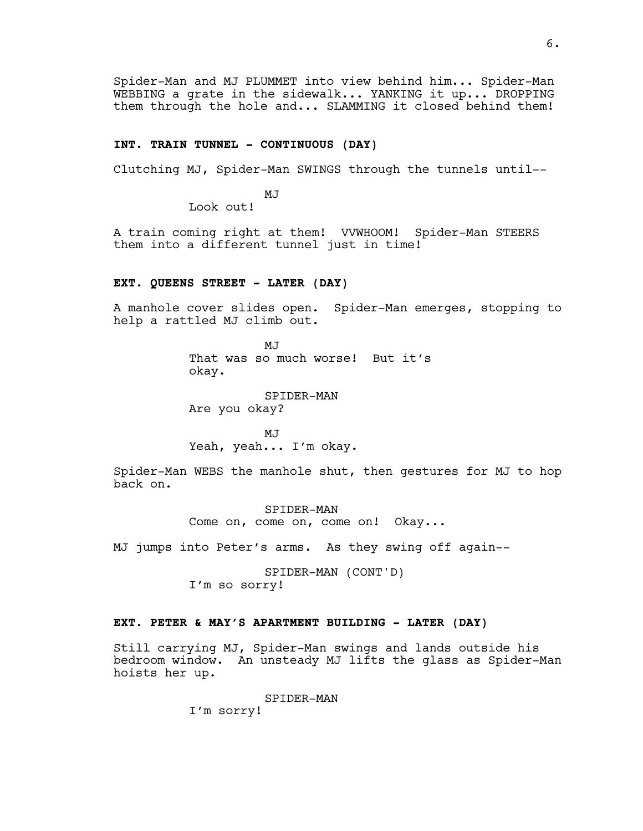Spider-Man and MJ PLUMMET into view behind him... Spider-Man WEBBING a grate in the sidewalk... YANKING it up... DROPPING them through the hole and... SLAMMING it closed behind them!

## **INT. TRAIN TUNNEL - CONTINUOUS (DAY)**

Clutching MJ, Spider-Man SWINGS through the tunnels until--

MJ

Look out!

A train coming right at them! VVWHOOM! Spider-Man STEERS them into a different tunnel just in time!

## **EXT. QUEENS STREET - LATER (DAY)**

A manhole cover slides open. Spider-Man emerges, stopping to help a rattled MJ climb out.

> M.T That was so much worse! But it's okay.

SPIDER-MAN Are you okay?

MJ Yeah, yeah... I'm okay.

Spider-Man WEBS the manhole shut, then gestures for MJ to hop back on.

> SPIDER-MAN Come on, come on, come on! Okay...

MJ jumps into Peter's arms. As they swing off again--

SPIDER-MAN (CONT'D) I'm so sorry!

## **EXT. PETER & MAY'S APARTMENT BUILDING - LATER (DAY)**

Still carrying MJ, Spider-Man swings and lands outside his bedroom window. An unsteady MJ lifts the glass as Spider-Man hoists her up.

> SPIDER-MAN I'm sorry!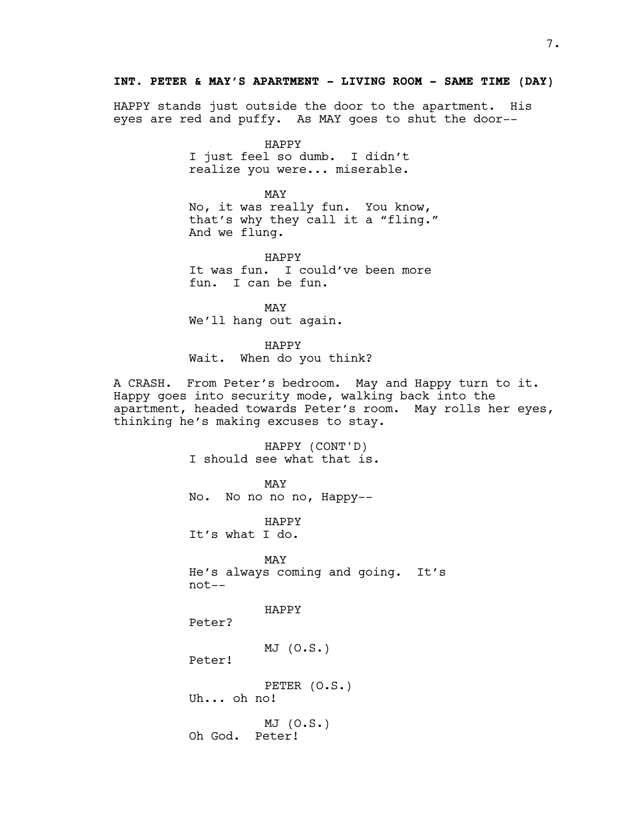## **INT. PETER & MAY'S APARTMENT - LIVING ROOM - SAME TIME (DAY)**

HAPPY stands just outside the door to the apartment. His eyes are red and puffy. As MAY goes to shut the door--

> HAPPY I just feel so dumb. I didn't realize you were... miserable.

MAY No, it was really fun. You know, that's why they call it a "fling." And we flung.

HAPPY It was fun. I could've been more fun. I can be fun.

MAY We'll hang out again.

HAPPY

Wait. When do you think?

A CRASH. From Peter's bedroom. May and Happy turn to it. Happy goes into security mode, walking back into the apartment, headed towards Peter's room. May rolls her eyes, thinking he's making excuses to stay.

> HAPPY (CONT'D) I should see what that is.

MAY No. No no no no, Happy--

HAPPY It's what I do.

MAY He's always coming and going. It's not--

HAPPY

Peter?

MJ (O.S.)

Peter!

PETER (O.S.) Uh... oh no!

MJ (O.S.) Oh God. Peter!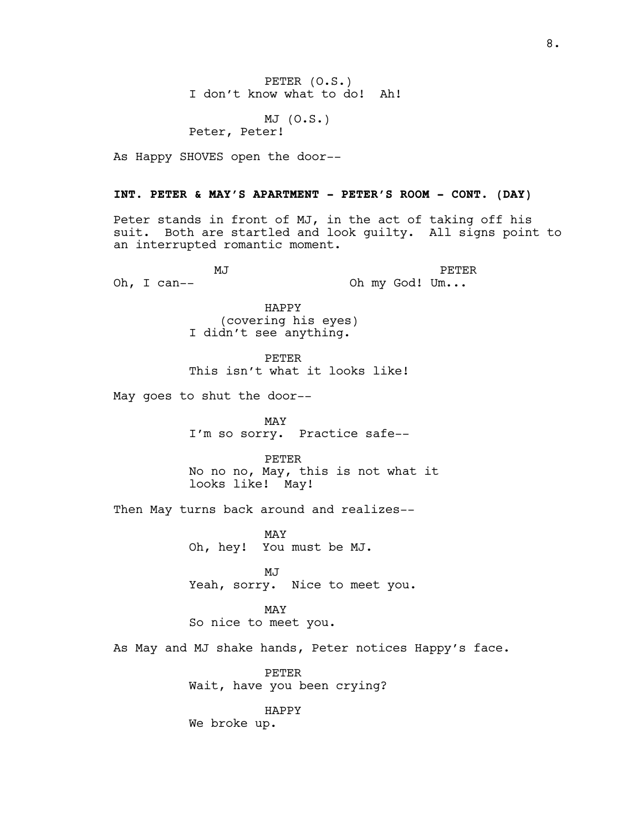PETER (O.S.) I don't know what to do! Ah!

MJ (O.S.) Peter, Peter!

As Happy SHOVES open the door--

#### **INT. PETER & MAY'S APARTMENT - PETER'S ROOM - CONT. (DAY)**

Peter stands in front of MJ, in the act of taking off his suit. Both are startled and look guilty. All signs point to an interrupted romantic moment.

MJ Oh, I can-- PETER Oh my God! Um...

> HAPPY (covering his eyes) I didn't see anything.

PETER This isn't what it looks like!

May goes to shut the door--

MAY I'm so sorry. Practice safe--

PETER No no no, May, this is not what it looks like! May!

Then May turns back around and realizes--

MAY Oh, hey! You must be MJ.

MJ Yeah, sorry. Nice to meet you.

MAY So nice to meet you.

As May and MJ shake hands, Peter notices Happy's face.

PETER Wait, have you been crying?

HAPPY We broke up.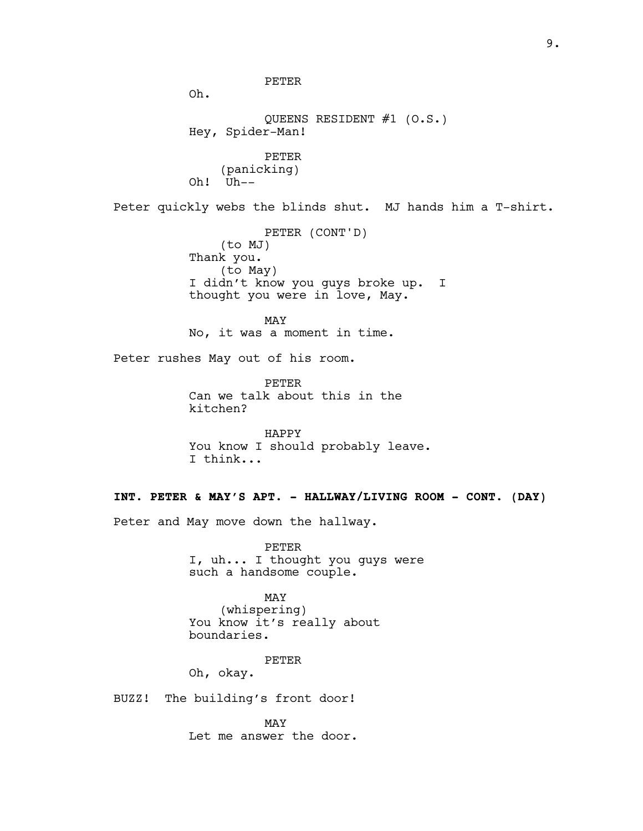9.

PETER Oh. QUEENS RESIDENT #1 (O.S.) Hey, Spider-Man! PETER (panicking) Oh! Uh-- Peter quickly webs the blinds shut. MJ hands him a T-shirt. PETER (CONT'D) (to MJ) Thank you. (to May) I didn't know you guys broke up. I thought you were in love, May. MAY No, it was a moment in time. Peter rushes May out of his room. PETER Can we talk about this in the kitchen? HAPPY You know I should probably leave. I think... **INT. PETER & MAY'S APT. - HALLWAY/LIVING ROOM - CONT. (DAY)** Peter and May move down the hallway. PETER I, uh... I thought you guys were such a handsome couple. MAY (whispering) You know it's really about boundaries. PETER Oh, okay. BUZZ! The building's front door! MAY

Let me answer the door.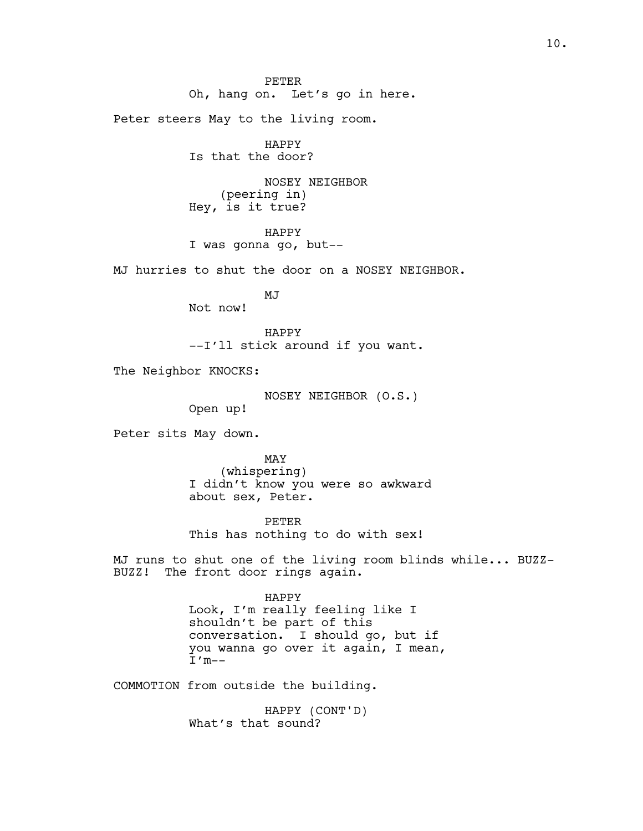PETER Oh, hang on. Let's go in here. Peter steers May to the living room. HAPPY Is that the door? NOSEY NEIGHBOR (peering in) Hey, is it true? HAPPY I was gonna go, but-- MJ hurries to shut the door on a NOSEY NEIGHBOR. MJ Not now! HAPPY --I'll stick around if you want. The Neighbor KNOCKS: NOSEY NEIGHBOR (O.S.) Open up! Peter sits May down. MAY (whispering) I didn't know you were so awkward about sex, Peter. PETER This has nothing to do with sex! MJ runs to shut one of the living room blinds while... BUZZ-BUZZ! The front door rings again. HAPPY Look, I'm really feeling like I shouldn't be part of this conversation. I should go, but if you wanna go over it again, I mean,  $I'm--$ COMMOTION from outside the building.

> HAPPY (CONT'D) What's that sound?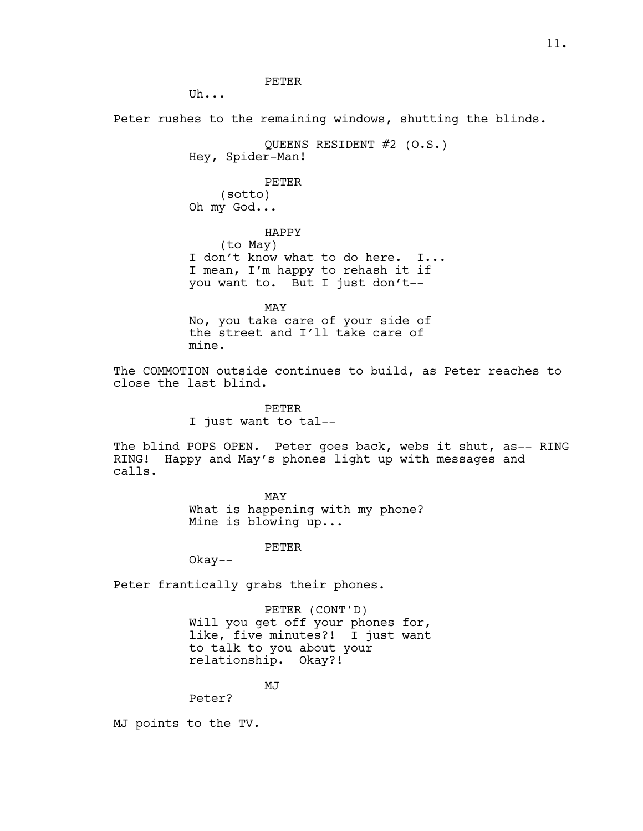PETER

Uh...

Peter rushes to the remaining windows, shutting the blinds.

QUEENS RESIDENT #2 (O.S.) Hey, Spider-Man! PETER (sotto) Oh my God... HAPPY

(to May) I don't know what to do here. I... I mean, I'm happy to rehash it if you want to. But I just don't--

MAY

No, you take care of your side of the street and I'll take care of mine.

The COMMOTION outside continues to build, as Peter reaches to close the last blind.

> PETER I just want to tal--

The blind POPS OPEN. Peter goes back, webs it shut, as-- RING RING! Happy and May's phones light up with messages and calls.

> MAY What is happening with my phone? Mine is blowing up...

> > PETER

Okay--

Peter frantically grabs their phones.

PETER (CONT'D) Will you get off your phones for, like, five minutes?! I just want to talk to you about your relationship. Okay?!

MJ

Peter?

MJ points to the TV.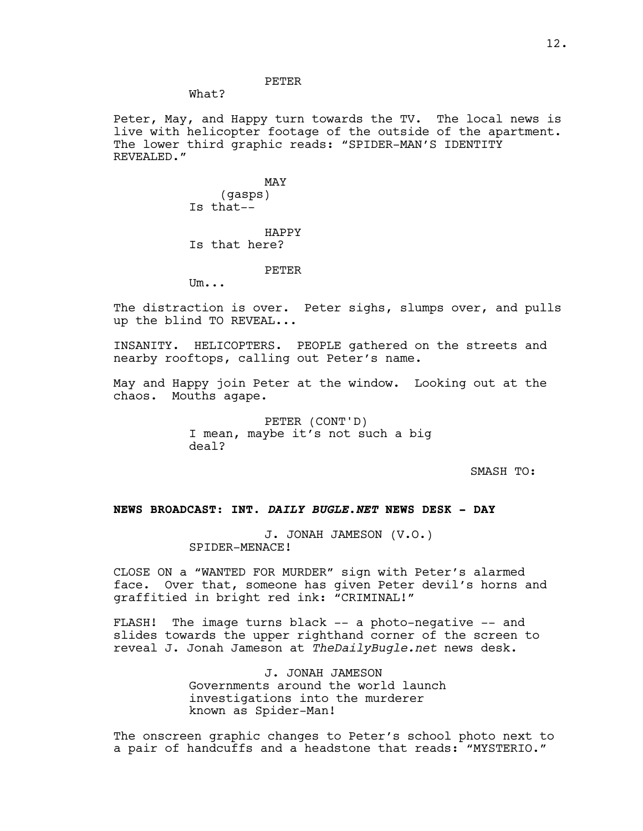#### PETER

What?

Peter, May, and Happy turn towards the TV. The local news is live with helicopter footage of the outside of the apartment. The lower third graphic reads: "SPIDER-MAN'S IDENTITY REVEALED."

> MAY (gasps) Is that--

HAPPY Is that here?

#### PETER

Um...

The distraction is over. Peter sighs, slumps over, and pulls up the blind TO REVEAL...

INSANITY. HELICOPTERS. PEOPLE gathered on the streets and nearby rooftops, calling out Peter's name.

May and Happy join Peter at the window. Looking out at the chaos. Mouths agape.

> PETER (CONT'D) I mean, maybe it's not such a big deal?

> > SMASH TO:

## **NEWS BROADCAST: INT.** *DAILY BUGLE.NET* **NEWS DESK - DAY**

J. JONAH JAMESON (V.O.) SPIDER-MENACE!

CLOSE ON a "WANTED FOR MURDER" sign with Peter's alarmed face. Over that, someone has given Peter devil's horns and graffitied in bright red ink: "CRIMINAL!"

FLASH! The image turns black -- a photo-negative -- and slides towards the upper righthand corner of the screen to reveal J. Jonah Jameson at *TheDailyBugle.net* news desk.

> J. JONAH JAMESON Governments around the world launch investigations into the murderer known as Spider-Man!

The onscreen graphic changes to Peter's school photo next to a pair of handcuffs and a headstone that reads: "MYSTERIO."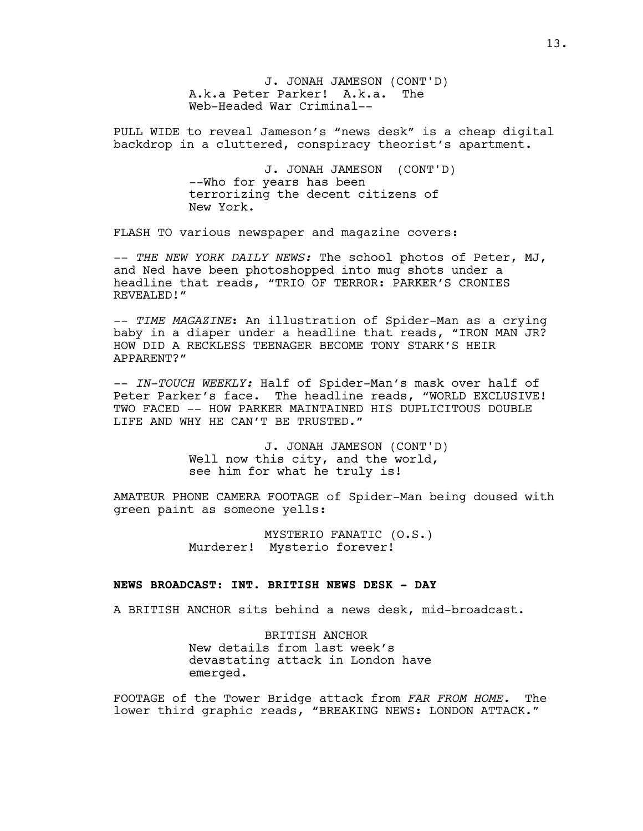J. JONAH JAMESON (CONT'D) A.k.a Peter Parker! A.k.a. The Web-Headed War Criminal--

PULL WIDE to reveal Jameson's "news desk" is a cheap digital backdrop in a cluttered, conspiracy theorist's apartment.

> J. JONAH JAMESON (CONT'D) --Who for years has been terrorizing the decent citizens of New York.

FLASH TO various newspaper and magazine covers:

-- *THE NEW YORK DAILY NEWS:* The school photos of Peter, MJ, and Ned have been photoshopped into mug shots under a headline that reads, "TRIO OF TERROR: PARKER'S CRONIES REVEALED!"

-- *TIME MAGAZINE*: An illustration of Spider-Man as a crying baby in a diaper under a headline that reads, "IRON MAN JR? HOW DID A RECKLESS TEENAGER BECOME TONY STARK'S HEIR APPARENT?"

-- *IN-TOUCH WEEKLY:* Half of Spider-Man's mask over half of Peter Parker's face. The headline reads, "WORLD EXCLUSIVE! TWO FACED -- HOW PARKER MAINTAINED HIS DUPLICITOUS DOUBLE LIFE AND WHY HE CAN'T BE TRUSTED."

> J. JONAH JAMESON (CONT'D) Well now this city, and the world, see him for what he truly is!

AMATEUR PHONE CAMERA FOOTAGE of Spider-Man being doused with green paint as someone yells:

> MYSTERIO FANATIC (O.S.) Murderer! Mysterio forever!

#### **NEWS BROADCAST: INT. BRITISH NEWS DESK - DAY**

A BRITISH ANCHOR sits behind a news desk, mid-broadcast.

BRITISH ANCHOR New details from last week's devastating attack in London have emerged.

FOOTAGE of the Tower Bridge attack from *FAR FROM HOME.* The lower third graphic reads, "BREAKING NEWS: LONDON ATTACK."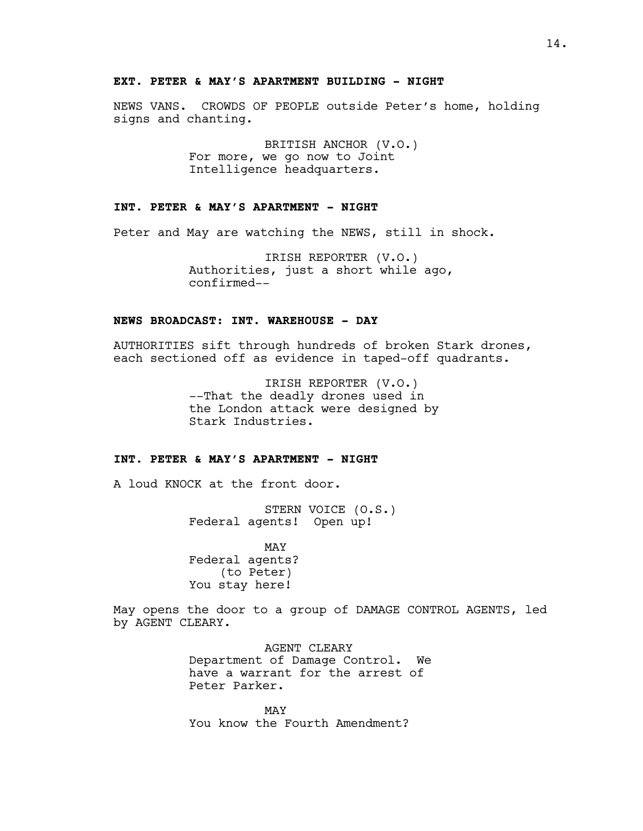#### **EXT. PETER & MAY'S APARTMENT BUILDING - NIGHT**

NEWS VANS. CROWDS OF PEOPLE outside Peter's home, holding signs and chanting.

> BRITISH ANCHOR (V.O.) For more, we go now to Joint Intelligence headquarters.

## **INT. PETER & MAY'S APARTMENT - NIGHT**

Peter and May are watching the NEWS, still in shock.

IRISH REPORTER (V.O.) Authorities, just a short while ago, confirmed--

## **NEWS BROADCAST: INT. WAREHOUSE - DAY**

AUTHORITIES sift through hundreds of broken Stark drones, each sectioned off as evidence in taped-off quadrants.

> IRISH REPORTER (V.O.) --That the deadly drones used in the London attack were designed by Stark Industries.

## **INT. PETER & MAY'S APARTMENT - NIGHT**

A loud KNOCK at the front door.

STERN VOICE (O.S.) Federal agents! Open up!

MAY Federal agents? (to Peter) You stay here!

May opens the door to a group of DAMAGE CONTROL AGENTS, led by AGENT CLEARY.

> AGENT CLEARY Department of Damage Control. We have a warrant for the arrest of Peter Parker.

MAY You know the Fourth Amendment?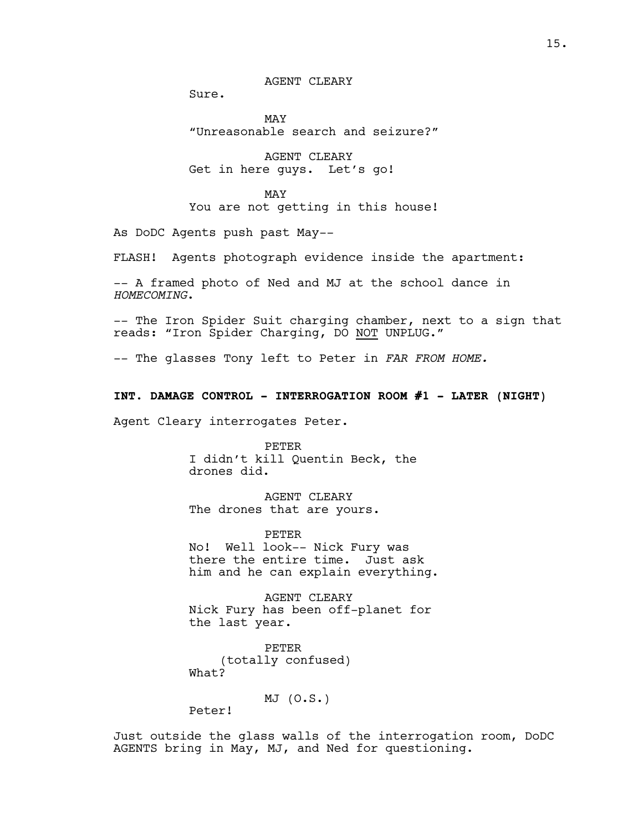AGENT CLEARY

Sure.

MAY "Unreasonable search and seizure?"

AGENT CLEARY Get in here guys. Let's go!

MAY You are not getting in this house!

As DoDC Agents push past May--

FLASH! Agents photograph evidence inside the apartment:

-- A framed photo of Ned and MJ at the school dance in *HOMECOMING*.

-- The Iron Spider Suit charging chamber, next to a sign that reads: "Iron Spider Charging, DO NOT UNPLUG."

-- The glasses Tony left to Peter in *FAR FROM HOME.*

**INT. DAMAGE CONTROL - INTERROGATION ROOM #1 - LATER (NIGHT)**

Agent Cleary interrogates Peter.

PETER I didn't kill Quentin Beck, the drones did.

AGENT CLEARY The drones that are yours.

PETER No! Well look-- Nick Fury was there the entire time. Just ask him and he can explain everything.

AGENT CLEARY Nick Fury has been off-planet for the last year.

PETER (totally confused) What?

MJ (O.S.)

Peter!

Just outside the glass walls of the interrogation room, DoDC AGENTS bring in May, MJ, and Ned for questioning.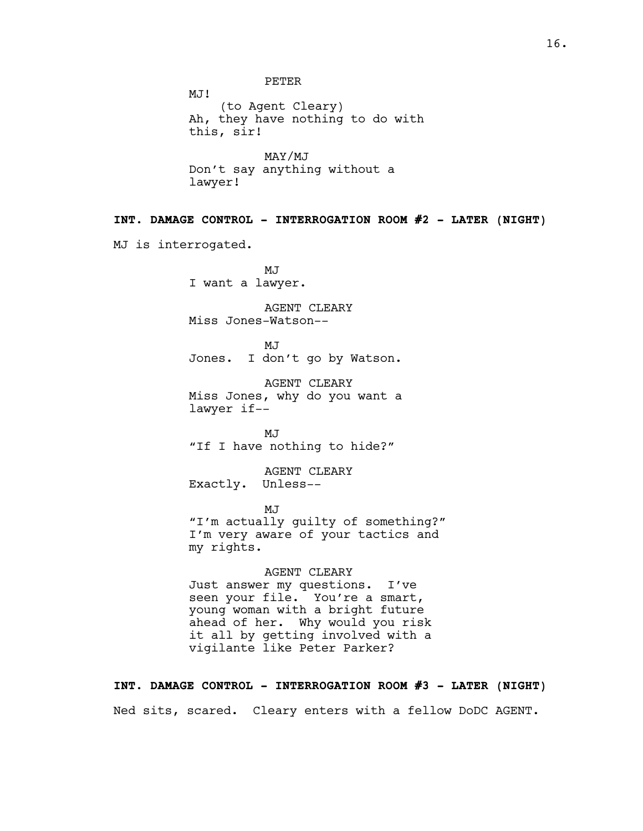PETER MJ! (to Agent Cleary) Ah, they have nothing to do with this, sir! MAY/MJ Don't say anything without a lawyer! **INT. DAMAGE CONTROL - INTERROGATION ROOM #2 - LATER (NIGHT)** MJ is interrogated. MJ<sub>J</sub> I want a lawyer. AGENT CLEARY Miss Jones-Watson-- MJ Jones. I don't go by Watson. AGENT CLEARY Miss Jones, why do you want a lawyer if-- MJ "If I have nothing to hide?" AGENT CLEARY Exactly. Unless-- MJ "I'm actually guilty of something?" I'm very aware of your tactics and my rights. AGENT CLEARY Just answer my questions. I've seen your file. You're a smart, young woman with a bright future ahead of her. Why would you risk it all by getting involved with a vigilante like Peter Parker?

**INT. DAMAGE CONTROL - INTERROGATION ROOM #3 - LATER (NIGHT)**

Ned sits, scared. Cleary enters with a fellow DoDC AGENT.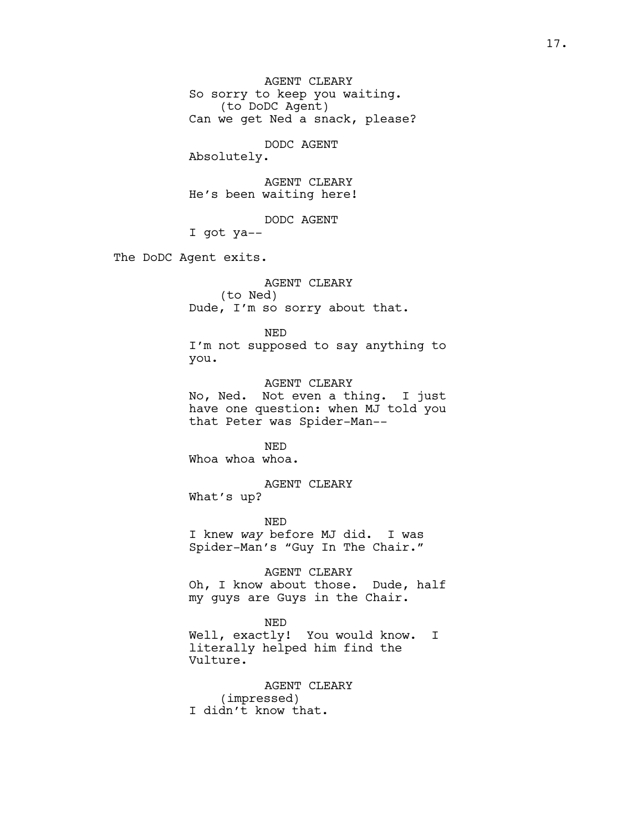AGENT CLEARY So sorry to keep you waiting. (to DoDC Agent) Can we get Ned a snack, please?

DODC AGENT

Absolutely.

AGENT CLEARY He's been waiting here!

DODC AGENT

I got ya--

The DoDC Agent exits.

AGENT CLEARY (to Ned) Dude, I'm so sorry about that.

NED

I'm not supposed to say anything to you.

AGENT CLEARY No, Ned. Not even a thing. I just have one question: when MJ told you that Peter was Spider-Man--

NED Whoa whoa.

AGENT CLEARY What's up?

NED I knew *way* before MJ did. I was Spider-Man's "Guy In The Chair."

AGENT CLEARY Oh, I know about those. Dude, half my guys are Guys in the Chair.

#### NED

Well, exactly! You would know. I literally helped him find the Vulture.

AGENT CLEARY (impressed) I didn't know that.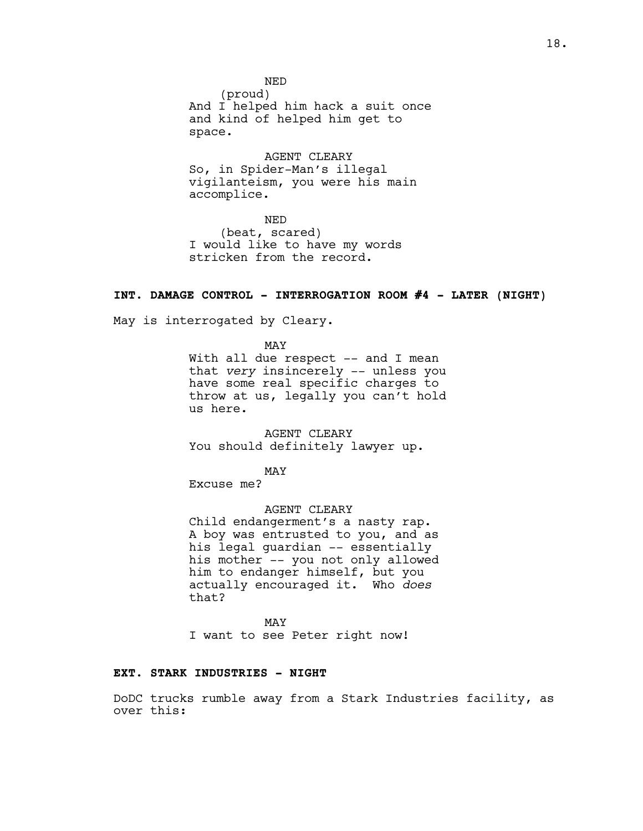NED (proud) And I helped him hack a suit once and kind of helped him get to space.

AGENT CLEARY So, in Spider-Man's illegal vigilanteism, you were his main accomplice.

NED (beat, scared) I would like to have my words stricken from the record.

## **INT. DAMAGE CONTROL - INTERROGATION ROOM #4 - LATER (NIGHT)**

May is interrogated by Cleary.

MAY With all due respect -- and I mean that *very* insincerely -- unless you have some real specific charges to throw at us, legally you can't hold us here.

AGENT CLEARY You should definitely lawyer up.

MAY

Excuse me?

AGENT CLEARY

Child endangerment's a nasty rap. A boy was entrusted to you, and as his legal guardian -- essentially his mother -- you not only allowed him to endanger himself, but you actually encouraged it. Who *does* that?

MAY I want to see Peter right now!

#### **EXT. STARK INDUSTRIES - NIGHT**

DoDC trucks rumble away from a Stark Industries facility, as over this: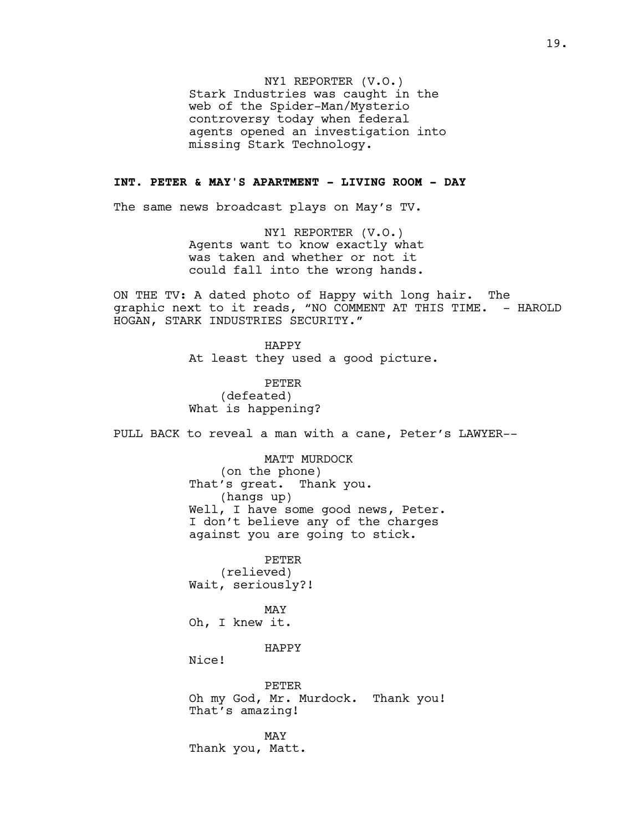NY1 REPORTER (V.O.) Stark Industries was caught in the web of the Spider-Man/Mysterio controversy today when federal agents opened an investigation into missing Stark Technology.

## **INT. PETER & MAY'S APARTMENT - LIVING ROOM - DAY**

The same news broadcast plays on May's TV.

NY1 REPORTER (V.O.) Agents want to know exactly what was taken and whether or not it could fall into the wrong hands.

ON THE TV: A dated photo of Happy with long hair. The graphic next to it reads, "NO COMMENT AT THIS TIME. - HAROLD HOGAN, STARK INDUSTRIES SECURITY."

> HAPPY At least they used a good picture.

PETER (defeated) What is happening?

PULL BACK to reveal a man with a cane, Peter's LAWYER--

MATT MURDOCK (on the phone) That's great. Thank you. (hangs up) Well, I have some good news, Peter. I don't believe any of the charges against you are going to stick.

PETER (relieved) Wait, seriously?!

MAY Oh, I knew it.

HAPPY

Nice!

PETER Oh my God, Mr. Murdock. Thank you! That's amazing!

MAY Thank you, Matt.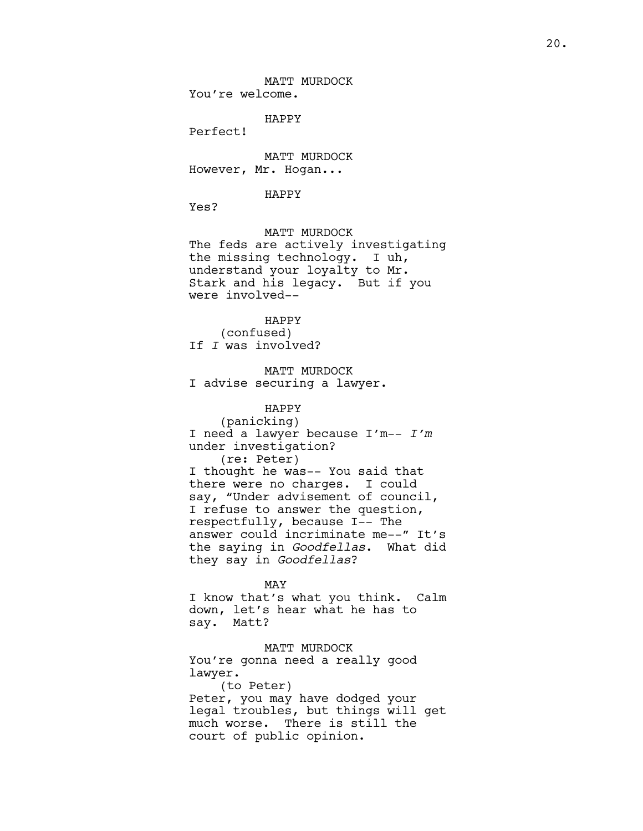MATT MURDOCK You're welcome.

HAPPY

Perfect!

MATT MURDOCK However, Mr. Hogan...

#### HAPPY

Yes?

MATT MURDOCK The feds are actively investigating the missing technology. I uh, understand your loyalty to Mr. Stark and his legacy. But if you were involved--

HAPPY (confused) If *I* was involved?

MATT MURDOCK I advise securing a lawyer.

HAPPY (panicking) I need a lawyer because I'm-- *I'm*  under investigation? (re: Peter) I thought he was-- You said that there were no charges. I could say, "Under advisement of council, I refuse to answer the question, respectfully, because I-- The answer could incriminate me--" It's the saying in *Goodfellas*. What did they say in *Goodfellas*?

MAY I know that's what you think. Calm down, let's hear what he has to say. Matt?

MATT MURDOCK You're gonna need a really good lawyer. (to Peter) Peter, you may have dodged your legal troubles, but things will get much worse. There is still the court of public opinion.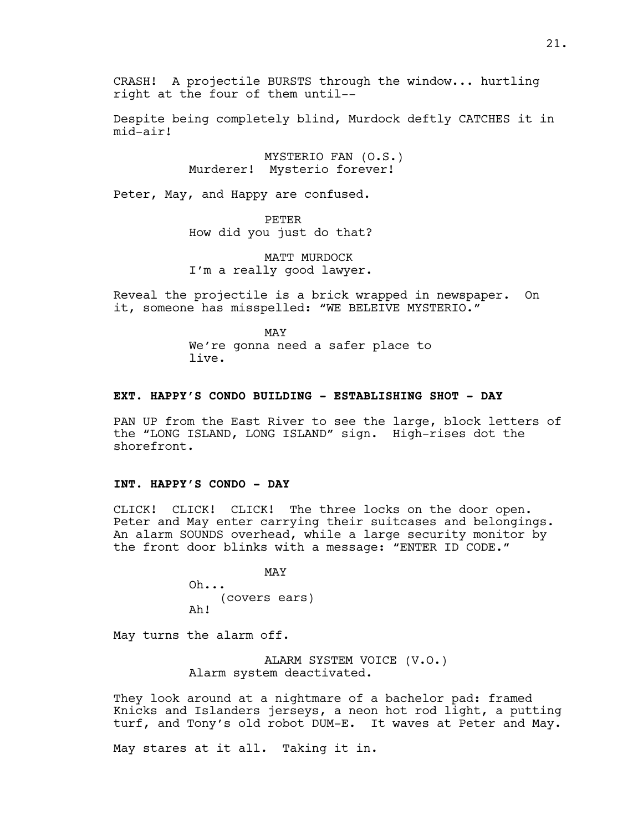CRASH! A projectile BURSTS through the window... hurtling right at the four of them until--

Despite being completely blind, Murdock deftly CATCHES it in mid-air!

> MYSTERIO FAN (O.S.) Murderer! Mysterio forever!

Peter, May, and Happy are confused.

PETER How did you just do that?

MATT MURDOCK I'm a really good lawyer.

Reveal the projectile is a brick wrapped in newspaper. On it, someone has misspelled: "WE BELEIVE MYSTERIO."

> MAY We're gonna need a safer place to live.

#### **EXT. HAPPY'S CONDO BUILDING - ESTABLISHING SHOT - DAY**

PAN UP from the East River to see the large, block letters of the "LONG ISLAND, LONG ISLAND" sign. High-rises dot the shorefront.

## **INT. HAPPY'S CONDO - DAY**

CLICK! CLICK! CLICK! The three locks on the door open. Peter and May enter carrying their suitcases and belongings. An alarm SOUNDS overhead, while a large security monitor by the front door blinks with a message: "ENTER ID CODE."

> MAY Oh... (covers ears) Ah!

May turns the alarm off.

ALARM SYSTEM VOICE (V.O.) Alarm system deactivated.

They look around at a nightmare of a bachelor pad: framed Knicks and Islanders jerseys, a neon hot rod light, a putting turf, and Tony's old robot DUM-E. It waves at Peter and May.

May stares at it all. Taking it in.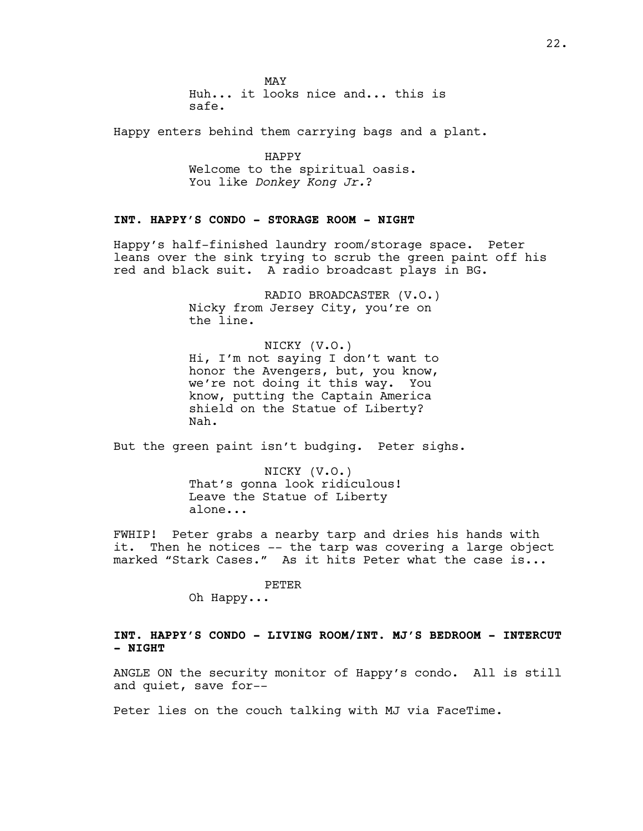MAY Huh... it looks nice and... this is safe.

Happy enters behind them carrying bags and a plant.

HAPPY Welcome to the spiritual oasis. You like *Donkey Kong Jr.*?

## **INT. HAPPY'S CONDO - STORAGE ROOM - NIGHT**

Happy's half-finished laundry room/storage space. Peter leans over the sink trying to scrub the green paint off his red and black suit. A radio broadcast plays in BG.

> RADIO BROADCASTER (V.O.) Nicky from Jersey City, you're on the line.

> NICKY (V.O.) Hi, I'm not saying I don't want to honor the Avengers, but, you know, we're not doing it this way. You know, putting the Captain America shield on the Statue of Liberty? Nah.

But the green paint isn't budging. Peter sighs.

NICKY (V.O.) That's gonna look ridiculous! Leave the Statue of Liberty alone...

FWHIP! Peter grabs a nearby tarp and dries his hands with it. Then he notices -- the tarp was covering a large object marked "Stark Cases." As it hits Peter what the case is...

PETER

Oh Happy...

## **INT. HAPPY'S CONDO - LIVING ROOM/INT. MJ'S BEDROOM - INTERCUT - NIGHT**

ANGLE ON the security monitor of Happy's condo. All is still and quiet, save for--

Peter lies on the couch talking with MJ via FaceTime.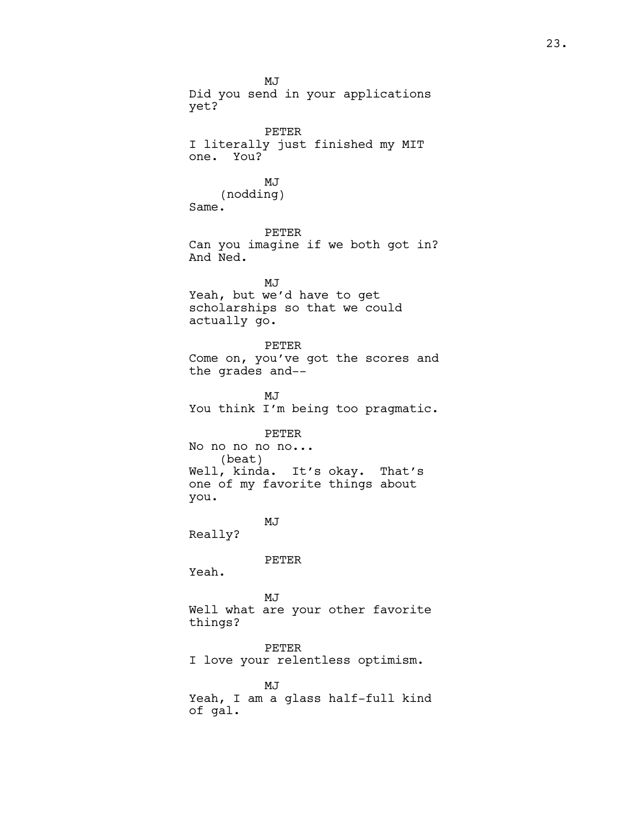MJ Did you send in your applications yet? PETER I literally just finished my MIT one. You? MJ (nodding) Same. PETER Can you imagine if we both got in? And Ned. MJ Yeah, but we'd have to get scholarships so that we could actually go. PETER Come on, you've got the scores and the grades and-- MJ You think I'm being too pragmatic. PETER No no no no no... (beat) Well, kinda. It's okay. That's one of my favorite things about you. MJ Really? PETER Yeah. MJ Well what are your other favorite things? PETER I love your relentless optimism. MJ Yeah, I am a glass half-full kind of gal.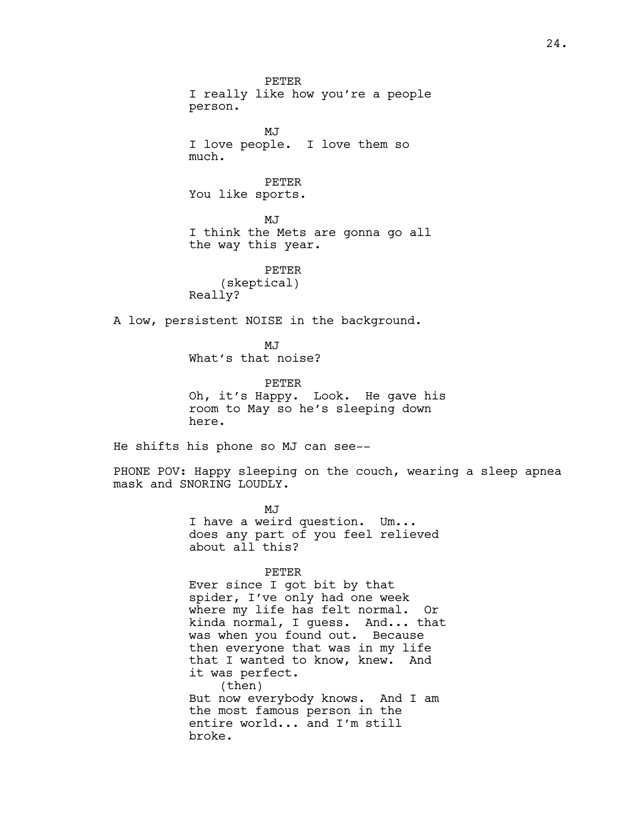PETER I really like how you're a people person.

**MJ** I love people. I love them so much.

PETER You like sports.

MJ I think the Mets are gonna go all the way this year.

PETER (skeptical) Really?

A low, persistent NOISE in the background.

MJ What's that noise?

PETER Oh, it's Happy. Look. He gave his room to May so he's sleeping down here.

He shifts his phone so MJ can see--

PHONE POV: Happy sleeping on the couch, wearing a sleep apnea mask and SNORING LOUDLY.

> MJ I have a weird question. Um... does any part of you feel relieved about all this?

#### PETER

Ever since I got bit by that spider, I've only had one week where my life has felt normal. Or kinda normal, I guess. And... that was when you found out. Because then everyone that was in my life that I wanted to know, knew. And it was perfect. (then) But now everybody knows. And I am the most famous person in the entire world... and I'm still broke.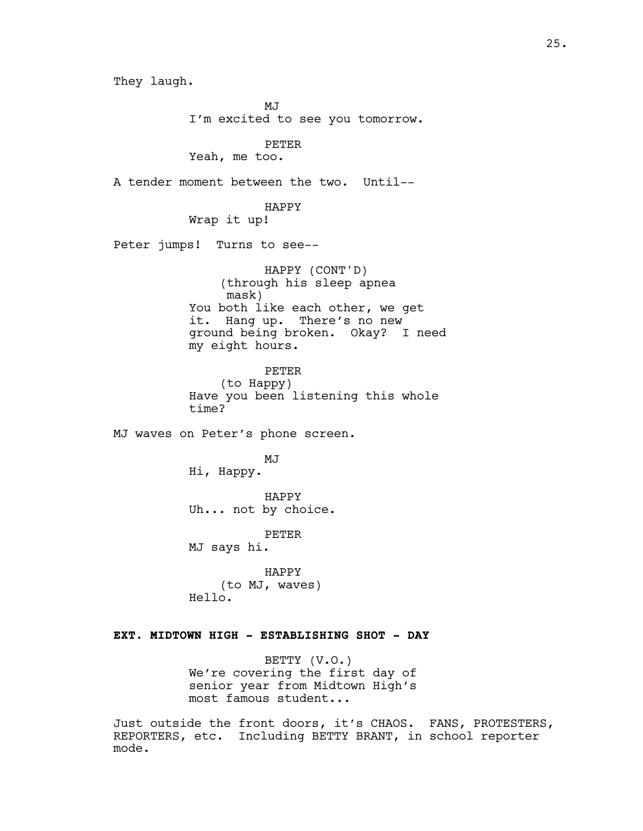They laugh. MJ<sub>J</sub> I'm excited to see you tomorrow. PETER Yeah, me too. A tender moment between the two. Until-- HAPPY Wrap it up! Peter jumps! Turns to see-- HAPPY (CONT'D) (through his sleep apnea mask) You both like each other, we get it. Hang up. There's no new ground being broken. Okay? I need my eight hours. PETER (to Happy) Have you been listening this whole time? MJ waves on Peter's phone screen. MJ Hi, Happy. HAPPY Uh... not by choice. PETER MJ says hi. HAPPY (to MJ, waves) Hello. **EXT. MIDTOWN HIGH - ESTABLISHING SHOT - DAY**

> BETTY (V.O.) We're covering the first day of senior year from Midtown High's most famous student...

Just outside the front doors, it's CHAOS. FANS, PROTESTERS, REPORTERS, etc. Including BETTY BRANT, in school reporter mode.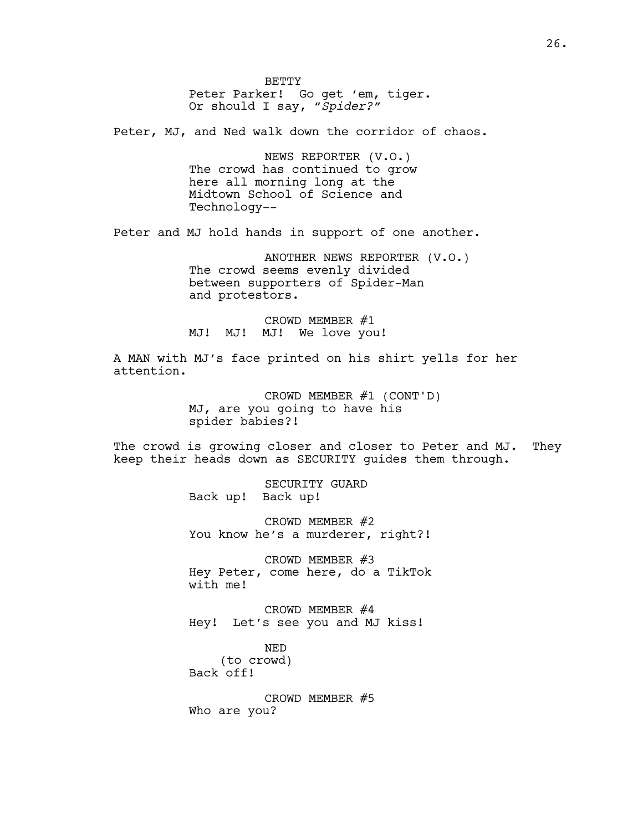**BETTY** Peter Parker! Go get 'em, tiger. Or should I say, "*Spider?"*

Peter, MJ, and Ned walk down the corridor of chaos.

NEWS REPORTER (V.O.) The crowd has continued to grow here all morning long at the Midtown School of Science and Technology--

Peter and MJ hold hands in support of one another.

ANOTHER NEWS REPORTER (V.O.) The crowd seems evenly divided between supporters of Spider-Man and protestors.

CROWD MEMBER #1 MJ! MJ! MJ! We love you!

A MAN with MJ's face printed on his shirt yells for her attention.

> CROWD MEMBER #1 (CONT'D) MJ, are you going to have his spider babies?!

The crowd is growing closer and closer to Peter and MJ. They keep their heads down as SECURITY guides them through.

> SECURITY GUARD Back up! Back up!

CROWD MEMBER #2 You know he's a murderer, right?!

CROWD MEMBER #3 Hey Peter, come here, do a TikTok with me!

CROWD MEMBER #4 Hey! Let's see you and MJ kiss!

NED (to crowd) Back off!

CROWD MEMBER #5 Who are you?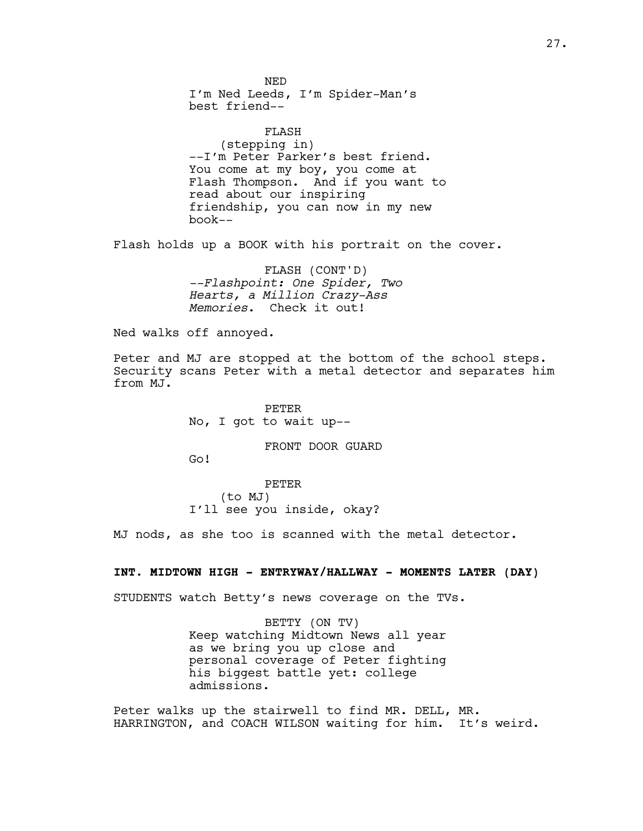NED I'm Ned Leeds, I'm Spider-Man's best friend--

FLASH (stepping in) --I'm Peter Parker's best friend. You come at my boy, you come at Flash Thompson. And if you want to read about our inspiring friendship, you can now in my new book--

Flash holds up a BOOK with his portrait on the cover.

FLASH (CONT'D) *--Flashpoint: One Spider, Two Hearts, a Million Crazy-Ass Memories*. Check it out!

Ned walks off annoyed.

Peter and MJ are stopped at the bottom of the school steps. Security scans Peter with a metal detector and separates him from MJ.

> PETER No, I got to wait up--

> > FRONT DOOR GUARD

Go!

PETER (to MJ) I'll see you inside, okay?

MJ nods, as she too is scanned with the metal detector.

#### **INT. MIDTOWN HIGH - ENTRYWAY/HALLWAY - MOMENTS LATER (DAY)**

STUDENTS watch Betty's news coverage on the TVs.

BETTY (ON TV) Keep watching Midtown News all year as we bring you up close and personal coverage of Peter fighting his biggest battle yet: college admissions.

Peter walks up the stairwell to find MR. DELL, MR. HARRINGTON, and COACH WILSON waiting for him. It's weird.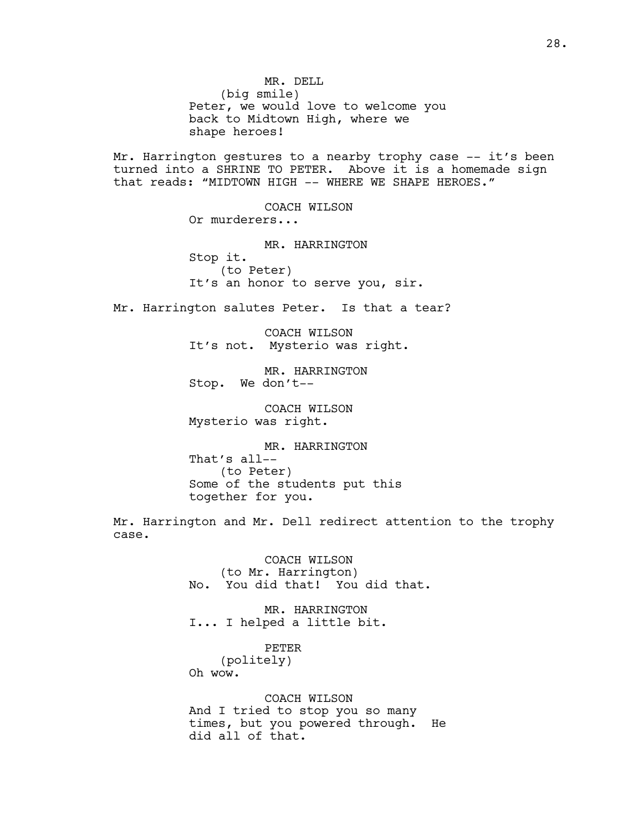MR. DELL (big smile) Peter, we would love to welcome you back to Midtown High, where we shape heroes!

Mr. Harrington gestures to a nearby trophy case -- it's been turned into a SHRINE TO PETER. Above it is a homemade sign that reads: "MIDTOWN HIGH -- WHERE WE SHAPE HEROES."

> COACH WILSON Or murderers... MR. HARRINGTON Stop it. (to Peter) It's an honor to serve you, sir.

Mr. Harrington salutes Peter. Is that a tear?

COACH WILSON It's not. Mysterio was right.

MR. HARRINGTON Stop. We don't--

COACH WILSON Mysterio was right.

MR. HARRINGTON That's all-- (to Peter) Some of the students put this together for you.

Mr. Harrington and Mr. Dell redirect attention to the trophy case.

> COACH WILSON (to Mr. Harrington) No. You did that! You did that.

MR. HARRINGTON I... I helped a little bit.

PETER (politely) Oh wow.

COACH WILSON And I tried to stop you so many times, but you powered through. He did all of that.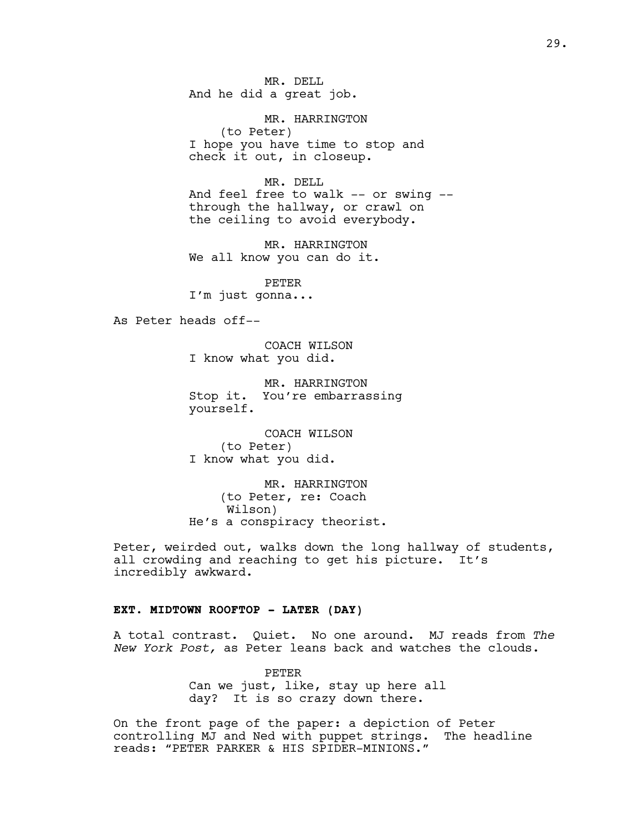MR. DELL And he did a great job.

MR. HARRINGTON (to Peter) I hope you have time to stop and check it out, in closeup.

MR. DELL And feel free to walk -- or swing - through the hallway, or crawl on the ceiling to avoid everybody.

MR. HARRINGTON We all know you can do it.

PETER I'm just gonna...

As Peter heads off--

COACH WILSON I know what you did.

MR. HARRINGTON Stop it. You're embarrassing yourself.

COACH WILSON (to Peter) I know what you did.

MR. HARRINGTON (to Peter, re: Coach Wilson) He's a conspiracy theorist.

Peter, weirded out, walks down the long hallway of students, all crowding and reaching to get his picture. It's incredibly awkward.

## **EXT. MIDTOWN ROOFTOP - LATER (DAY)**

A total contrast. Quiet. No one around. MJ reads from *The New York Post,* as Peter leans back and watches the clouds.

> PETER Can we just, like, stay up here all day? It is so crazy down there.

On the front page of the paper: a depiction of Peter controlling MJ and Ned with puppet strings. The headline reads: "PETER PARKER & HIS SPIDER-MINIONS."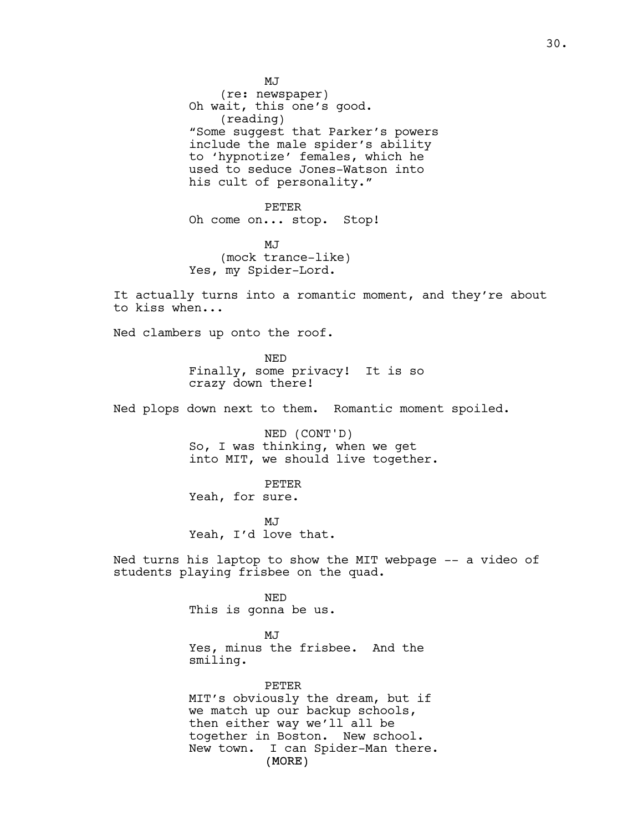MJ (re: newspaper) Oh wait, this one's good. (reading) "Some suggest that Parker's powers include the male spider's ability to 'hypnotize' females, which he used to seduce Jones-Watson into his cult of personality." PETER Oh come on... stop. Stop! MJ (mock trance-like) Yes, my Spider-Lord. It actually turns into a romantic moment, and they're about to kiss when... Ned clambers up onto the roof. NED Finally, some privacy! It is so crazy down there! Ned plops down next to them. Romantic moment spoiled. NED (CONT'D) So, I was thinking, when we get into MIT, we should live together. PETER Yeah, for sure. MJ<sub>J</sub> Yeah, I'd love that. Ned turns his laptop to show the MIT webpage -- a video of students playing frisbee on the quad. NED This is gonna be us. MJ Yes, minus the frisbee. And the smiling. PETER MIT's obviously the dream, but if we match up our backup schools, then either way we'll all be together in Boston. New school. New town. I can Spider-Man there.

(MORE)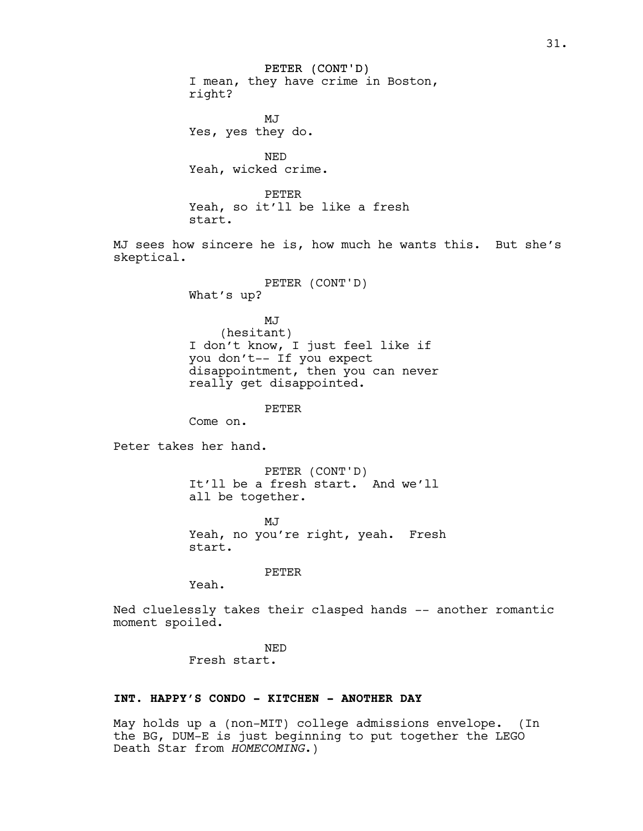PETER (CONT'D) I mean, they have crime in Boston, right?

MJ Yes, yes they do.

NED Yeah, wicked crime.

PETER Yeah, so it'll be like a fresh start.

MJ sees how sincere he is, how much he wants this. But she's skeptical.

> PETER (CONT'D) What's up?

MJ (hesitant) I don't know, I just feel like if you don't-- If you expect disappointment, then you can never really get disappointed.

PETER

Come on.

Peter takes her hand.

PETER (CONT'D) It'll be a fresh start. And we'll all be together.

MJ<sub>J</sub> Yeah, no you're right, yeah. Fresh start.

PETER

Yeah.

Ned cluelessly takes their clasped hands -- another romantic moment spoiled.

> NED Fresh start.

## **INT. HAPPY'S CONDO - KITCHEN - ANOTHER DAY**

May holds up a (non-MIT) college admissions envelope. (In the BG, DUM-E is just beginning to put together the LEGO Death Star from *HOMECOMING*.)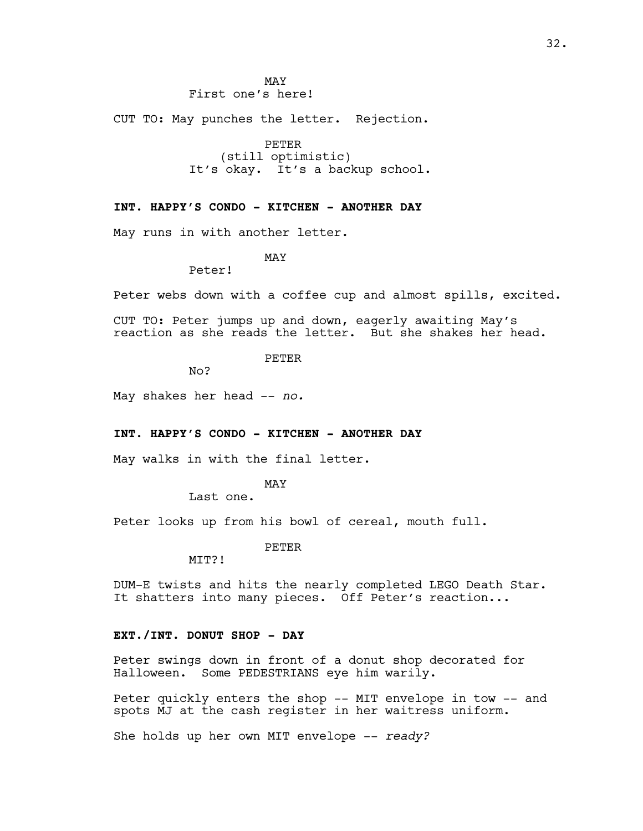MAY First one's here!

CUT TO: May punches the letter. Rejection.

PETER (still optimistic) It's okay. It's a backup school.

## **INT. HAPPY'S CONDO - KITCHEN - ANOTHER DAY**

May runs in with another letter.

MAY

Peter!

Peter webs down with a coffee cup and almost spills, excited.

CUT TO: Peter jumps up and down, eagerly awaiting May's reaction as she reads the letter. But she shakes her head.

PETER

No?

May shakes her head -- *no.*

## **INT. HAPPY'S CONDO - KITCHEN - ANOTHER DAY**

May walks in with the final letter.

#### MAY

Last one.

Peter looks up from his bowl of cereal, mouth full.

PETER

MIT?!

DUM-E twists and hits the nearly completed LEGO Death Star. It shatters into many pieces. Off Peter's reaction...

## **EXT./INT. DONUT SHOP - DAY**

Peter swings down in front of a donut shop decorated for Halloween. Some PEDESTRIANS eye him warily.

Peter quickly enters the shop -- MIT envelope in tow -- and spots MJ at the cash register in her waitress uniform.

She holds up her own MIT envelope -- *ready?*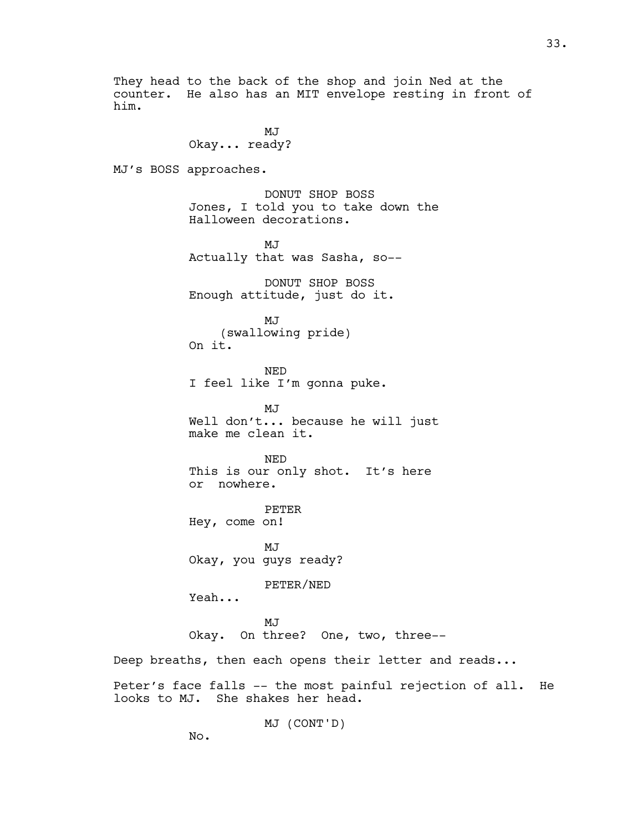They head to the back of the shop and join Ned at the counter. He also has an MIT envelope resting in front of him.

> MJ Okay... ready?

MJ's BOSS approaches.

DONUT SHOP BOSS Jones, I told you to take down the Halloween decorations.

MJ Actually that was Sasha, so--

DONUT SHOP BOSS Enough attitude, just do it.

MJ (swallowing pride) On it.

NED I feel like I'm gonna puke.

MJ Well don't... because he will just make me clean it.

NED This is our only shot. It's here or nowhere.

PETER Hey, come on!

MJ Okay, you guys ready?

PETER/NED

Yeah...

MJ Okay. On three? One, two, three--

Deep breaths, then each opens their letter and reads...

Peter's face falls -- the most painful rejection of all. He looks to MJ. She shakes her head.

MJ (CONT'D)

No.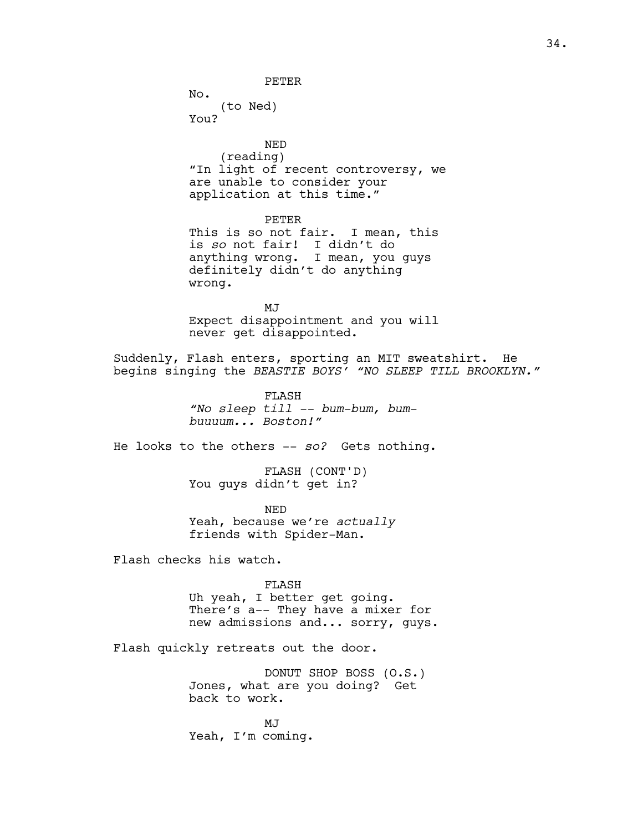PETER

No. (to Ned) You?

NED (reading) "In light of recent controversy, we are unable to consider your application at this time."

PETER This is so not fair. I mean, this is *so* not fair! I didn't do anything wrong. I mean, you guys definitely didn't do anything wrong.

MJ Expect disappointment and you will never get disappointed.

Suddenly, Flash enters, sporting an MIT sweatshirt. He begins singing the *BEASTIE BOYS' "NO SLEEP TILL BROOKLYN."*

> FLASH *"No sleep till -- bum-bum, bumbuuuum... Boston!"*

He looks to the others -- *so?* Gets nothing.

FLASH (CONT'D) You guys didn't get in?

NED Yeah, because we're *actually* friends with Spider-Man.

Flash checks his watch.

FLASH Uh yeah, I better get going. There's a-- They have a mixer for new admissions and... sorry, guys.

Flash quickly retreats out the door.

DONUT SHOP BOSS (O.S.) Jones, what are you doing? Get back to work.

MJ Yeah, I'm coming.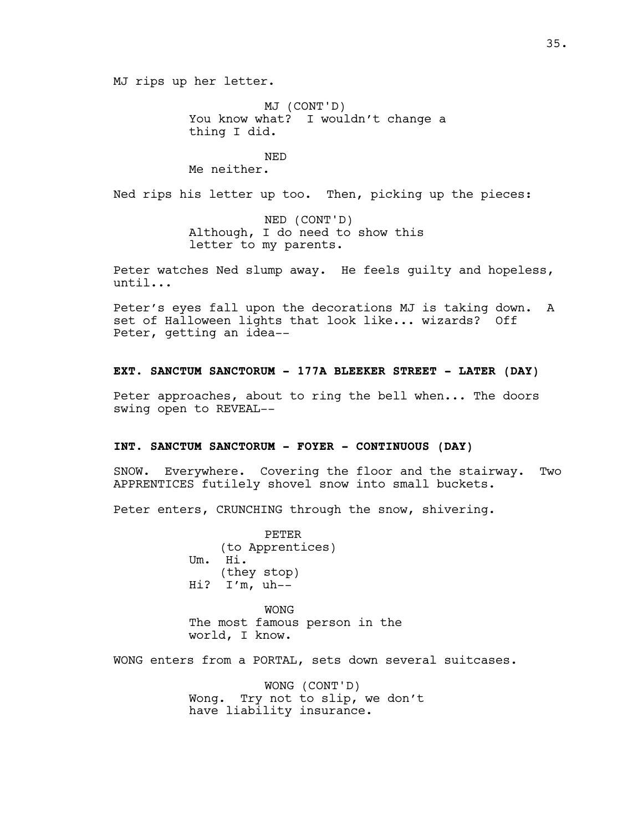MJ rips up her letter.

MJ (CONT'D) You know what? I wouldn't change a thing I did.

# NED

Me neither.

Ned rips his letter up too. Then, picking up the pieces:

NED (CONT'D) Although, I do need to show this letter to my parents.

Peter watches Ned slump away. He feels guilty and hopeless, until...

Peter's eyes fall upon the decorations MJ is taking down. A set of Halloween lights that look like... wizards? Off Peter, getting an idea--

## **EXT. SANCTUM SANCTORUM - 177A BLEEKER STREET - LATER (DAY)**

Peter approaches, about to ring the bell when... The doors swing open to REVEAL--

#### **INT. SANCTUM SANCTORUM - FOYER - CONTINUOUS (DAY)**

SNOW. Everywhere. Covering the floor and the stairway. Two APPRENTICES futilely shovel snow into small buckets.

Peter enters, CRUNCHING through the snow, shivering.

PETER (to Apprentices) Um. Hi. (they stop) Hi? I'm, uh--

WONG The most famous person in the world, I know.

WONG enters from a PORTAL, sets down several suitcases.

WONG (CONT'D) Wong. Try not to slip, we don't have liability insurance.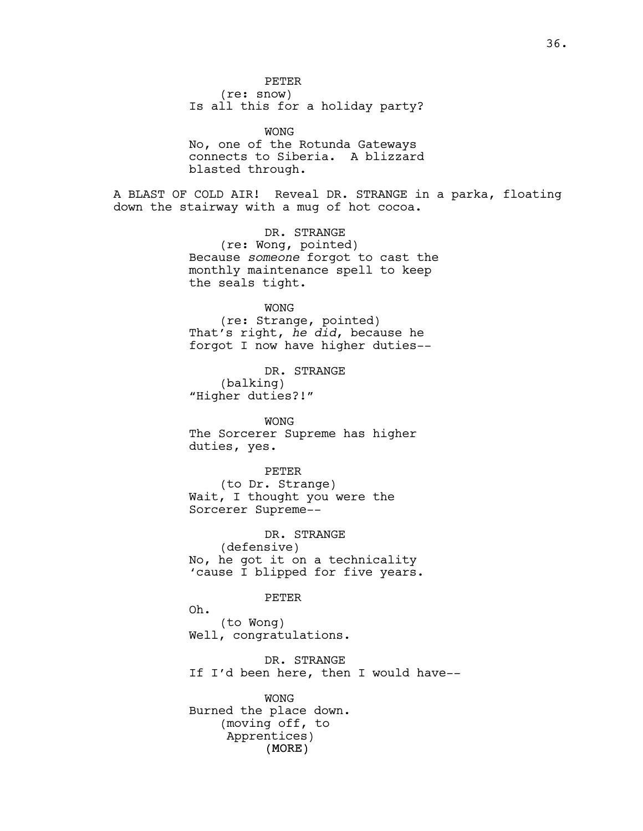PETER (re: snow) Is all this for a holiday party?

WONG No, one of the Rotunda Gateways connects to Siberia. A blizzard blasted through.

A BLAST OF COLD AIR! Reveal DR. STRANGE in a parka, floating down the stairway with a mug of hot cocoa.

> DR. STRANGE (re: Wong, pointed) Because *someone* forgot to cast the monthly maintenance spell to keep the seals tight.

> > WONG

(re: Strange, pointed) That's right, *he did*, because he forgot I now have higher duties--

DR. STRANGE (balking) "Higher duties?!"

WONG The Sorcerer Supreme has higher duties, yes.

PETER (to Dr. Strange) Wait, I thought you were the Sorcerer Supreme--

DR. STRANGE (defensive) No, he got it on a technicality 'cause I blipped for five years.

PETER

Oh. (to Wong) Well, congratulations.

DR. STRANGE If I'd been here, then I would have--

(MORE) WONG Burned the place down. (moving off, to Apprentices)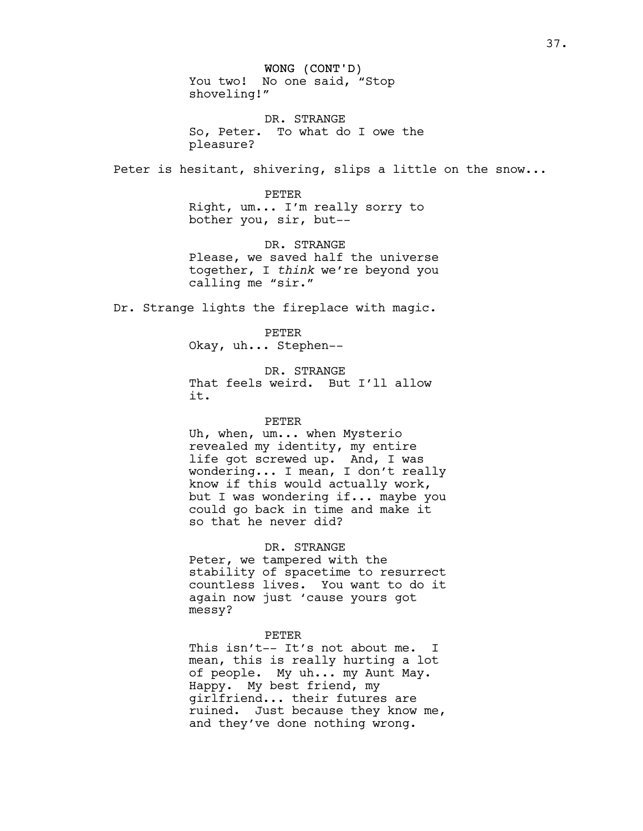WONG (CONT'D) You two! No one said, "Stop shoveling!"

DR. STRANGE So, Peter. To what do I owe the pleasure?

Peter is hesitant, shivering, slips a little on the snow...

PETER Right, um... I'm really sorry to bother you, sir, but--

DR. STRANGE Please, we saved half the universe together, I *think* we're beyond you calling me "sir."

Dr. Strange lights the fireplace with magic.

PETER Okay, uh... Stephen--

DR. STRANGE That feels weird. But I'll allow it.

#### PETER

Uh, when, um... when Mysterio revealed my identity, my entire life got screwed up. And, I was wondering... I mean, I don't really know if this would actually work, but I was wondering if... maybe you could go back in time and make it so that he never did?

DR. STRANGE

Peter, we tampered with the stability of spacetime to resurrect countless lives. You want to do it again now just 'cause yours got messy?

#### PETER

This isn't-- It's not about me. I mean, this is really hurting a lot of people. My uh... my Aunt May. Happy. My best friend, my girlfriend... their futures are ruined. Just because they know me, and they've done nothing wrong.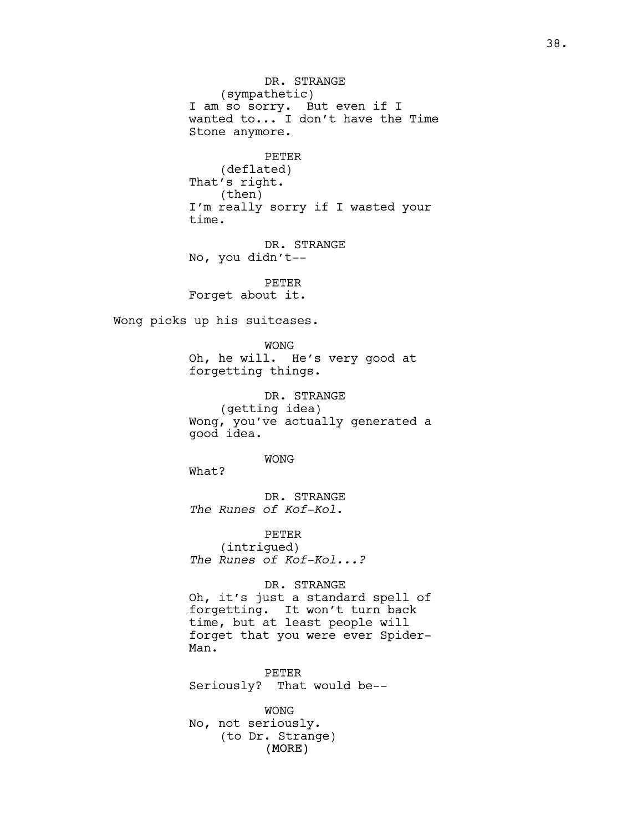(MORE) DR. STRANGE (sympathetic) I am so sorry. But even if I wanted to... I don't have the Time Stone anymore. PETER (deflated) That's right. (then) I'm really sorry if I wasted your time. DR. STRANGE No, you didn't-- PETER Forget about it. Wong picks up his suitcases. WONG Oh, he will. He's very good at forgetting things. DR. STRANGE (getting idea) Wong, you've actually generated a good idea. WONG What? DR. STRANGE *The Runes of Kof-Kol*. PETER (intrigued) *The Runes of Kof-Kol...?* DR. STRANGE Oh, it's just a standard spell of forgetting. It won't turn back time, but at least people will forget that you were ever Spider-Man. PETER Seriously? That would be-- WONG No, not seriously. (to Dr. Strange)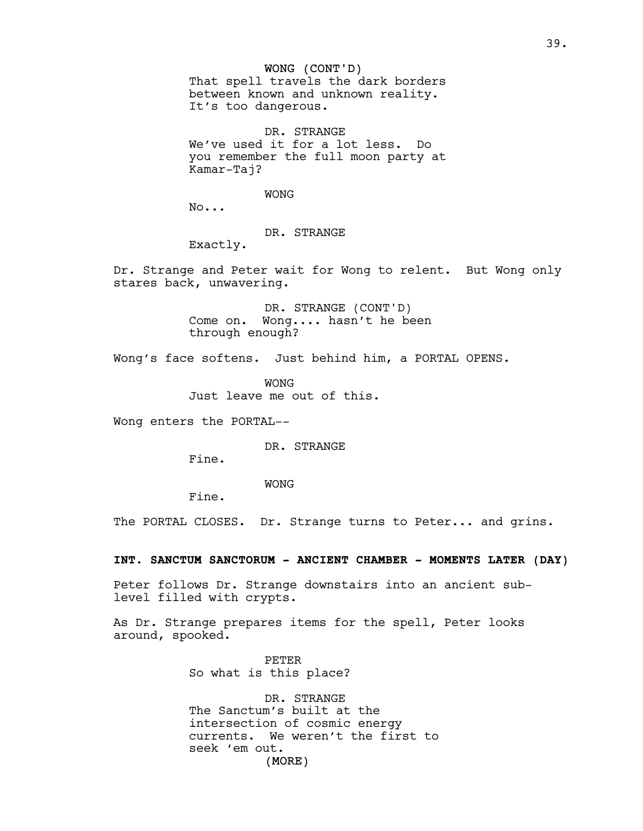## WONG (CONT'D)

That spell travels the dark borders between known and unknown reality. It's too dangerous.

DR. STRANGE We've used it for a lot less. Do you remember the full moon party at Kamar-Taj?

WONG

No...

# DR. STRANGE

Exactly.

Dr. Strange and Peter wait for Wong to relent. But Wong only stares back, unwavering.

> DR. STRANGE (CONT'D) Come on. Wong.... hasn't he been through enough?

Wong's face softens. Just behind him, a PORTAL OPENS.

WONG Just leave me out of this.

Wong enters the PORTAL--

DR. STRANGE

Fine.

WONG

Fine.

The PORTAL CLOSES. Dr. Strange turns to Peter... and grins.

## **INT. SANCTUM SANCTORUM - ANCIENT CHAMBER - MOMENTS LATER (DAY)**

Peter follows Dr. Strange downstairs into an ancient sublevel filled with crypts.

As Dr. Strange prepares items for the spell, Peter looks around, spooked.

> PETER So what is this place?

(MORE) DR. STRANGE The Sanctum's built at the intersection of cosmic energy currents. We weren't the first to seek 'em out.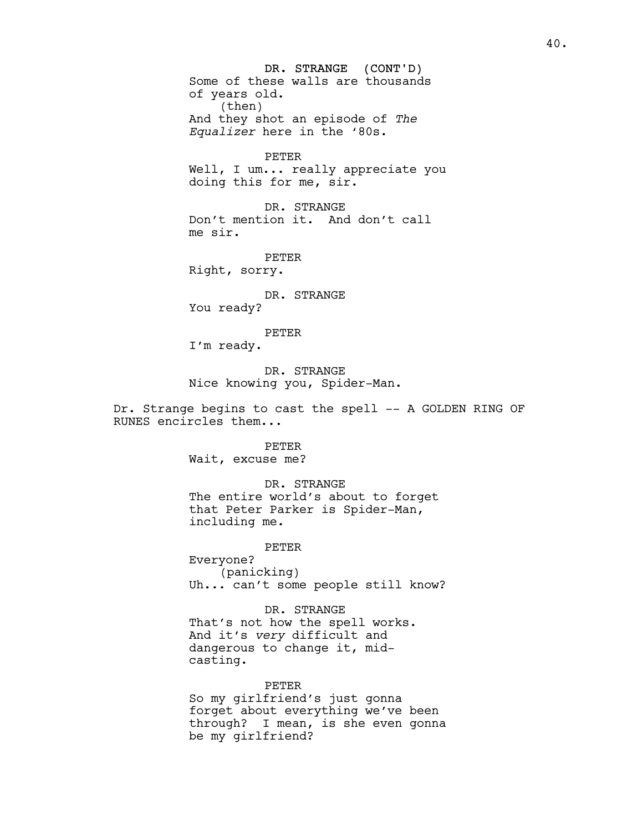DR. STRANGE (CONT'D) 40. Some of these walls are thousands of years old. (then) And they shot an episode of *The Equalizer* here in the '80s. PETER Well, I um... really appreciate you doing this for me, sir. DR. STRANGE Don't mention it. And don't call me sir. PETER Right, sorry. DR. STRANGE You ready? PETER I'm ready. DR. STRANGE Nice knowing you, Spider-Man. Dr. Strange begins to cast the spell -- A GOLDEN RING OF RUNES encircles them... PETER Wait, excuse me? DR. STRANGE The entire world's about to forget that Peter Parker is Spider-Man, including me. PETER Everyone?

(panicking) Uh... can't some people still know?

DR. STRANGE That's not how the spell works. And it's *very* difficult and dangerous to change it, midcasting.

PETER So my girlfriend's just gonna forget about everything we've been through? I mean, is she even gonna be my girlfriend?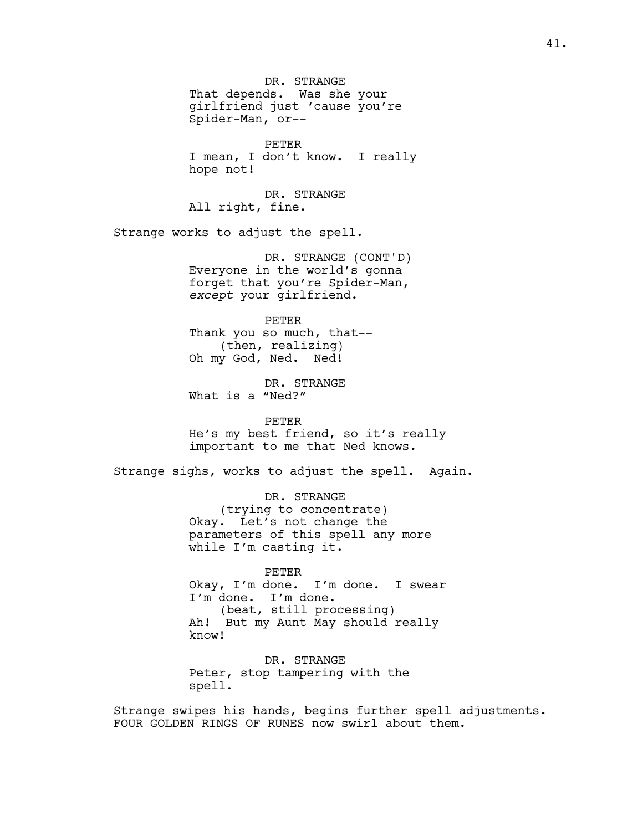DR. STRANGE That depends. Was she your girlfriend just 'cause you're Spider-Man, or-- PETER I mean, I don't know. I really hope not! DR. STRANGE All right, fine. Strange works to adjust the spell. DR. STRANGE (CONT'D) Everyone in the world's gonna forget that you're Spider-Man, *except* your girlfriend. PETER Thank you so much, that-- (then, realizing) Oh my God, Ned. Ned! DR. STRANGE What is a "Ned?" PETER He's my best friend, so it's really important to me that Ned knows. Strange sighs, works to adjust the spell. Again. DR. STRANGE (trying to concentrate) Okay. Let's not change the parameters of this spell any more while I'm casting it. PETER Okay, I'm done. I'm done. I swear I'm done. I'm done. (beat, still processing) Ah! But my Aunt May should really know! DR. STRANGE Peter, stop tampering with the

Strange swipes his hands, begins further spell adjustments. FOUR GOLDEN RINGS OF RUNES now swirl about them.

spell.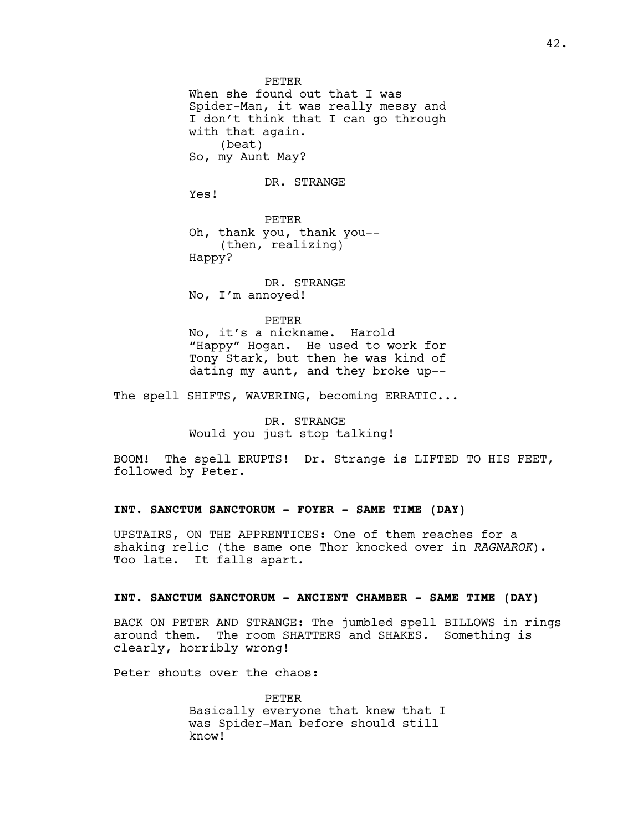PETER When she found out that I was Spider-Man, it was really messy and I don't think that I can go through with that again. (beat) So, my Aunt May?

DR. STRANGE

Yes!

PETER Oh, thank you, thank you-- (then, realizing) Happy?

DR. STRANGE No, I'm annoyed!

PETER

No, it's a nickname. Harold "Happy" Hogan. He used to work for Tony Stark, but then he was kind of dating my aunt, and they broke up--

The spell SHIFTS, WAVERING, becoming ERRATIC...

DR. STRANGE Would you just stop talking!

BOOM! The spell ERUPTS! Dr. Strange is LIFTED TO HIS FEET, followed by Peter.

# **INT. SANCTUM SANCTORUM - FOYER - SAME TIME (DAY)**

UPSTAIRS, ON THE APPRENTICES: One of them reaches for a shaking relic (the same one Thor knocked over in *RAGNAROK*). Too late. It falls apart.

## **INT. SANCTUM SANCTORUM - ANCIENT CHAMBER - SAME TIME (DAY)**

BACK ON PETER AND STRANGE: The jumbled spell BILLOWS in rings around them. The room SHATTERS and SHAKES. Something is clearly, horribly wrong!

Peter shouts over the chaos:

PETER Basically everyone that knew that I was Spider-Man before should still know!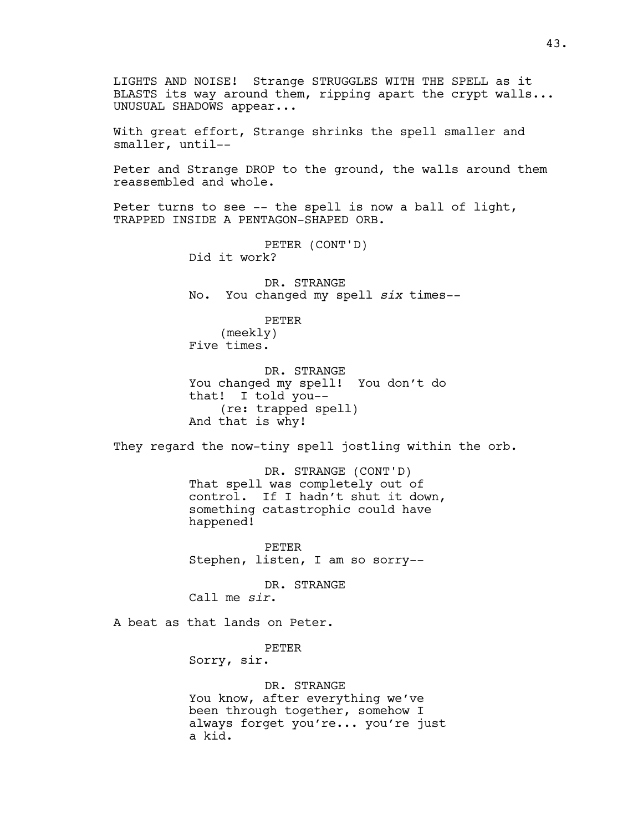LIGHTS AND NOISE! Strange STRUGGLES WITH THE SPELL as it BLASTS its way around them, ripping apart the crypt walls... UNUSUAL SHADOWS appear... With great effort, Strange shrinks the spell smaller and smaller, until-- Peter and Strange DROP to the ground, the walls around them reassembled and whole. Peter turns to see  $-$ - the spell is now a ball of light, TRAPPED INSIDE A PENTAGON-SHAPED ORB. PETER (CONT'D) Did it work? DR. STRANGE No. You changed my spell *six* times-- PETER (meekly) Five times. DR. STRANGE You changed my spell! You don't do that! I told you-- (re: trapped spell) And that is why! They regard the now-tiny spell jostling within the orb. DR. STRANGE (CONT'D) That spell was completely out of control. If I hadn't shut it down, something catastrophic could have happened! PETER Stephen, listen, I am so sorry-- DR. STRANGE Call me *sir*. A beat as that lands on Peter. PETER Sorry, sir. DR. STRANGE You know, after everything we've been through together, somehow I always forget you're... you're just a kid.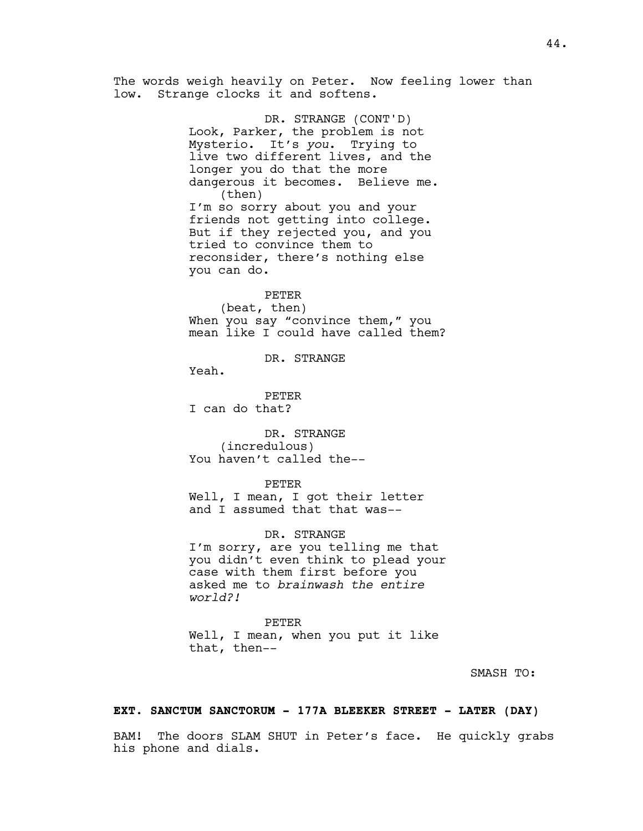The words weigh heavily on Peter. Now feeling lower than low. Strange clocks it and softens.

> DR. STRANGE (CONT'D) Look, Parker, the problem is not Mysterio. It's *you*. Trying to live two different lives, and the longer you do that the more dangerous it becomes. Believe me. (then) I'm so sorry about you and your friends not getting into college. But if they rejected you, and you tried to convince them to reconsider, there's nothing else you can do.

## PETER

(beat, then) When you say "convince them," you mean like I could have called them?

DR. STRANGE

Yeah.

PETER I can do that?

DR. STRANGE (incredulous) You haven't called the--

#### PETER

Well, I mean, I got their letter and I assumed that that was--

DR. STRANGE

I'm sorry, are you telling me that you didn't even think to plead your case with them first before you asked me to *brainwash the entire world?!* 

PETER Well, I mean, when you put it like that, then--

SMASH TO:

# **EXT. SANCTUM SANCTORUM - 177A BLEEKER STREET - LATER (DAY)**

BAM! The doors SLAM SHUT in Peter's face. He quickly grabs his phone and dials.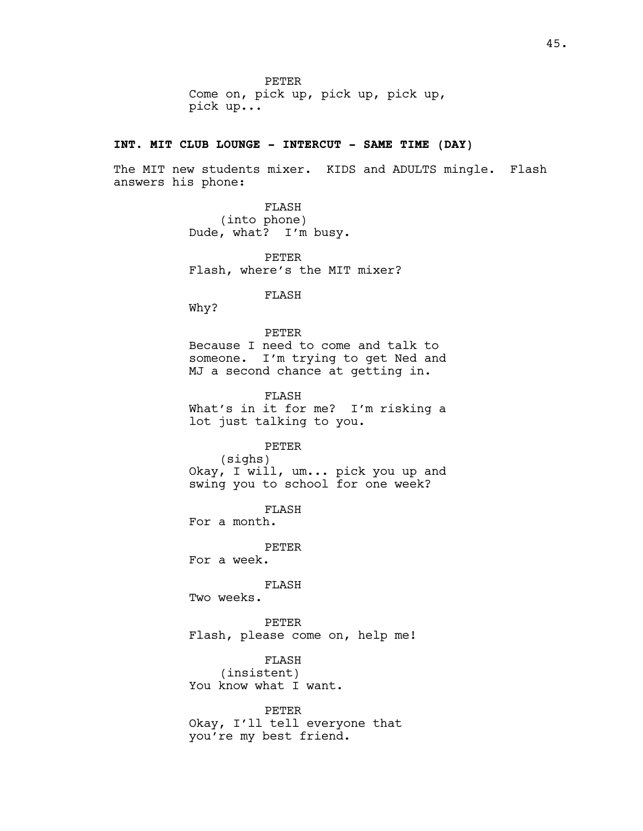PETER Come on, pick up, pick up, pick up, pick up...

# **INT. MIT CLUB LOUNGE - INTERCUT - SAME TIME (DAY)**

The MIT new students mixer. KIDS and ADULTS mingle. Flash answers his phone:

> FLASH (into phone) Dude, what? I'm busy.

PETER Flash, where's the MIT mixer?

FLASH

Why?

PETER Because I need to come and talk to someone. I'm trying to get Ned and MJ a second chance at getting in.

FLASH What's in it for me? I'm risking a lot just talking to you.

PETER

(sighs) Okay, I will, um... pick you up and swing you to school for one week?

FLASH For a month.

PETER

For a week.

FLASH

Two weeks.

PETER Flash, please come on, help me!

FLASH (insistent) You know what I want.

PETER Okay, I'll tell everyone that you're my best friend.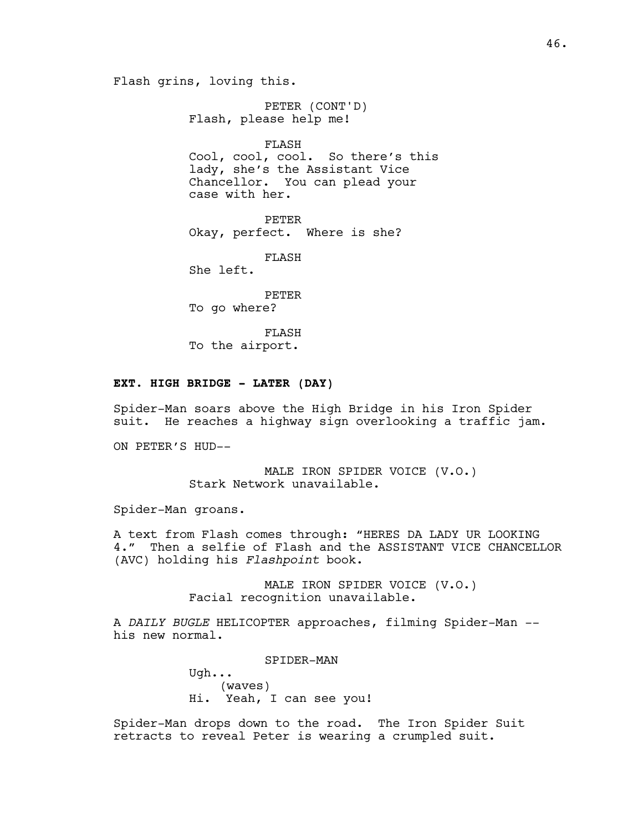Flash grins, loving this.

PETER (CONT'D) Flash, please help me! FLASH

Cool, cool, cool. So there's this lady, she's the Assistant Vice Chancellor. You can plead your case with her.

PETER Okay, perfect. Where is she?

FLASH

She left.

PETER To go where?

FLASH To the airport.

# **EXT. HIGH BRIDGE - LATER (DAY)**

Spider-Man soars above the High Bridge in his Iron Spider suit. He reaches a highway sign overlooking a traffic jam.

ON PETER'S HUD--

MALE IRON SPIDER VOICE (V.O.) Stark Network unavailable.

Spider-Man groans.

A text from Flash comes through: "HERES DA LADY UR LOOKING 4." Then a selfie of Flash and the ASSISTANT VICE CHANCELLOR (AVC) holding his *Flashpoint* book.

> MALE IRON SPIDER VOICE (V.O.) Facial recognition unavailable.

A *DAILY BUGLE* HELICOPTER approaches, filming Spider-Man - his new normal.

SPIDER-MAN

Ugh... (waves) Hi. Yeah, I can see you!

Spider-Man drops down to the road. The Iron Spider Suit retracts to reveal Peter is wearing a crumpled suit.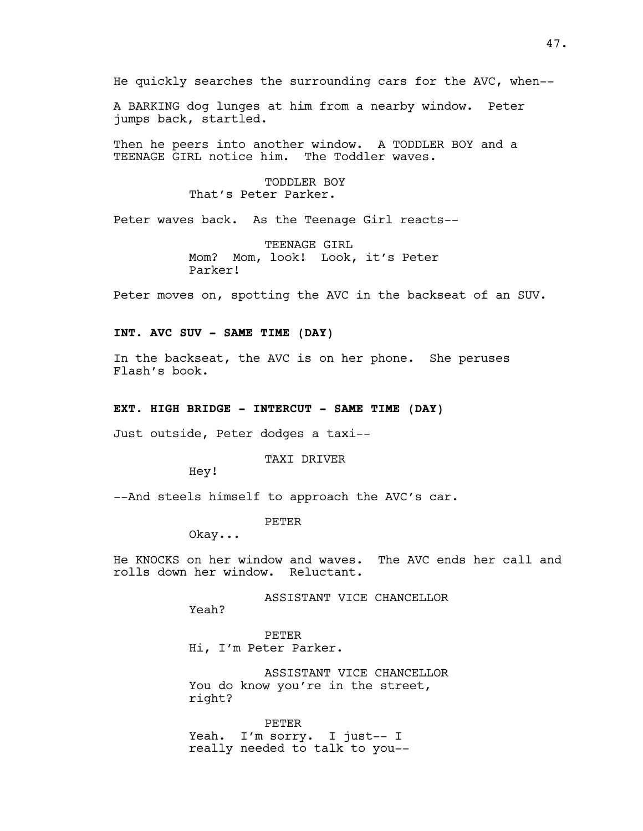He quickly searches the surrounding cars for the AVC, when--

A BARKING dog lunges at him from a nearby window. Peter jumps back, startled.

Then he peers into another window. A TODDLER BOY and a TEENAGE GIRL notice him. The Toddler waves.

> TODDLER BOY That's Peter Parker.

Peter waves back. As the Teenage Girl reacts--

TEENAGE GIRL Mom? Mom, look! Look, it's Peter Parker!

Peter moves on, spotting the AVC in the backseat of an SUV.

# **INT. AVC SUV - SAME TIME (DAY)**

In the backseat, the AVC is on her phone. She peruses Flash's book.

## **EXT. HIGH BRIDGE - INTERCUT - SAME TIME (DAY)**

Just outside, Peter dodges a taxi--

TAXI DRIVER

Hey!

--And steels himself to approach the AVC's car.

PETER

Okay...

He KNOCKS on her window and waves. The AVC ends her call and rolls down her window. Reluctant.

ASSISTANT VICE CHANCELLOR

Yeah?

PETER Hi, I'm Peter Parker.

ASSISTANT VICE CHANCELLOR You do know you're in the street, right?

PETER Yeah. I'm sorry. I just-- I really needed to talk to you--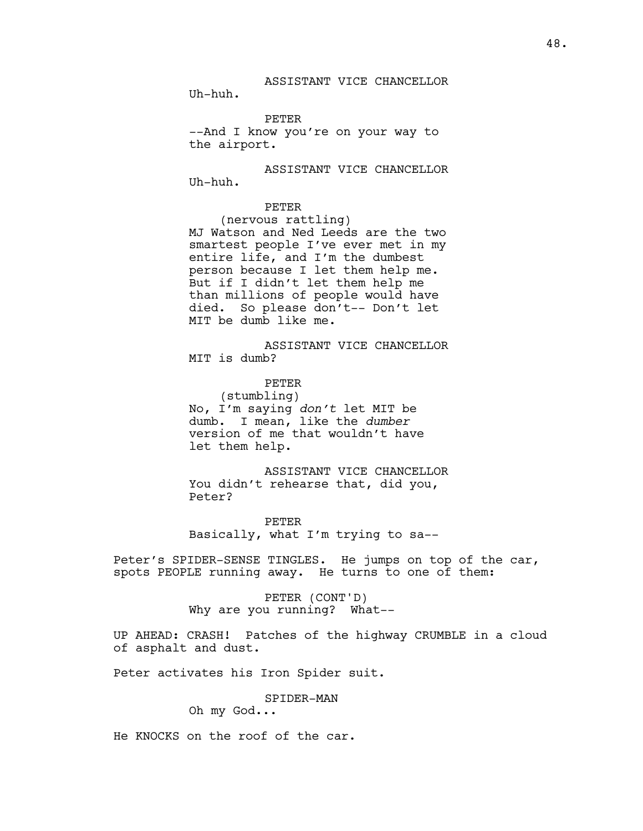PETER

--And I know you're on your way to the airport.

ASSISTANT VICE CHANCELLOR Uh-huh.

PETER

(nervous rattling) MJ Watson and Ned Leeds are the two smartest people I've ever met in my entire life, and I'm the dumbest person because I let them help me. But if I didn't let them help me than millions of people would have died. So please don't-- Don't let MIT be dumb like me.

ASSISTANT VICE CHANCELLOR MIT is dumb?

PETER (stumbling) No, I'm saying *don't* let MIT be dumb. I mean, like the *dumber* version of me that wouldn't have let them help.

ASSISTANT VICE CHANCELLOR You didn't rehearse that, did you, Peter?

PETER Basically, what I'm trying to sa--

Peter's SPIDER-SENSE TINGLES. He jumps on top of the car, spots PEOPLE running away. He turns to one of them:

> PETER (CONT'D) Why are you running? What--

UP AHEAD: CRASH! Patches of the highway CRUMBLE in a cloud of asphalt and dust.

Peter activates his Iron Spider suit.

SPIDER-MAN

Oh my God...

He KNOCKS on the roof of the car.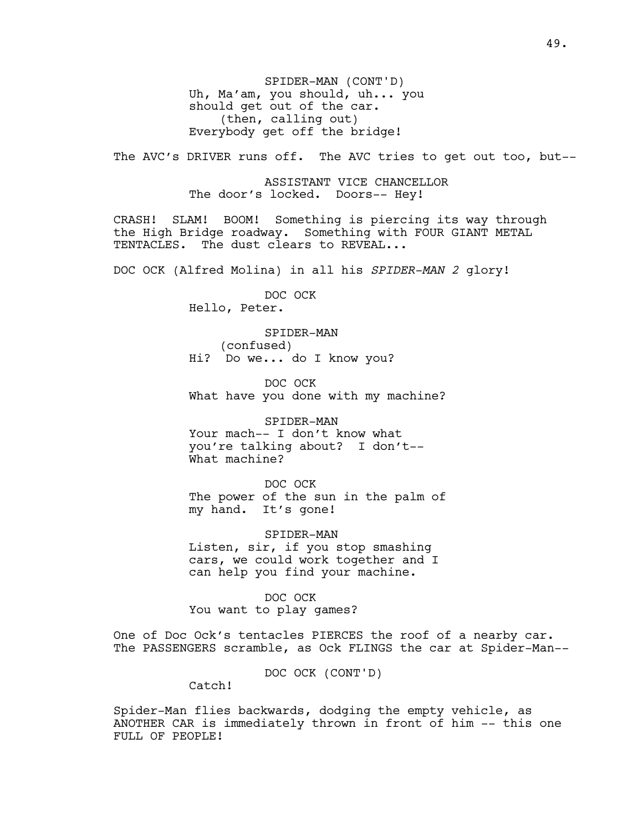SPIDER-MAN (CONT'D) Uh, Ma'am, you should, uh... you should get out of the car. (then, calling out) Everybody get off the bridge!

The AVC's DRIVER runs off. The AVC tries to get out too, but--

ASSISTANT VICE CHANCELLOR The door's locked. Doors-- Hey!

CRASH! SLAM! BOOM! Something is piercing its way through the High Bridge roadway. Something with FOUR GIANT METAL TENTACLES. The dust clears to REVEAL...

DOC OCK (Alfred Molina) in all his *SPIDER-MAN 2* glory!

DOC OCK Hello, Peter.

SPIDER-MAN (confused) Hi? Do we... do I know you?

DOC OCK What have you done with my machine?

SPIDER-MAN Your mach-- I don't know what you're talking about? I don't-- What machine?

DOC OCK The power of the sun in the palm of my hand. It's gone!

SPIDER-MAN Listen, sir, if you stop smashing cars, we could work together and I can help you find your machine.

DOC OCK You want to play games?

One of Doc Ock's tentacles PIERCES the roof of a nearby car. The PASSENGERS scramble, as Ock FLINGS the car at Spider-Man--

DOC OCK (CONT'D)

Catch!

Spider-Man flies backwards, dodging the empty vehicle, as ANOTHER CAR is immediately thrown in front of him -- this one FULL OF PEOPLE!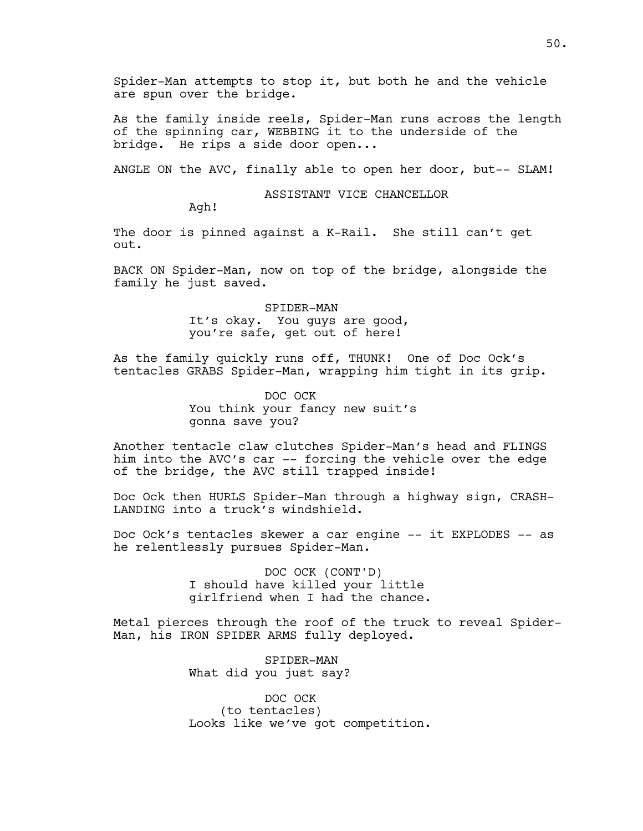Spider-Man attempts to stop it, but both he and the vehicle are spun over the bridge.

As the family inside reels, Spider-Man runs across the length of the spinning car, WEBBING it to the underside of the bridge. He rips a side door open...

ANGLE ON the AVC, finally able to open her door, but-- SLAM!

ASSISTANT VICE CHANCELLOR

Agh!

The door is pinned against a K-Rail. She still can't get out.

BACK ON Spider-Man, now on top of the bridge, alongside the family he just saved.

> SPIDER-MAN It's okay. You guys are good, you're safe, get out of here!

As the family quickly runs off, THUNK! One of Doc Ock's tentacles GRABS Spider-Man, wrapping him tight in its grip.

> DOC OCK You think your fancy new suit's gonna save you?

Another tentacle claw clutches Spider-Man's head and FLINGS him into the AVC's car -- forcing the vehicle over the edge of the bridge, the AVC still trapped inside!

Doc Ock then HURLS Spider-Man through a highway sign, CRASH-LANDING into a truck's windshield.

Doc Ock's tentacles skewer a car engine -- it EXPLODES -- as he relentlessly pursues Spider-Man.

> DOC OCK (CONT'D) I should have killed your little girlfriend when I had the chance.

Metal pierces through the roof of the truck to reveal Spider-Man, his IRON SPIDER ARMS fully deployed.

> SPIDER-MAN What did you just say?

DOC OCK (to tentacles) Looks like we've got competition.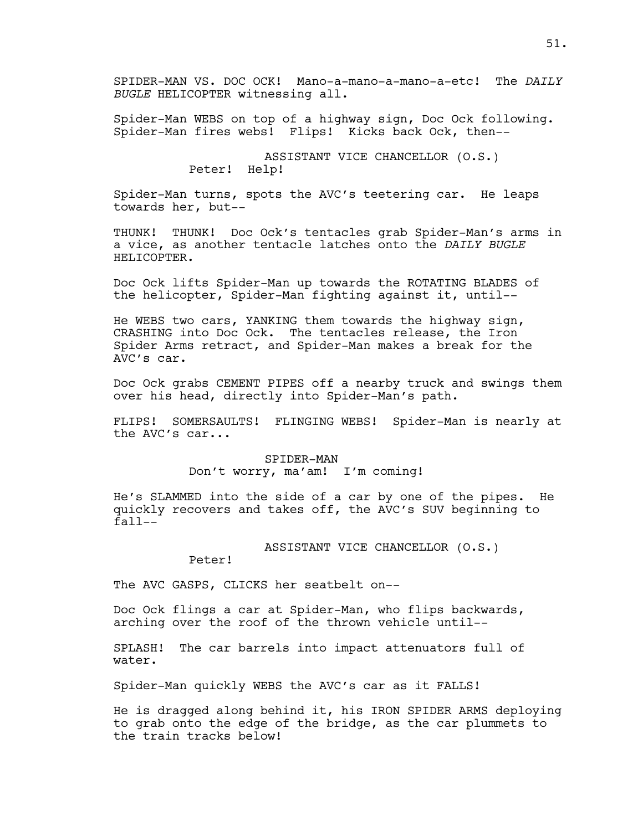SPIDER-MAN VS. DOC OCK! Mano-a-mano-a-mano-a-etc! The *DAILY BUGLE* HELICOPTER witnessing all.

Spider-Man WEBS on top of a highway sign, Doc Ock following. Spider-Man fires webs! Flips! Kicks back Ock, then--

> ASSISTANT VICE CHANCELLOR (O.S.) Peter! Help!

Spider-Man turns, spots the AVC's teetering car. He leaps towards her, but--

THUNK! THUNK! Doc Ock's tentacles grab Spider-Man's arms in a vice, as another tentacle latches onto the *DAILY BUGLE*  HELICOPTER.

Doc Ock lifts Spider-Man up towards the ROTATING BLADES of the helicopter, Spider-Man fighting against it, until--

He WEBS two cars, YANKING them towards the highway sign, CRASHING into Doc Ock. The tentacles release, the Iron Spider Arms retract, and Spider-Man makes a break for the AVC's car.

Doc Ock grabs CEMENT PIPES off a nearby truck and swings them over his head, directly into Spider-Man's path.

FLIPS! SOMERSAULTS! FLINGING WEBS! Spider-Man is nearly at the AVC's car...

> SPIDER-MAN Don't worry, ma'am! I'm coming!

He's SLAMMED into the side of a car by one of the pipes. He quickly recovers and takes off, the AVC's SUV beginning to  $fall--$ 

ASSISTANT VICE CHANCELLOR (O.S.)

Peter!

The AVC GASPS, CLICKS her seatbelt on--

Doc Ock flings a car at Spider-Man, who flips backwards, arching over the roof of the thrown vehicle until--

SPLASH! The car barrels into impact attenuators full of water.

Spider-Man quickly WEBS the AVC's car as it FALLS!

He is dragged along behind it, his IRON SPIDER ARMS deploying to grab onto the edge of the bridge, as the car plummets to the train tracks below!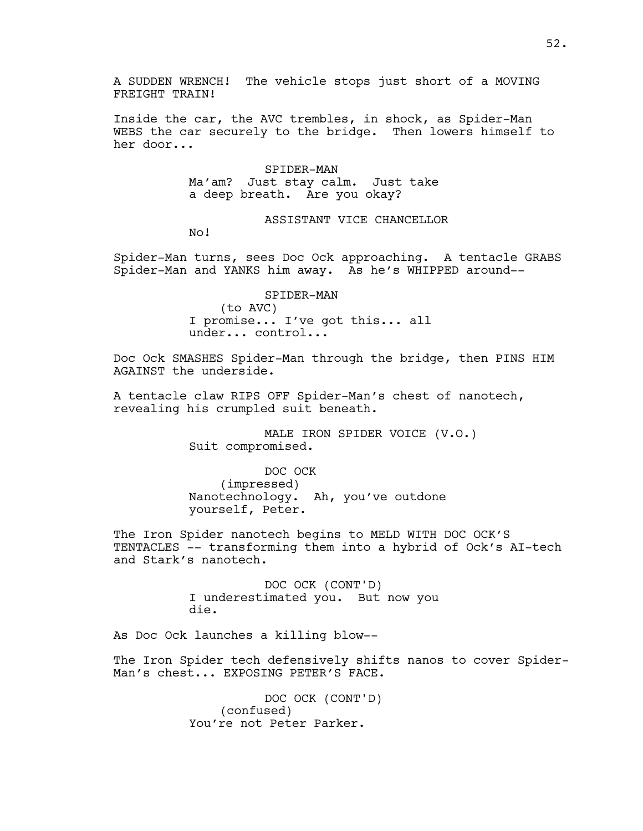A SUDDEN WRENCH! The vehicle stops just short of a MOVING FREIGHT TRAIN!

Inside the car, the AVC trembles, in shock, as Spider-Man WEBS the car securely to the bridge. Then lowers himself to her door...

> SPIDER-MAN Ma'am? Just stay calm. Just take a deep breath. Are you okay?

> > ASSISTANT VICE CHANCELLOR

No!

Spider-Man turns, sees Doc Ock approaching. A tentacle GRABS Spider-Man and YANKS him away. As he's WHIPPED around--

> SPIDER-MAN (to AVC) I promise... I've got this... all under... control...

Doc Ock SMASHES Spider-Man through the bridge, then PINS HIM AGAINST the underside.

A tentacle claw RIPS OFF Spider-Man's chest of nanotech, revealing his crumpled suit beneath.

> MALE IRON SPIDER VOICE (V.O.) Suit compromised.

DOC OCK (impressed) Nanotechnology. Ah, you've outdone yourself, Peter.

The Iron Spider nanotech begins to MELD WITH DOC OCK'S TENTACLES -- transforming them into a hybrid of Ock's AI-tech and Stark's nanotech.

> DOC OCK (CONT'D) I underestimated you. But now you die.

As Doc Ock launches a killing blow--

The Iron Spider tech defensively shifts nanos to cover Spider-Man's chest... EXPOSING PETER'S FACE.

> DOC OCK (CONT'D) (confused) You're not Peter Parker.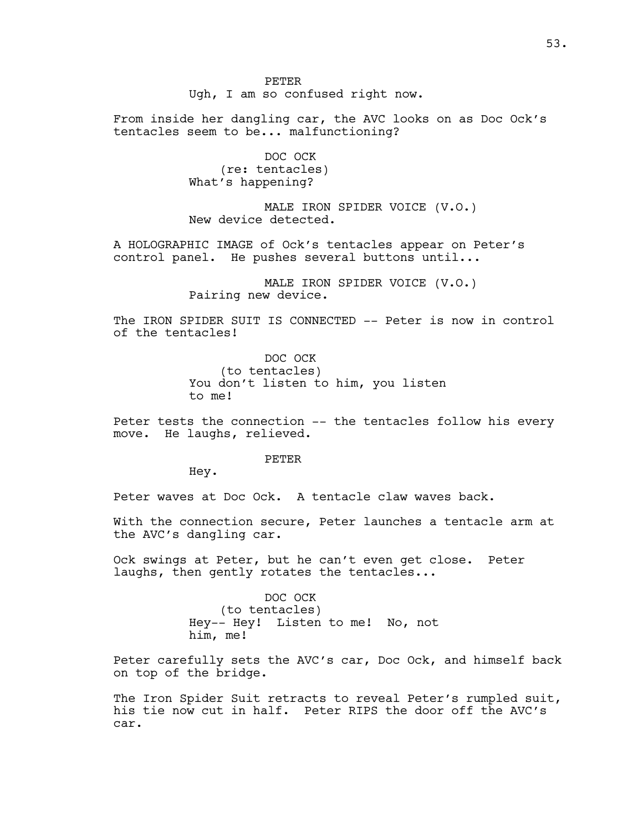PETER Ugh, I am so confused right now.

From inside her dangling car, the AVC looks on as Doc Ock's tentacles seem to be... malfunctioning?

> DOC OCK (re: tentacles) What's happening?

MALE IRON SPIDER VOICE (V.O.) New device detected.

A HOLOGRAPHIC IMAGE of Ock's tentacles appear on Peter's control panel. He pushes several buttons until...

> MALE IRON SPIDER VOICE (V.O.) Pairing new device.

The IRON SPIDER SUIT IS CONNECTED -- Peter is now in control of the tentacles!

> DOC OCK (to tentacles) You don't listen to him, you listen to me!

Peter tests the connection -- the tentacles follow his every move. He laughs, relieved.

#### PETER

Hey.

Peter waves at Doc Ock. A tentacle claw waves back.

With the connection secure, Peter launches a tentacle arm at the AVC's dangling car.

Ock swings at Peter, but he can't even get close. Peter laughs, then gently rotates the tentacles...

> DOC OCK (to tentacles) Hey-- Hey! Listen to me! No, not him, me!

Peter carefully sets the AVC's car, Doc Ock, and himself back on top of the bridge.

The Iron Spider Suit retracts to reveal Peter's rumpled suit, his tie now cut in half. Peter RIPS the door off the AVC's car.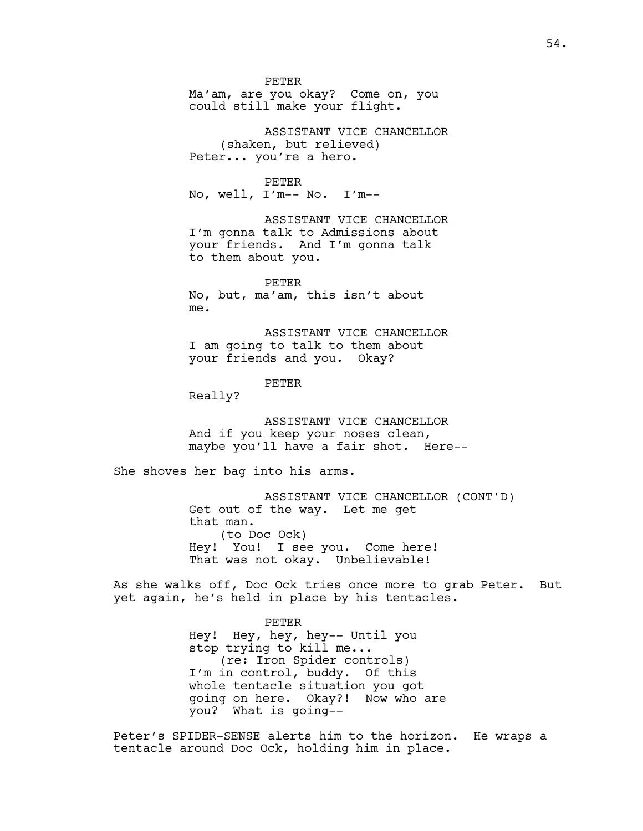PETER Ma'am, are you okay? Come on, you could still make your flight.

ASSISTANT VICE CHANCELLOR (shaken, but relieved) Peter... you're a hero.

### PETER

No, well, I'm-- No. I'm--

ASSISTANT VICE CHANCELLOR I'm gonna talk to Admissions about your friends. And I'm gonna talk to them about you.

PETER No, but, ma'am, this isn't about me.

ASSISTANT VICE CHANCELLOR I am going to talk to them about your friends and you. Okay?

PETER

Really?

ASSISTANT VICE CHANCELLOR And if you keep your noses clean, maybe you'll have a fair shot. Here--

She shoves her bag into his arms.

ASSISTANT VICE CHANCELLOR (CONT'D) Get out of the way. Let me get that man. (to Doc Ock) Hey! You! I see you. Come here! That was not okay. Unbelievable!

As she walks off, Doc Ock tries once more to grab Peter. But yet again, he's held in place by his tentacles.

#### PETER

Hey! Hey, hey, hey-- Until you stop trying to kill me... (re: Iron Spider controls) I'm in control, buddy. Of this whole tentacle situation you got going on here. Okay?! Now who are you? What is going--

Peter's SPIDER-SENSE alerts him to the horizon. He wraps a tentacle around Doc Ock, holding him in place.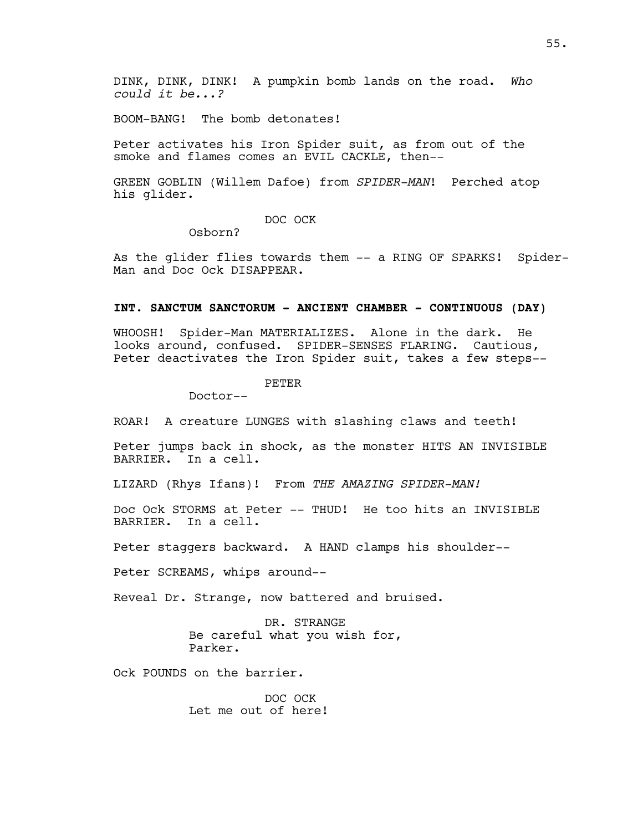DINK, DINK, DINK! A pumpkin bomb lands on the road. *Who could it be...?* 

BOOM-BANG! The bomb detonates!

Peter activates his Iron Spider suit, as from out of the smoke and flames comes an EVIL CACKLE, then--

GREEN GOBLIN (Willem Dafoe) from *SPIDER-MAN*! Perched atop his glider.

DOC OCK

Osborn?

As the glider flies towards them -- a RING OF SPARKS! Spider-Man and Doc Ock DISAPPEAR.

#### **INT. SANCTUM SANCTORUM - ANCIENT CHAMBER - CONTINUOUS (DAY)**

WHOOSH! Spider-Man MATERIALIZES. Alone in the dark. He looks around, confused. SPIDER-SENSES FLARING. Cautious, Peter deactivates the Iron Spider suit, takes a few steps--

# PETER

Doctor--

ROAR! A creature LUNGES with slashing claws and teeth!

Peter jumps back in shock, as the monster HITS AN INVISIBLE BARRIER. In a cell.

LIZARD (Rhys Ifans)! From *THE AMAZING SPIDER-MAN!*

Doc Ock STORMS at Peter -- THUD! He too hits an INVISIBLE BARRIER. In a cell.

Peter staggers backward. A HAND clamps his shoulder--

Peter SCREAMS, whips around--

Reveal Dr. Strange, now battered and bruised.

DR. STRANGE Be careful what you wish for, Parker.

Ock POUNDS on the barrier.

DOC OCK Let me out of here!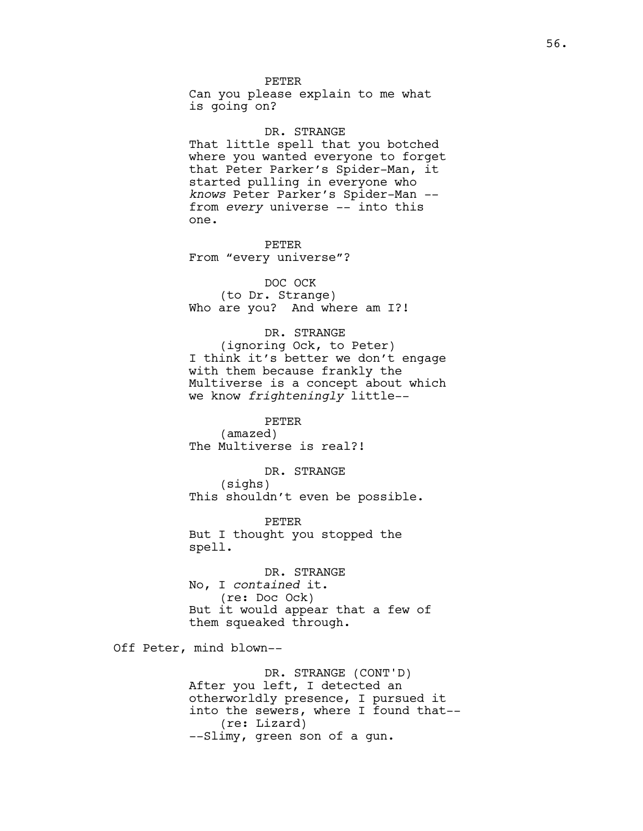## PETER

Can you please explain to me what is going on?

DR. STRANGE That little spell that you botched where you wanted everyone to forget that Peter Parker's Spider-Man, it started pulling in everyone who *knows* Peter Parker's Spider-Man - from *every* universe -- into this one.

PETER From "every universe"?

DOC OCK (to Dr. Strange) Who are you? And where am I?!

# DR. STRANGE

(ignoring Ock, to Peter) I think it's better we don't engage with them because frankly the Multiverse is a concept about which we know *frighteningly* little--

PETER (amazed) The Multiverse is real?!

DR. STRANGE (sighs) This shouldn't even be possible.

PETER But I thought you stopped the spell.

DR. STRANGE No, I *contained* it. (re: Doc Ock) But it would appear that a few of them squeaked through.

Off Peter, mind blown--

DR. STRANGE (CONT'D) After you left, I detected an otherworldly presence, I pursued it into the sewers, where I found that-- (re: Lizard) --Slimy, green son of a gun.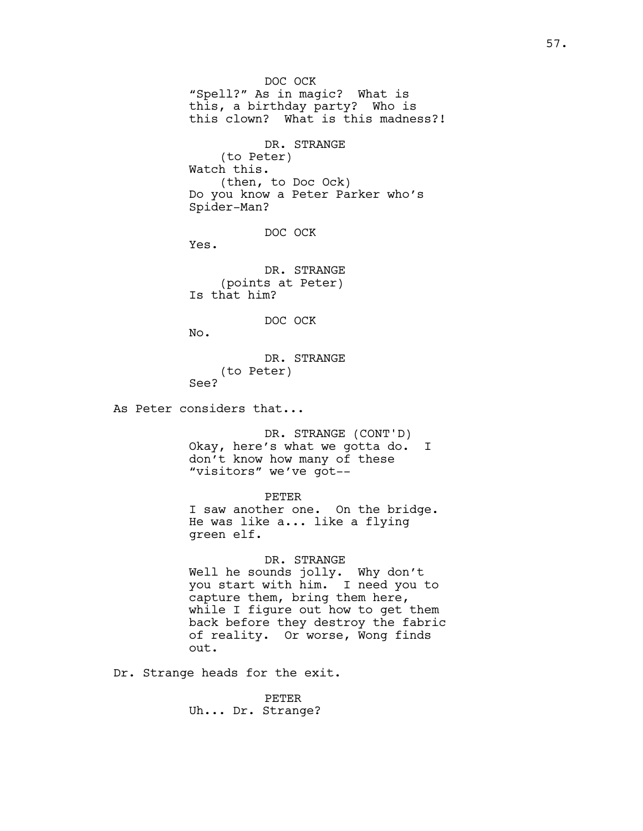DOC OCK "Spell?" As in magic? What is this, a birthday party? Who is this clown? What is this madness?! DR. STRANGE (to Peter) Watch this. (then, to Doc Ock) Do you know a Peter Parker who's Spider-Man? DOC OCK Yes. DR. STRANGE (points at Peter) Is that him? DOC OCK No. DR. STRANGE (to Peter) See? As Peter considers that... DR. STRANGE (CONT'D) Okay, here's what we gotta do. I don't know how many of these "visitors" we've got-- PETER I saw another one. On the bridge. He was like a... like a flying green elf. DR. STRANGE Well he sounds jolly. Why don't you start with him. I need you to capture them, bring them here, while I figure out how to get them back before they destroy the fabric of reality. Or worse, Wong finds out. Dr. Strange heads for the exit.

> PETER Uh... Dr. Strange?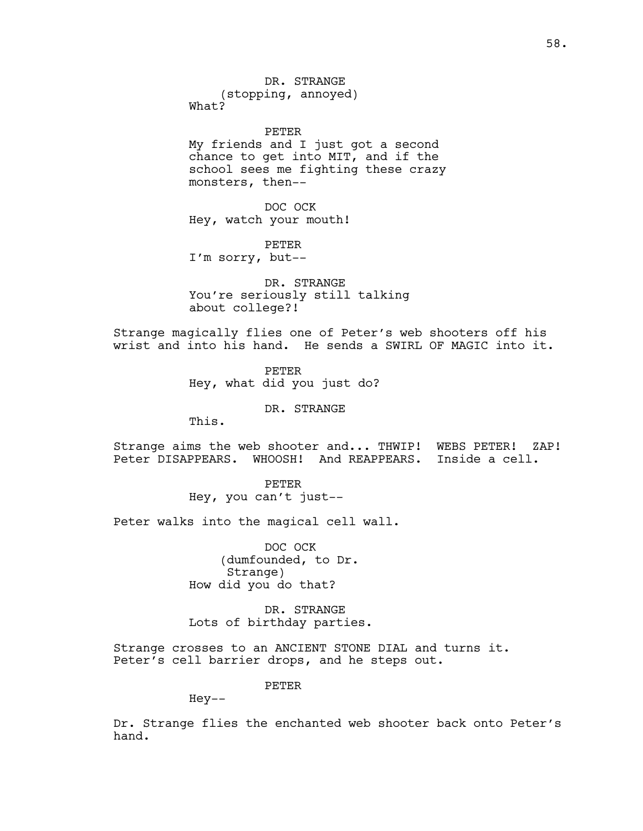DR. STRANGE (stopping, annoyed) What?

PETER My friends and I just got a second chance to get into MIT, and if the school sees me fighting these crazy monsters, then--

DOC OCK Hey, watch your mouth!

PETER I'm sorry, but--

DR. STRANGE You're seriously still talking about college?!

Strange magically flies one of Peter's web shooters off his wrist and into his hand. He sends a SWIRL OF MAGIC into it.

> PETER Hey, what did you just do?

> > DR. STRANGE

This.

Strange aims the web shooter and... THWIP! WEBS PETER! ZAP! Peter DISAPPEARS. WHOOSH! And REAPPEARS. Inside a cell.

> PETER Hey, you can't just--

Peter walks into the magical cell wall.

DOC OCK (dumfounded, to Dr. Strange) How did you do that?

DR. STRANGE Lots of birthday parties.

Strange crosses to an ANCIENT STONE DIAL and turns it. Peter's cell barrier drops, and he steps out.

PETER

Hey--

Dr. Strange flies the enchanted web shooter back onto Peter's hand.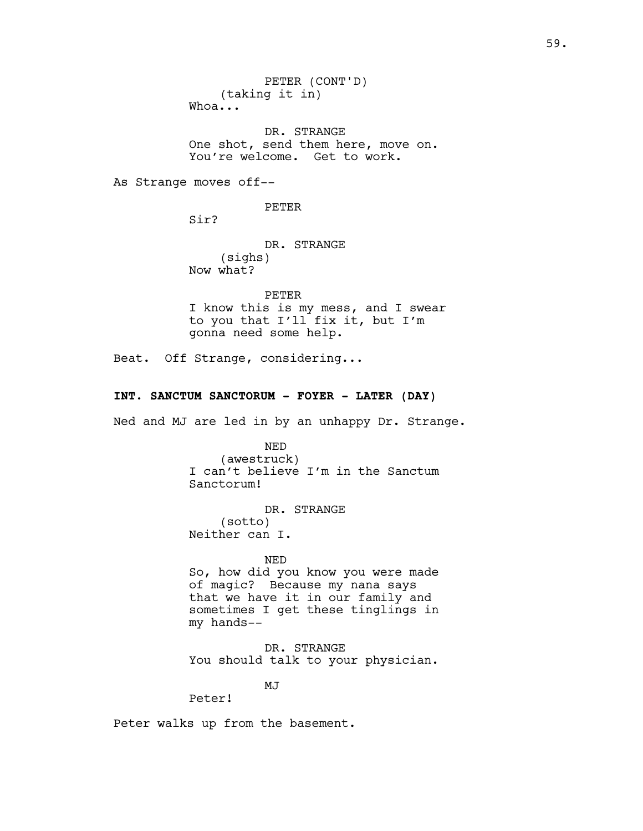PETER (CONT'D) (taking it in) Whoa...

DR. STRANGE One shot, send them here, move on. You're welcome. Get to work.

As Strange moves off--

PETER

Sir?

DR. STRANGE (sighs) Now what?

PETER I know this is my mess, and I swear to you that I'll fix it, but I'm gonna need some help.

Beat. Off Strange, considering...

# **INT. SANCTUM SANCTORUM - FOYER - LATER (DAY)**

Ned and MJ are led in by an unhappy Dr. Strange.

NED (awestruck) I can't believe I'm in the Sanctum Sanctorum!

DR. STRANGE (sotto) Neither can I.

NED So, how did you know you were made of magic? Because my nana says that we have it in our family and sometimes I get these tinglings in my hands--

DR. STRANGE You should talk to your physician.

MJ

Peter!

Peter walks up from the basement.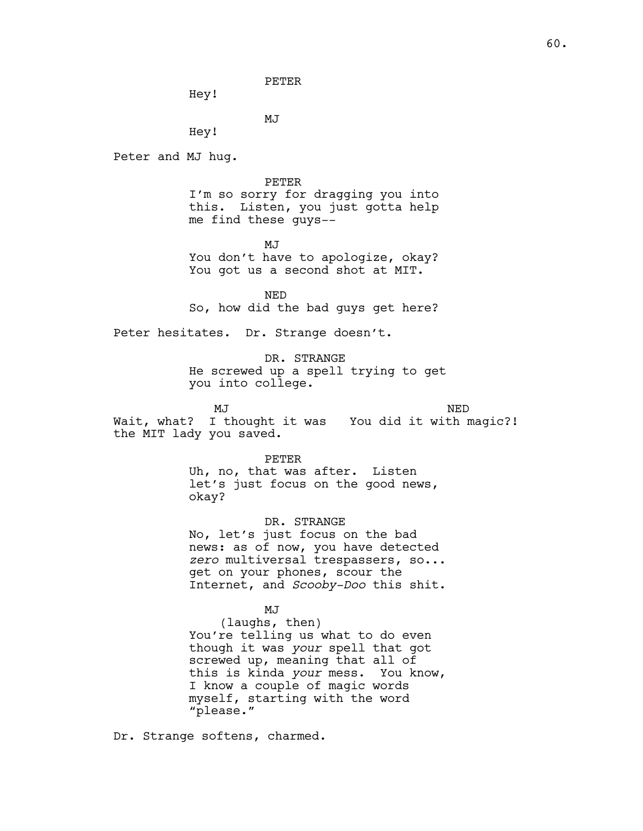PETER

Hey!

MJ

Hey!

Peter and MJ hug.

PETER

I'm so sorry for dragging you into this. Listen, you just gotta help me find these guys--

MJ<sub>J</sub> You don't have to apologize, okay? You got us a second shot at MIT.

NED So, how did the bad guys get here?

Peter hesitates. Dr. Strange doesn't.

DR. STRANGE

He screwed up a spell trying to get you into college.

MJ

NED

Wait, what? I thought it was You did it with magic?! the MIT lady you saved.

PETER

Uh, no, that was after. Listen let's just focus on the good news, okay?

DR. STRANGE No, let's just focus on the bad news: as of now, you have detected *zero* multiversal trespassers, so... get on your phones, scour the Internet, and *Scooby-Doo* this shit.

MJ

(laughs, then) You're telling us what to do even though it was *your* spell that got screwed up, meaning that all of this is kinda *your* mess. You know, I know a couple of magic words myself, starting with the word "please."

Dr. Strange softens, charmed.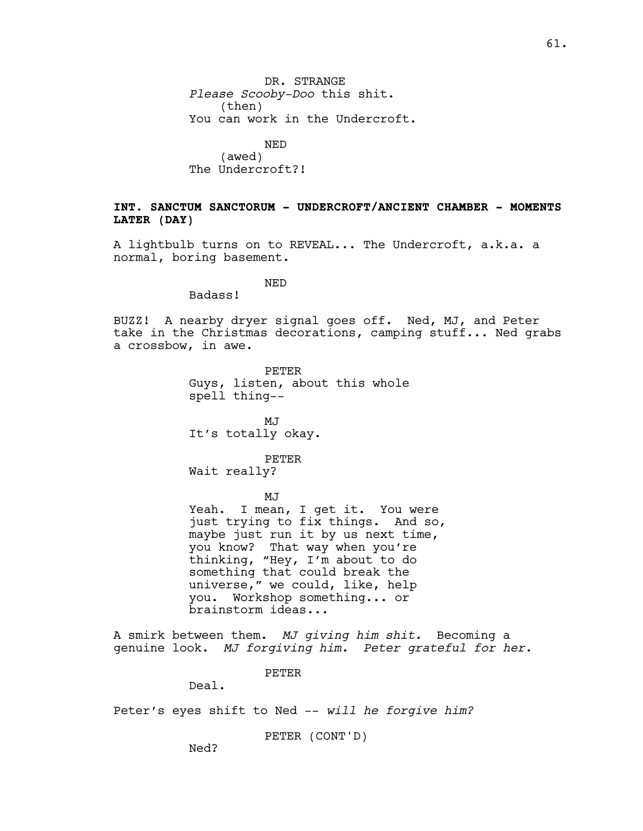DR. STRANGE *Please Scooby-Doo* this shit. (then) You can work in the Undercroft.

NED (awed) The Undercroft?!

# **INT. SANCTUM SANCTORUM - UNDERCROFT/ANCIENT CHAMBER - MOMENTS LATER (DAY)**

A lightbulb turns on to REVEAL... The Undercroft, a.k.a. a normal, boring basement.

NED

Badass!

BUZZ! A nearby dryer signal goes off. Ned, MJ, and Peter take in the Christmas decorations, camping stuff... Ned grabs a crossbow, in awe.

> PETER Guys, listen, about this whole spell thing--

MJ It's totally okay.

PETER

Wait really?

MJ

Yeah. I mean, I get it. You were just trying to fix things. And so, maybe just run it by us next time, you know? That way when you're thinking, "Hey, I'm about to do something that could break the universe," we could, like, help you. Workshop something... or brainstorm ideas...

A smirk between them. *MJ giving him shit.* Becoming a genuine look. *MJ forgiving him. Peter grateful for her.* 

PETER

Deal.

Peter's eyes shift to Ned -- *will he forgive him?* 

PETER (CONT'D)

Ned?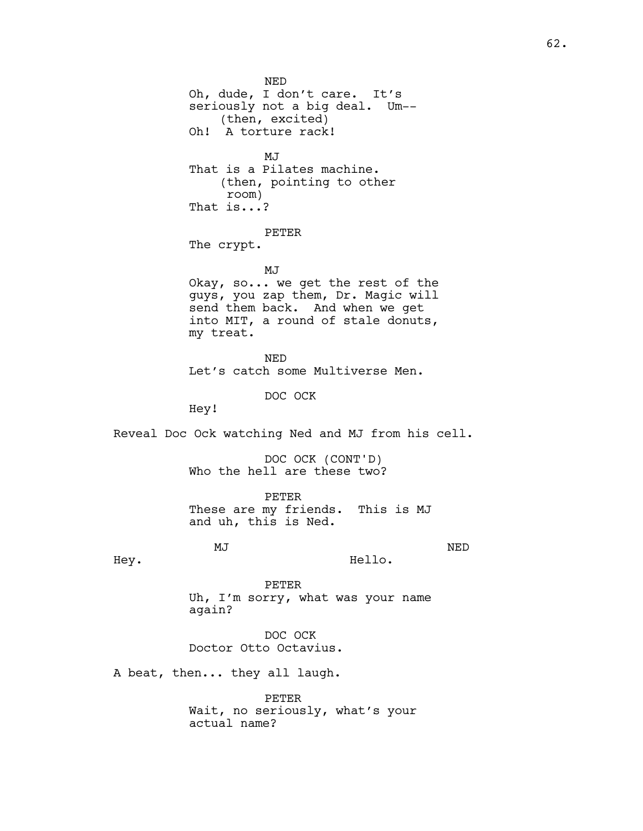Oh, dude, I don't care. It's seriously not a big deal. Um-- (then, excited) Oh! A torture rack! MJ That is a Pilates machine. (then, pointing to other room) That is...? PETER The crypt. MJ Okay, so... we get the rest of the guys, you zap them, Dr. Magic will send them back. And when we get into MIT, a round of stale donuts, my treat. NED Let's catch some Multiverse Men. DOC OCK Hey! Reveal Doc Ock watching Ned and MJ from his cell. DOC OCK (CONT'D) Who the hell are these two? PETER These are my friends. This is MJ and uh, this is Ned. MJ Hey. NED Hello. PETER Uh, I'm sorry, what was your name again? DOC OCK Doctor Otto Octavius. A beat, then... they all laugh. PETER Wait, no seriously, what's your actual name?

NED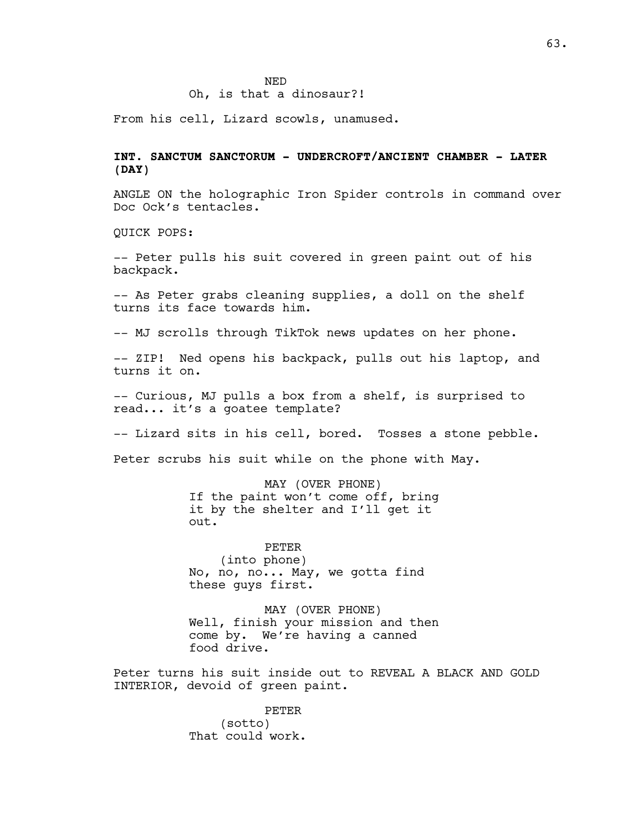# Oh, is that a dinosaur?!

From his cell, Lizard scowls, unamused.

# **INT. SANCTUM SANCTORUM - UNDERCROFT/ANCIENT CHAMBER - LATER (DAY)**

ANGLE ON the holographic Iron Spider controls in command over Doc Ock's tentacles.

QUICK POPS:

-- Peter pulls his suit covered in green paint out of his backpack.

-- As Peter grabs cleaning supplies, a doll on the shelf turns its face towards him.

-- MJ scrolls through TikTok news updates on her phone.

-- ZIP! Ned opens his backpack, pulls out his laptop, and turns it on.

-- Curious, MJ pulls a box from a shelf, is surprised to read... it's a goatee template?

-- Lizard sits in his cell, bored. Tosses a stone pebble.

Peter scrubs his suit while on the phone with May.

MAY (OVER PHONE) If the paint won't come off, bring it by the shelter and I'll get it out.

PETER (into phone) No, no, no... May, we gotta find these guys first.

MAY (OVER PHONE) Well, finish your mission and then come by. We're having a canned food drive.

Peter turns his suit inside out to REVEAL A BLACK AND GOLD INTERIOR, devoid of green paint.

> PETER (sotto) That could work.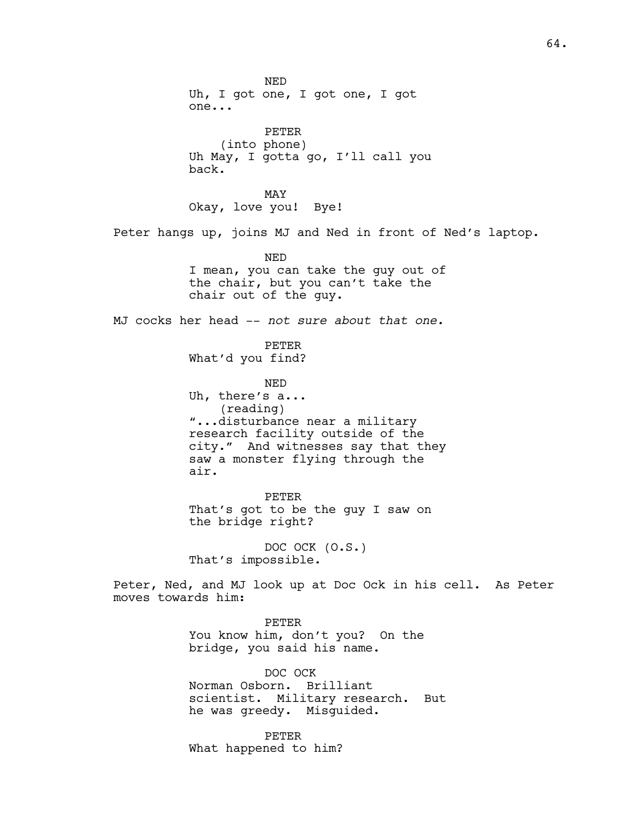NED Uh, I got one, I got one, I got one... PETER (into phone) Uh May, I gotta go, I'll call you back. MAY Okay, love you! Bye! Peter hangs up, joins MJ and Ned in front of Ned's laptop. NED I mean, you can take the guy out of the chair, but you can't take the chair out of the guy. MJ cocks her head -- *not sure about that one.* PETER What'd you find? NED Uh, there's a... (reading) "...disturbance near a military research facility outside of the city." And witnesses say that they saw a monster flying through the air. PETER That's got to be the guy I saw on the bridge right? DOC OCK (O.S.) That's impossible. Peter, Ned, and MJ look up at Doc Ock in his cell. As Peter moves towards him: PETER You know him, don't you? On the bridge, you said his name. DOC OCK Norman Osborn. Brilliant scientist. Military research. But

> PETER What happened to him?

he was greedy. Misguided.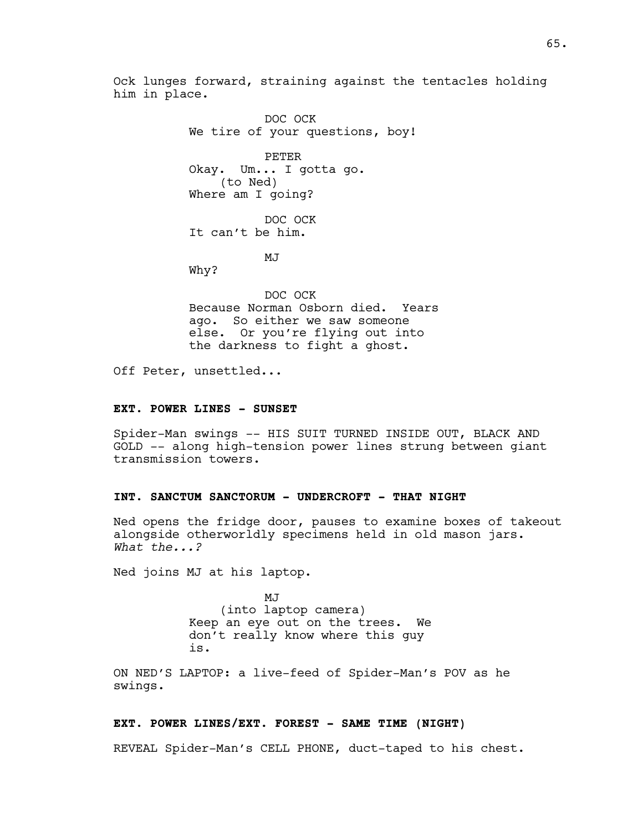Ock lunges forward, straining against the tentacles holding him in place.

> DOC OCK We tire of your questions, boy!

PETER Okay. Um... I gotta go. (to Ned) Where am I going?

DOC OCK It can't be him.

MJ

Why?

DOC OCK Because Norman Osborn died. Years ago. So either we saw someone else. Or you're flying out into the darkness to fight a ghost.

Off Peter, unsettled...

#### **EXT. POWER LINES - SUNSET**

Spider-Man swings -- HIS SUIT TURNED INSIDE OUT, BLACK AND GOLD -- along high-tension power lines strung between giant transmission towers.

# **INT. SANCTUM SANCTORUM - UNDERCROFT - THAT NIGHT**

Ned opens the fridge door, pauses to examine boxes of takeout alongside otherworldly specimens held in old mason jars. *What the...?*

Ned joins MJ at his laptop.

MJ (into laptop camera) Keep an eye out on the trees. We don't really know where this guy is.

ON NED'S LAPTOP: a live-feed of Spider-Man's POV as he swings.

## **EXT. POWER LINES/EXT. FOREST - SAME TIME (NIGHT)**

REVEAL Spider-Man's CELL PHONE, duct-taped to his chest.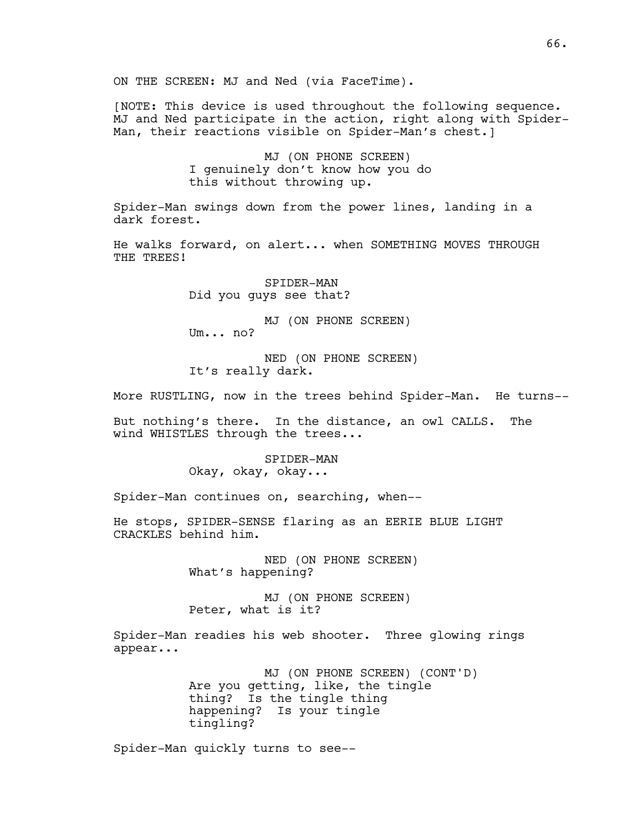[NOTE: This device is used throughout the following sequence. MJ and Ned participate in the action, right along with Spider-Man, their reactions visible on Spider-Man's chest.]

> MJ (ON PHONE SCREEN) I genuinely don't know how you do this without throwing up.

Spider-Man swings down from the power lines, landing in a dark forest.

He walks forward, on alert... when SOMETHING MOVES THROUGH THE TREES!

> SPIDER-MAN Did you guys see that?

MJ (ON PHONE SCREEN) Um... no?

NED (ON PHONE SCREEN) It's really dark.

More RUSTLING, now in the trees behind Spider-Man. He turns--

But nothing's there. In the distance, an owl CALLS. The wind WHISTLES through the trees...

> SPIDER-MAN Okay, okay, okay...

Spider-Man continues on, searching, when--

He stops, SPIDER-SENSE flaring as an EERIE BLUE LIGHT CRACKLES behind him.

> NED (ON PHONE SCREEN) What's happening?

MJ (ON PHONE SCREEN) Peter, what is it?

Spider-Man readies his web shooter. Three glowing rings appear...

> MJ (ON PHONE SCREEN) (CONT'D) Are you getting, like, the tingle thing? Is the tingle thing happening? Is your tingle tingling?

Spider-Man quickly turns to see--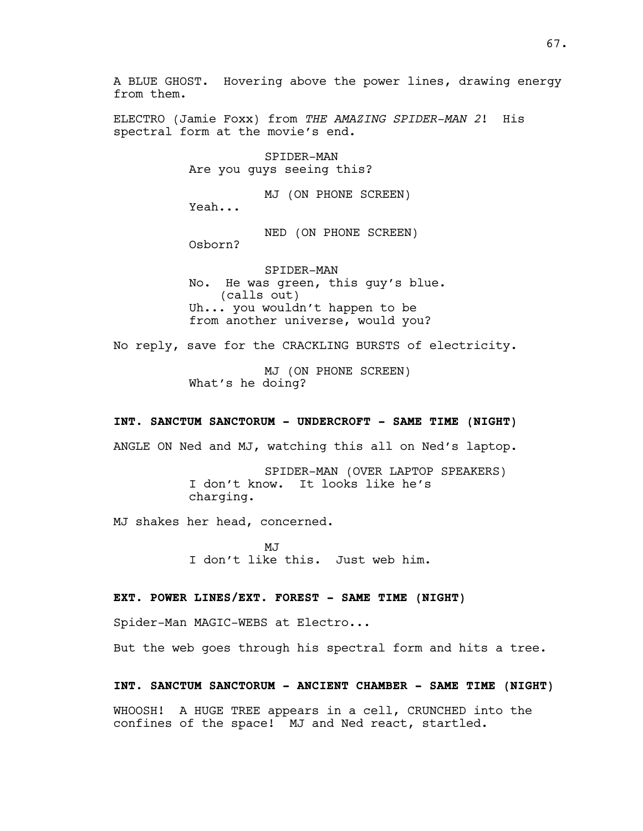A BLUE GHOST. Hovering above the power lines, drawing energy from them.

ELECTRO (Jamie Foxx) from *THE AMAZING SPIDER-MAN 2*! His spectral form at the movie's end.

> SPIDER-MAN Are you guys seeing this?

MJ (ON PHONE SCREEN) Yeah... NED (ON PHONE SCREEN)

Osborn?

SPIDER-MAN No. He was green, this guy's blue. (calls out) Uh... you wouldn't happen to be from another universe, would you?

No reply, save for the CRACKLING BURSTS of electricity.

MJ (ON PHONE SCREEN) What's he doing?

## **INT. SANCTUM SANCTORUM - UNDERCROFT - SAME TIME (NIGHT)**

ANGLE ON Ned and MJ, watching this all on Ned's laptop.

SPIDER-MAN (OVER LAPTOP SPEAKERS) I don't know. It looks like he's charging.

MJ shakes her head, concerned.

 $M.T$ I don't like this. Just web him.

## **EXT. POWER LINES/EXT. FOREST - SAME TIME (NIGHT)**

Spider-Man MAGIC-WEBS at Electro...

But the web goes through his spectral form and hits a tree.

## **INT. SANCTUM SANCTORUM - ANCIENT CHAMBER - SAME TIME (NIGHT)**

WHOOSH! A HUGE TREE appears in a cell, CRUNCHED into the confines of the space! MJ and Ned react, startled.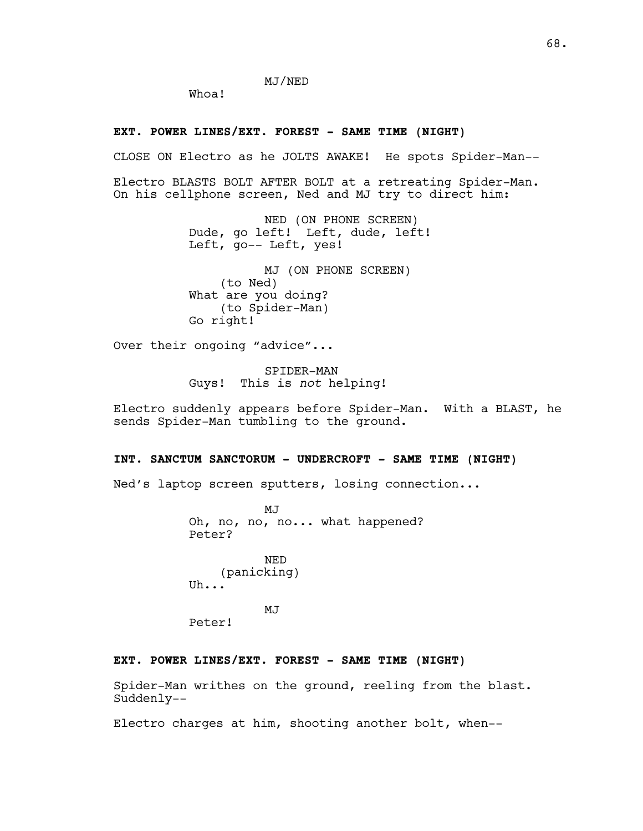MJ/NED

Whoa!

## **EXT. POWER LINES/EXT. FOREST - SAME TIME (NIGHT)**

CLOSE ON Electro as he JOLTS AWAKE! He spots Spider-Man--

Electro BLASTS BOLT AFTER BOLT at a retreating Spider-Man. On his cellphone screen, Ned and MJ try to direct him:

> NED (ON PHONE SCREEN) Dude, go left! Left, dude, left! Left, go-- Left, yes!

MJ (ON PHONE SCREEN) (to Ned) What are you doing? (to Spider-Man) Go right!

Over their ongoing "advice"...

SPIDER-MAN Guys! This is *not* helping!

Electro suddenly appears before Spider-Man. With a BLAST, he sends Spider-Man tumbling to the ground.

## **INT. SANCTUM SANCTORUM - UNDERCROFT - SAME TIME (NIGHT)**

Ned's laptop screen sputters, losing connection...

MJ Oh, no, no, no... what happened? Peter?

NED (panicking) Uh...

MJ

Peter!

## **EXT. POWER LINES/EXT. FOREST - SAME TIME (NIGHT)**

Spider-Man writhes on the ground, reeling from the blast. Suddenly--

Electro charges at him, shooting another bolt, when--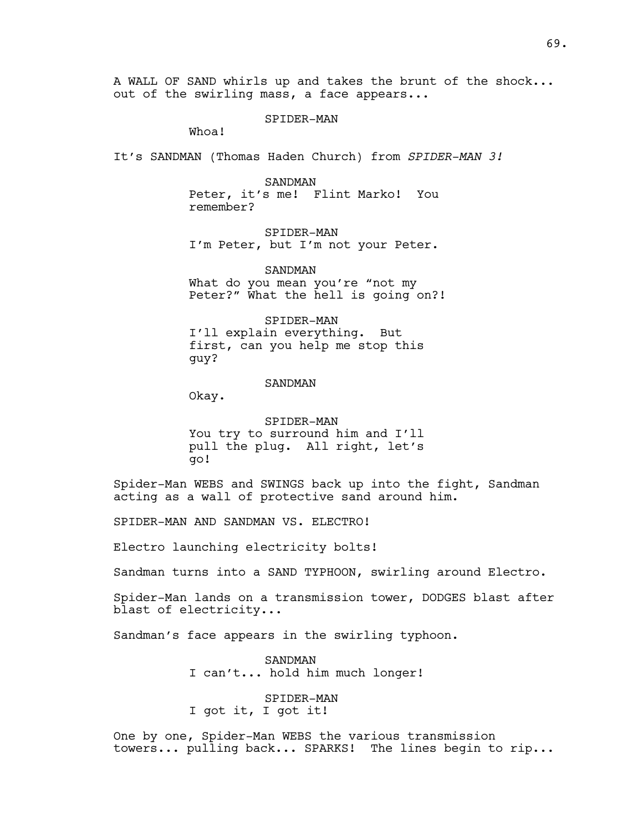A WALL OF SAND whirls up and takes the brunt of the shock... out of the swirling mass, a face appears...

SPIDER-MAN

Whoa!

It's SANDMAN (Thomas Haden Church) from *SPIDER-MAN 3!*

SANDMAN Peter, it's me! Flint Marko! You remember?

SPIDER-MAN I'm Peter, but I'm not your Peter.

SANDMAN What do you mean you're "not my Peter?" What the hell is going on?!

SPIDER-MAN I'll explain everything. But first, can you help me stop this guy?

# SANDMAN

Okay.

SPIDER-MAN You try to surround him and I'll pull the plug. All right, let's go!

Spider-Man WEBS and SWINGS back up into the fight, Sandman acting as a wall of protective sand around him.

SPIDER-MAN AND SANDMAN VS. ELECTRO!

Electro launching electricity bolts!

Sandman turns into a SAND TYPHOON, swirling around Electro.

Spider-Man lands on a transmission tower, DODGES blast after blast of electricity...

Sandman's face appears in the swirling typhoon.

SANDMAN I can't... hold him much longer!

SPIDER-MAN I got it, I got it!

One by one, Spider-Man WEBS the various transmission towers... pulling back... SPARKS! The lines begin to rip...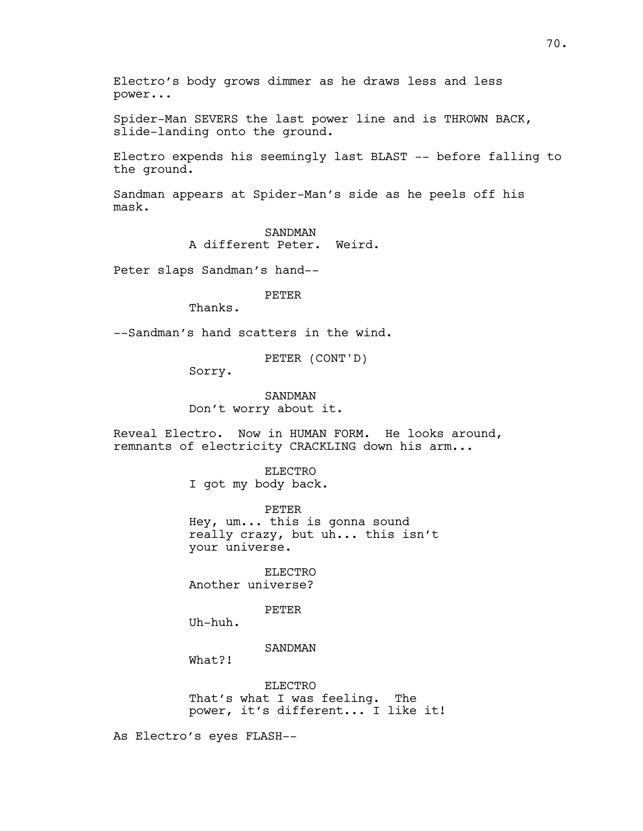Electro's body grows dimmer as he draws less and less power...

Spider-Man SEVERS the last power line and is THROWN BACK, slide-landing onto the ground.

Electro expends his seemingly last BLAST -- before falling to the ground.

Sandman appears at Spider-Man's side as he peels off his mask.

> SANDMAN A different Peter. Weird.

Peter slaps Sandman's hand--

PETER

Thanks.

--Sandman's hand scatters in the wind.

PETER (CONT'D)

Sorry.

SANDMAN Don't worry about it.

Reveal Electro. Now in HUMAN FORM. He looks around, remnants of electricity CRACKLING down his arm...

> ELECTRO I got my body back.

PETER Hey, um... this is gonna sound really crazy, but uh... this isn't your universe.

ELECTRO Another universe?

PETER

Uh-huh.

SANDMAN

What?!

ELECTRO That's what I was feeling. The power, it's different... I like it!

As Electro's eyes FLASH--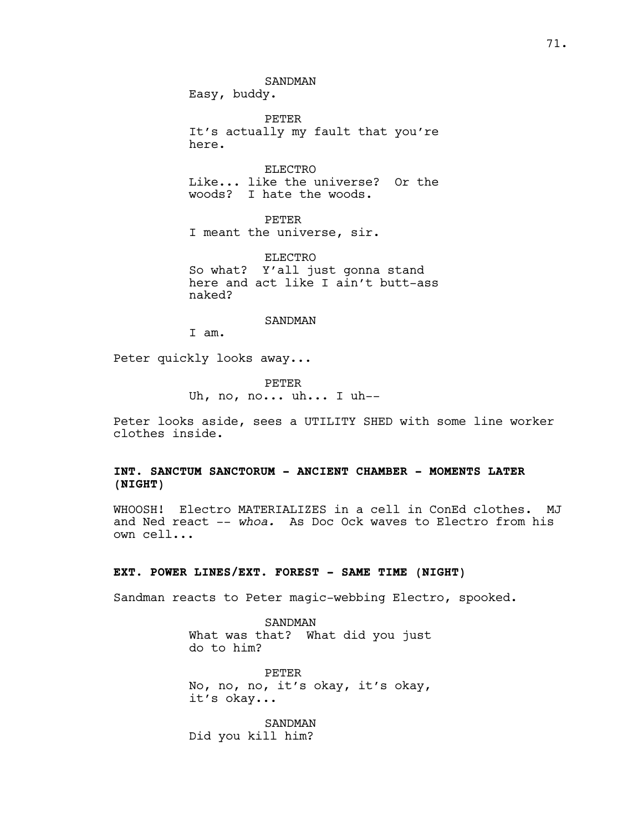SANDMAN

Easy, buddy.

PETER It's actually my fault that you're here.

ELECTRO Like... like the universe? Or the woods? I hate the woods.

PETER I meant the universe, sir.

ELECTRO So what? Y'all just gonna stand here and act like I ain't butt-ass naked?

SANDMAN

I am.

Peter quickly looks away...

PETER Uh, no, no... uh... I uh--

Peter looks aside, sees a UTILITY SHED with some line worker clothes inside.

# **INT. SANCTUM SANCTORUM - ANCIENT CHAMBER - MOMENTS LATER (NIGHT)**

WHOOSH! Electro MATERIALIZES in a cell in ConEd clothes. MJ and Ned react -- *whoa.* As Doc Ock waves to Electro from his own cell...

# **EXT. POWER LINES/EXT. FOREST - SAME TIME (NIGHT)**

Sandman reacts to Peter magic-webbing Electro, spooked.

SANDMAN What was that? What did you just do to him?

PETER No, no, no, it's okay, it's okay, it's okay...

SANDMAN Did you kill him?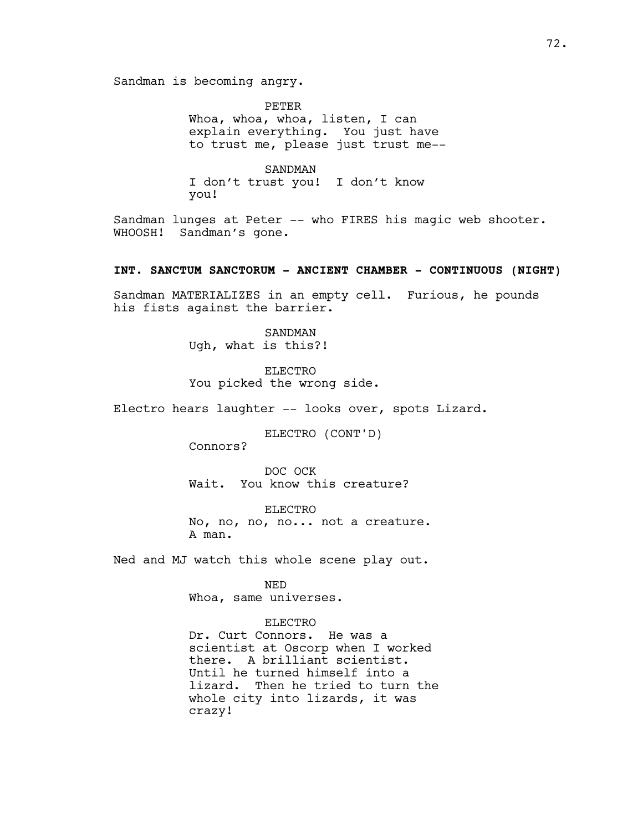Sandman is becoming angry.

PETER Whoa, whoa, whoa, listen, I can explain everything. You just have to trust me, please just trust me--

SANDMAN I don't trust you! I don't know you!

Sandman lunges at Peter -- who FIRES his magic web shooter. WHOOSH! Sandman's gone.

#### **INT. SANCTUM SANCTORUM - ANCIENT CHAMBER - CONTINUOUS (NIGHT)**

Sandman MATERIALIZES in an empty cell. Furious, he pounds his fists against the barrier.

> SANDMAN Ugh, what is this?!

ELECTRO You picked the wrong side.

Electro hears laughter -- looks over, spots Lizard.

ELECTRO (CONT'D)

Connors?

DOC OCK Wait. You know this creature?

ELECTRO No, no, no, no... not a creature. A man.

Ned and MJ watch this whole scene play out.

NED

Whoa, same universes.

#### ELECTRO

Dr. Curt Connors. He was a scientist at Oscorp when I worked there. A brilliant scientist. Until he turned himself into a lizard. Then he tried to turn the whole city into lizards, it was crazy!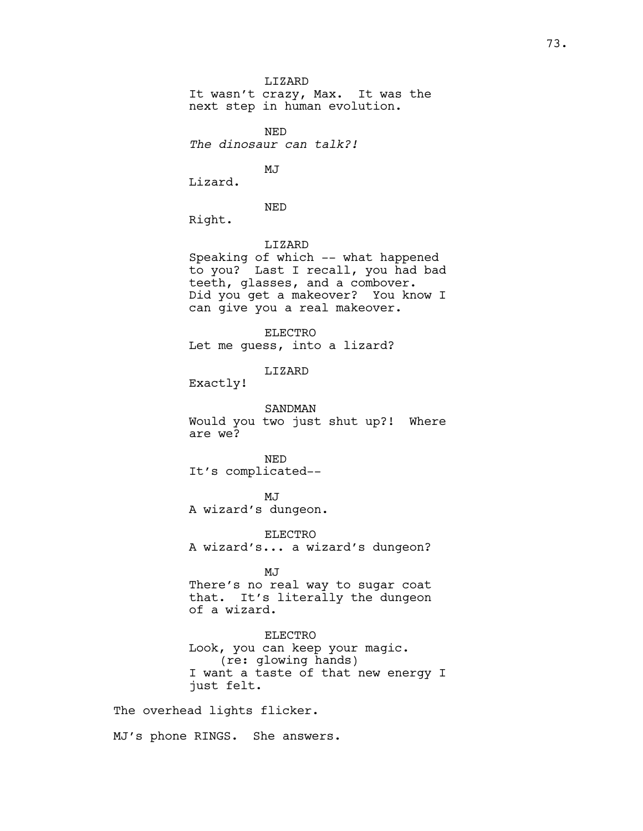LIZARD It wasn't crazy, Max. It was the next step in human evolution. NED *The dinosaur can talk?!* MJ Lizard. NED Right. LIZARD Speaking of which -- what happened to you? Last I recall, you had bad teeth, glasses, and a combover. Did you get a makeover? You know I can give you a real makeover. ELECTRO Let me guess, into a lizard? LIZARD Exactly! SANDMAN Would you two just shut up?! Where are we? NED It's complicated-- MJ A wizard's dungeon. ELECTRO A wizard's... a wizard's dungeon? MJ There's no real way to sugar coat that. It's literally the dungeon of a wizard. ELECTRO Look, you can keep your magic. (re: glowing hands) I want a taste of that new energy I just felt. The overhead lights flicker.

MJ's phone RINGS. She answers.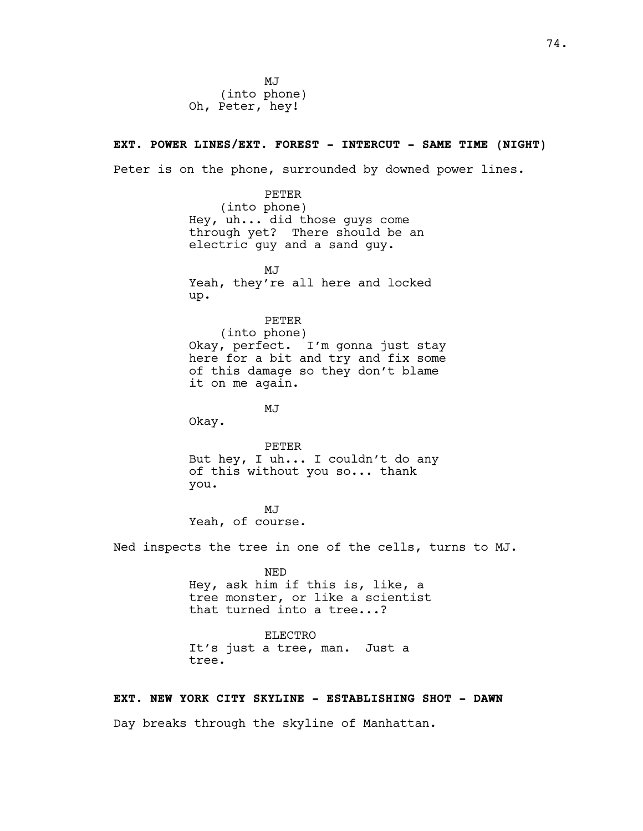MJ (into phone) Oh, Peter, hey!

# **EXT. POWER LINES/EXT. FOREST - INTERCUT - SAME TIME (NIGHT)**

Peter is on the phone, surrounded by downed power lines.

# PETER

(into phone) Hey, uh... did those guys come through yet? There should be an electric guy and a sand guy.

 $M<sub>T</sub>$ Yeah, they're all here and locked up.

PETER

(into phone) Okay, perfect. I'm gonna just stay here for a bit and try and fix some of this damage so they don't blame it on me again.

MJ

Okay.

PETER But hey, I uh... I couldn't do any of this without you so... thank you.

MJ Yeah, of course.

Ned inspects the tree in one of the cells, turns to MJ.

NED Hey, ask him if this is, like, a tree monster, or like a scientist that turned into a tree...?

ELECTRO It's just a tree, man. Just a tree.

#### **EXT. NEW YORK CITY SKYLINE - ESTABLISHING SHOT - DAWN**

Day breaks through the skyline of Manhattan.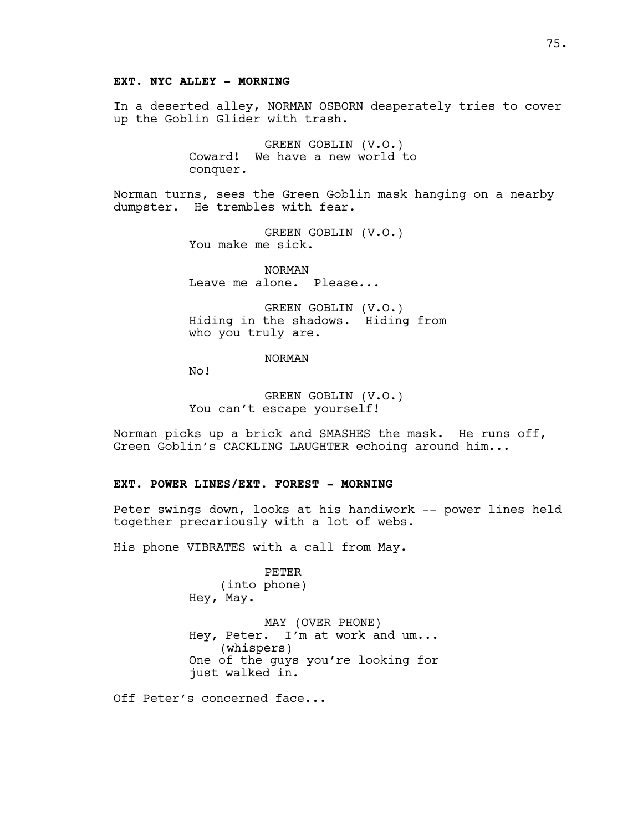# **EXT. NYC ALLEY - MORNING**

In a deserted alley, NORMAN OSBORN desperately tries to cover up the Goblin Glider with trash.

> GREEN GOBLIN (V.O.) Coward! We have a new world to conquer.

Norman turns, sees the Green Goblin mask hanging on a nearby dumpster. He trembles with fear.

> GREEN GOBLIN (V.O.) You make me sick.

NORMAN Leave me alone. Please...

GREEN GOBLIN (V.O.) Hiding in the shadows. Hiding from who you truly are.

NORMAN

No!

GREEN GOBLIN (V.O.) You can't escape yourself!

Norman picks up a brick and SMASHES the mask. He runs off, Green Goblin's CACKLING LAUGHTER echoing around him...

# **EXT. POWER LINES/EXT. FOREST - MORNING**

Peter swings down, looks at his handiwork -- power lines held together precariously with a lot of webs.

His phone VIBRATES with a call from May.

PETER (into phone) Hey, May.

MAY (OVER PHONE) Hey, Peter. I'm at work and um... (whispers) One of the guys you're looking for just walked in.

Off Peter's concerned face...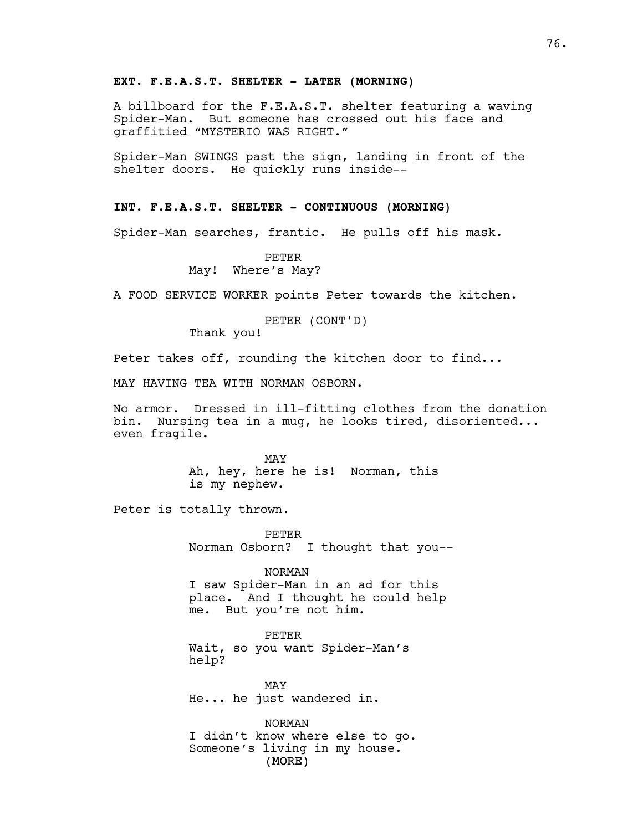#### **EXT. F.E.A.S.T. SHELTER - LATER (MORNING)**

A billboard for the F.E.A.S.T. shelter featuring a waving Spider-Man. But someone has crossed out his face and graffitied "MYSTERIO WAS RIGHT."

Spider-Man SWINGS past the sign, landing in front of the shelter doors. He quickly runs inside--

# **INT. F.E.A.S.T. SHELTER - CONTINUOUS (MORNING)**

Spider-Man searches, frantic. He pulls off his mask.

PETER May! Where's May?

A FOOD SERVICE WORKER points Peter towards the kitchen.

# PETER (CONT'D)

Thank you!

Peter takes off, rounding the kitchen door to find...

MAY HAVING TEA WITH NORMAN OSBORN.

No armor. Dressed in ill-fitting clothes from the donation bin. Nursing tea in a mug, he looks tired, disoriented... even fragile.

> MAY Ah, hey, here he is! Norman, this is my nephew.

Peter is totally thrown.

PETER Norman Osborn? I thought that you--

NORMAN

I saw Spider-Man in an ad for this place. And I thought he could help me. But you're not him.

PETER

Wait, so you want Spider-Man's help?

MAY He... he just wandered in.

(MORE) NORMAN I didn't know where else to go. Someone's living in my house.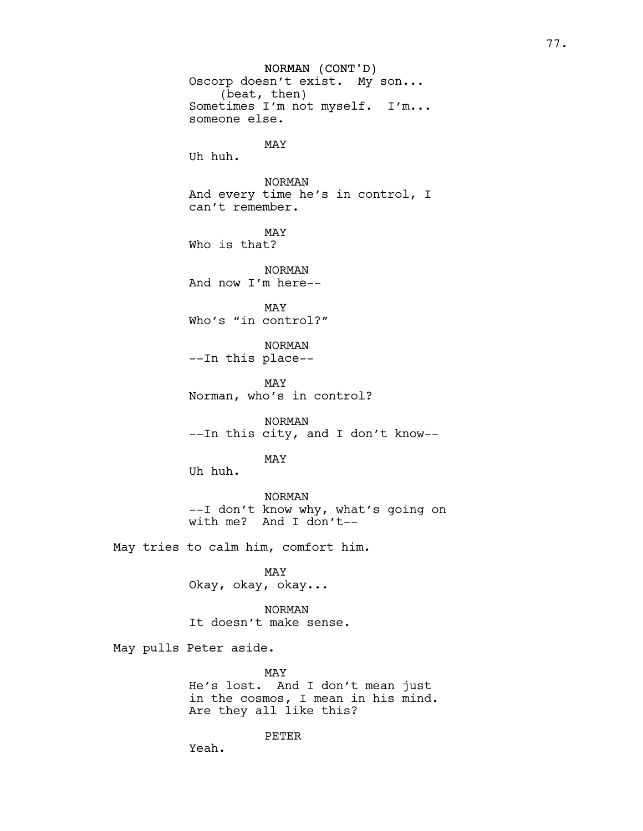NORMAN (CONT'D) Oscorp doesn't exist. My son... (beat, then) Sometimes I'm not myself. I'm... someone else. MAY Uh huh. NORMAN And every time he's in control, I can't remember. MAY Who is that? NORMAN And now I'm here-- MAY Who's "in control?" NORMAN --In this place-- MAY Norman, who's in control? NORMAN --In this city, and I don't know-- MAY Uh huh. NORMAN --I don't know why, what's going on with me? And I don't-- May tries to calm him, comfort him. MAY Okay, okay, okay... NORMAN It doesn't make sense. May pulls Peter aside. MAY He's lost. And I don't mean just

in the cosmos, I mean in his mind. Are they all like this?

PETER

Yeah.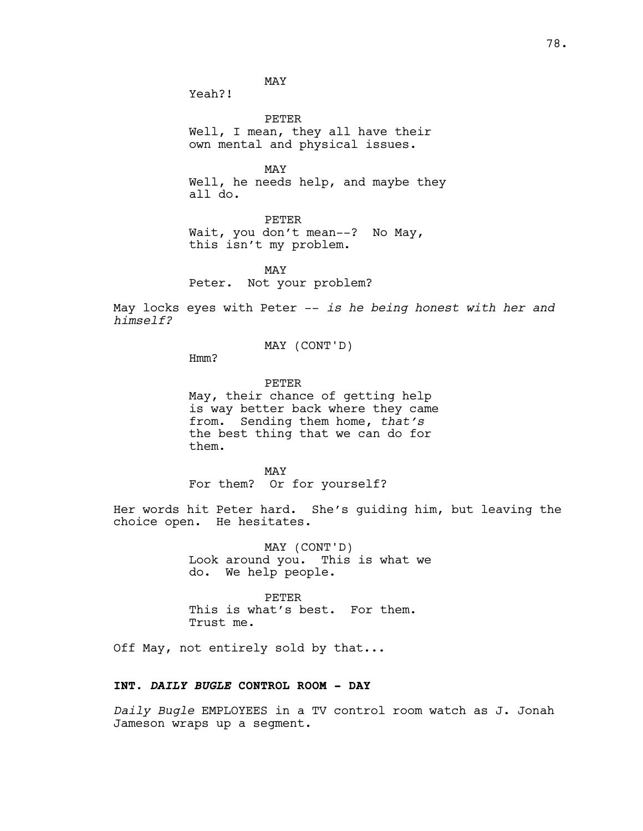MAY

Yeah?!

PETER Well, I mean, they all have their own mental and physical issues.

MAY Well, he needs help, and maybe they all do.

PETER Wait, you don't mean--? No May, this isn't my problem.

MAY Peter. Not your problem?

May locks eyes with Peter -- *is he being honest with her and himself?*

MAY (CONT'D)

Hmm?

PETER May, their chance of getting help is way better back where they came from. Sending them home, *that's* the best thing that we can do for them.

MAY For them? Or for yourself?

Her words hit Peter hard. She's guiding him, but leaving the choice open. He hesitates.

> MAY (CONT'D) Look around you. This is what we do. We help people.

PETER This is what's best. For them. Trust me.

Off May, not entirely sold by that...

## **INT.** *DAILY BUGLE* **CONTROL ROOM - DAY**

*Daily Bugle* EMPLOYEES in a TV control room watch as J. Jonah Jameson wraps up a segment.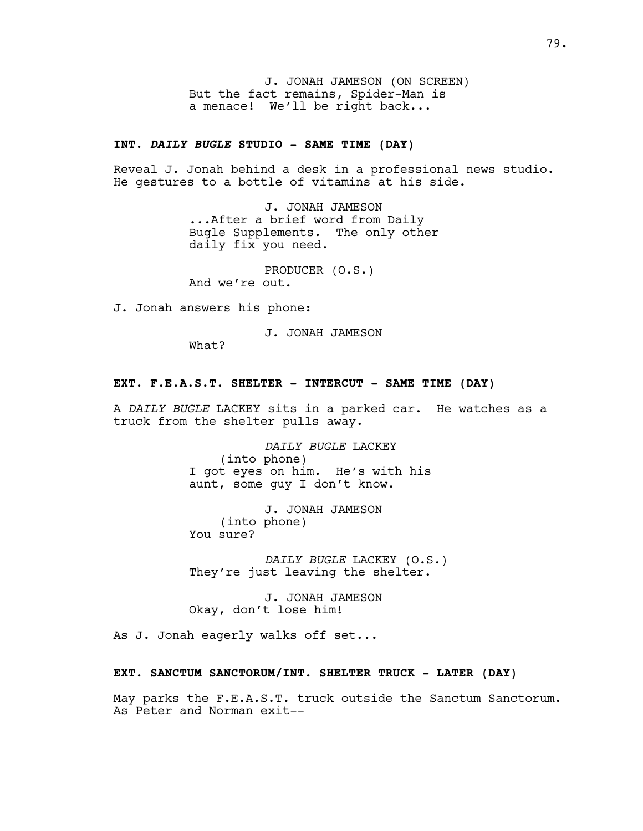J. JONAH JAMESON (ON SCREEN) But the fact remains, Spider-Man is a menace! We'll be right back...

## **INT.** *DAILY BUGLE* **STUDIO - SAME TIME (DAY)**

Reveal J. Jonah behind a desk in a professional news studio. He gestures to a bottle of vitamins at his side.

> J. JONAH JAMESON ...After a brief word from Daily Bugle Supplements. The only other daily fix you need.

PRODUCER (O.S.) And we're out.

J. Jonah answers his phone:

J. JONAH JAMESON

What?

#### **EXT. F.E.A.S.T. SHELTER - INTERCUT - SAME TIME (DAY)**

A *DAILY BUGLE* LACKEY sits in a parked car. He watches as a truck from the shelter pulls away.

> *DAILY BUGLE* LACKEY (into phone) I got eyes on him. He's with his aunt, some guy I don't know.

J. JONAH JAMESON (into phone) You sure?

*DAILY BUGLE* LACKEY (O.S.) They're just leaving the shelter.

J. JONAH JAMESON Okay, don't lose him!

As J. Jonah eagerly walks off set...

#### **EXT. SANCTUM SANCTORUM/INT. SHELTER TRUCK - LATER (DAY)**

May parks the F.E.A.S.T. truck outside the Sanctum Sanctorum. As Peter and Norman exit--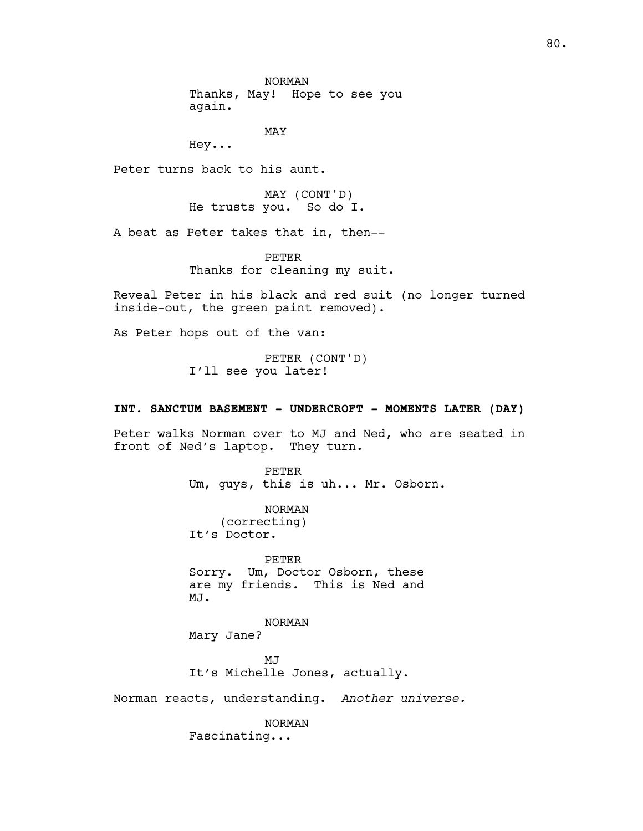NORMAN Thanks, May! Hope to see you again.

MAY

Hey...

Peter turns back to his aunt.

MAY (CONT'D) He trusts you. So do I.

A beat as Peter takes that in, then--

PETER Thanks for cleaning my suit.

Reveal Peter in his black and red suit (no longer turned inside-out, the green paint removed).

As Peter hops out of the van:

PETER (CONT'D) I'll see you later!

#### **INT. SANCTUM BASEMENT - UNDERCROFT - MOMENTS LATER (DAY)**

Peter walks Norman over to MJ and Ned, who are seated in front of Ned's laptop. They turn.

> PETER Um, guys, this is uh... Mr. Osborn.

NORMAN (correcting) It's Doctor.

PETER Sorry. Um, Doctor Osborn, these are my friends. This is Ned and MJ.

NORMAN Mary Jane?

MJ It's Michelle Jones, actually.

Norman reacts, understanding. *Another universe.*

NORMAN Fascinating...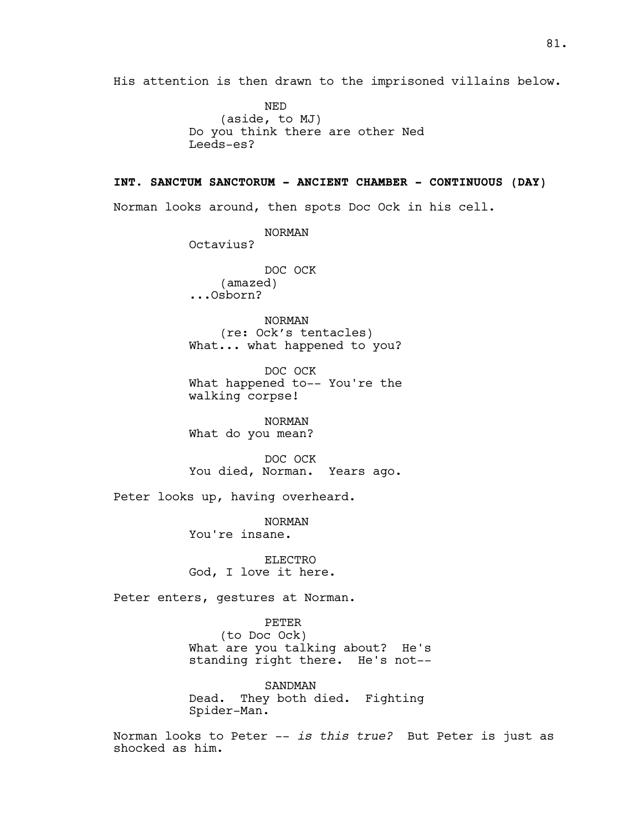His attention is then drawn to the imprisoned villains below.

NED (aside, to MJ) Do you think there are other Ned Leeds-es?

# **INT. SANCTUM SANCTORUM - ANCIENT CHAMBER - CONTINUOUS (DAY)**

Norman looks around, then spots Doc Ock in his cell.

NORMAN Octavius? DOC OCK (amazed) ...Osborn?

NORMAN (re: Ock's tentacles) What... what happened to you?

DOC OCK What happened to-- You're the walking corpse!

NORMAN What do you mean?

DOC OCK You died, Norman. Years ago.

Peter looks up, having overheard.

NORMAN You're insane.

ELECTRO God, I love it here.

Peter enters, gestures at Norman.

PETER

(to Doc Ock) What are you talking about? He's standing right there. He's not--

SANDMAN Dead. They both died. Fighting Spider-Man.

Norman looks to Peter -- *is this true?* But Peter is just as shocked as him.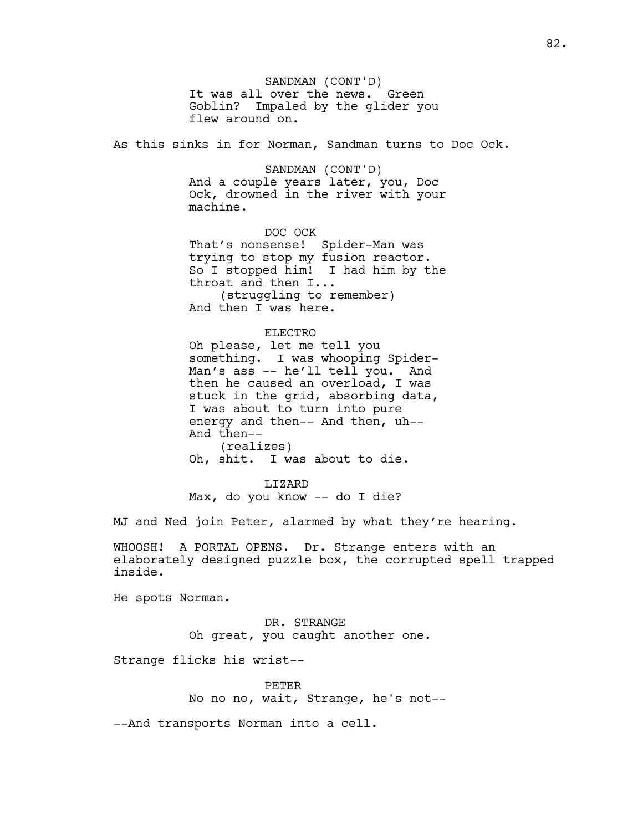SANDMAN (CONT'D) It was all over the news. Green Goblin? Impaled by the glider you flew around on.

As this sinks in for Norman, Sandman turns to Doc Ock.

SANDMAN (CONT'D) And a couple years later, you, Doc Ock, drowned in the river with your machine.

DOC OCK That's nonsense! Spider-Man was trying to stop my fusion reactor. So I stopped him! I had him by the throat and then I... (struggling to remember) And then I was here.

#### ELECTRO

Oh please, let me tell you something. I was whooping Spider-Man's ass -- he'll tell you. And then he caused an overload, I was stuck in the grid, absorbing data, I was about to turn into pure energy and then-- And then, uh-- And then-- (realizes) Oh, shit. I was about to die.

LIZARD Max, do you know -- do I die?

MJ and Ned join Peter, alarmed by what they're hearing.

WHOOSH! A PORTAL OPENS. Dr. Strange enters with an elaborately designed puzzle box, the corrupted spell trapped inside.

He spots Norman.

DR. STRANGE Oh great, you caught another one.

Strange flicks his wrist--

PETER No no no, wait, Strange, he's not--

--And transports Norman into a cell.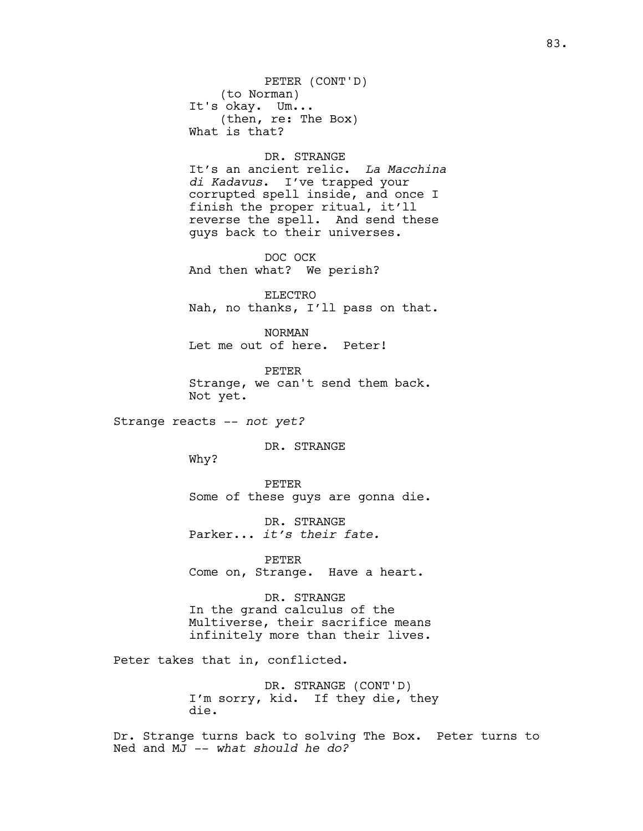PETER (CONT'D) (to Norman) It's okay. Um... (then, re: The Box) What is that?

#### DR. STRANGE

It's an ancient relic. *La Macchina di Kadavus*. I've trapped your corrupted spell inside, and once I finish the proper ritual, it'll reverse the spell. And send these guys back to their universes.

DOC OCK And then what? We perish?

ELECTRO Nah, no thanks, I'll pass on that.

NORMAN Let me out of here. Peter!

PETER Strange, we can't send them back. Not yet.

Strange reacts -- *not yet?*

DR. STRANGE

Why?

PETER Some of these guys are gonna die.

DR. STRANGE Parker... *it's their fate.*

PETER Come on, Strange. Have a heart.

DR. STRANGE In the grand calculus of the Multiverse, their sacrifice means infinitely more than their lives.

Peter takes that in, conflicted.

DR. STRANGE (CONT'D) I'm sorry, kid. If they die, they die.

Dr. Strange turns back to solving The Box. Peter turns to Ned and MJ -- *what should he do?*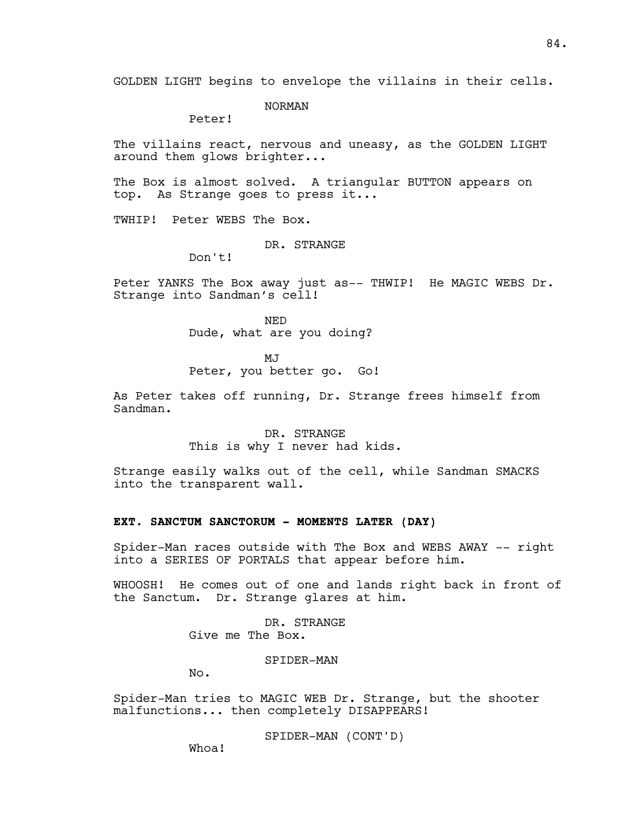GOLDEN LIGHT begins to envelope the villains in their cells.

NORMAN

Peter!

The villains react, nervous and uneasy, as the GOLDEN LIGHT around them glows brighter...

The Box is almost solved. A triangular BUTTON appears on top. As Strange goes to press it...

TWHIP! Peter WEBS The Box.

DR. STRANGE

Don't!

Peter YANKS The Box away just as-- THWIP! He MAGIC WEBS Dr. Strange into Sandman's cell!

> NED Dude, what are you doing?

> > $M<sub>T</sub>$

Peter, you better go. Go!

As Peter takes off running, Dr. Strange frees himself from Sandman.

> DR. STRANGE This is why I never had kids.

Strange easily walks out of the cell, while Sandman SMACKS into the transparent wall.

#### **EXT. SANCTUM SANCTORUM - MOMENTS LATER (DAY)**

Spider-Man races outside with The Box and WEBS AWAY -- right into a SERIES OF PORTALS that appear before him.

WHOOSH! He comes out of one and lands right back in front of the Sanctum. Dr. Strange glares at him.

> DR. STRANGE Give me The Box.

> > SPIDER-MAN

No.

Spider-Man tries to MAGIC WEB Dr. Strange, but the shooter malfunctions... then completely DISAPPEARS!

SPIDER-MAN (CONT'D)

Whoa!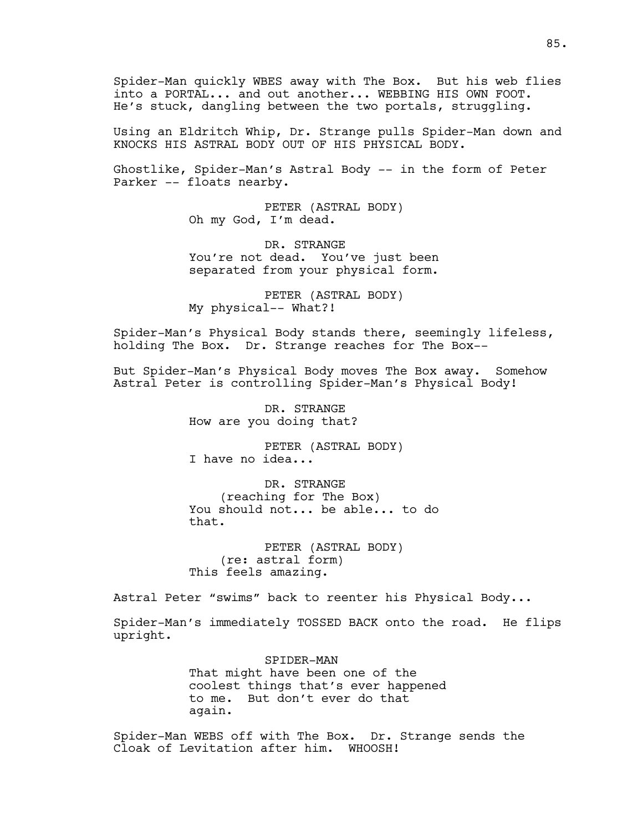Spider-Man quickly WBES away with The Box. But his web flies into a PORTAL... and out another... WEBBING HIS OWN FOOT. He's stuck, dangling between the two portals, struggling.

Using an Eldritch Whip, Dr. Strange pulls Spider-Man down and KNOCKS HIS ASTRAL BODY OUT OF HIS PHYSICAL BODY.

Ghostlike, Spider-Man's Astral Body -- in the form of Peter Parker -- floats nearby.

> PETER (ASTRAL BODY) Oh my God, I'm dead.

DR. STRANGE You're not dead. You've just been separated from your physical form.

PETER (ASTRAL BODY) My physical-- What?!

Spider-Man's Physical Body stands there, seemingly lifeless, holding The Box. Dr. Strange reaches for The Box--

But Spider-Man's Physical Body moves The Box away. Somehow Astral Peter is controlling Spider-Man's Physical Body!

> DR. STRANGE How are you doing that?

PETER (ASTRAL BODY) I have no idea...

DR. STRANGE (reaching for The Box) You should not... be able... to do that.

PETER (ASTRAL BODY) (re: astral form) This feels amazing.

Astral Peter "swims" back to reenter his Physical Body...

Spider-Man's immediately TOSSED BACK onto the road. He flips upright.

> SPIDER-MAN That might have been one of the coolest things that's ever happened to me. But don't ever do that again.

Spider-Man WEBS off with The Box. Dr. Strange sends the Cloak of Levitation after him. WHOOSH!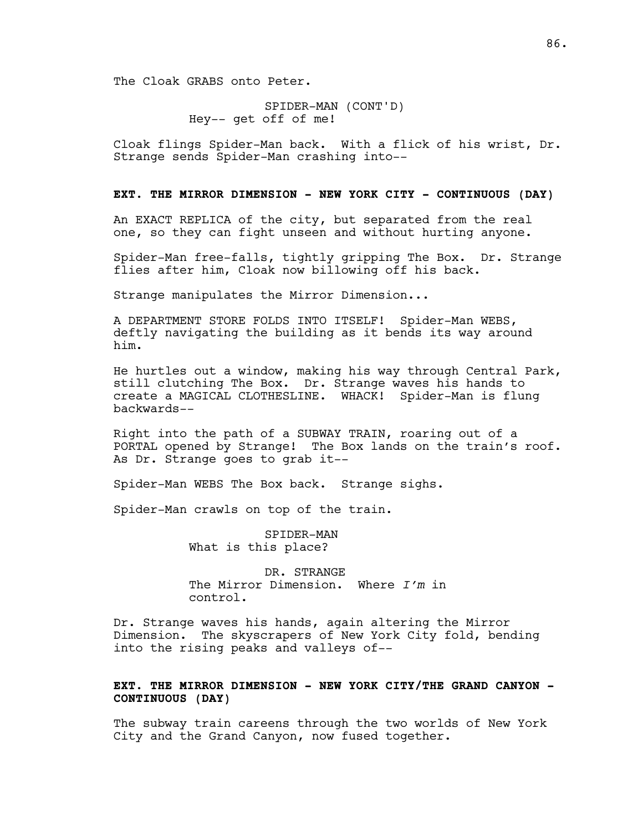The Cloak GRABS onto Peter.

SPIDER-MAN (CONT'D) Hey-- get off of me!

Cloak flings Spider-Man back. With a flick of his wrist, Dr. Strange sends Spider-Man crashing into--

#### **EXT. THE MIRROR DIMENSION - NEW YORK CITY - CONTINUOUS (DAY)**

An EXACT REPLICA of the city, but separated from the real one, so they can fight unseen and without hurting anyone.

Spider-Man free-falls, tightly gripping The Box. Dr. Strange flies after him, Cloak now billowing off his back.

Strange manipulates the Mirror Dimension...

A DEPARTMENT STORE FOLDS INTO ITSELF! Spider-Man WEBS, deftly navigating the building as it bends its way around him.

He hurtles out a window, making his way through Central Park, still clutching The Box. Dr. Strange waves his hands to create a MAGICAL CLOTHESLINE. WHACK! Spider-Man is flung backwards--

Right into the path of a SUBWAY TRAIN, roaring out of a PORTAL opened by Strange! The Box lands on the train's roof. As Dr. Strange goes to grab it--

Spider-Man WEBS The Box back. Strange sighs.

Spider-Man crawls on top of the train.

SPIDER-MAN What is this place?

DR. STRANGE The Mirror Dimension. Where *I'm* in control.

Dr. Strange waves his hands, again altering the Mirror Dimension. The skyscrapers of New York City fold, bending into the rising peaks and valleys of--

# **EXT. THE MIRROR DIMENSION - NEW YORK CITY/THE GRAND CANYON - CONTINUOUS (DAY)**

The subway train careens through the two worlds of New York City and the Grand Canyon, now fused together.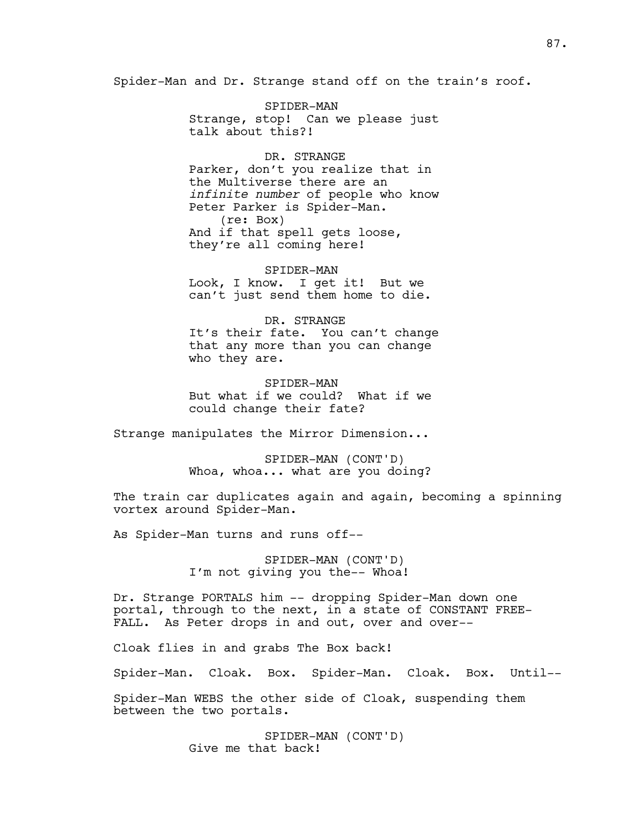Spider-Man and Dr. Strange stand off on the train's roof.

SPIDER-MAN Strange, stop! Can we please just talk about this?!

DR. STRANGE Parker, don't you realize that in the Multiverse there are an *infinite number* of people who know Peter Parker is Spider-Man. (re: Box) And if that spell gets loose, they're all coming here!

SPIDER-MAN Look, I know. I get it! But we can't just send them home to die.

DR. STRANGE It's their fate. You can't change that any more than you can change who they are.

SPIDER-MAN But what if we could? What if we could change their fate?

Strange manipulates the Mirror Dimension...

SPIDER-MAN (CONT'D) Whoa, whoa... what are you doing?

The train car duplicates again and again, becoming a spinning vortex around Spider-Man.

As Spider-Man turns and runs off--

SPIDER-MAN (CONT'D) I'm not giving you the-- Whoa!

Dr. Strange PORTALS him -- dropping Spider-Man down one portal, through to the next, in a state of CONSTANT FREE-FALL. As Peter drops in and out, over and over--

Cloak flies in and grabs The Box back!

Spider-Man. Cloak. Box. Spider-Man. Cloak. Box. Until--

Spider-Man WEBS the other side of Cloak, suspending them between the two portals.

> SPIDER-MAN (CONT'D) Give me that back!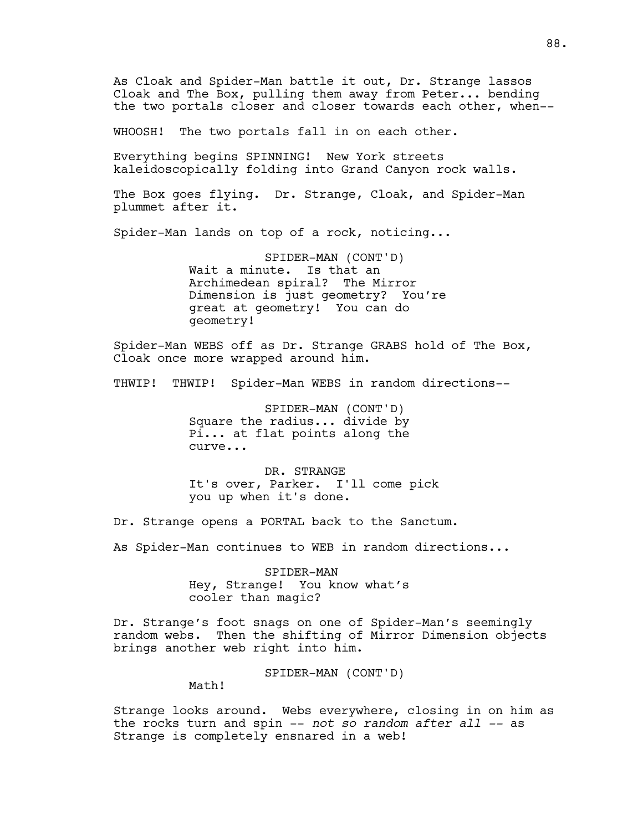As Cloak and Spider-Man battle it out, Dr. Strange lassos Cloak and The Box, pulling them away from Peter... bending the two portals closer and closer towards each other, when--

WHOOSH! The two portals fall in on each other.

Everything begins SPINNING! New York streets kaleidoscopically folding into Grand Canyon rock walls.

The Box goes flying. Dr. Strange, Cloak, and Spider-Man plummet after it.

Spider-Man lands on top of a rock, noticing...

SPIDER-MAN (CONT'D) Wait a minute. Is that an Archimedean spiral? The Mirror Dimension is just geometry? You're great at geometry! You can do geometry!

Spider-Man WEBS off as Dr. Strange GRABS hold of The Box, Cloak once more wrapped around him.

THWIP! THWIP! Spider-Man WEBS in random directions--

SPIDER-MAN (CONT'D) Square the radius... divide by Pi... at flat points along the curve...

DR. STRANGE It's over, Parker. I'll come pick you up when it's done.

Dr. Strange opens a PORTAL back to the Sanctum.

As Spider-Man continues to WEB in random directions...

SPIDER-MAN Hey, Strange! You know what's cooler than magic?

Dr. Strange's foot snags on one of Spider-Man's seemingly random webs. Then the shifting of Mirror Dimension objects brings another web right into him.

SPIDER-MAN (CONT'D)

Math!

Strange looks around. Webs everywhere, closing in on him as the rocks turn and spin -- *not so random after all --* as Strange is completely ensnared in a web!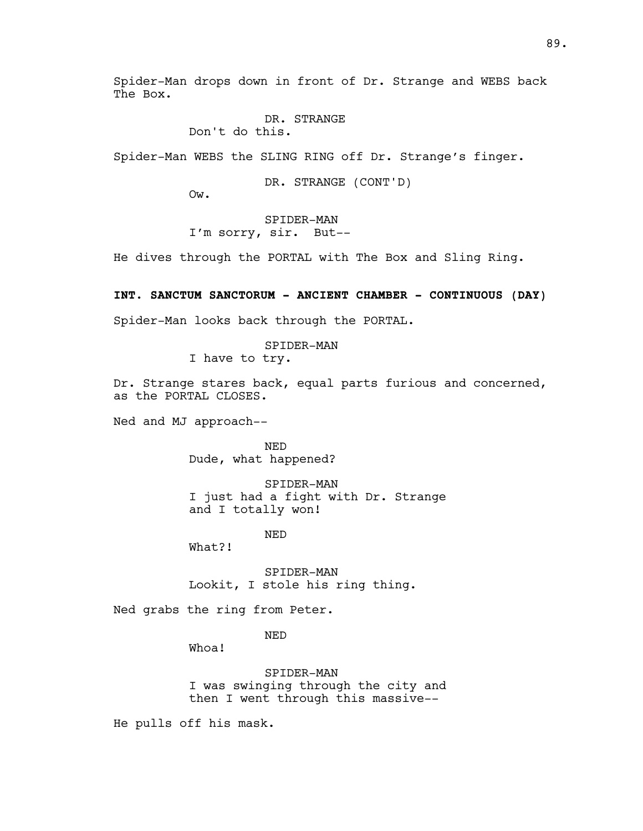Spider-Man drops down in front of Dr. Strange and WEBS back The Box.

# DR. STRANGE

Don't do this.

Spider-Man WEBS the SLING RING off Dr. Strange's finger.

DR. STRANGE (CONT'D)

Ow.

SPIDER-MAN I'm sorry, sir. But--

He dives through the PORTAL with The Box and Sling Ring.

**INT. SANCTUM SANCTORUM - ANCIENT CHAMBER - CONTINUOUS (DAY)**

Spider-Man looks back through the PORTAL.

SPIDER-MAN

I have to try.

Dr. Strange stares back, equal parts furious and concerned, as the PORTAL CLOSES.

Ned and MJ approach--

NED Dude, what happened?

SPIDER-MAN I just had a fight with Dr. Strange and I totally won!

NED

What?!

SPIDER-MAN Lookit, I stole his ring thing.

Ned grabs the ring from Peter.

NED

Whoa!

SPIDER-MAN I was swinging through the city and then I went through this massive--

He pulls off his mask.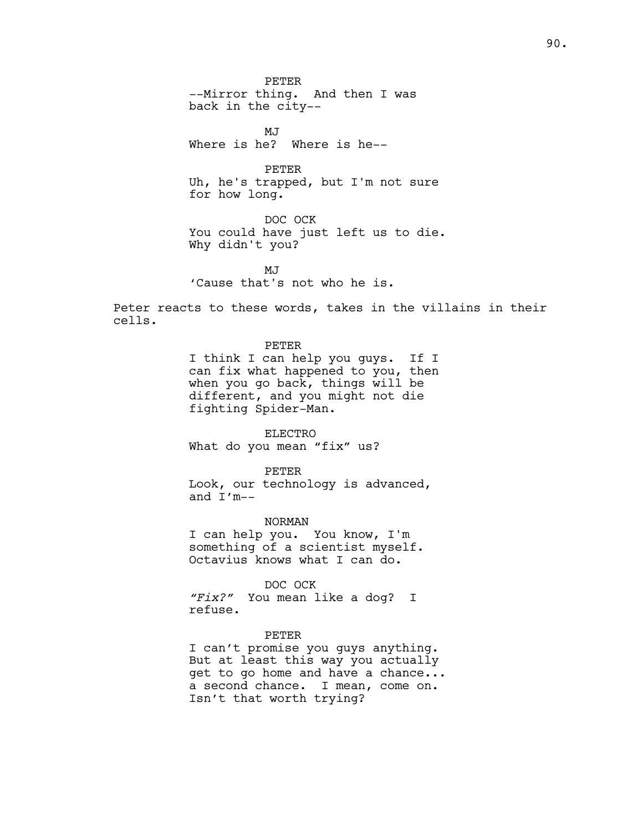PETER --Mirror thing. And then I was back in the city--

MJ Where is he? Where is he--

PETER Uh, he's trapped, but I'm not sure for how long.

DOC OCK You could have just left us to die. Why didn't you?

MJ<sub>J</sub> 'Cause that's not who he is.

Peter reacts to these words, takes in the villains in their cells.

> PETER I think I can help you guys. If I can fix what happened to you, then when you go back, things will be different, and you might not die fighting Spider-Man.

ELECTRO What do you mean "fix" us?

PETER Look, our technology is advanced, and I'm--

NORMAN I can help you. You know, I'm something of a scientist myself. Octavius knows what I can do.

DOC OCK *"Fix?"* You mean like a dog? I refuse.

#### PETER

I can't promise you guys anything. But at least this way you actually get to go home and have a chance... a second chance. I mean, come on. Isn't that worth trying?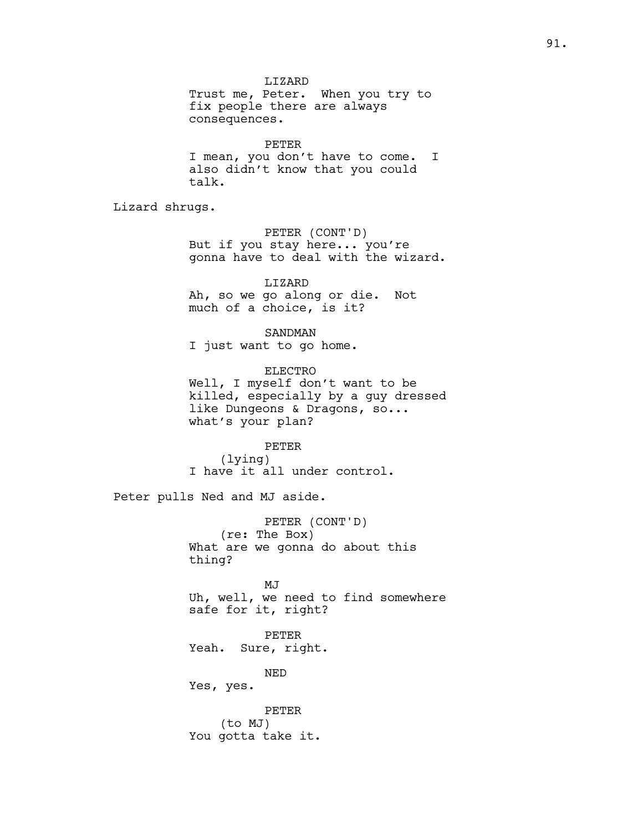LIZARD Trust me, Peter. When you try to fix people there are always consequences.

PETER I mean, you don't have to come. I also didn't know that you could talk.

Lizard shrugs.

PETER (CONT'D) But if you stay here... you're gonna have to deal with the wizard.

LIZARD Ah, so we go along or die. Not much of a choice, is it?

SANDMAN I just want to go home.

ELECTRO Well, I myself don't want to be killed, especially by a guy dressed like Dungeons & Dragons, so... what's your plan?

PETER (lying) I have it all under control.

Peter pulls Ned and MJ aside.

PETER (CONT'D) (re: The Box) What are we gonna do about this thing?

MJ Uh, well, we need to find somewhere safe for it, right?

PETER Yeah. Sure, right.

NED

Yes, yes.

PETER (to MJ) You gotta take it.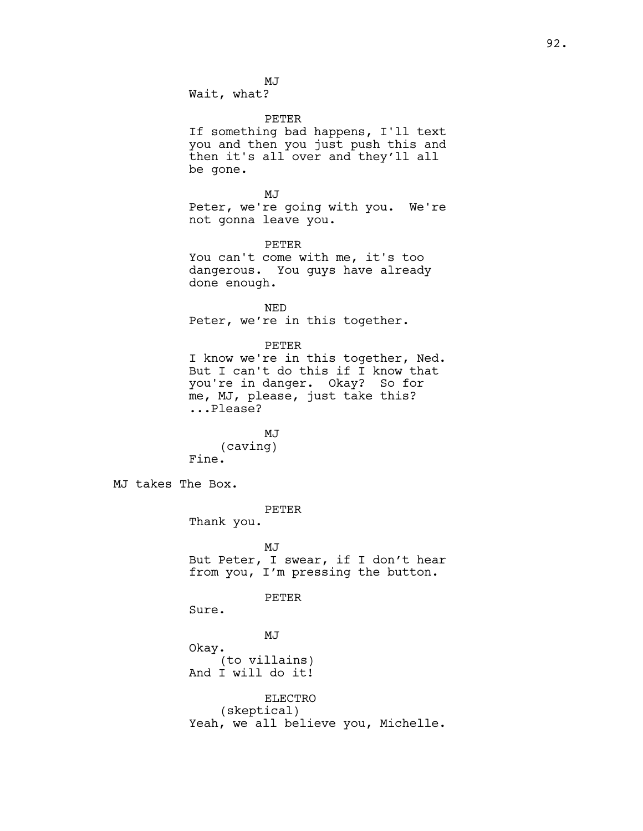MJ

Wait, what?

PETER

If something bad happens, I'll text you and then you just push this and then it's all over and they'll all be gone.

MJ Peter, we're going with you. We're not gonna leave you.

PETER You can't come with me, it's too dangerous. You guys have already done enough.

NED Peter, we're in this together.

PETER

I know we're in this together, Ned. But I can't do this if I know that you're in danger. Okay? So for me, MJ, please, just take this? ...Please?

MJ (caving) Fine.

MJ takes The Box.

PETER

Thank you.

MJ But Peter, I swear, if I don't hear from you, I'm pressing the button.

PETER

Sure.

MJ Okay. (to villains) And I will do it!

ELECTRO (skeptical) Yeah, we all believe you, Michelle.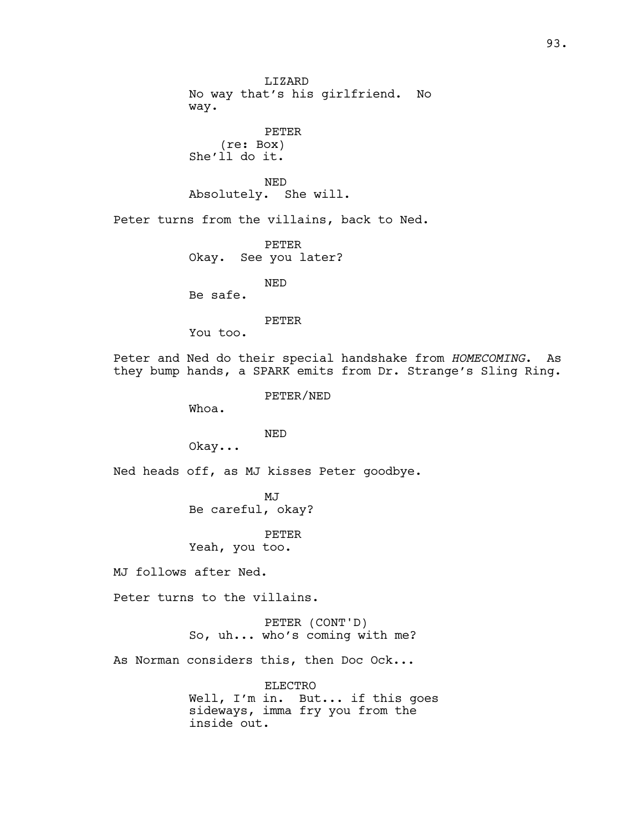LIZARD No way that's his girlfriend. No way. PETER (re: Box) She'll do it. NED Absolutely. She will. Peter turns from the villains, back to Ned. PETER Okay. See you later? NED Be safe. PETER You too. Peter and Ned do their special handshake from *HOMECOMING*. As they bump hands, a SPARK emits from Dr. Strange's Sling Ring. PETER/NED Whoa. NED Okay... Ned heads off, as MJ kisses Peter goodbye. MJ Be careful, okay? PETER Yeah, you too. MJ follows after Ned. Peter turns to the villains. PETER (CONT'D) So, uh... who's coming with me? As Norman considers this, then Doc Ock... ELECTRO

Well, I'm in. But... if this goes sideways, imma fry you from the inside out.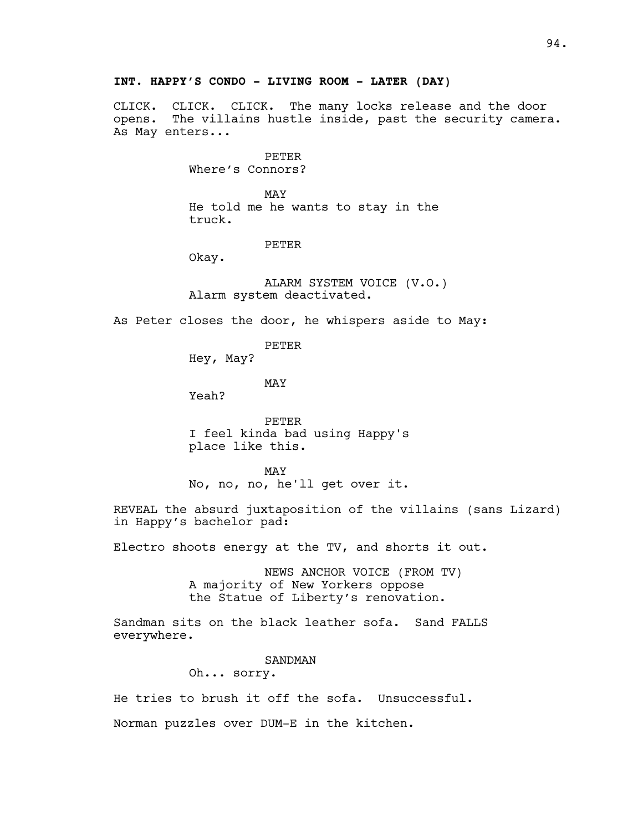CLICK. CLICK. CLICK. The many locks release and the door opens. The villains hustle inside, past the security camera. As May enters...

> PETER Where's Connors?

MAY He told me he wants to stay in the truck.

#### PETER

Okay.

ALARM SYSTEM VOICE (V.O.) Alarm system deactivated.

As Peter closes the door, he whispers aside to May:

PETER

Hey, May?

MAY

Yeah?

PETER I feel kinda bad using Happy's place like this.

MAY No, no, no, he'll get over it.

REVEAL the absurd juxtaposition of the villains (sans Lizard) in Happy's bachelor pad:

Electro shoots energy at the TV, and shorts it out.

NEWS ANCHOR VOICE (FROM TV) A majority of New Yorkers oppose the Statue of Liberty's renovation.

Sandman sits on the black leather sofa. Sand FALLS everywhere.

#### SANDMAN

Oh... sorry.

He tries to brush it off the sofa. Unsuccessful.

Norman puzzles over DUM-E in the kitchen.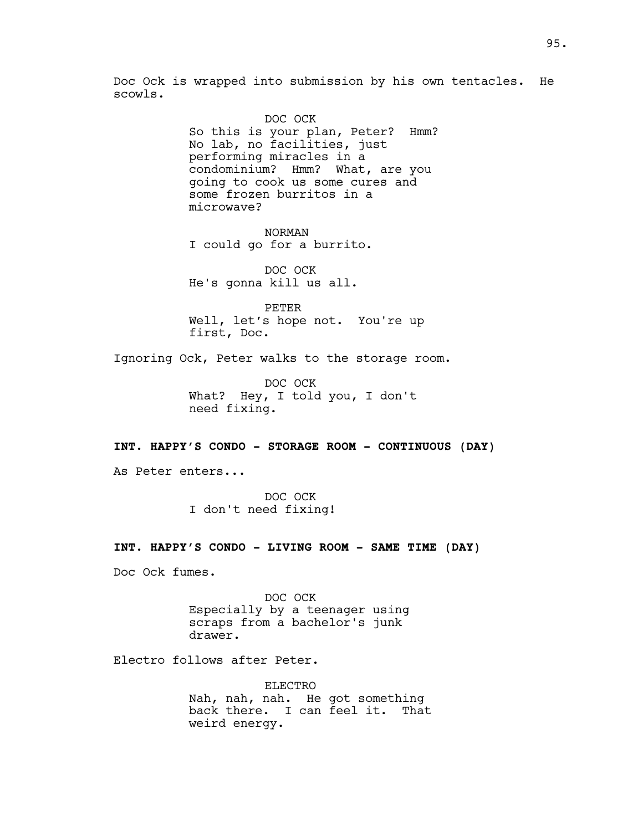Doc Ock is wrapped into submission by his own tentacles. He scowls.

> DOC OCK So this is your plan, Peter? Hmm? No lab, no facilities, just performing miracles in a condominium? Hmm? What, are you going to cook us some cures and some frozen burritos in a microwave?

NORMAN I could go for a burrito.

DOC OCK He's gonna kill us all.

PETER Well, let's hope not. You're up first, Doc.

Ignoring Ock, Peter walks to the storage room.

DOC OCK What? Hey, I told you, I don't need fixing.

#### **INT. HAPPY'S CONDO - STORAGE ROOM - CONTINUOUS (DAY)**

As Peter enters...

DOC OCK I don't need fixing!

#### **INT. HAPPY'S CONDO - LIVING ROOM - SAME TIME (DAY)**

Doc Ock fumes.

DOC OCK Especially by a teenager using scraps from a bachelor's junk drawer.

Electro follows after Peter.

ELECTRO Nah, nah, nah. He got something back there. I can feel it. That weird energy.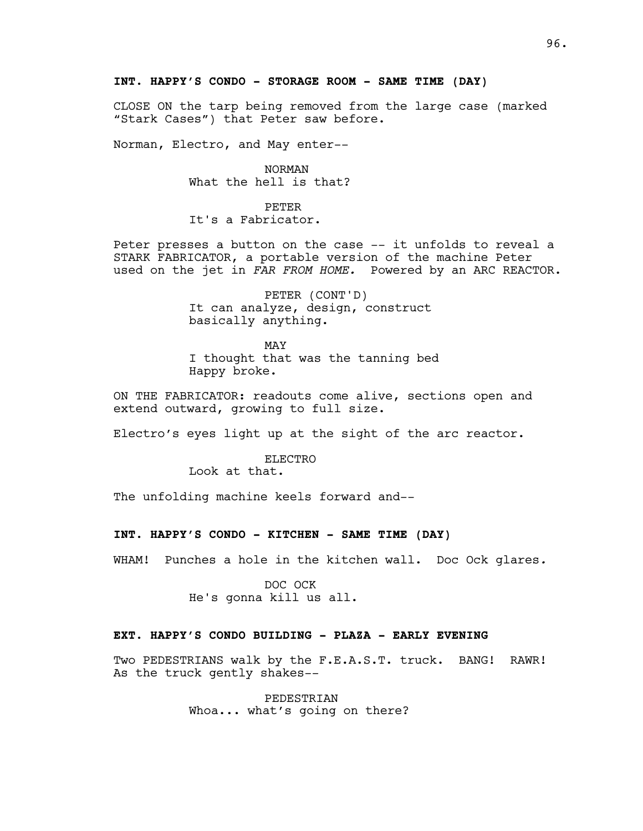## **INT. HAPPY'S CONDO - STORAGE ROOM - SAME TIME (DAY)**

CLOSE ON the tarp being removed from the large case (marked "Stark Cases") that Peter saw before.

Norman, Electro, and May enter--

NORMAN What the hell is that?

PETER It's a Fabricator.

Peter presses a button on the case -- it unfolds to reveal a STARK FABRICATOR, a portable version of the machine Peter used on the jet in *FAR FROM HOME.* Powered by an ARC REACTOR.

> PETER (CONT'D) It can analyze, design, construct basically anything.

MAY I thought that was the tanning bed Happy broke.

ON THE FABRICATOR: readouts come alive, sections open and extend outward, growing to full size.

Electro's eyes light up at the sight of the arc reactor.

ELECTRO

Look at that.

The unfolding machine keels forward and--

# **INT. HAPPY'S CONDO - KITCHEN - SAME TIME (DAY)**

WHAM! Punches a hole in the kitchen wall. Doc Ock glares*.*

DOC OCK He's gonna kill us all.

## **EXT. HAPPY'S CONDO BUILDING - PLAZA - EARLY EVENING**

Two PEDESTRIANS walk by the F.E.A.S.T. truck. BANG! RAWR! As the truck gently shakes--

> PEDESTRIAN Whoa... what's going on there?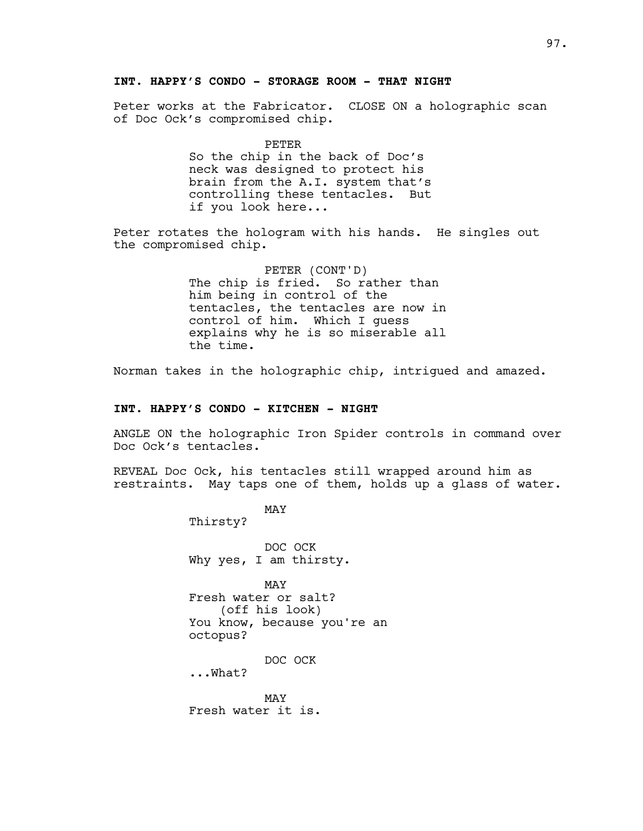# **INT. HAPPY'S CONDO - STORAGE ROOM - THAT NIGHT**

Peter works at the Fabricator. CLOSE ON a holographic scan of Doc Ock's compromised chip.

> PETER So the chip in the back of Doc's neck was designed to protect his brain from the A.I. system that's controlling these tentacles. But if you look here...

Peter rotates the hologram with his hands. He singles out the compromised chip.

> PETER (CONT'D) The chip is fried. So rather than him being in control of the tentacles, the tentacles are now in control of him. Which I guess explains why he is so miserable all the time.

Norman takes in the holographic chip, intrigued and amazed.

#### **INT. HAPPY'S CONDO - KITCHEN - NIGHT**

ANGLE ON the holographic Iron Spider controls in command over Doc Ock's tentacles.

REVEAL Doc Ock, his tentacles still wrapped around him as restraints. May taps one of them, holds up a glass of water.

> MAY Thirsty? DOC OCK Why yes, I am thirsty. MAY Fresh water or salt? (off his look) You know, because you're an octopus? DOC OCK ...What? MAY Fresh water it is.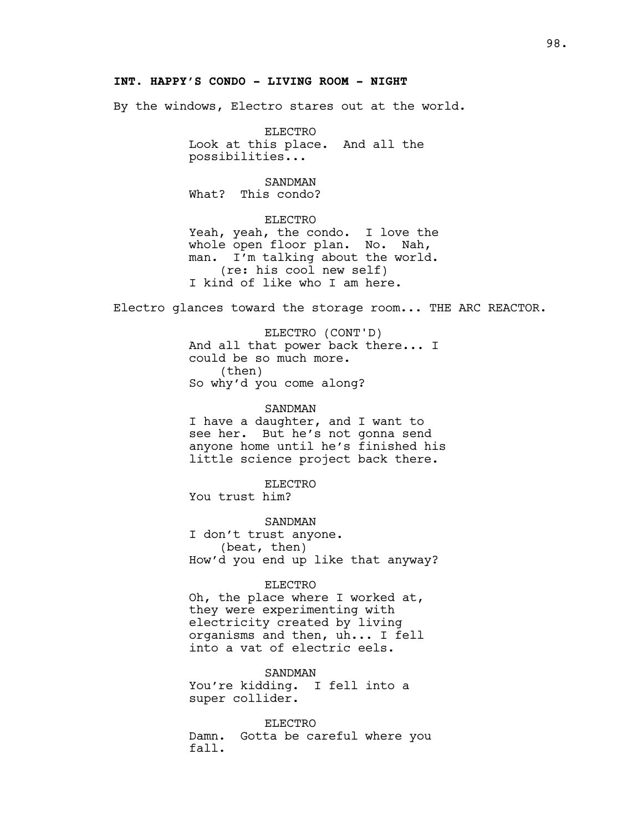# **INT. HAPPY'S CONDO - LIVING ROOM - NIGHT**

By the windows, Electro stares out at the world.

ELECTRO Look at this place. And all the possibilities...

SANDMAN What? This condo?

ELECTRO Yeah, yeah, the condo. I love the whole open floor plan. No. Nah, man. I'm talking about the world. (re: his cool new self) I kind of like who I am here.

Electro glances toward the storage room... THE ARC REACTOR.

ELECTRO (CONT'D) And all that power back there... I could be so much more. (then) So why'd you come along?

SANDMAN I have a daughter, and I want to see her. But he's not gonna send anyone home until he's finished his little science project back there.

ELECTRO You trust him?

SANDMAN I don't trust anyone. (beat, then) How'd you end up like that anyway?

#### ELECTRO

Oh, the place where I worked at, they were experimenting with electricity created by living organisms and then, uh... I fell into a vat of electric eels.

SANDMAN You're kidding. I fell into a super collider.

ELECTRO Damn. Gotta be careful where you fall.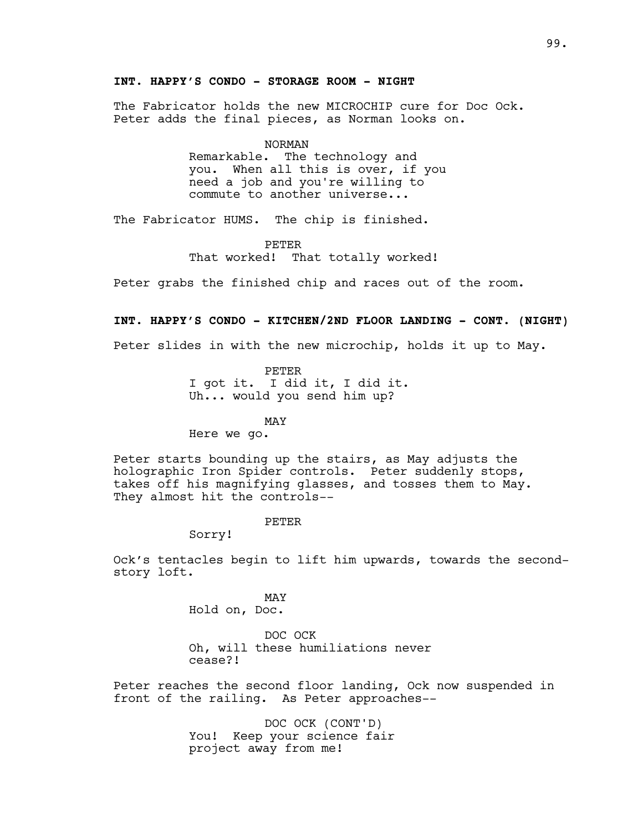# **INT. HAPPY'S CONDO - STORAGE ROOM - NIGHT**

The Fabricator holds the new MICROCHIP cure for Doc Ock. Peter adds the final pieces, as Norman looks on.

#### NORMAN

Remarkable. The technology and you. When all this is over, if you need a job and you're willing to commute to another universe...

The Fabricator HUMS. The chip is finished.

PETER That worked! That totally worked!

Peter grabs the finished chip and races out of the room.

#### **INT. HAPPY'S CONDO - KITCHEN/2ND FLOOR LANDING - CONT. (NIGHT)**

Peter slides in with the new microchip, holds it up to May.

PETER I got it. I did it, I did it. Uh... would you send him up?

MAY

Here we go.

Peter starts bounding up the stairs, as May adjusts the holographic Iron Spider controls. Peter suddenly stops, takes off his magnifying glasses, and tosses them to May. They almost hit the controls--

#### PETER

Sorry!

Ock's tentacles begin to lift him upwards, towards the secondstory loft.

> MAY Hold on, Doc.

DOC OCK Oh, will these humiliations never cease?!

Peter reaches the second floor landing, Ock now suspended in front of the railing. As Peter approaches--

> DOC OCK (CONT'D) You! Keep your science fair project away from me!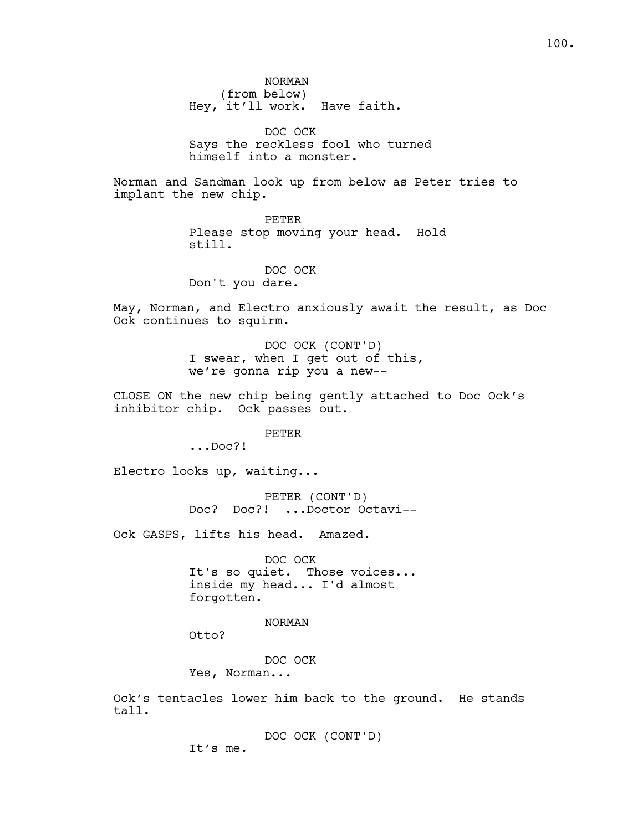NORMAN (from below) Hey, it'll work. Have faith.

DOC OCK Says the reckless fool who turned himself into a monster.

Norman and Sandman look up from below as Peter tries to implant the new chip.

> PETER Please stop moving your head. Hold still.

DOC OCK Don't you dare.

May, Norman, and Electro anxiously await the result, as Doc Ock continues to squirm.

> DOC OCK (CONT'D) I swear, when I get out of this, we're gonna rip you a new--

CLOSE ON the new chip being gently attached to Doc Ock's inhibitor chip. Ock passes out.

PETER

...Doc?!

Electro looks up, waiting...

PETER (CONT'D) Doc? Doc?! ...Doctor Octavi--

Ock GASPS, lifts his head. Amazed.

DOC OCK It's so quiet. Those voices... inside my head... I'd almost forgotten.

NORMAN

Otto?

DOC OCK Yes, Norman...

Ock's tentacles lower him back to the ground. He stands tall.

> DOC OCK (CONT'D) It's me.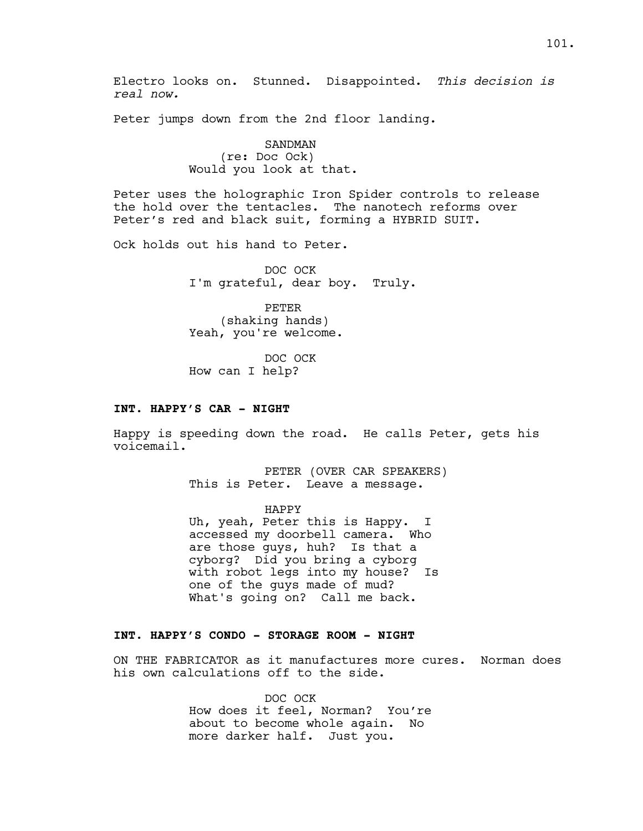Peter jumps down from the 2nd floor landing.

SANDMAN (re: Doc Ock) Would you look at that.

Peter uses the holographic Iron Spider controls to release the hold over the tentacles. The nanotech reforms over Peter's red and black suit, forming a HYBRID SUIT.

Ock holds out his hand to Peter.

DOC OCK I'm grateful, dear boy. Truly.

PETER (shaking hands) Yeah, you're welcome.

DOC OCK How can I help?

#### **INT. HAPPY'S CAR - NIGHT**

Happy is speeding down the road. He calls Peter, gets his voicemail.

> PETER (OVER CAR SPEAKERS) This is Peter. Leave a message.

HAPPY Uh, yeah, Peter this is Happy. I accessed my doorbell camera. Who<br>are those guys, huh? Is that a are those guys, huh? cyborg? Did you bring a cyborg with robot legs into my house? Is one of the guys made of mud? What's going on? Call me back.

# **INT. HAPPY'S CONDO - STORAGE ROOM - NIGHT**

ON THE FABRICATOR as it manufactures more cures. Norman does his own calculations off to the side.

> DOC OCK How does it feel, Norman? You're about to become whole again. No more darker half. Just you.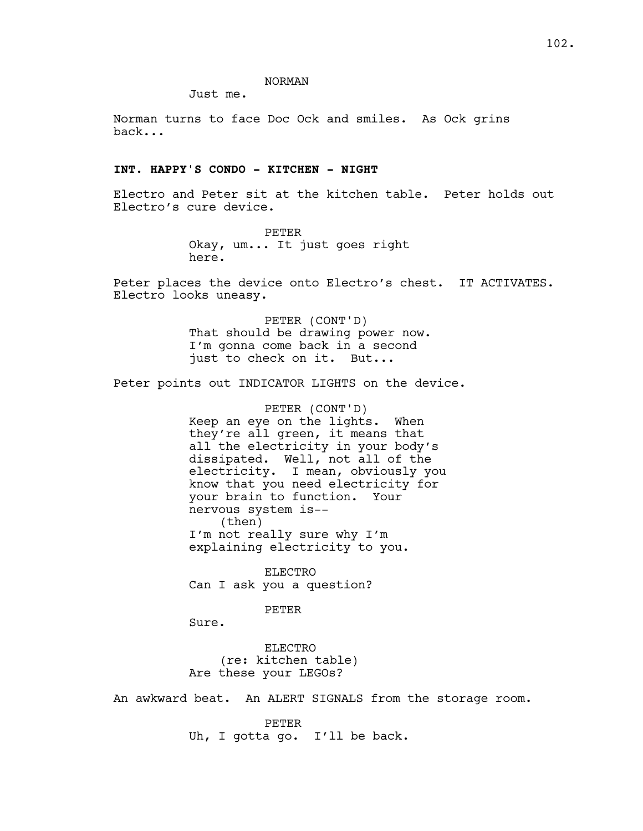#### NORMAN

Just me.

Norman turns to face Doc Ock and smiles. As Ock grins back...

#### **INT. HAPPY'S CONDO - KITCHEN - NIGHT**

Electro and Peter sit at the kitchen table. Peter holds out Electro's cure device.

> PETER Okay, um... It just goes right here.

Peter places the device onto Electro's chest. IT ACTIVATES. Electro looks uneasy.

> PETER (CONT'D) That should be drawing power now. I'm gonna come back in a second just to check on it. But...

Peter points out INDICATOR LIGHTS on the device.

PETER (CONT'D) Keep an eye on the lights. When they're all green, it means that all the electricity in your body's dissipated. Well, not all of the electricity. I mean, obviously you know that you need electricity for your brain to function. Your nervous system is-- (then) I'm not really sure why I'm explaining electricity to you.

ELECTRO Can I ask you a question?

#### PETER

Sure.

ELECTRO (re: kitchen table) Are these your LEGOs?

An awkward beat. An ALERT SIGNALS from the storage room.

PETER Uh, I gotta go. I'll be back.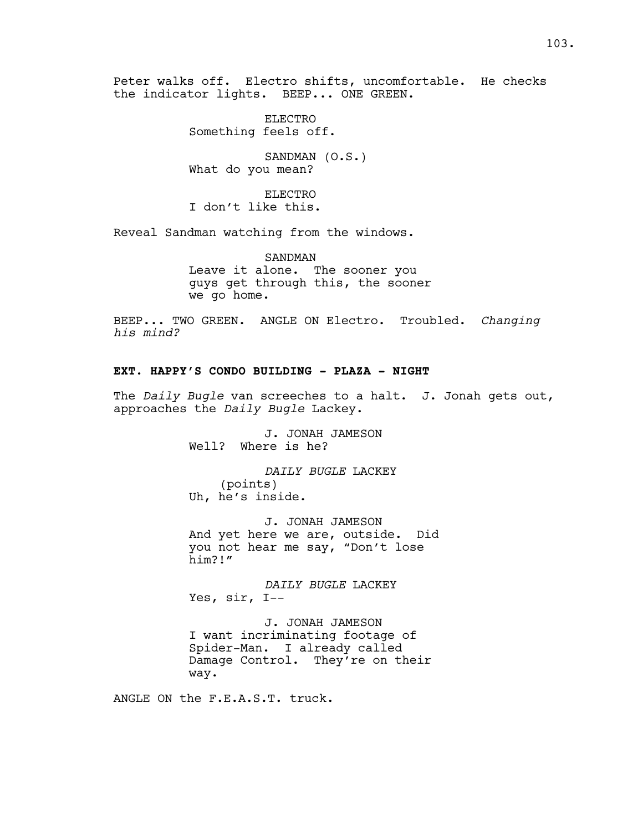Peter walks off. Electro shifts, uncomfortable. He checks the indicator lights. BEEP... ONE GREEN.

> ELECTRO Something feels off.

SANDMAN (O.S.) What do you mean?

ELECTRO I don't like this.

Reveal Sandman watching from the windows.

SANDMAN Leave it alone. The sooner you guys get through this, the sooner we go home.

BEEP... TWO GREEN. ANGLE ON Electro. Troubled. *Changing his mind?*

# **EXT. HAPPY'S CONDO BUILDING - PLAZA - NIGHT**

The *Daily Bugle* van screeches to a halt. J. Jonah gets out, approaches the *Daily Bugle* Lackey.

> J. JONAH JAMESON Well? Where is he?

*DAILY BUGLE* LACKEY (points) Uh, he's inside.

J. JONAH JAMESON And yet here we are, outside. Did you not hear me say, "Don't lose him?!"

*DAILY BUGLE* LACKEY Yes, sir, I--

J. JONAH JAMESON I want incriminating footage of Spider-Man. I already called Damage Control. They're on their way.

ANGLE ON the F.E.A.S.T. truck.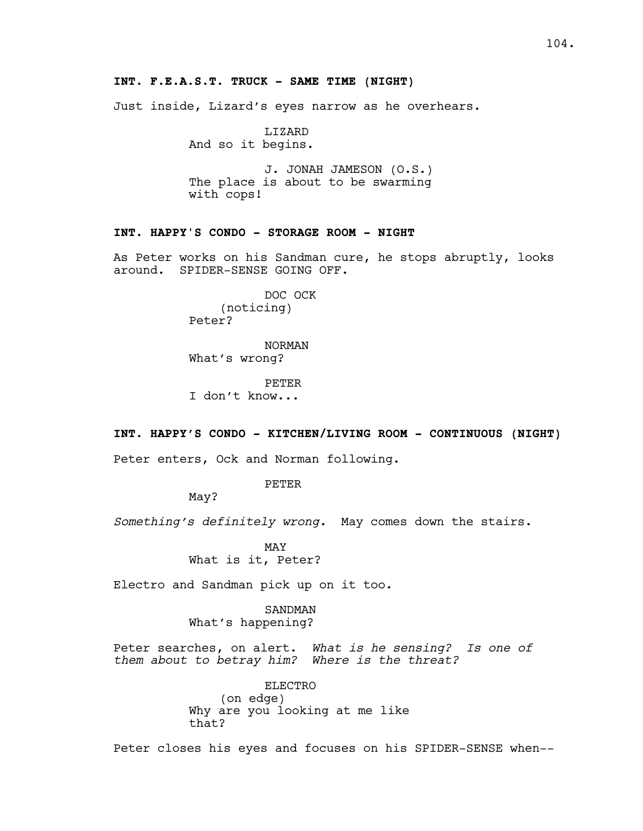# **INT. F.E.A.S.T. TRUCK - SAME TIME (NIGHT)**

Just inside, Lizard's eyes narrow as he overhears.

LIZARD And so it begins.

J. JONAH JAMESON (O.S.) The place is about to be swarming with cops!

# **INT. HAPPY'S CONDO - STORAGE ROOM - NIGHT**

As Peter works on his Sandman cure, he stops abruptly, looks around. SPIDER-SENSE GOING OFF.

> DOC OCK (noticing) Peter?

NORMAN What's wrong?

PETER I don't know...

## **INT. HAPPY'S CONDO - KITCHEN/LIVING ROOM - CONTINUOUS (NIGHT)**

Peter enters, Ock and Norman following.

PETER

May?

*Something's definitely wrong.* May comes down the stairs.

MAY What is it, Peter?

Electro and Sandman pick up on it too.

SANDMAN What's happening?

Peter searches, on alert. *What is he sensing? Is one of them about to betray him? Where is the threat?*

> ELECTRO (on edge) Why are you looking at me like that?

Peter closes his eyes and focuses on his SPIDER-SENSE when--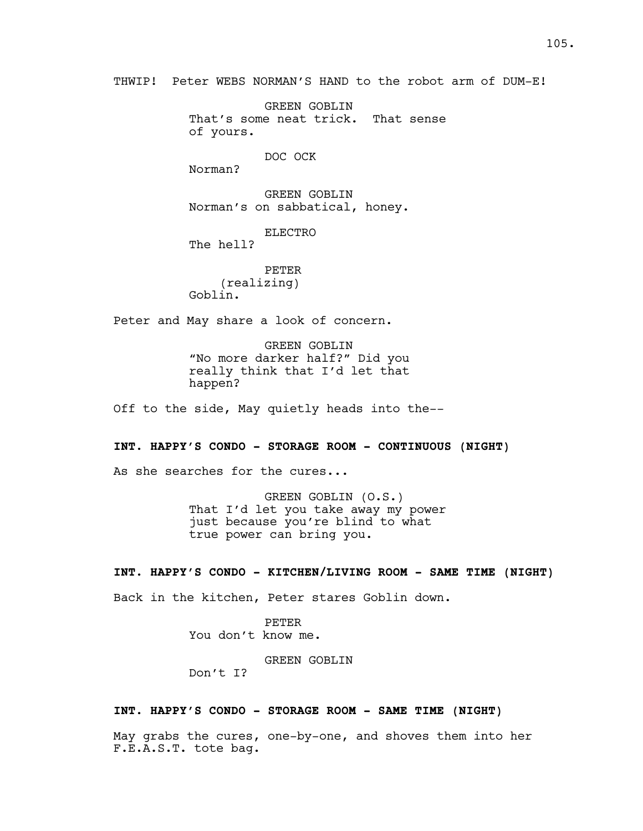THWIP! Peter WEBS NORMAN'S HAND to the robot arm of DUM-E!

GREEN GOBLIN That's some neat trick. That sense of yours.

DOC OCK

Norman?

GREEN GOBLIN Norman's on sabbatical, honey.

ELECTRO

The hell?

PETER (realizing) Goblin.

Peter and May share a look of concern.

GREEN GOBLIN "No more darker half?" Did you really think that I'd let that happen?

Off to the side, May quietly heads into the--

#### **INT. HAPPY'S CONDO - STORAGE ROOM - CONTINUOUS (NIGHT)**

As she searches for the cures...

GREEN GOBLIN (O.S.) That I'd let you take away my power just because you're blind to what true power can bring you.

## **INT. HAPPY'S CONDO - KITCHEN/LIVING ROOM - SAME TIME (NIGHT)**

Back in the kitchen, Peter stares Goblin down.

PETER You don't know me.

GREEN GOBLIN

Don't I?

# **INT. HAPPY'S CONDO - STORAGE ROOM - SAME TIME (NIGHT)**

May grabs the cures, one-by-one, and shoves them into her F.E.A.S.T. tote bag.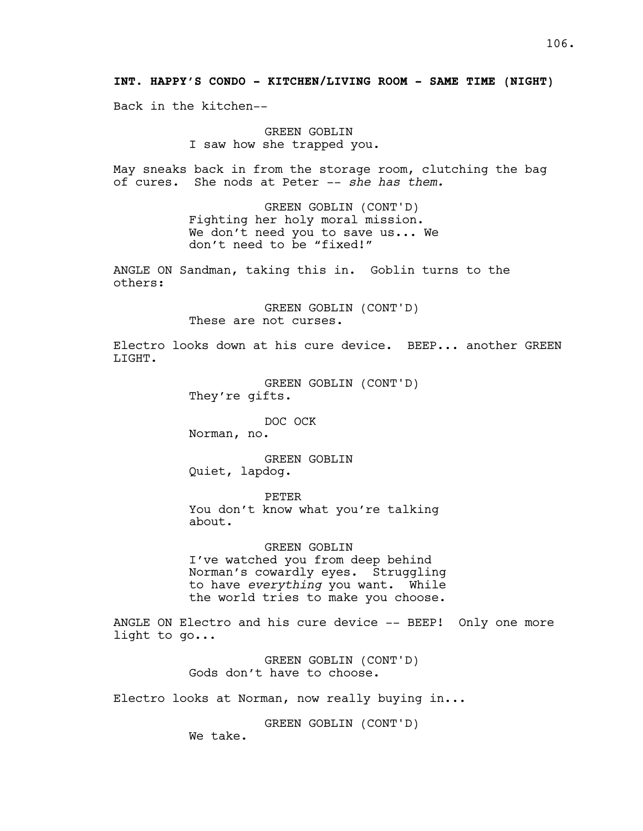**INT. HAPPY'S CONDO - KITCHEN/LIVING ROOM - SAME TIME (NIGHT)**

Back in the kitchen--

GREEN GOBLIN I saw how she trapped you.

May sneaks back in from the storage room, clutching the bag of cures. She nods at Peter -- *she has them.*

> GREEN GOBLIN (CONT'D) Fighting her holy moral mission. We don't need you to save us... We don't need to be "fixed!"

ANGLE ON Sandman, taking this in. Goblin turns to the others:

> GREEN GOBLIN (CONT'D) These are not curses.

Electro looks down at his cure device. BEEP... another GREEN LIGHT.

> GREEN GOBLIN (CONT'D) They're gifts.

> > DOC OCK

Norman, no.

GREEN GOBLIN Quiet, lapdog.

PETER You don't know what you're talking about.

GREEN GOBLIN I've watched you from deep behind Norman's cowardly eyes. Struggling to have *everything* you want. While the world tries to make you choose.

ANGLE ON Electro and his cure device -- BEEP! Only one more light to go...

> GREEN GOBLIN (CONT'D) Gods don't have to choose.

Electro looks at Norman, now really buying in...

GREEN GOBLIN (CONT'D)

We take.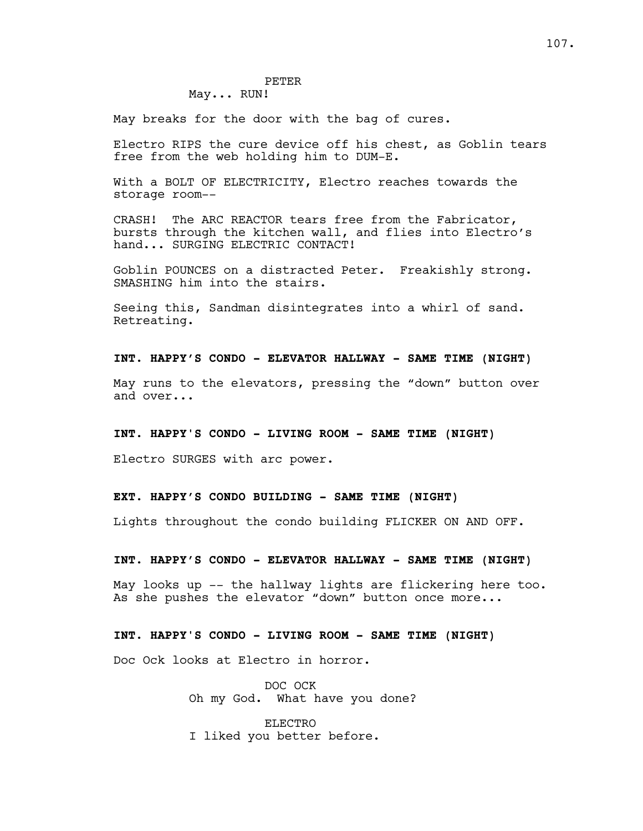# PETER

# May... RUN!

May breaks for the door with the bag of cures.

Electro RIPS the cure device off his chest, as Goblin tears free from the web holding him to DUM-E.

With a BOLT OF ELECTRICITY, Electro reaches towards the storage room--

CRASH! The ARC REACTOR tears free from the Fabricator, bursts through the kitchen wall, and flies into Electro's hand... SURGING ELECTRIC CONTACT!

Goblin POUNCES on a distracted Peter. Freakishly strong. SMASHING him into the stairs.

Seeing this, Sandman disintegrates into a whirl of sand. Retreating.

## **INT. HAPPY'S CONDO - ELEVATOR HALLWAY - SAME TIME (NIGHT)**

May runs to the elevators, pressing the "down" button over and over...

#### **INT. HAPPY'S CONDO - LIVING ROOM - SAME TIME (NIGHT)**

Electro SURGES with arc power.

## **EXT. HAPPY'S CONDO BUILDING - SAME TIME (NIGHT)**

Lights throughout the condo building FLICKER ON AND OFF.

#### **INT. HAPPY'S CONDO - ELEVATOR HALLWAY - SAME TIME (NIGHT)**

May looks up -- the hallway lights are flickering here too. As she pushes the elevator "down" button once more...

# **INT. HAPPY'S CONDO - LIVING ROOM - SAME TIME (NIGHT)**

Doc Ock looks at Electro in horror.

DOC OCK Oh my God. What have you done?

ELECTRO I liked you better before.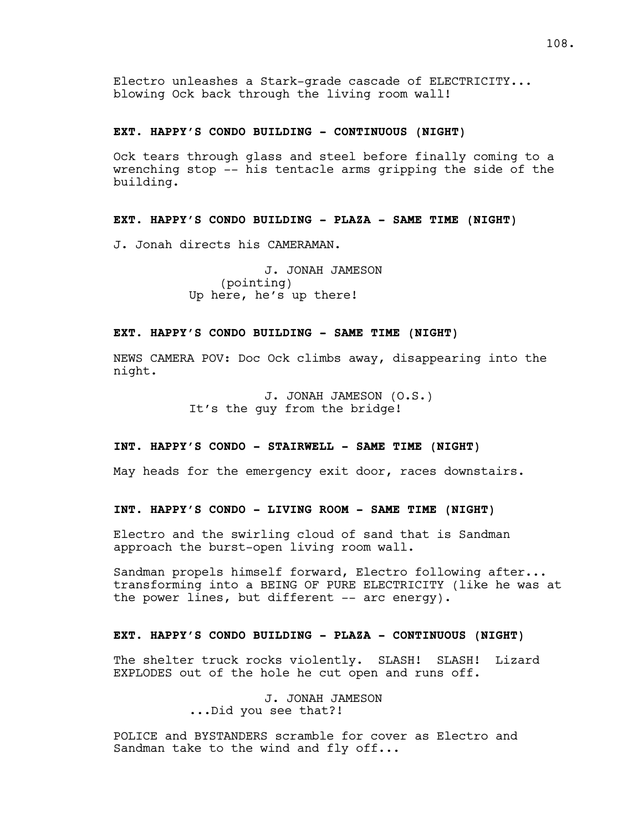Electro unleashes a Stark-grade cascade of ELECTRICITY... blowing Ock back through the living room wall!

### **EXT. HAPPY'S CONDO BUILDING - CONTINUOUS (NIGHT)**

Ock tears through glass and steel before finally coming to a wrenching stop -- his tentacle arms gripping the side of the building.

# **EXT. HAPPY'S CONDO BUILDING - PLAZA - SAME TIME (NIGHT)**

J. Jonah directs his CAMERAMAN.

J. JONAH JAMESON (pointing) Up here, he's up there!

# **EXT. HAPPY'S CONDO BUILDING - SAME TIME (NIGHT)**

NEWS CAMERA POV: Doc Ock climbs away, disappearing into the night.

> J. JONAH JAMESON (O.S.) It's the guy from the bridge!

#### **INT. HAPPY'S CONDO - STAIRWELL - SAME TIME (NIGHT)**

May heads for the emergency exit door, races downstairs.

## **INT. HAPPY'S CONDO - LIVING ROOM - SAME TIME (NIGHT)**

Electro and the swirling cloud of sand that is Sandman approach the burst-open living room wall.

Sandman propels himself forward, Electro following after... transforming into a BEING OF PURE ELECTRICITY (like he was at the power lines, but different -- arc energy).

# **EXT. HAPPY'S CONDO BUILDING - PLAZA - CONTINUOUS (NIGHT)**

The shelter truck rocks violently. SLASH! SLASH! Lizard EXPLODES out of the hole he cut open and runs off.

> J. JONAH JAMESON ...Did you see that?!

POLICE and BYSTANDERS scramble for cover as Electro and Sandman take to the wind and fly off...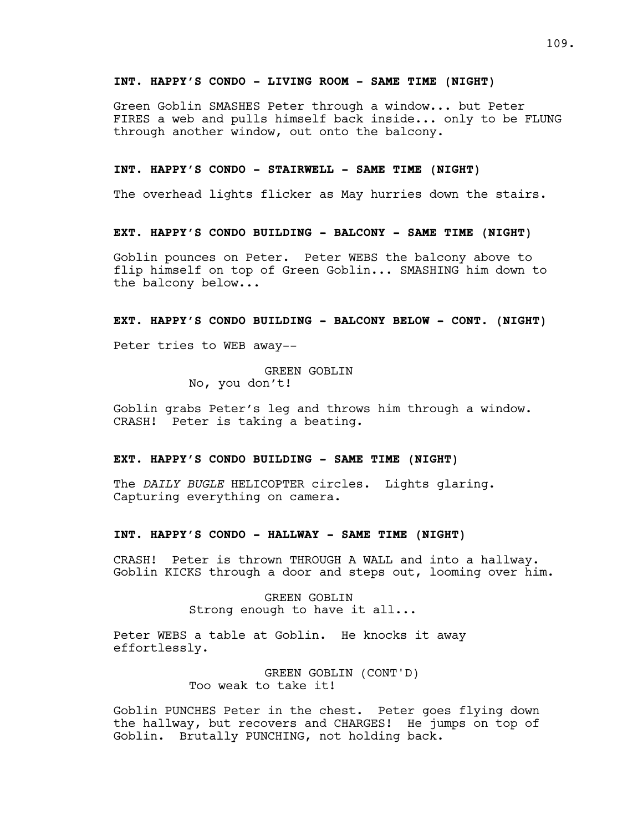# **INT. HAPPY'S CONDO - LIVING ROOM - SAME TIME (NIGHT)**

Green Goblin SMASHES Peter through a window... but Peter FIRES a web and pulls himself back inside... only to be FLUNG through another window, out onto the balcony.

#### **INT. HAPPY'S CONDO - STAIRWELL - SAME TIME (NIGHT)**

The overhead lights flicker as May hurries down the stairs.

#### **EXT. HAPPY'S CONDO BUILDING - BALCONY - SAME TIME (NIGHT)**

Goblin pounces on Peter. Peter WEBS the balcony above to flip himself on top of Green Goblin... SMASHING him down to the balcony below...

#### **EXT. HAPPY'S CONDO BUILDING - BALCONY BELOW - CONT. (NIGHT)**

Peter tries to WEB away--

GREEN GOBLIN No, you don't!

Goblin grabs Peter's leg and throws him through a window. CRASH! Peter is taking a beating.

#### **EXT. HAPPY'S CONDO BUILDING - SAME TIME (NIGHT)**

The *DAILY BUGLE* HELICOPTER circles. Lights glaring. Capturing everything on camera.

#### **INT. HAPPY'S CONDO - HALLWAY - SAME TIME (NIGHT)**

CRASH! Peter is thrown THROUGH A WALL and into a hallway. Goblin KICKS through a door and steps out, looming over him.

> GREEN GOBLIN Strong enough to have it all...

Peter WEBS a table at Goblin. He knocks it away effortlessly.

> GREEN GOBLIN (CONT'D) Too weak to take it!

Goblin PUNCHES Peter in the chest. Peter goes flying down the hallway, but recovers and CHARGES! He jumps on top of Goblin. Brutally PUNCHING, not holding back.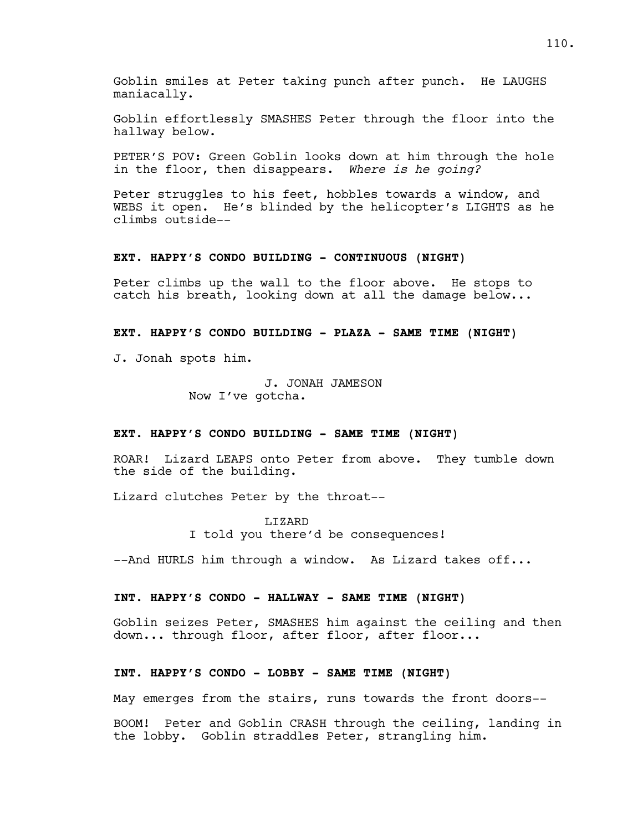Goblin smiles at Peter taking punch after punch. He LAUGHS maniacally.

Goblin effortlessly SMASHES Peter through the floor into the hallway below.

PETER'S POV: Green Goblin looks down at him through the hole in the floor, then disappears. *Where is he going?*

Peter struggles to his feet, hobbles towards a window, and WEBS it open. He's blinded by the helicopter's LIGHTS as he climbs outside--

#### **EXT. HAPPY'S CONDO BUILDING - CONTINUOUS (NIGHT)**

Peter climbs up the wall to the floor above. He stops to catch his breath, looking down at all the damage below...

# **EXT. HAPPY'S CONDO BUILDING - PLAZA - SAME TIME (NIGHT)**

J. Jonah spots him.

J. JONAH JAMESON Now I've gotcha.

#### **EXT. HAPPY'S CONDO BUILDING - SAME TIME (NIGHT)**

ROAR! Lizard LEAPS onto Peter from above. They tumble down the side of the building.

Lizard clutches Peter by the throat--

LIZARD I told you there'd be consequences!

--And HURLS him through a window. As Lizard takes off...

#### **INT. HAPPY'S CONDO - HALLWAY - SAME TIME (NIGHT)**

Goblin seizes Peter, SMASHES him against the ceiling and then down... through floor, after floor, after floor...

#### **INT. HAPPY'S CONDO - LOBBY - SAME TIME (NIGHT)**

May emerges from the stairs, runs towards the front doors--

BOOM! Peter and Goblin CRASH through the ceiling, landing in the lobby. Goblin straddles Peter, strangling him.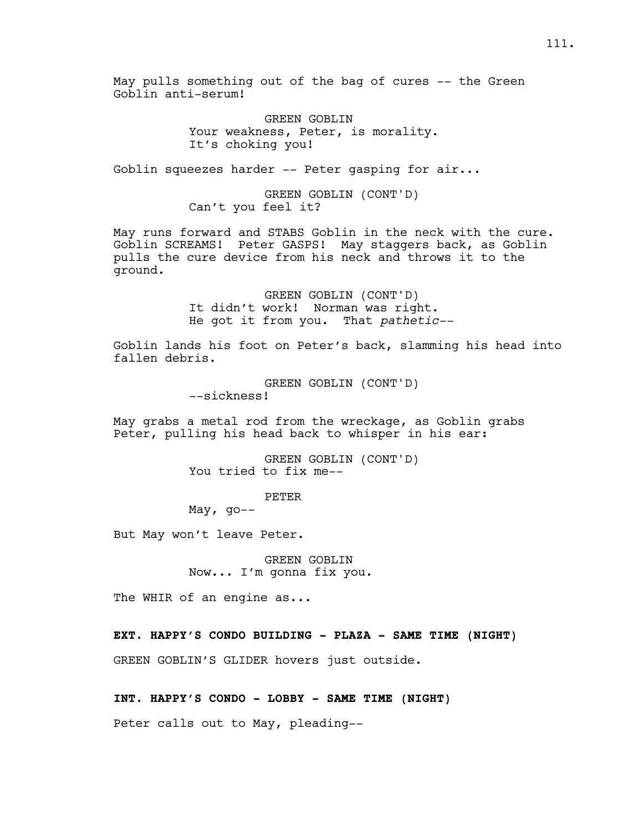May pulls something out of the bag of cures -- the Green Goblin anti-serum!

> GREEN GOBLIN Your weakness, Peter, is morality. It's choking you!

Goblin squeezes harder -- Peter gasping for air...

GREEN GOBLIN (CONT'D) Can't you feel it?

May runs forward and STABS Goblin in the neck with the cure. Goblin SCREAMS! Peter GASPS! May staggers back, as Goblin pulls the cure device from his neck and throws it to the ground.

> GREEN GOBLIN (CONT'D) It didn't work! Norman was right. He got it from you. That *pathetic--*

Goblin lands his foot on Peter's back, slamming his head into fallen debris.

> GREEN GOBLIN (CONT'D) --sickness!

May grabs a metal rod from the wreckage, as Goblin grabs Peter, pulling his head back to whisper in his ear:

> GREEN GOBLIN (CONT'D) You tried to fix me--

> > PETER

May,  $qo--$ 

But May won't leave Peter.

GREEN GOBLIN Now... I'm gonna fix you.

The WHIR of an engine as...

**EXT. HAPPY'S CONDO BUILDING - PLAZA - SAME TIME (NIGHT)**

GREEN GOBLIN'S GLIDER hovers just outside.

**INT. HAPPY'S CONDO - LOBBY - SAME TIME (NIGHT)**

Peter calls out to May, pleading--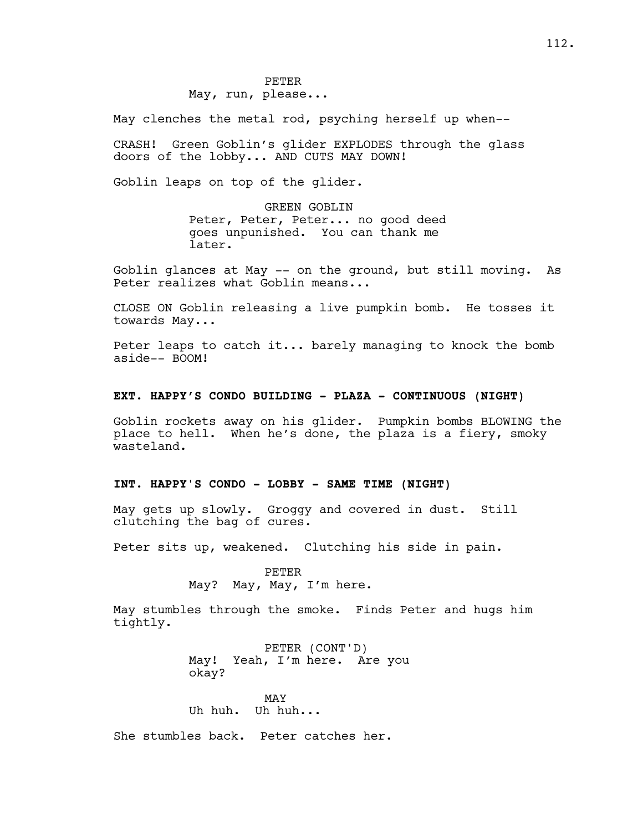May clenches the metal rod, psyching herself up when--

CRASH! Green Goblin's glider EXPLODES through the glass doors of the lobby... AND CUTS MAY DOWN!

Goblin leaps on top of the glider.

GREEN GOBLIN Peter, Peter, Peter... no good deed goes unpunished. You can thank me later.

Goblin glances at May -- on the ground, but still moving. As Peter realizes what Goblin means...

CLOSE ON Goblin releasing a live pumpkin bomb. He tosses it towards May...

Peter leaps to catch it... barely managing to knock the bomb aside-- BOOM!

### **EXT. HAPPY'S CONDO BUILDING - PLAZA - CONTINUOUS (NIGHT)**

Goblin rockets away on his glider. Pumpkin bombs BLOWING the place to hell. When he's done, the plaza is a fiery, smoky wasteland.

# **INT. HAPPY'S CONDO - LOBBY - SAME TIME (NIGHT)**

May gets up slowly. Groggy and covered in dust. Still clutching the bag of cures.

Peter sits up, weakened. Clutching his side in pain.

PETER May? May, May, I'm here.

May stumbles through the smoke. Finds Peter and hugs him tightly.

> PETER (CONT'D) May! Yeah, I'm here. Are you okay?

MAY Uh huh. Uh huh...

She stumbles back. Peter catches her.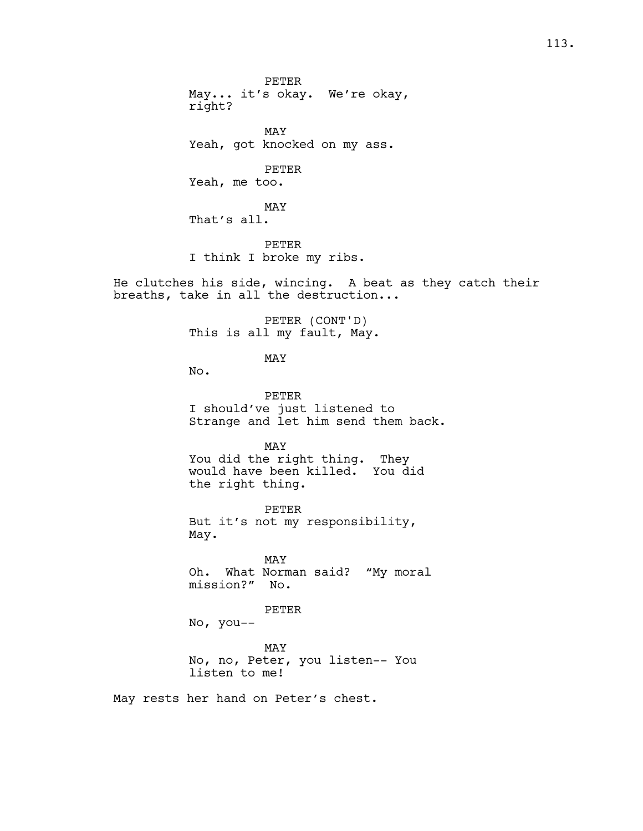PETER May... it's okay. We're okay, right? MAY Yeah, got knocked on my ass. PETER Yeah, me too. MAY That's all. PETER I think I broke my ribs.

He clutches his side, wincing. A beat as they catch their breaths, take in all the destruction...

> PETER (CONT'D) This is all my fault, May.

> > MAY

No.

PETER I should've just listened to Strange and let him send them back.

MAY

You did the right thing. They would have been killed. You did the right thing.

PETER But it's not my responsibility, May.

MAY Oh. What Norman said? "My moral mission?" No.

PETER

No, you--

MAY No, no, Peter, you listen-- You listen to me!

May rests her hand on Peter's chest.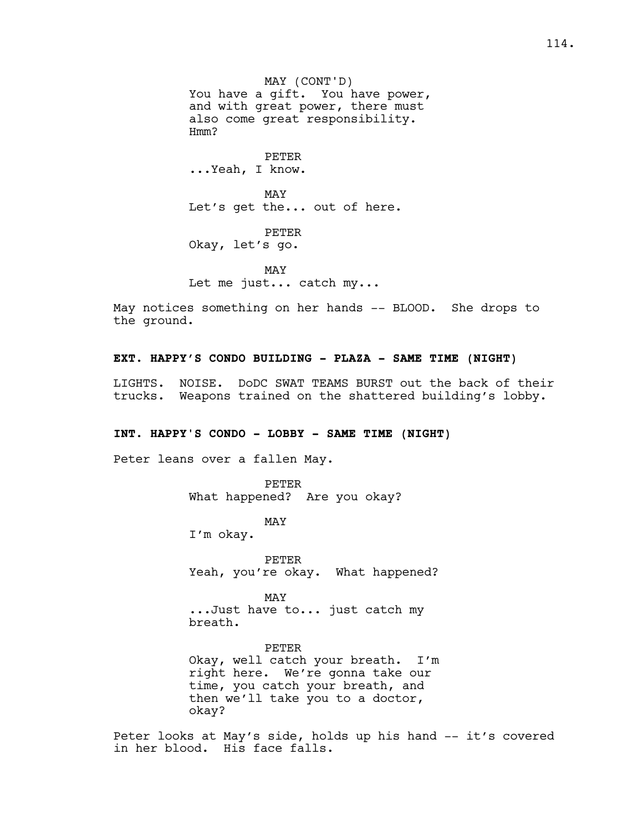PETER ...Yeah, I know.

MAY Let's get the... out of here.

PETER Okay, let's go.

MAY Let me just... catch my...

May notices something on her hands -- BLOOD. She drops to the ground.

# **EXT. HAPPY'S CONDO BUILDING - PLAZA - SAME TIME (NIGHT)**

LIGHTS. NOISE. DoDC SWAT TEAMS BURST out the back of their trucks. Weapons trained on the shattered building's lobby.

#### **INT. HAPPY'S CONDO - LOBBY - SAME TIME (NIGHT)**

Peter leans over a fallen May.

PETER What happened? Are you okay?

MAY

I'm okay.

PETER Yeah, you're okay. What happened?

MAY ...Just have to... just catch my breath.

PETER Okay, well catch your breath. I'm right here. We're gonna take our time, you catch your breath, and then we'll take you to a doctor, okay?

Peter looks at May's side, holds up his hand -- it's covered in her blood. His face falls.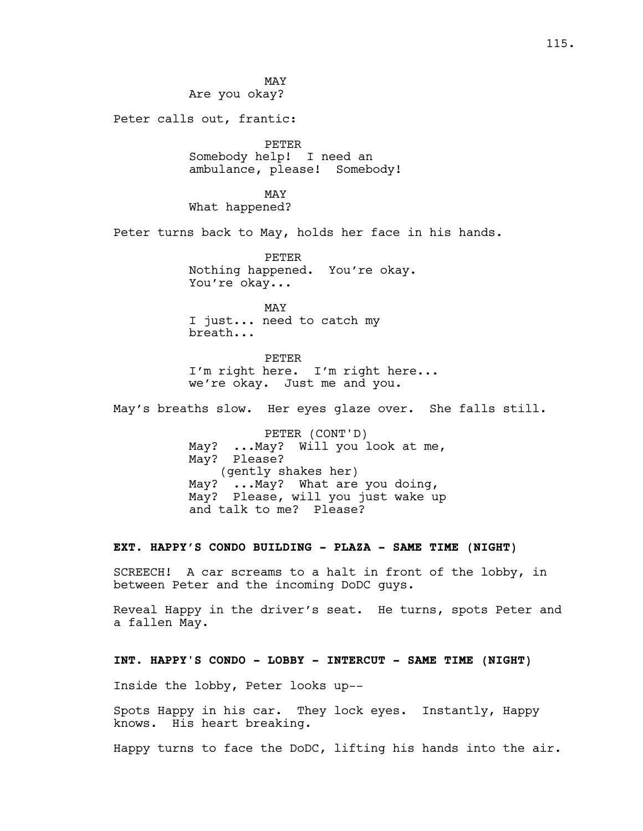MAY Are you okay?

Peter calls out, frantic:

PETER Somebody help! I need an ambulance, please! Somebody!

MAY What happened?

Peter turns back to May, holds her face in his hands.

PETER Nothing happened. You're okay. You're okay...

MAY I just... need to catch my breath...

PETER I'm right here. I'm right here... we're okay. Just me and you.

May's breaths slow. Her eyes glaze over. She falls still.

PETER (CONT'D) May? ...May? Will you look at me, May? Please? (gently shakes her) May? ...May? What are you doing, May? Please, will you just wake up and talk to me? Please?

#### **EXT. HAPPY'S CONDO BUILDING - PLAZA - SAME TIME (NIGHT)**

SCREECH! A car screams to a halt in front of the lobby, in between Peter and the incoming DoDC guys.

Reveal Happy in the driver's seat. He turns, spots Peter and a fallen May.

### **INT. HAPPY'S CONDO - LOBBY - INTERCUT - SAME TIME (NIGHT)**

Inside the lobby, Peter looks up--

Spots Happy in his car. They lock eyes. Instantly, Happy knows. His heart breaking.

Happy turns to face the DoDC, lifting his hands into the air.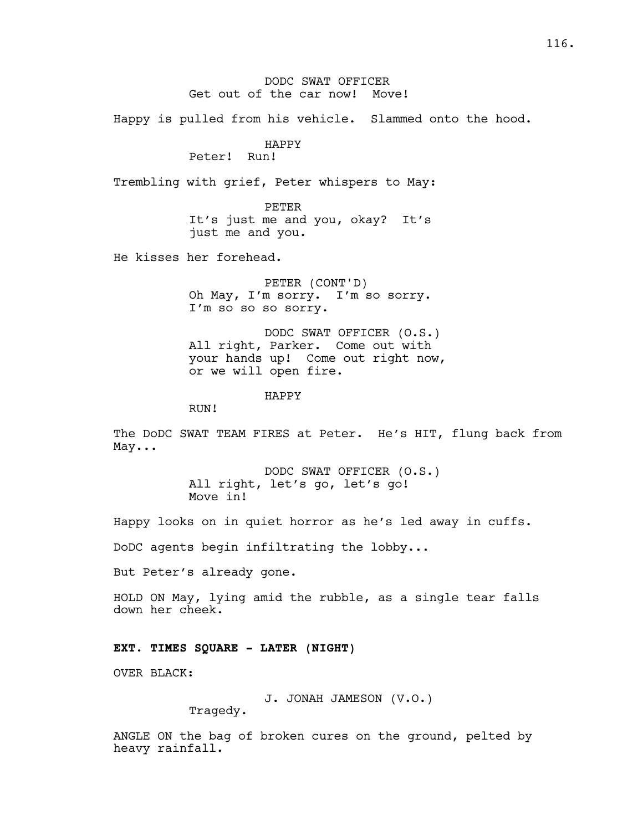DODC SWAT OFFICER Get out of the car now! Move!

Happy is pulled from his vehicle. Slammed onto the hood.

# HAPPY

Peter! Run!

Trembling with grief, Peter whispers to May:

PETER It's just me and you, okay? It's just me and you.

He kisses her forehead.

PETER (CONT'D) Oh May, I'm sorry. I'm so sorry. I'm so so so sorry.

DODC SWAT OFFICER (O.S.) All right, Parker. Come out with your hands up! Come out right now, or we will open fire.

HAPPY

RUN!

The DoDC SWAT TEAM FIRES at Peter. He's HIT, flung back from May...

> DODC SWAT OFFICER (O.S.) All right, let's go, let's go! Move in!

Happy looks on in quiet horror as he's led away in cuffs.

DoDC agents begin infiltrating the lobby...

But Peter's already gone.

HOLD ON May, lying amid the rubble, as a single tear falls down her cheek.

### **EXT. TIMES SQUARE - LATER (NIGHT)**

OVER BLACK:

J. JONAH JAMESON (V.O.)

Tragedy.

ANGLE ON the bag of broken cures on the ground, pelted by heavy rainfall.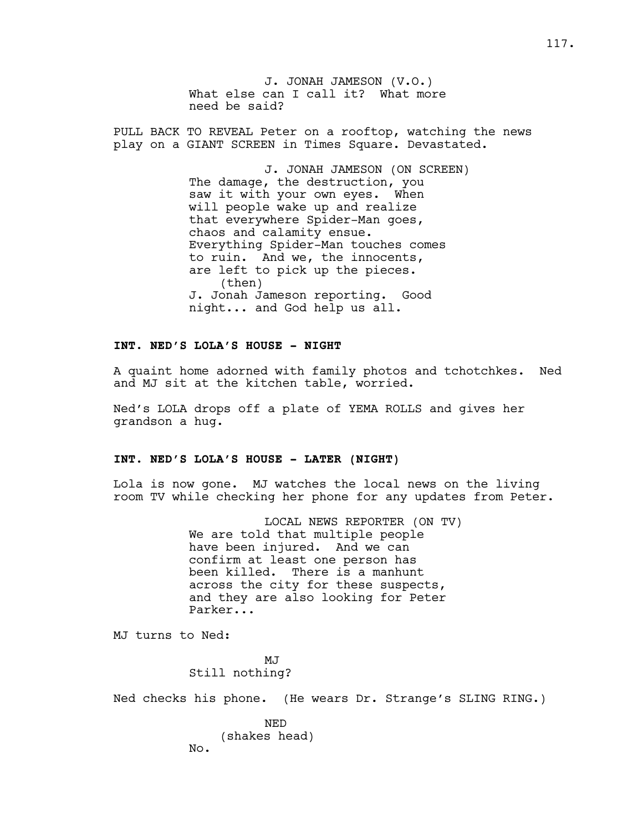J. JONAH JAMESON (V.O.) What else can I call it? What more need be said?

PULL BACK TO REVEAL Peter on a rooftop, watching the news play on a GIANT SCREEN in Times Square. Devastated.

> J. JONAH JAMESON (ON SCREEN) The damage, the destruction, you saw it with your own eyes. When will people wake up and realize that everywhere Spider-Man goes, chaos and calamity ensue. Everything Spider-Man touches comes to ruin. And we, the innocents, are left to pick up the pieces. (then) J. Jonah Jameson reporting. Good night... and God help us all.

# **INT. NED'S LOLA'S HOUSE - NIGHT**

A quaint home adorned with family photos and tchotchkes. Ned and MJ sit at the kitchen table, worried.

Ned's LOLA drops off a plate of YEMA ROLLS and gives her grandson a hug.

## **INT. NED'S LOLA'S HOUSE - LATER (NIGHT)**

Lola is now gone. MJ watches the local news on the living room TV while checking her phone for any updates from Peter.

> LOCAL NEWS REPORTER (ON TV) We are told that multiple people have been injured. And we can confirm at least one person has been killed. There is a manhunt across the city for these suspects, and they are also looking for Peter Parker...

MJ turns to Ned:

No.

MJ Still nothing?

Ned checks his phone. (He wears Dr. Strange's SLING RING.)

NED (shakes head)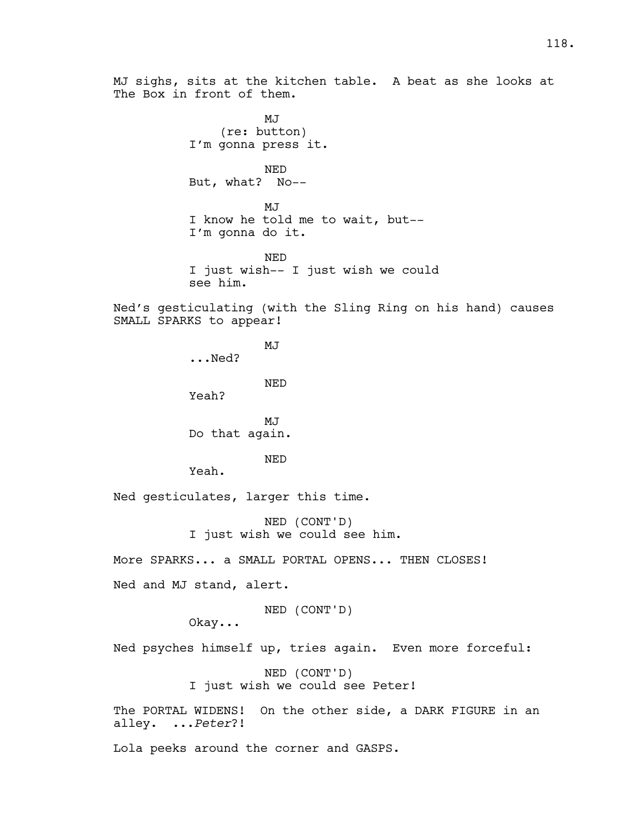MJ (re: button) I'm gonna press it. NED But, what? No-- MJ I know he told me to wait, but-- I'm gonna do it. NED I just wish-- I just wish we could see him. Ned's gesticulating (with the Sling Ring on his hand) causes SMALL SPARKS to appear! MJ ...Ned? NED Yeah? MJ Do that again. NED

Yeah.

The Box in front of them.

Ned gesticulates, larger this time.

NED (CONT'D) I just wish we could see him.

More SPARKS... a SMALL PORTAL OPENS... THEN CLOSES!

Ned and MJ stand, alert.

## NED (CONT'D)

Okay...

Ned psyches himself up, tries again. Even more forceful:

NED (CONT'D) I just wish we could see Peter!

The PORTAL WIDENS! On the other side, a DARK FIGURE in an alley. ...*Peter*?!

Lola peeks around the corner and GASPS.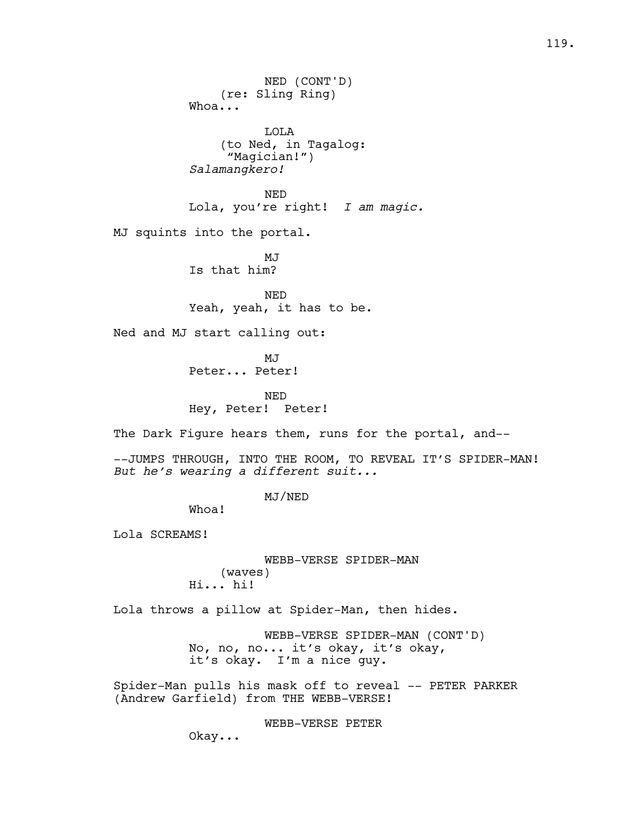NED (CONT'D) (re: Sling Ring) Whoa... LOLA (to Ned, in Tagalog: "Magician!") *Salamangkero!*  NED Lola, you're right! *I am magic.*  MJ squints into the portal. MJ Is that him? NED Yeah, yeah, it has to be. Ned and MJ start calling out: MJ Peter... Peter! NED Hey, Peter! Peter! The Dark Figure hears them, runs for the portal, and----JUMPS THROUGH, INTO THE ROOM, TO REVEAL IT'S SPIDER-MAN! *But he's wearing a different suit...* MJ/NED Whoa! Lola SCREAMS! WEBB-VERSE SPIDER-MAN (waves) Hi... hi! Lola throws a pillow at Spider-Man, then hides. WEBB-VERSE SPIDER-MAN (CONT'D) No, no, no... it's okay, it's okay, it's okay. I'm a nice guy. Spider-Man pulls his mask off to reveal -- PETER PARKER (Andrew Garfield) from THE WEBB-VERSE! WEBB-VERSE PETER Okay...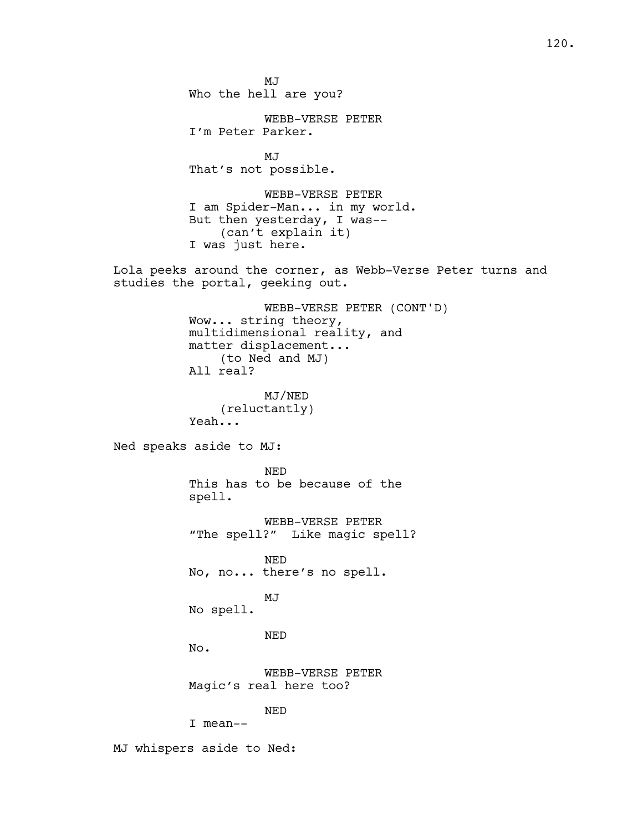120.

MJ Who the hell are you?

WEBB-VERSE PETER I'm Peter Parker.

MJ That's not possible.

WEBB-VERSE PETER I am Spider-Man... in my world. But then yesterday, I was-- (can't explain it) I was just here.

Lola peeks around the corner, as Webb-Verse Peter turns and studies the portal, geeking out.

> WEBB-VERSE PETER (CONT'D) Wow... string theory, multidimensional reality, and matter displacement... (to Ned and MJ) All real?

MJ/NED (reluctantly) Yeah...

Ned speaks aside to MJ:

NED This has to be because of the spell.

WEBB-VERSE PETER "The spell?" Like magic spell?

NED No, no... there's no spell.

No spell.

NED

MJ

No.

WEBB-VERSE PETER Magic's real here too?

NED

I mean--

MJ whispers aside to Ned: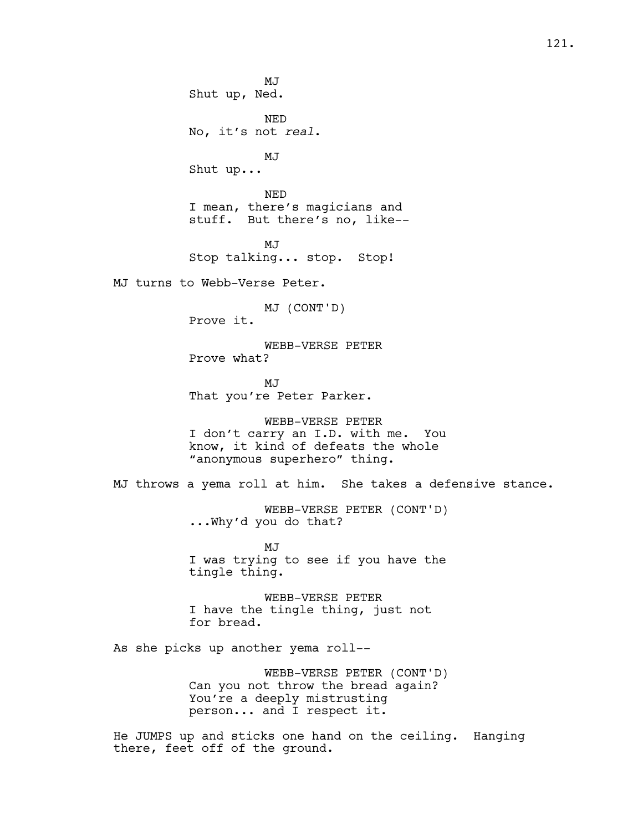MJ Shut up, Ned. NED No, it's not *real*. MJ Shut up... NED I mean, there's magicians and stuff. But there's no, like-- MJ Stop talking... stop. Stop! MJ turns to Webb-Verse Peter. MJ (CONT'D) Prove it. WEBB-VERSE PETER Prove what? MJ That you're Peter Parker. WEBB-VERSE PETER I don't carry an I.D. with me. You know, it kind of defeats the whole "anonymous superhero" thing. MJ throws a yema roll at him. She takes a defensive stance. WEBB-VERSE PETER (CONT'D) ...Why'd you do that? MJ I was trying to see if you have the tingle thing. WEBB-VERSE PETER I have the tingle thing, just not for bread. As she picks up another yema roll-- WEBB-VERSE PETER (CONT'D) Can you not throw the bread again? You're a deeply mistrusting person... and I respect it. He JUMPS up and sticks one hand on the ceiling. Hanging

there, feet off of the ground.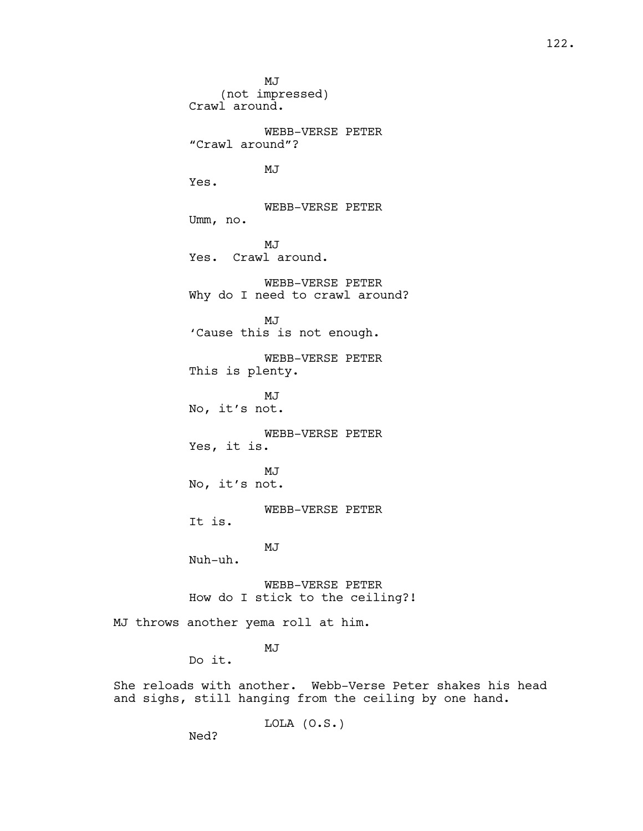MJ (not impressed) Crawl around. WEBB-VERSE PETER "Crawl around"? MJ Yes. WEBB-VERSE PETER Umm, no. MJ Yes. Crawl around. WEBB-VERSE PETER Why do I need to crawl around? MJ 'Cause this is not enough. WEBB-VERSE PETER This is plenty. MJ No, it's not. WEBB-VERSE PETER Yes, it is. MJ No, it's not. WEBB-VERSE PETER It is. MJ Nuh-uh. WEBB-VERSE PETER How do I stick to the ceiling?! MJ throws another yema roll at him.

Do it.

MJ

She reloads with another. Webb-Verse Peter shakes his head and sighs, still hanging from the ceiling by one hand.

LOLA (O.S.)

Ned?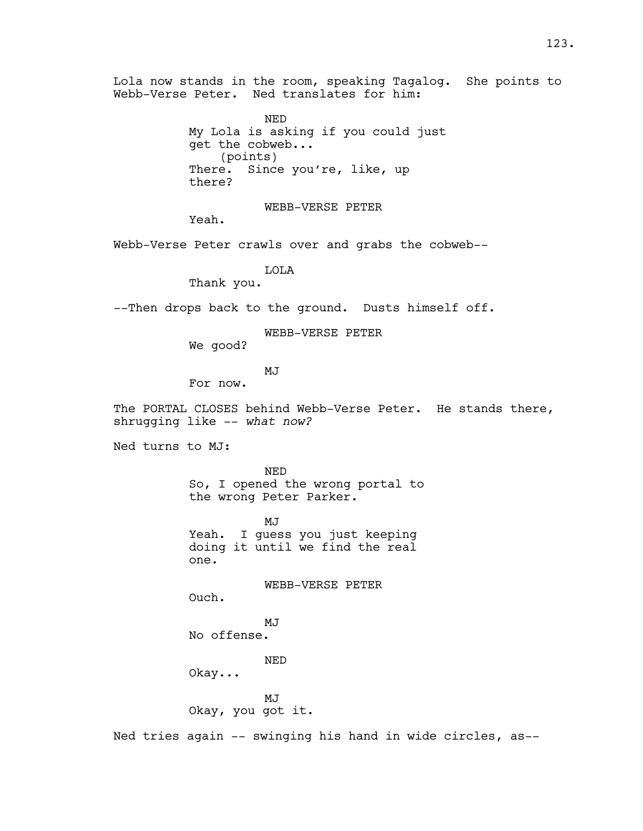Lola now stands in the room, speaking Tagalog. She points to Webb-Verse Peter. Ned translates for him:

> NED My Lola is asking if you could just get the cobweb... (points) There. Since you're, like, up there?

> > WEBB-VERSE PETER

Yeah.

Webb-Verse Peter crawls over and grabs the cobweb--

LOLA

Thank you.

--Then drops back to the ground. Dusts himself off.

WEBB-VERSE PETER

We good?

MJ

For now.

The PORTAL CLOSES behind Webb-Verse Peter. He stands there, shrugging like -- *what now?*

Ned turns to MJ:

NED So, I opened the wrong portal to the wrong Peter Parker.

**MJ** Yeah. I guess you just keeping doing it until we find the real one.

WEBB-VERSE PETER

Ouch.

MJ No offense.

NED

Okay...

MJ

Okay, you got it.

Ned tries again -- swinging his hand in wide circles, as--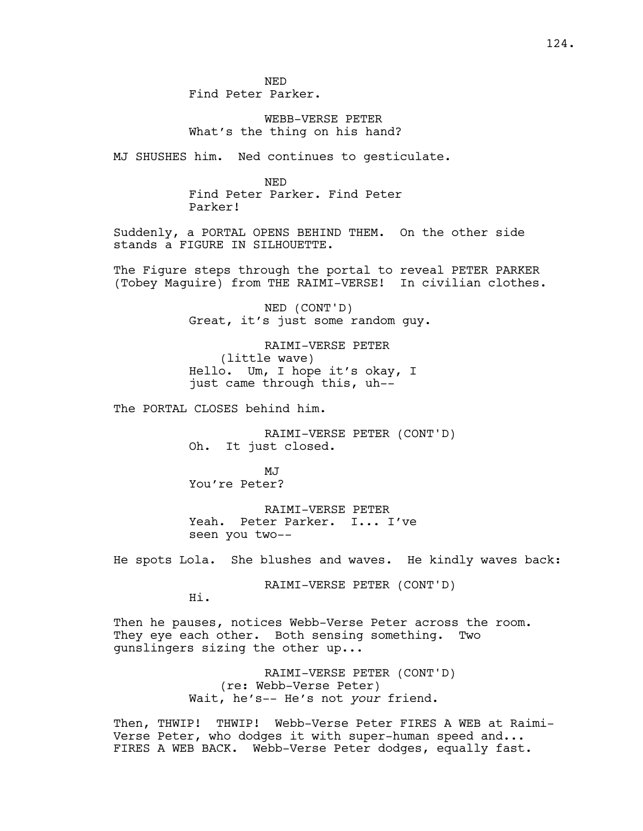NED Find Peter Parker.

WEBB-VERSE PETER What's the thing on his hand?

MJ SHUSHES him. Ned continues to gesticulate.

NED Find Peter Parker. Find Peter Parker!

Suddenly, a PORTAL OPENS BEHIND THEM. On the other side stands a FIGURE IN SILHOUETTE.

The Figure steps through the portal to reveal PETER PARKER (Tobey Maguire) from THE RAIMI-VERSE! In civilian clothes.

> NED (CONT'D) Great, it's just some random guy.

RAIMI-VERSE PETER (little wave) Hello. Um, I hope it's okay, I just came through this, uh--

The PORTAL CLOSES behind him.

RAIMI-VERSE PETER (CONT'D) Oh. It just closed.

MJ You're Peter?

RAIMI-VERSE PETER Yeah. Peter Parker. I... I've seen you two--

He spots Lola. She blushes and waves. He kindly waves back:

RAIMI-VERSE PETER (CONT'D)

Hi.

Then he pauses, notices Webb-Verse Peter across the room. They eye each other. Both sensing something. Two gunslingers sizing the other up...

> RAIMI-VERSE PETER (CONT'D) (re: Webb-Verse Peter) Wait, he's-- He's not *your* friend.

Then, THWIP! THWIP! Webb-Verse Peter FIRES A WEB at Raimi-Verse Peter, who dodges it with super-human speed and... FIRES A WEB BACK. Webb-Verse Peter dodges, equally fast.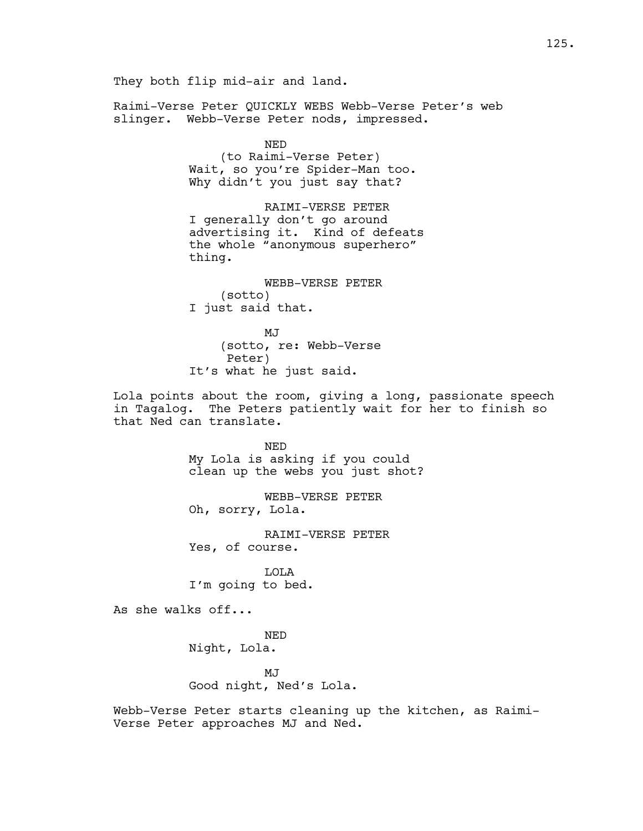They both flip mid-air and land. Raimi-Verse Peter QUICKLY WEBS Webb-Verse Peter's web slinger. Webb-Verse Peter nods, impressed. NED (to Raimi-Verse Peter) Wait, so you're Spider-Man too. Why didn't you just say that? RAIMI-VERSE PETER I generally don't go around advertising it. Kind of defeats the whole "anonymous superhero" thing. WEBB-VERSE PETER (sotto) I just said that. MJ (sotto, re: Webb-Verse Peter) It's what he just said. Lola points about the room, giving a long, passionate speech in Tagalog. The Peters patiently wait for her to finish so that Ned can translate. NED My Lola is asking if you could clean up the webs you just shot? WEBB-VERSE PETER Oh, sorry, Lola. RAIMI-VERSE PETER Yes, of course. LOLA I'm going to bed. As she walks off... NED Night, Lola. MJ Good night, Ned's Lola.

Webb-Verse Peter starts cleaning up the kitchen, as Raimi-Verse Peter approaches MJ and Ned.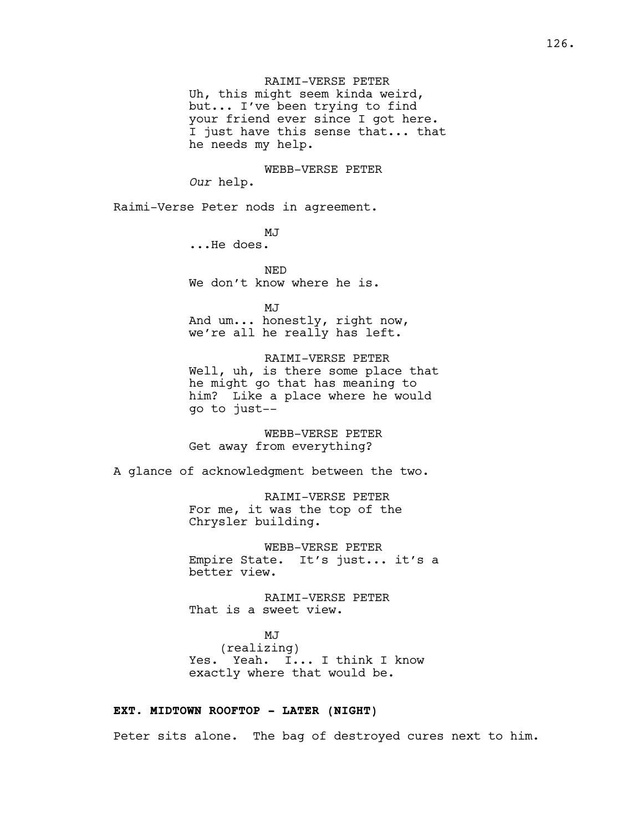RAIMI-VERSE PETER Uh, this might seem kinda weird, but... I've been trying to find your friend ever since I got here. I just have this sense that... that he needs my help.

WEBB-VERSE PETER *Our* help.

Raimi-Verse Peter nods in agreement.

MJ ...He does.

NED We don't know where he is.

MJ And um... honestly, right now, we're all he really has left.

RAIMI-VERSE PETER Well, uh, is there some place that he might go that has meaning to him? Like a place where he would go to just--

WEBB-VERSE PETER Get away from everything?

A glance of acknowledgment between the two.

RAIMI-VERSE PETER For me, it was the top of the Chrysler building.

WEBB-VERSE PETER Empire State. It's just... it's a better view.

RAIMI-VERSE PETER That is a sweet view.

MJ (realizing) Yes. Yeah. I... I think I know exactly where that would be.

### **EXT. MIDTOWN ROOFTOP - LATER (NIGHT)**

Peter sits alone. The bag of destroyed cures next to him.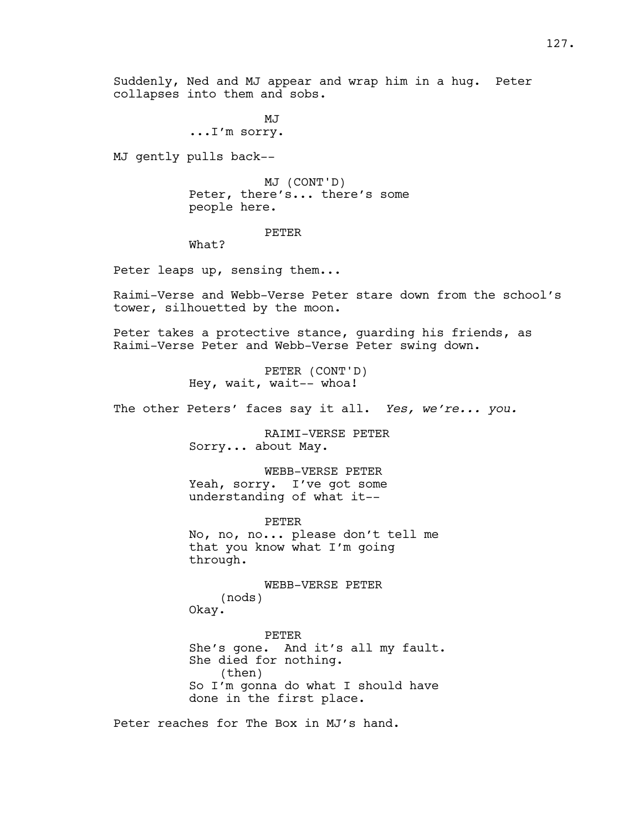Suddenly, Ned and MJ appear and wrap him in a hug. Peter collapses into them and sobs.

> MJ ...I'm sorry.

MJ gently pulls back--

MJ (CONT'D) Peter, there's... there's some people here.

#### PETER

What?

Peter leaps up, sensing them...

Raimi-Verse and Webb-Verse Peter stare down from the school's tower, silhouetted by the moon.

Peter takes a protective stance, guarding his friends, as Raimi-Verse Peter and Webb-Verse Peter swing down.

> PETER (CONT'D) Hey, wait, wait-- whoa!

The other Peters' faces say it all. *Yes, we're... you.*

RAIMI-VERSE PETER Sorry... about May.

WEBB-VERSE PETER Yeah, sorry. I've got some understanding of what it--

PETER No, no, no... please don't tell me that you know what I'm going through.

WEBB-VERSE PETER (nods) Okay.

PETER She's gone. And it's all my fault. She died for nothing. (then) So I'm gonna do what I should have done in the first place.

Peter reaches for The Box in MJ's hand.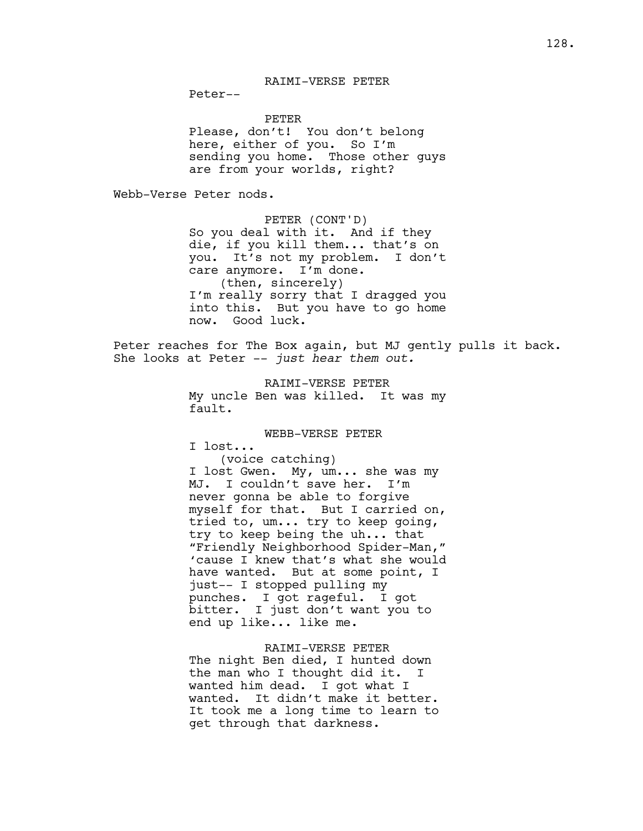# RAIMI-VERSE PETER

Peter--

PETER

Please, don't! You don't belong here, either of you. So I'm sending you home. Those other guys are from your worlds, right?

Webb-Verse Peter nods.

PETER (CONT'D) So you deal with it. And if they die, if you kill them... that's on you. It's not my problem. I don't care anymore. I'm done. (then, sincerely) I'm really sorry that I dragged you into this. But you have to go home now. Good luck.

Peter reaches for The Box again, but MJ gently pulls it back. She looks at Peter -- *just hear them out.* 

> RAIMI-VERSE PETER My uncle Ben was killed. It was my fault.

#### WEBB-VERSE PETER

I lost...

(voice catching) I lost Gwen. My, um... she was my MJ. I couldn't save her. I'm never gonna be able to forgive myself for that. But I carried on, tried to, um... try to keep going, try to keep being the uh... that "Friendly Neighborhood Spider-Man," 'cause I knew that's what she would have wanted. But at some point, I just-- I stopped pulling my punches. I got rageful. I got bitter. I just don't want you to end up like... like me.

RAIMI-VERSE PETER The night Ben died, I hunted down the man who I thought did it. I wanted him dead. I got what I wanted. It didn't make it better. It took me a long time to learn to get through that darkness.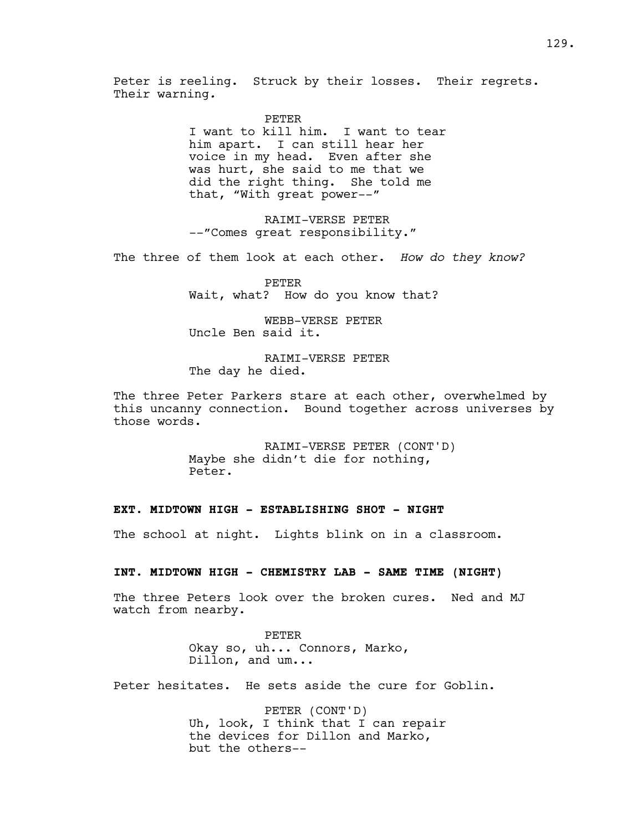Peter is reeling. Struck by their losses. Their regrets. Their warning*.*

#### PETER

I want to kill him. I want to tear him apart. I can still hear her voice in my head. Even after she was hurt, she said to me that we did the right thing. She told me that, "With great power--"

RAIMI-VERSE PETER --"Comes great responsibility."

The three of them look at each other. *How do they know?*

PETER Wait, what? How do you know that?

WEBB-VERSE PETER Uncle Ben said it.

RAIMI-VERSE PETER The day he died.

The three Peter Parkers stare at each other, overwhelmed by this uncanny connection. Bound together across universes by those words.

> RAIMI-VERSE PETER (CONT'D) Maybe she didn't die for nothing, Peter.

# **EXT. MIDTOWN HIGH - ESTABLISHING SHOT - NIGHT**

The school at night. Lights blink on in a classroom.

# **INT. MIDTOWN HIGH - CHEMISTRY LAB - SAME TIME (NIGHT)**

The three Peters look over the broken cures. Ned and MJ watch from nearby.

PETER

Okay so, uh... Connors, Marko, Dillon, and um...

Peter hesitates. He sets aside the cure for Goblin.

PETER (CONT'D) Uh, look, I think that I can repair the devices for Dillon and Marko, but the others--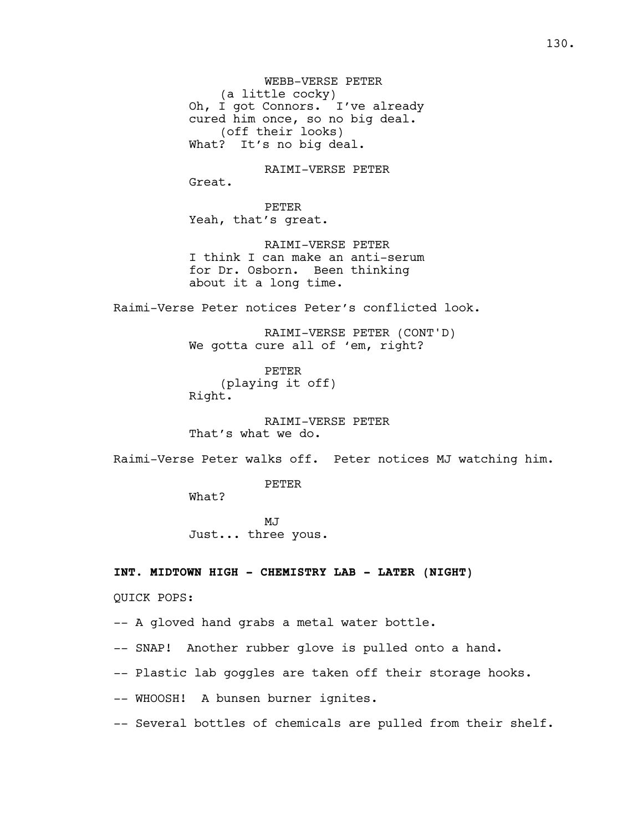WEBB-VERSE PETER (a little cocky) Oh, I got Connors. I've already cured him once, so no big deal. (off their looks) What? It's no big deal.

RAIMI-VERSE PETER

Great. PETER Yeah, that's great.

RAIMI-VERSE PETER I think I can make an anti-serum for Dr. Osborn. Been thinking about it a long time.

Raimi-Verse Peter notices Peter's conflicted look.

RAIMI-VERSE PETER (CONT'D) We gotta cure all of 'em, right?

PETER (playing it off) Right.

RAIMI-VERSE PETER That's what we do.

Raimi-Verse Peter walks off. Peter notices MJ watching him.

PETER

What?

MJ<sub>J</sub> Just... three yous.

**INT. MIDTOWN HIGH - CHEMISTRY LAB - LATER (NIGHT)**

QUICK POPS:

-- A gloved hand grabs a metal water bottle.

-- SNAP! Another rubber glove is pulled onto a hand.

-- Plastic lab goggles are taken off their storage hooks.

-- WHOOSH! A bunsen burner ignites.

-- Several bottles of chemicals are pulled from their shelf.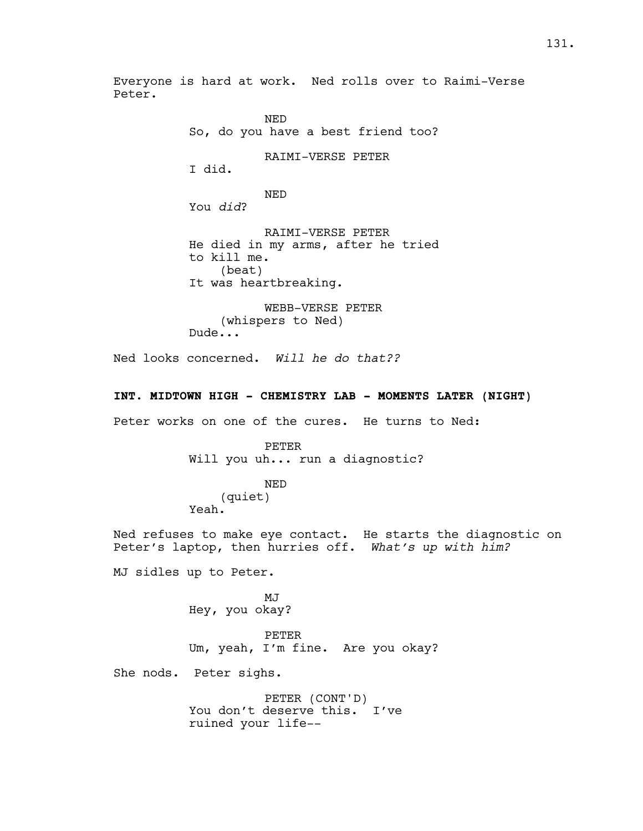Everyone is hard at work. Ned rolls over to Raimi-Verse Peter.

> NED So, do you have a best friend too? RAIMI-VERSE PETER I did. NED You *did*? RAIMI-VERSE PETER He died in my arms, after he tried to kill me. (beat) It was heartbreaking. WEBB-VERSE PETER

(whispers to Ned) Dude...

Ned looks concerned. *Will he do that??*

# **INT. MIDTOWN HIGH - CHEMISTRY LAB - MOMENTS LATER (NIGHT)**

Peter works on one of the cures. He turns to Ned:

PETER Will you uh... run a diagnostic?

NED (quiet) Yeah.

Ned refuses to make eye contact. He starts the diagnostic on Peter's laptop, then hurries off. *What's up with him?* 

MJ sidles up to Peter.

MJ Hey, you okay?

PETER Um, yeah, I'm fine. Are you okay?

She nods. Peter sighs.

PETER (CONT'D) You don't deserve this. I've ruined your life--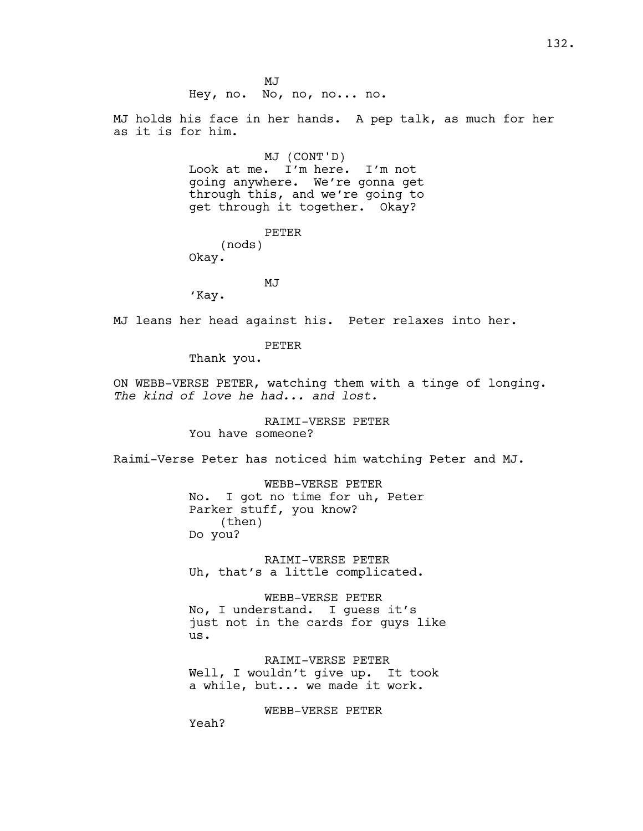MJ Hey, no. No, no, no... no. MJ holds his face in her hands. A pep talk, as much for her as it is for him. MJ (CONT'D) Look at me. I'm here. I'm not going anywhere. We're gonna get through this, and we're going to get through it together. Okay? PETER (nods) Okay. MJ 'Kay. MJ leans her head against his. Peter relaxes into her. PETER Thank you. ON WEBB-VERSE PETER, watching them with a tinge of longing. *The kind of love he had... and lost.* RAIMI-VERSE PETER You have someone? Raimi-Verse Peter has noticed him watching Peter and MJ. WEBB-VERSE PETER No. I got no time for uh, Peter Parker stuff, you know? (then) Do you? RAIMI-VERSE PETER Uh, that's a little complicated. WEBB-VERSE PETER No, I understand. I guess it's just not in the cards for guys like us. RAIMI-VERSE PETER Well, I wouldn't give up. It took a while, but... we made it work. WEBB-VERSE PETER Yeah?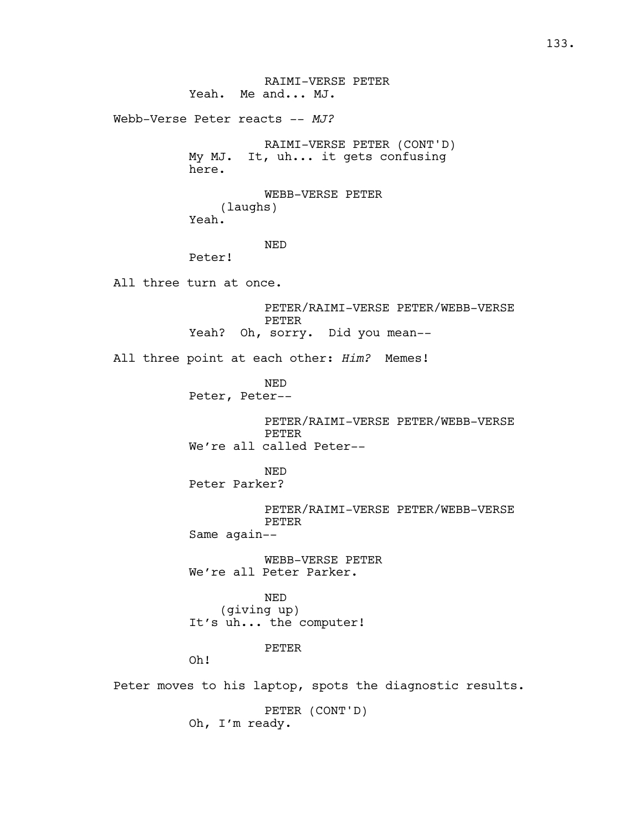RAIMI-VERSE PETER Yeah. Me and... MJ. Webb-Verse Peter reacts --  $MJ$ ? RAIMI-VERSE PETER (CONT'D) My MJ. It, uh... it gets confusing here. WEBB-VERSE PETER (laughs) Yeah. NED Peter! All three turn at once. PETER/RAIMI-VERSE PETER/WEBB-VERSE PETER Yeah? Oh, sorry. Did you mean-- All three point at each other: *Him?* Memes! NED Peter, Peter-- PETER/RAIMI-VERSE PETER/WEBB-VERSE PETER We're all called Peter-- NED Peter Parker? PETER/RAIMI-VERSE PETER/WEBB-VERSE PETER Same again-- WEBB-VERSE PETER We're all Peter Parker. NED (giving up) It's uh... the computer! PETER Oh! Peter moves to his laptop, spots the diagnostic results. PETER (CONT'D) Oh, I'm ready.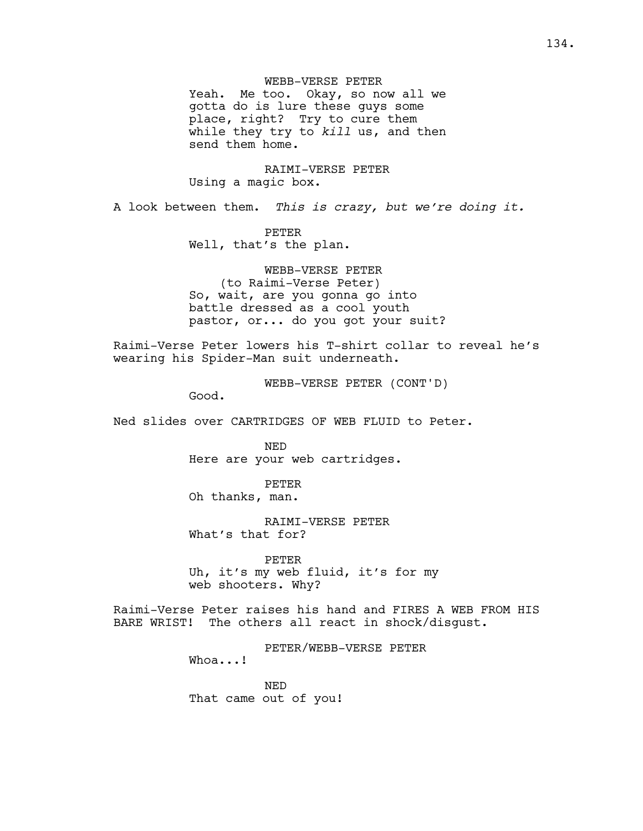WEBB-VERSE PETER Yeah. Me too. Okay, so now all we gotta do is lure these guys some place, right? Try to cure them while they try to *kill* us, and then send them home.

RAIMI-VERSE PETER Using a magic box.

A look between them. *This is crazy, but we're doing it.* 

PETER Well, that's the plan.

WEBB-VERSE PETER (to Raimi-Verse Peter) So, wait, are you gonna go into battle dressed as a cool youth pastor, or... do you got your suit?

Raimi-Verse Peter lowers his T-shirt collar to reveal he's wearing his Spider-Man suit underneath.

WEBB-VERSE PETER (CONT'D)

Good.

Ned slides over CARTRIDGES OF WEB FLUID to Peter.

NED Here are your web cartridges.

PETER Oh thanks, man.

RAIMI-VERSE PETER What's that for?

PETER Uh, it's my web fluid, it's for my web shooters. Why?

Raimi-Verse Peter raises his hand and FIRES A WEB FROM HIS BARE WRIST! The others all react in shock/disgust.

PETER/WEBB-VERSE PETER

Whoa...!

NED That came out of you!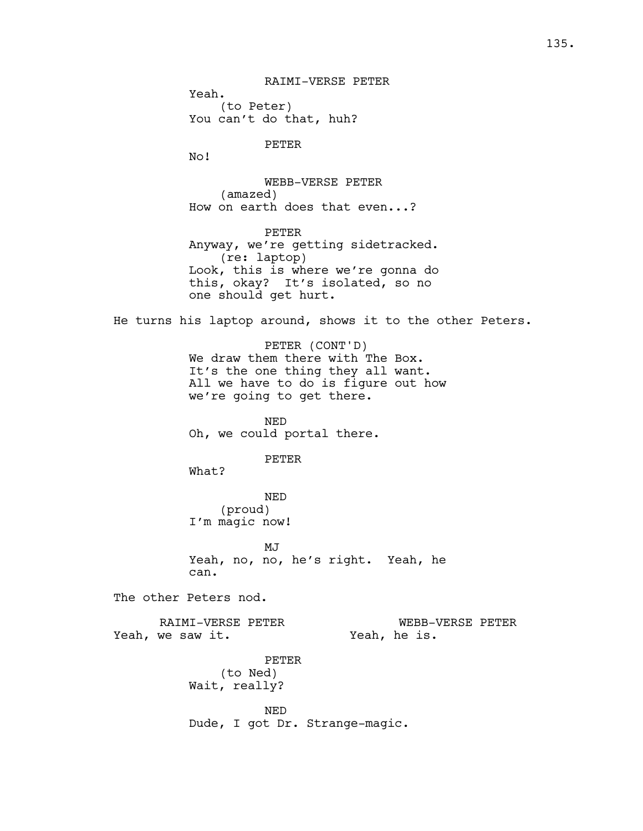Yeah. (to Peter) You can't do that, huh? PETER No! WEBB-VERSE PETER (amazed) How on earth does that even...? PETER Anyway, we're getting sidetracked. (re: laptop) Look, this is where we're gonna do this, okay? It's isolated, so no one should get hurt. He turns his laptop around, shows it to the other Peters. PETER (CONT'D) We draw them there with The Box. It's the one thing they all want. All we have to do is figure out how we're going to get there. NED Oh, we could portal there. PETER What? NED (proud) I'm magic now! MJ<sub>J</sub> Yeah, no, no, he's right. Yeah, he can. The other Peters nod. RAIMI-VERSE PETER Yeah, we saw it. WEBB-VERSE PETER Yeah, he is. PETER (to Ned) Wait, really? NED Dude, I got Dr. Strange-magic.

RAIMI-VERSE PETER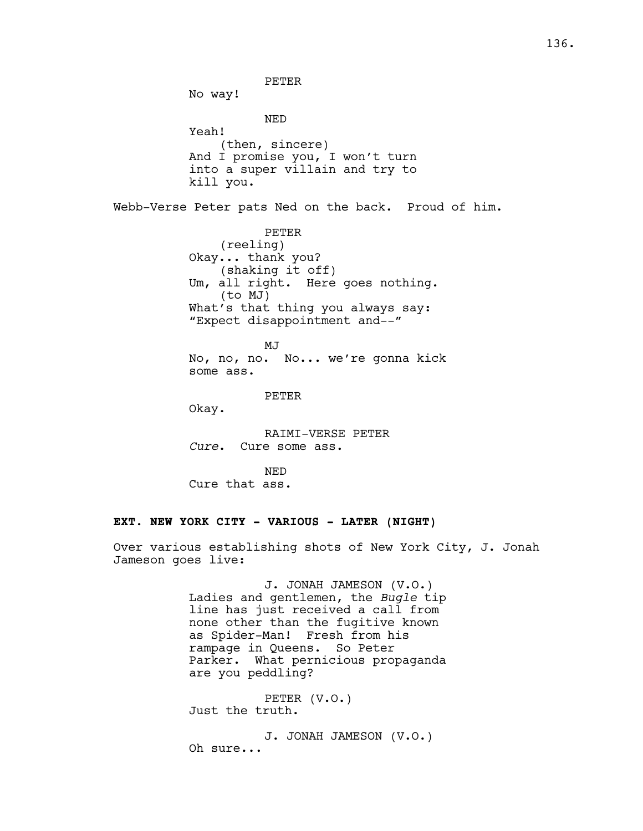PETER No way! NED Yeah! (then, sincere) And I promise you, I won't turn into a super villain and try to kill you. Webb-Verse Peter pats Ned on the back. Proud of him. PETER (reeling) Okay... thank you? (shaking it off) Um, all right. Here goes nothing. (to MJ) What's that thing you always say: "Expect disappointment and--" MJ No, no, no. No... we're gonna kick some ass. PETER Okay. RAIMI-VERSE PETER *Cure*. Cure some ass. NED Cure that ass. **EXT. NEW YORK CITY - VARIOUS - LATER (NIGHT)**

Over various establishing shots of New York City, J. Jonah Jameson goes live:

> J. JONAH JAMESON (V.O.) Ladies and gentlemen, the *Bugle* tip line has just received a call from none other than the fugitive known as Spider-Man! Fresh from his rampage in Queens. So Peter Parker. What pernicious propaganda are you peddling?

PETER (V.O.) Just the truth.

J. JONAH JAMESON (V.O.) Oh sure...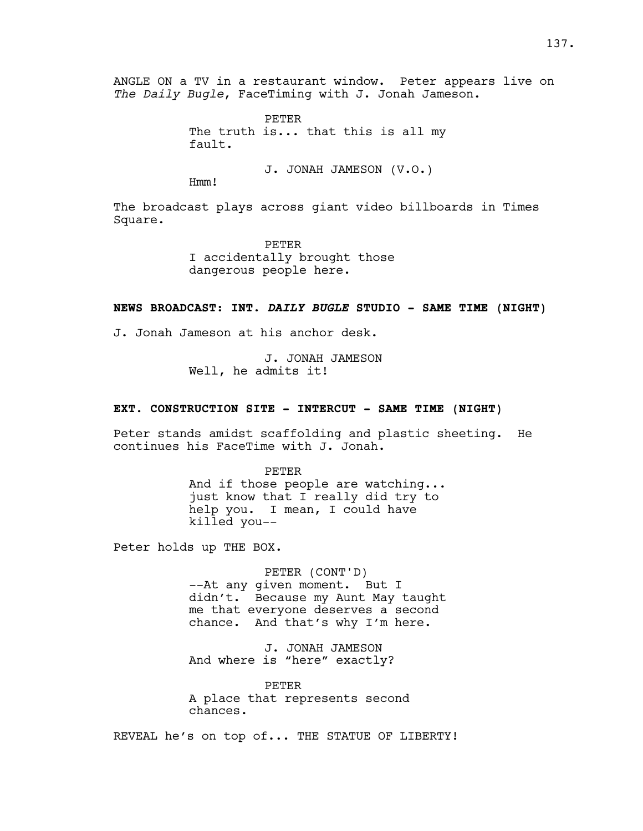ANGLE ON a TV in a restaurant window. Peter appears live on *The Daily Bugle*, FaceTiming with J. Jonah Jameson.

> PETER The truth is... that this is all my fault.

> > J. JONAH JAMESON (V.O.)

Hmm!

The broadcast plays across giant video billboards in Times Square.

> PETER I accidentally brought those dangerous people here.

#### **NEWS BROADCAST: INT.** *DAILY BUGLE* **STUDIO - SAME TIME (NIGHT)**

J. Jonah Jameson at his anchor desk.

J. JONAH JAMESON Well, he admits it!

#### **EXT. CONSTRUCTION SITE - INTERCUT - SAME TIME (NIGHT)**

Peter stands amidst scaffolding and plastic sheeting. He continues his FaceTime with J. Jonah.

> PETER And if those people are watching... just know that I really did try to help you. I mean, I could have killed you--

Peter holds up THE BOX.

PETER (CONT'D) --At any given moment. But I didn't. Because my Aunt May taught me that everyone deserves a second chance. And that's why I'm here.

J. JONAH JAMESON And where is "here" exactly?

PETER A place that represents second chances.

REVEAL he's on top of... THE STATUE OF LIBERTY!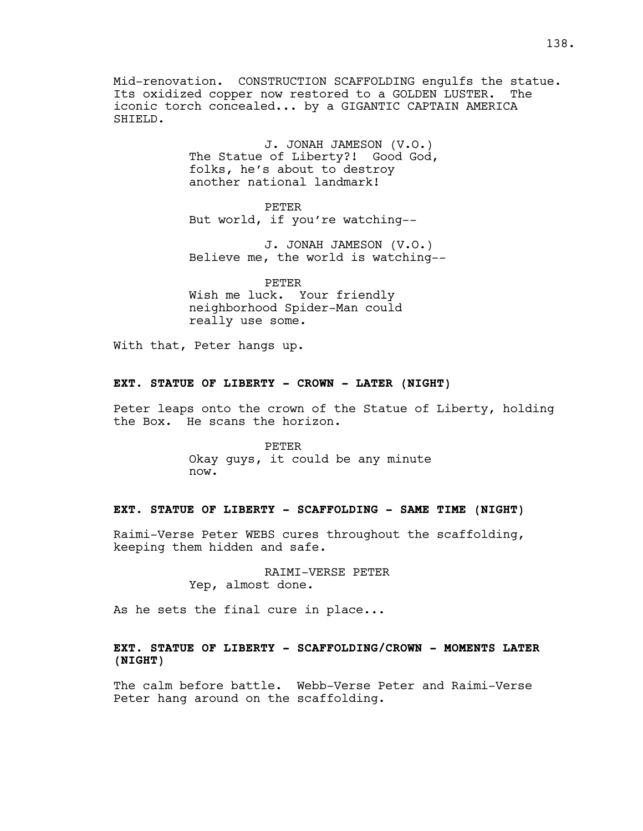Mid-renovation. CONSTRUCTION SCAFFOLDING engulfs the statue. Its oxidized copper now restored to a GOLDEN LUSTER. The iconic torch concealed... by a GIGANTIC CAPTAIN AMERICA SHIELD.

> J. JONAH JAMESON (V.O.) The Statue of Liberty?! Good God, folks, he's about to destroy another national landmark!

PETER But world, if you're watching--

J. JONAH JAMESON (V.O.) Believe me, the world is watching--

PETER Wish me luck. Your friendly neighborhood Spider-Man could really use some.

With that, Peter hangs up.

#### **EXT. STATUE OF LIBERTY - CROWN - LATER (NIGHT)**

Peter leaps onto the crown of the Statue of Liberty, holding the Box. He scans the horizon.

> PETER Okay guys, it could be any minute now.

## **EXT. STATUE OF LIBERTY - SCAFFOLDING - SAME TIME (NIGHT)**

Raimi-Verse Peter WEBS cures throughout the scaffolding, keeping them hidden and safe.

> RAIMI-VERSE PETER Yep, almost done.

As he sets the final cure in place...

# **EXT. STATUE OF LIBERTY - SCAFFOLDING/CROWN - MOMENTS LATER (NIGHT)**

The calm before battle. Webb-Verse Peter and Raimi-Verse Peter hang around on the scaffolding.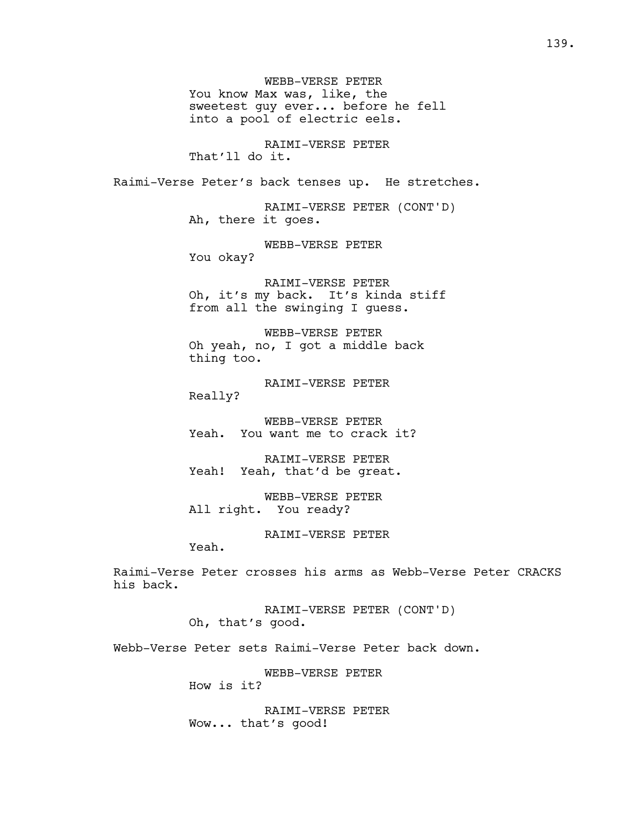WEBB-VERSE PETER You know Max was, like, the sweetest guy ever... before he fell into a pool of electric eels.

RAIMI-VERSE PETER That'll do it.

Raimi-Verse Peter's back tenses up. He stretches.

RAIMI-VERSE PETER (CONT'D) Ah, there it goes.

WEBB-VERSE PETER You okay?

RAIMI-VERSE PETER Oh, it's my back. It's kinda stiff from all the swinging I guess.

WEBB-VERSE PETER Oh yeah, no, I got a middle back thing too.

RAIMI-VERSE PETER Really?

WEBB-VERSE PETER Yeah. You want me to crack it?

RAIMI-VERSE PETER Yeah! Yeah, that'd be great.

WEBB-VERSE PETER All right. You ready?

RAIMI-VERSE PETER

Yeah.

Raimi-Verse Peter crosses his arms as Webb-Verse Peter CRACKS his back.

> RAIMI-VERSE PETER (CONT'D) Oh, that's good.

Webb-Verse Peter sets Raimi-Verse Peter back down.

WEBB-VERSE PETER How is it?

RAIMI-VERSE PETER Wow... that's good!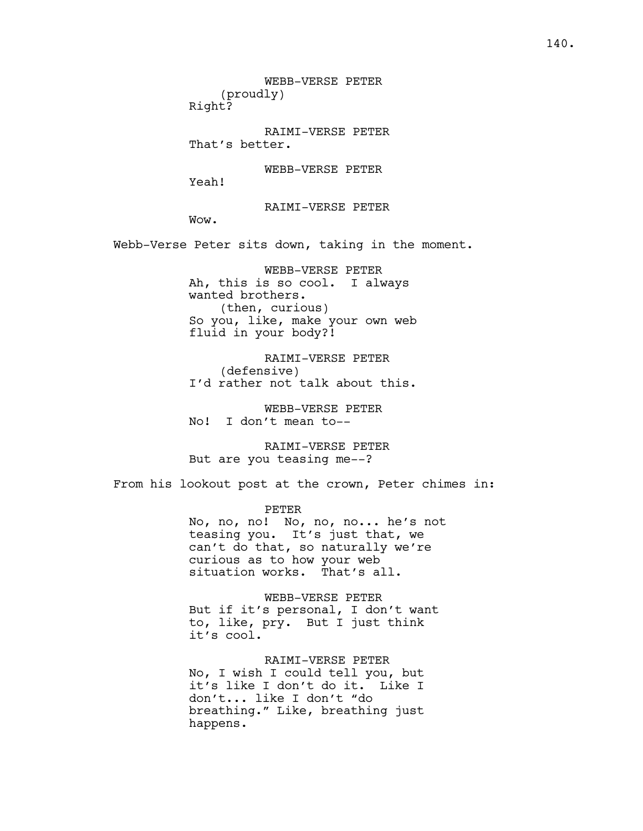WEBB-VERSE PETER (proudly) Right?

RAIMI-VERSE PETER That's better.

WEBB-VERSE PETER

Yeah!

RAIMI-VERSE PETER

Wow.

Webb-Verse Peter sits down, taking in the moment.

WEBB-VERSE PETER Ah, this is so cool. I always wanted brothers. (then, curious) So you, like, make your own web fluid in your body?!

RAIMI-VERSE PETER (defensive) I'd rather not talk about this.

WEBB-VERSE PETER No! I don't mean to--

RAIMI-VERSE PETER But are you teasing me--?

From his lookout post at the crown, Peter chimes in:

PETER No, no, no! No, no, no... he's not teasing you. It's just that, we can't do that, so naturally we're curious as to how your web situation works. That's all.

WEBB-VERSE PETER But if it's personal, I don't want to, like, pry. But I just think it's cool.

RAIMI-VERSE PETER No, I wish I could tell you, but it's like I don't do it. Like I don't... like I don't "do breathing." Like, breathing just happens.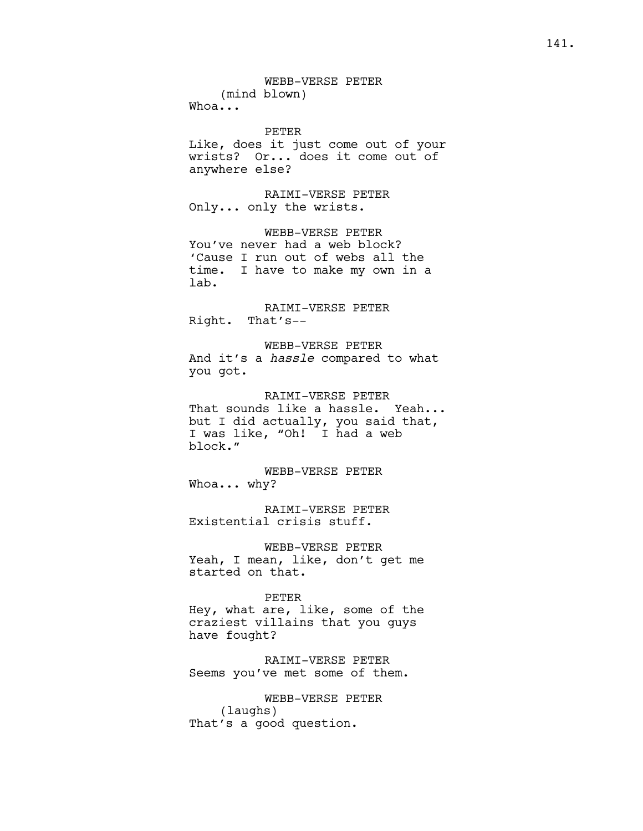PETER Like, does it just come out of your wrists? Or... does it come out of anywhere else?

RAIMI-VERSE PETER Only... only the wrists.

WEBB-VERSE PETER You've never had a web block? 'Cause I run out of webs all the time. I have to make my own in a lab.

RAIMI-VERSE PETER Right. That's--

WEBB-VERSE PETER And it's a *hassle* compared to what you got.

RAIMI-VERSE PETER That sounds like a hassle. Yeah... but I did actually, you said that, I was like, "Oh! I had a web block."

WEBB-VERSE PETER Whoa... why?

RAIMI-VERSE PETER Existential crisis stuff.

WEBB-VERSE PETER Yeah, I mean, like, don't get me started on that.

PETER Hey, what are, like, some of the craziest villains that you guys have fought?

RAIMI-VERSE PETER Seems you've met some of them.

WEBB-VERSE PETER (laughs) That's a good question.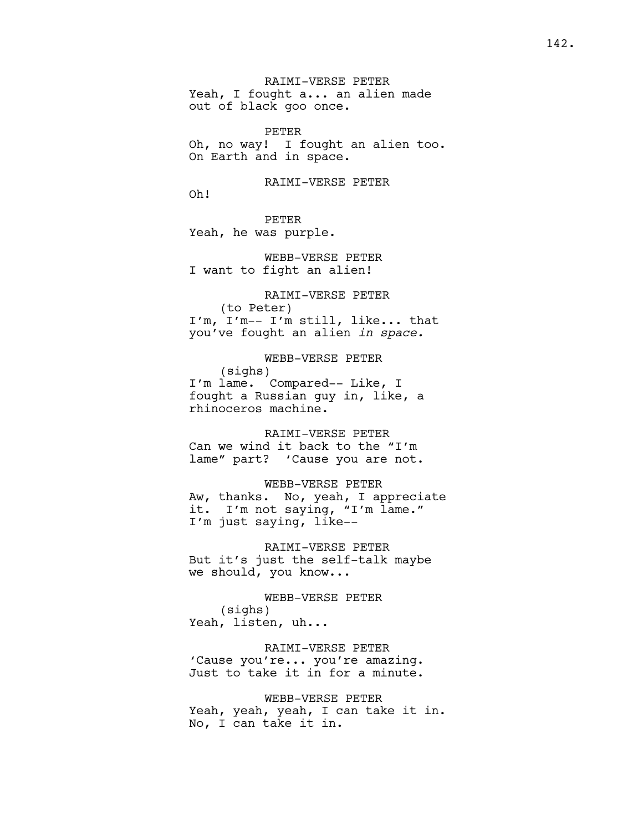RAIMI-VERSE PETER Yeah, I fought a... an alien made out of black goo once.

PETER Oh, no way! I fought an alien too. On Earth and in space.

RAIMI-VERSE PETER

Oh!

PETER Yeah, he was purple.

WEBB-VERSE PETER I want to fight an alien!

RAIMI-VERSE PETER (to Peter) I'm, I'm-- I'm still, like... that you've fought an alien *in space.* 

WEBB-VERSE PETER (sighs) I'm lame. Compared-- Like, I fought a Russian guy in, like, a rhinoceros machine.

RAIMI-VERSE PETER

Can we wind it back to the "I'm lame" part? 'Cause you are not.

WEBB-VERSE PETER

Aw, thanks. No, yeah, I appreciate it. I'm not saying, "I'm lame." I'm just saying, like--

RAIMI-VERSE PETER But it's just the self-talk maybe we should, you know...

WEBB-VERSE PETER (sighs) Yeah, listen, uh...

RAIMI-VERSE PETER 'Cause you're... you're amazing. Just to take it in for a minute.

WEBB-VERSE PETER Yeah, yeah, yeah, I can take it in. No, I can take it in.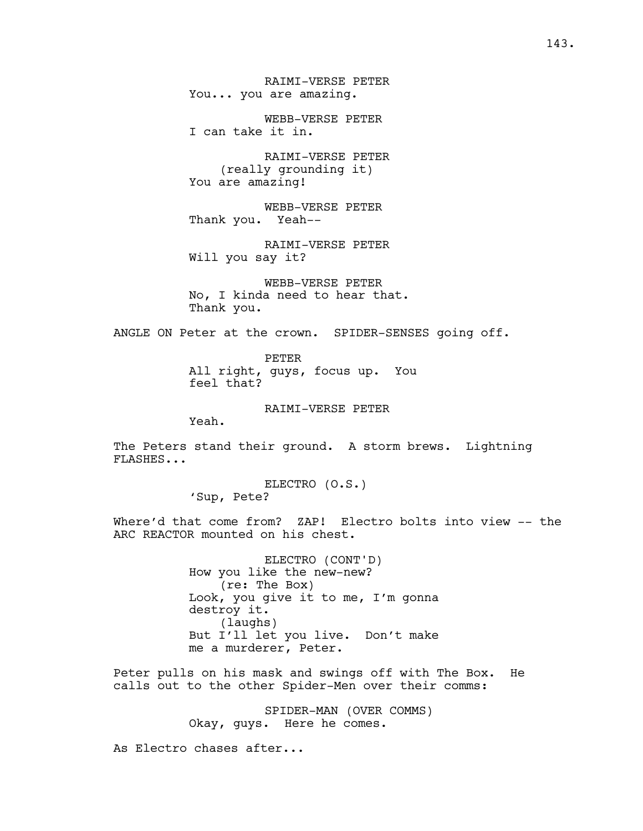WEBB-VERSE PETER I can take it in.

RAIMI-VERSE PETER (really grounding it) You are amazing!

WEBB-VERSE PETER Thank you. Yeah--

RAIMI-VERSE PETER Will you say it?

WEBB-VERSE PETER No, I kinda need to hear that. Thank you.

ANGLE ON Peter at the crown. SPIDER-SENSES going off.

PETER All right, guys, focus up. You feel that?

RAIMI-VERSE PETER

Yeah.

The Peters stand their ground. A storm brews. Lightning FLASHES...

> ELECTRO (O.S.) 'Sup, Pete?

Where'd that come from? ZAP! Electro bolts into view -- the ARC REACTOR mounted on his chest.

> ELECTRO (CONT'D) How you like the new-new? (re: The Box) Look, you give it to me, I'm gonna destroy it. (laughs) But I'll let you live. Don't make me a murderer, Peter.

Peter pulls on his mask and swings off with The Box. He calls out to the other Spider-Men over their comms:

> SPIDER-MAN (OVER COMMS) Okay, guys. Here he comes.

As Electro chases after...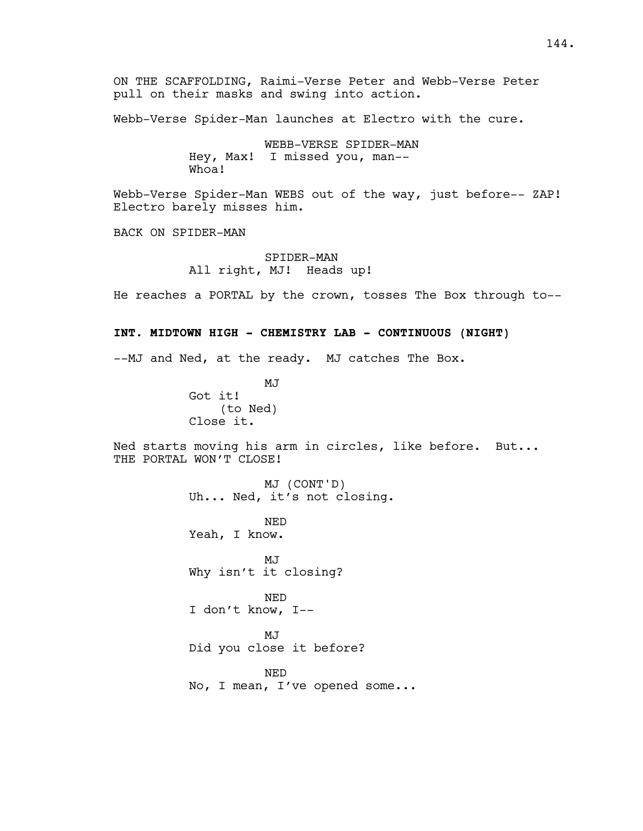ON THE SCAFFOLDING, Raimi-Verse Peter and Webb-Verse Peter pull on their masks and swing into action.

Webb-Verse Spider-Man launches at Electro with the cure.

WEBB-VERSE SPIDER-MAN Hey, Max! I missed you, man-- Whoa!

Webb-Verse Spider-Man WEBS out of the way, just before-- ZAP! Electro barely misses him.

BACK ON SPIDER-MAN

SPIDER-MAN All right, MJ! Heads up!

He reaches a PORTAL by the crown, tosses The Box through to--

## **INT. MIDTOWN HIGH - CHEMISTRY LAB - CONTINUOUS (NIGHT)**

--MJ and Ned, at the ready. MJ catches The Box.

MJ Got it! (to Ned) Close it.

Ned starts moving his arm in circles, like before. But... THE PORTAL WON'T CLOSE!

> MJ (CONT'D) Uh... Ned, it's not closing.

NED Yeah, I know.

MJ Why isn't it closing?

NED I don't know, I--

MJ Did you close it before?

NED No, I mean, I've opened some...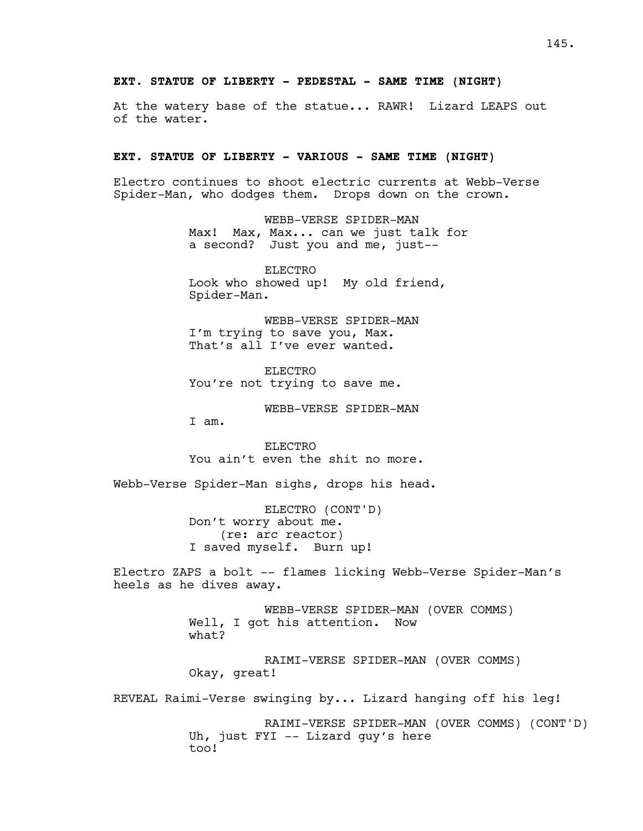# **EXT. STATUE OF LIBERTY - PEDESTAL - SAME TIME (NIGHT)**

At the watery base of the statue... RAWR! Lizard LEAPS out of the water.

# **EXT. STATUE OF LIBERTY - VARIOUS - SAME TIME (NIGHT)**

Electro continues to shoot electric currents at Webb-Verse Spider-Man, who dodges them. Drops down on the crown.

> WEBB-VERSE SPIDER-MAN Max! Max, Max... can we just talk for a second? Just you and me, just--

ELECTRO Look who showed up! My old friend, Spider-Man.

WEBB-VERSE SPIDER-MAN I'm trying to save you, Max. That's all I've ever wanted.

ELECTRO You're not trying to save me.

WEBB-VERSE SPIDER-MAN

I am.

ELECTRO You ain't even the shit no more.

Webb-Verse Spider-Man sighs, drops his head.

ELECTRO (CONT'D) Don't worry about me. (re: arc reactor) I saved myself. Burn up!

Electro ZAPS a bolt -- flames licking Webb-Verse Spider-Man's heels as he dives away.

> WEBB-VERSE SPIDER-MAN (OVER COMMS) Well, I got his attention. Now what?

RAIMI-VERSE SPIDER-MAN (OVER COMMS) Okay, great!

REVEAL Raimi-Verse swinging by... Lizard hanging off his leg!

RAIMI-VERSE SPIDER-MAN (OVER COMMS) (CONT'D) Uh, just FYI -- Lizard guy's here too!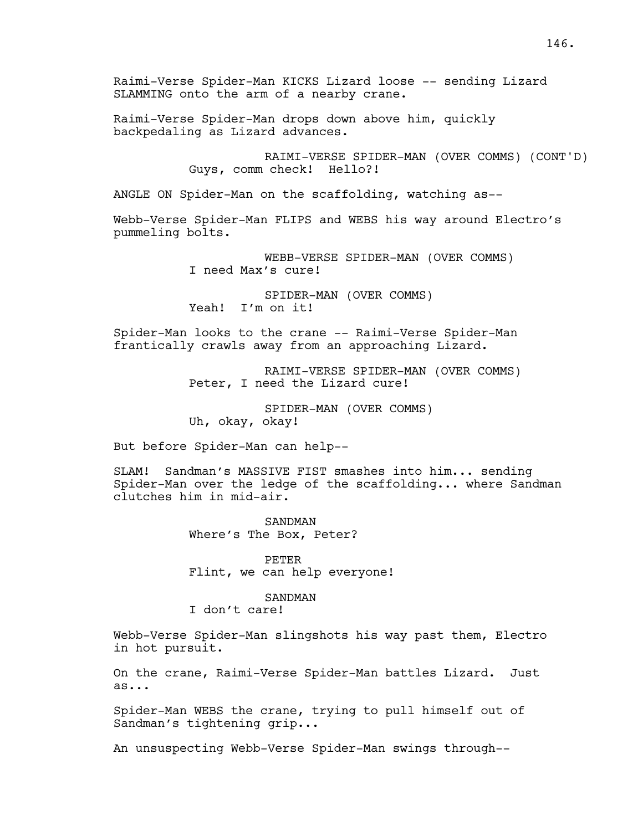Raimi-Verse Spider-Man KICKS Lizard loose -- sending Lizard SLAMMING onto the arm of a nearby crane.

Raimi-Verse Spider-Man drops down above him, quickly backpedaling as Lizard advances.

> RAIMI-VERSE SPIDER-MAN (OVER COMMS) (CONT'D) Guys, comm check! Hello?!

ANGLE ON Spider-Man on the scaffolding, watching as--

Webb-Verse Spider-Man FLIPS and WEBS his way around Electro's pummeling bolts.

> WEBB-VERSE SPIDER-MAN (OVER COMMS) I need Max's cure!

SPIDER-MAN (OVER COMMS) Yeah! I'm on it!

Spider-Man looks to the crane -- Raimi-Verse Spider-Man frantically crawls away from an approaching Lizard.

> RAIMI-VERSE SPIDER-MAN (OVER COMMS) Peter, I need the Lizard cure!

SPIDER-MAN (OVER COMMS) Uh, okay, okay!

But before Spider-Man can help--

SLAM! Sandman's MASSIVE FIST smashes into him... sending Spider-Man over the ledge of the scaffolding... where Sandman clutches him in mid-air.

> SANDMAN Where's The Box, Peter?

PETER Flint, we can help everyone!

### SANDMAN

I don't care!

Webb-Verse Spider-Man slingshots his way past them, Electro in hot pursuit.

On the crane, Raimi-Verse Spider-Man battles Lizard. Just as...

Spider-Man WEBS the crane, trying to pull himself out of Sandman's tightening grip...

An unsuspecting Webb-Verse Spider-Man swings through--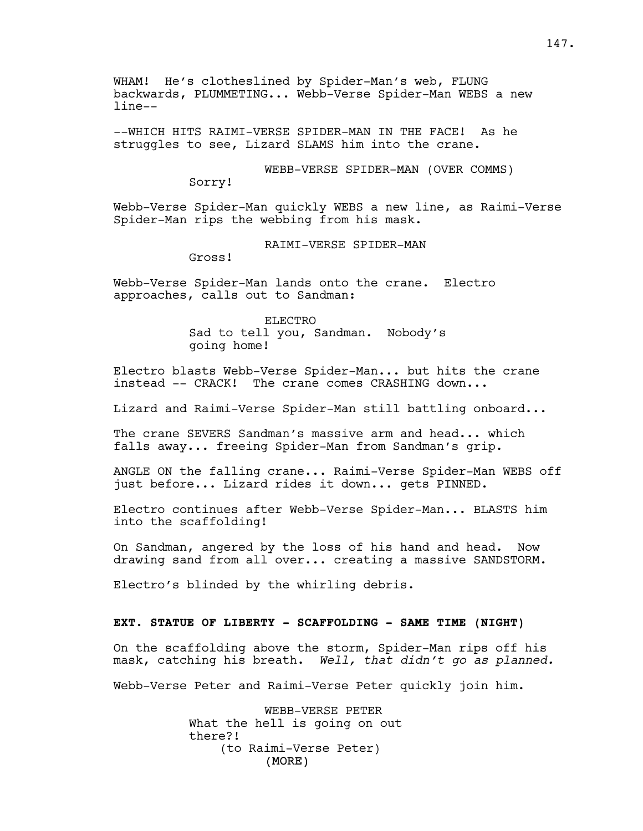WHAM! He's clotheslined by Spider-Man's web, FLUNG backwards, PLUMMETING... Webb-Verse Spider-Man WEBS a new line--

--WHICH HITS RAIMI-VERSE SPIDER-MAN IN THE FACE! As he struggles to see, Lizard SLAMS him into the crane.

WEBB-VERSE SPIDER-MAN (OVER COMMS)

Sorry!

Webb-Verse Spider-Man quickly WEBS a new line, as Raimi-Verse Spider-Man rips the webbing from his mask.

RAIMI-VERSE SPIDER-MAN

Gross!

Webb-Verse Spider-Man lands onto the crane. Electro approaches, calls out to Sandman:

> ELECTRO Sad to tell you, Sandman. Nobody's going home!

Electro blasts Webb-Verse Spider-Man... but hits the crane instead -- CRACK! The crane comes CRASHING down...

Lizard and Raimi-Verse Spider-Man still battling onboard...

The crane SEVERS Sandman's massive arm and head... which falls away... freeing Spider-Man from Sandman's grip.

ANGLE ON the falling crane... Raimi-Verse Spider-Man WEBS off just before... Lizard rides it down... gets PINNED.

Electro continues after Webb-Verse Spider-Man... BLASTS him into the scaffolding!

On Sandman, angered by the loss of his hand and head. Now drawing sand from all over... creating a massive SANDSTORM.

Electro's blinded by the whirling debris.

# **EXT. STATUE OF LIBERTY - SCAFFOLDING - SAME TIME (NIGHT)**

On the scaffolding above the storm, Spider-Man rips off his mask, catching his breath. *Well, that didn't go as planned.*

Webb-Verse Peter and Raimi-Verse Peter quickly join him.

(MORE) WEBB-VERSE PETER What the hell is going on out there?! (to Raimi-Verse Peter)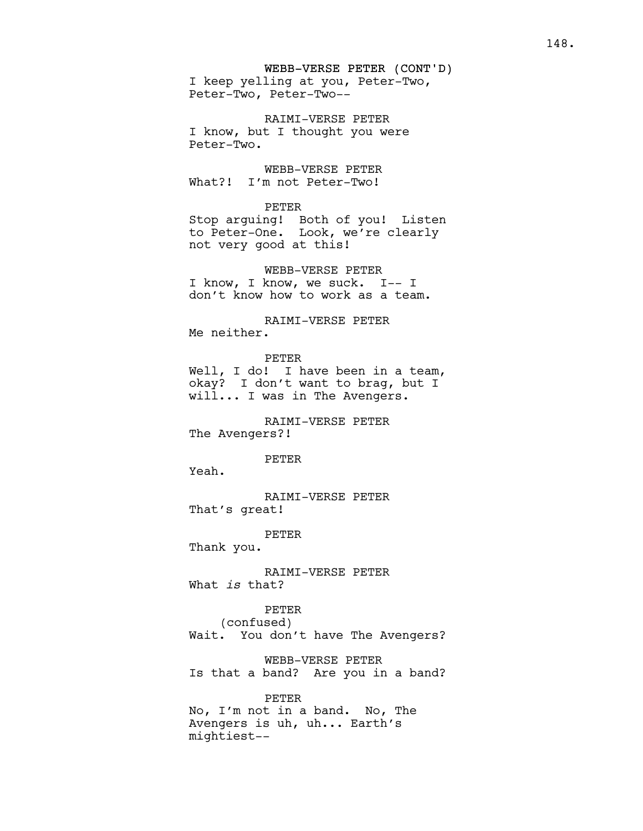## WEBB-VERSE PETER (CONT'D)

I keep yelling at you, Peter-Two, Peter-Two, Peter-Two--

RAIMI-VERSE PETER I know, but I thought you were Peter-Two.

WEBB-VERSE PETER What?! I'm not Peter-Two!

## PETER

Stop arguing! Both of you! Listen to Peter-One. Look, we're clearly not very good at this!

WEBB-VERSE PETER I know, I know, we suck. I-- I don't know how to work as a team.

RAIMI-VERSE PETER Me neither.

PETER Well, I do! I have been in a team, okay? I don't want to brag, but I will... I was in The Avengers.

# RAIMI-VERSE PETER The Avengers?!

## PETER

Yeah.

RAIMI-VERSE PETER That's great!

PETER

Thank you.

RAIMI-VERSE PETER What *is* that?

PETER (confused) Wait. You don't have The Avengers?

WEBB-VERSE PETER Is that a band? Are you in a band?

PETER No, I'm not in a band. No, The Avengers is uh, uh... Earth's mightiest--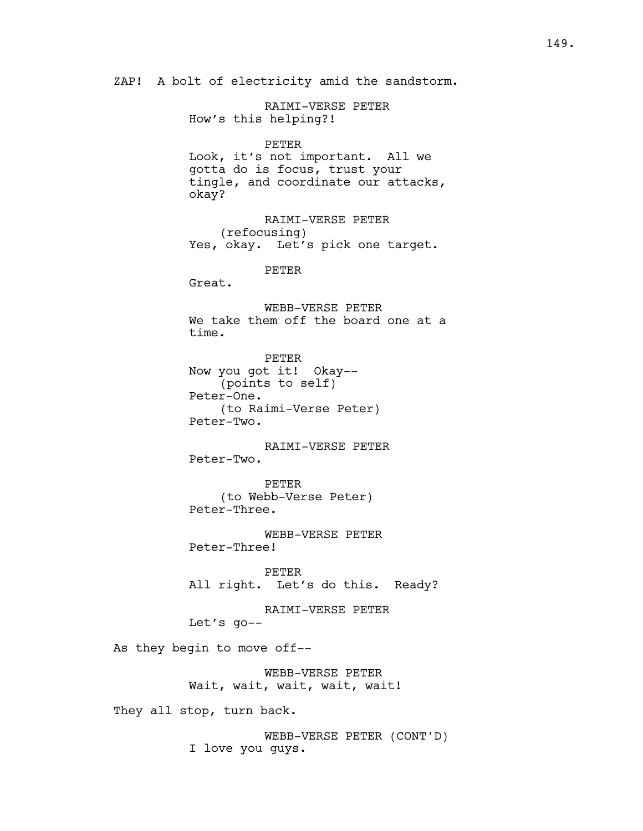ZAP! A bolt of electricity amid the sandstorm.

RAIMI-VERSE PETER How's this helping?! PETER Look, it's not important. All we gotta do is focus, trust your tingle, and coordinate our attacks, okay? RAIMI-VERSE PETER (refocusing) Yes, okay. Let's pick one target. PETER Great. WEBB-VERSE PETER We take them off the board one at a time. PETER Now you got it! Okay-- (points to self) Peter-One. (to Raimi-Verse Peter) Peter-Two. RAIMI-VERSE PETER Peter-Two. PETER (to Webb-Verse Peter) Peter-Three. WEBB-VERSE PETER Peter-Three! PETER All right. Let's do this. Ready? RAIMI-VERSE PETER Let's go-- As they begin to move off-- WEBB-VERSE PETER Wait, wait, wait, wait, wait! They all stop, turn back.

> WEBB-VERSE PETER (CONT'D) I love you guys.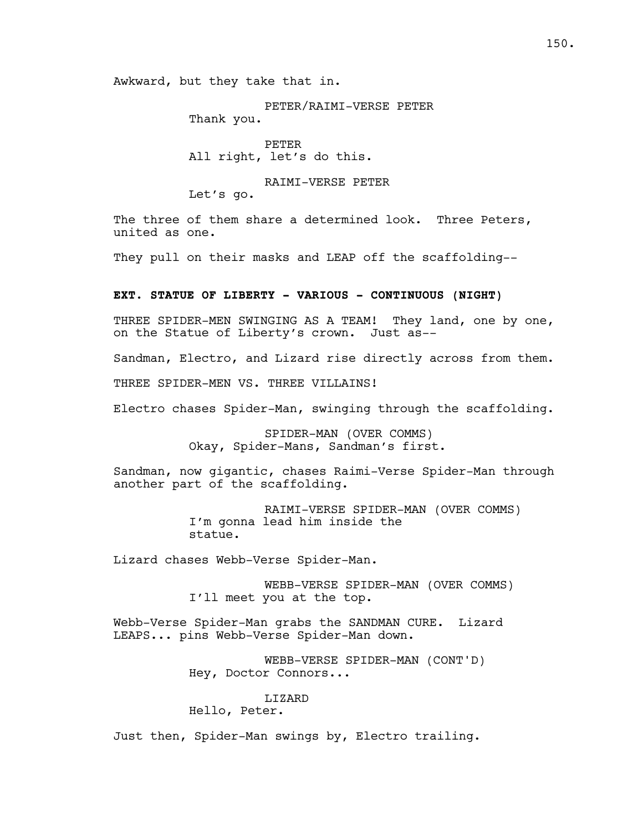Awkward, but they take that in.

PETER/RAIMI-VERSE PETER Thank you.

PETER All right, let's do this.

RAIMI-VERSE PETER Let's go.

The three of them share a determined look. Three Peters, united as one.

They pull on their masks and LEAP off the scaffolding--

## **EXT. STATUE OF LIBERTY - VARIOUS - CONTINUOUS (NIGHT)**

THREE SPIDER-MEN SWINGING AS A TEAM! They land, one by one, on the Statue of Liberty's crown. Just as--

Sandman, Electro, and Lizard rise directly across from them.

THREE SPIDER-MEN VS. THREE VILLAINS!

Electro chases Spider-Man, swinging through the scaffolding.

SPIDER-MAN (OVER COMMS) Okay, Spider-Mans, Sandman's first.

Sandman, now gigantic, chases Raimi-Verse Spider-Man through another part of the scaffolding.

> RAIMI-VERSE SPIDER-MAN (OVER COMMS) I'm gonna lead him inside the statue.

Lizard chases Webb-Verse Spider-Man.

WEBB-VERSE SPIDER-MAN (OVER COMMS) I'll meet you at the top.

Webb-Verse Spider-Man grabs the SANDMAN CURE. Lizard LEAPS... pins Webb-Verse Spider-Man down.

> WEBB-VERSE SPIDER-MAN (CONT'D) Hey, Doctor Connors...

# LIZARD

Hello, Peter.

Just then, Spider-Man swings by, Electro trailing.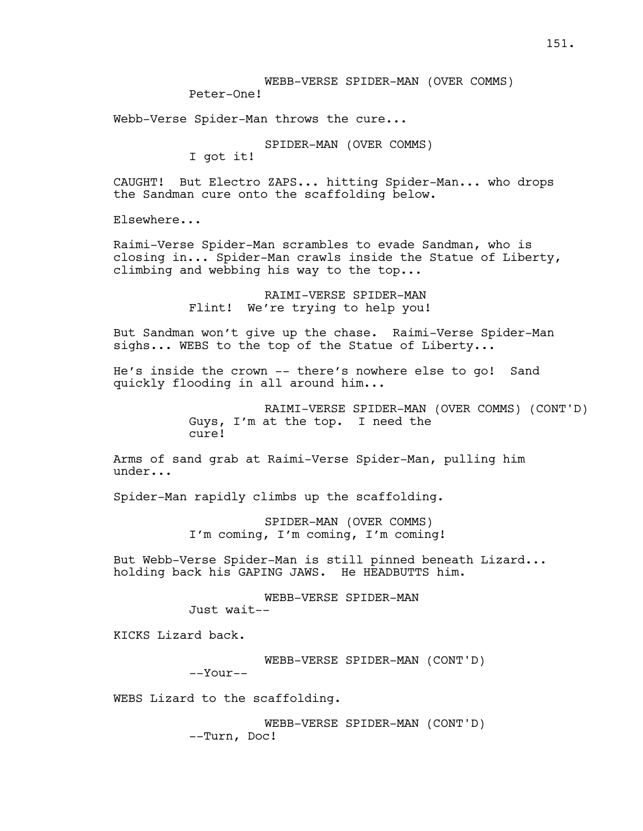Webb-Verse Spider-Man throws the cure...

SPIDER-MAN (OVER COMMS)

I got it!

CAUGHT! But Electro ZAPS... hitting Spider-Man... who drops the Sandman cure onto the scaffolding below.

Elsewhere...

Raimi-Verse Spider-Man scrambles to evade Sandman, who is closing in... Spider-Man crawls inside the Statue of Liberty, climbing and webbing his way to the top...

> RAIMI-VERSE SPIDER-MAN Flint! We're trying to help you!

But Sandman won't give up the chase. Raimi-Verse Spider-Man sighs... WEBS to the top of the Statue of Liberty...

He's inside the crown -- there's nowhere else to go! Sand quickly flooding in all around him...

> RAIMI-VERSE SPIDER-MAN (OVER COMMS) (CONT'D) Guys, I'm at the top. I need the cure!

Arms of sand grab at Raimi-Verse Spider-Man, pulling him under...

Spider-Man rapidly climbs up the scaffolding.

SPIDER-MAN (OVER COMMS) I'm coming, I'm coming, I'm coming!

But Webb-Verse Spider-Man is still pinned beneath Lizard... holding back his GAPING JAWS. He HEADBUTTS him.

> WEBB-VERSE SPIDER-MAN Just wait--

KICKS Lizard back.

WEBB-VERSE SPIDER-MAN (CONT'D)

--Your--

WEBS Lizard to the scaffolding.

WEBB-VERSE SPIDER-MAN (CONT'D) --Turn, Doc!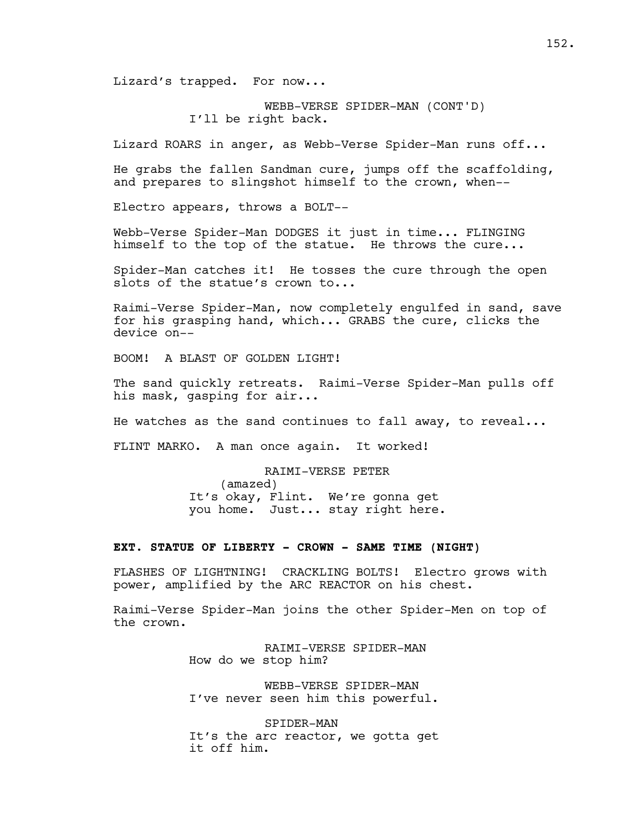Lizard's trapped. For now...

WEBB-VERSE SPIDER-MAN (CONT'D) I'll be right back.

Lizard ROARS in anger, as Webb-Verse Spider-Man runs off...

He grabs the fallen Sandman cure, jumps off the scaffolding, and prepares to slingshot himself to the crown, when--

Electro appears, throws a BOLT--

Webb-Verse Spider-Man DODGES it just in time... FLINGING himself to the top of the statue. He throws the cure...

Spider-Man catches it! He tosses the cure through the open slots of the statue's crown to...

Raimi-Verse Spider-Man, now completely engulfed in sand, save for his grasping hand, which... GRABS the cure, clicks the device on--

BOOM! A BLAST OF GOLDEN LIGHT!

The sand quickly retreats. Raimi-Verse Spider-Man pulls off his mask, gasping for air...

He watches as the sand continues to fall away, to reveal...

FLINT MARKO. A man once again. It worked!

RAIMI-VERSE PETER (amazed) It's okay, Flint. We're gonna get you home. Just... stay right here.

## **EXT. STATUE OF LIBERTY - CROWN - SAME TIME (NIGHT)**

FLASHES OF LIGHTNING! CRACKLING BOLTS! Electro grows with power, amplified by the ARC REACTOR on his chest.

Raimi-Verse Spider-Man joins the other Spider-Men on top of the crown.

> RAIMI-VERSE SPIDER-MAN How do we stop him?

WEBB-VERSE SPIDER-MAN I've never seen him this powerful.

SPIDER-MAN It's the arc reactor, we gotta get it off him.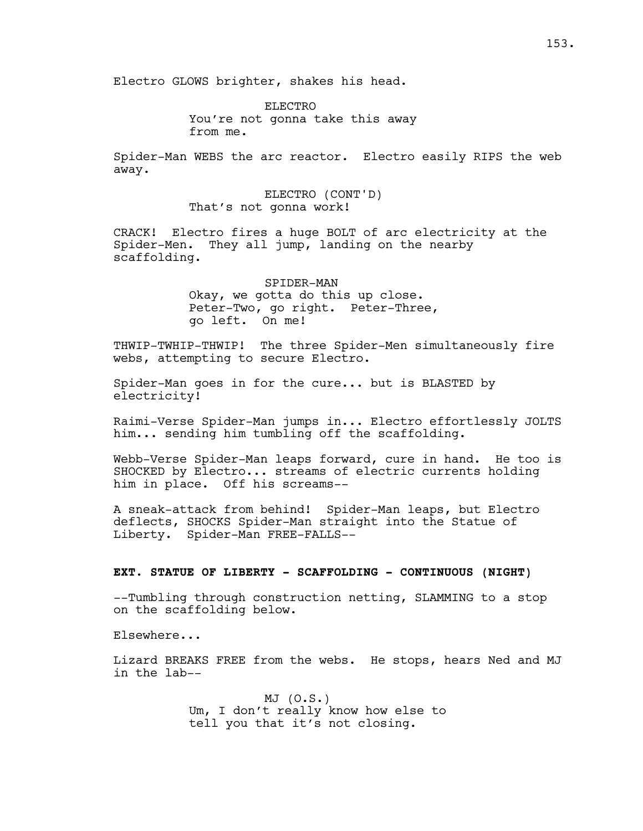ELECTRO You're not gonna take this away from me.

Spider-Man WEBS the arc reactor. Electro easily RIPS the web away.

> ELECTRO (CONT'D) That's not gonna work!

CRACK! Electro fires a huge BOLT of arc electricity at the Spider-Men. They all jump, landing on the nearby scaffolding.

> SPIDER-MAN Okay, we gotta do this up close. Peter-Two, go right. Peter-Three, go left. On me!

THWIP-TWHIP-THWIP! The three Spider-Men simultaneously fire webs, attempting to secure Electro.

Spider-Man goes in for the cure... but is BLASTED by electricity!

Raimi-Verse Spider-Man jumps in... Electro effortlessly JOLTS him... sending him tumbling off the scaffolding.

Webb-Verse Spider-Man leaps forward, cure in hand. He too is SHOCKED by Electro... streams of electric currents holding him in place. Off his screams--

A sneak-attack from behind! Spider-Man leaps, but Electro deflects, SHOCKS Spider-Man straight into the Statue of Liberty. Spider-Man FREE-FALLS--

## **EXT. STATUE OF LIBERTY - SCAFFOLDING - CONTINUOUS (NIGHT)**

--Tumbling through construction netting, SLAMMING to a stop on the scaffolding below.

Elsewhere...

Lizard BREAKS FREE from the webs. He stops, hears Ned and MJ in the lab--

> MJ (O.S.) Um, I don't really know how else to tell you that it's not closing.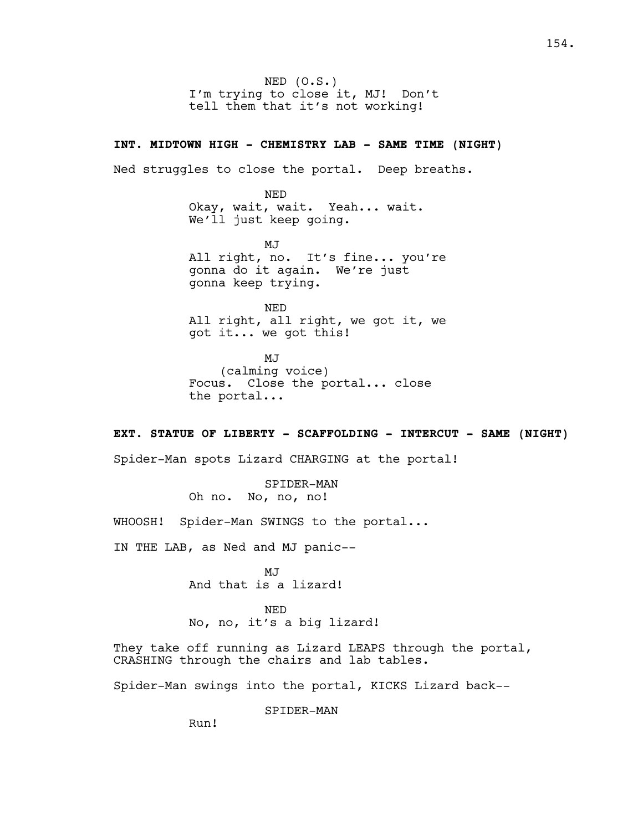NED (O.S.) I'm trying to close it, MJ! Don't tell them that it's not working!

## **INT. MIDTOWN HIGH - CHEMISTRY LAB - SAME TIME (NIGHT)**

Ned struggles to close the portal. Deep breaths.

NED Okay, wait, wait. Yeah... wait. We'll just keep going.

MJ All right, no. It's fine... you're gonna do it again. We're just gonna keep trying.

NED All right, all right, we got it, we got it... we got this!

MJ (calming voice) Focus. Close the portal... close the portal...

# **EXT. STATUE OF LIBERTY - SCAFFOLDING - INTERCUT - SAME (NIGHT)**

Spider-Man spots Lizard CHARGING at the portal!

SPIDER-MAN Oh no. No, no, no!

WHOOSH! Spider-Man SWINGS to the portal...

IN THE LAB, as Ned and MJ panic--

MJ And that is a lizard!

NED No, no, it's a big lizard!

They take off running as Lizard LEAPS through the portal, CRASHING through the chairs and lab tables.

Spider-Man swings into the portal, KICKS Lizard back--

SPIDER-MAN

Run!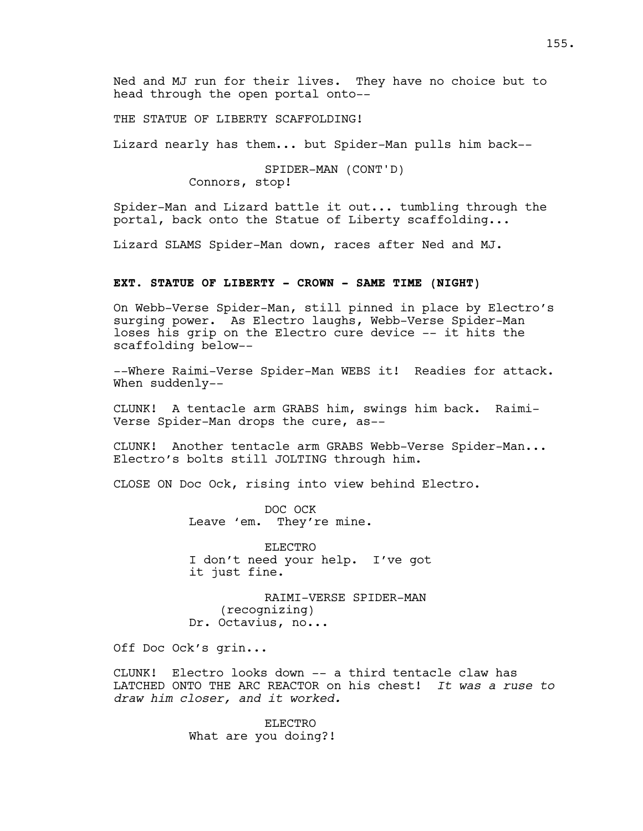Ned and MJ run for their lives. They have no choice but to head through the open portal onto--

THE STATUE OF LIBERTY SCAFFOLDING!

Lizard nearly has them... but Spider-Man pulls him back--

SPIDER-MAN (CONT'D) Connors, stop!

Spider-Man and Lizard battle it out... tumbling through the portal, back onto the Statue of Liberty scaffolding...

Lizard SLAMS Spider-Man down, races after Ned and MJ.

## **EXT. STATUE OF LIBERTY - CROWN - SAME TIME (NIGHT)**

On Webb-Verse Spider-Man, still pinned in place by Electro's surging power. As Electro laughs, Webb-Verse Spider-Man loses his grip on the Electro cure device -- it hits the scaffolding below--

--Where Raimi-Verse Spider-Man WEBS it! Readies for attack. When suddenly--

CLUNK! A tentacle arm GRABS him, swings him back. Raimi-Verse Spider-Man drops the cure, as--

CLUNK! Another tentacle arm GRABS Webb-Verse Spider-Man... Electro's bolts still JOLTING through him.

CLOSE ON Doc Ock, rising into view behind Electro.

DOC OCK Leave 'em. They're mine.

ELECTRO I don't need your help. I've got it just fine.

RAIMI-VERSE SPIDER-MAN (recognizing) Dr. Octavius, no...

Off Doc Ock's grin...

CLUNK! Electro looks down -- a third tentacle claw has LATCHED ONTO THE ARC REACTOR on his chest! *It was a ruse to draw him closer, and it worked.* 

> ELECTRO What are you doing?!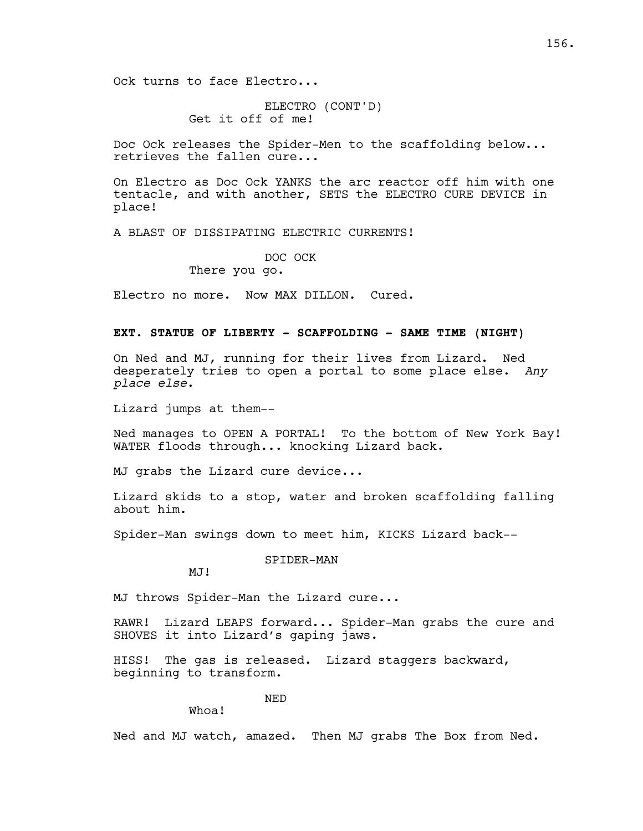ELECTRO (CONT'D) Get it off of me!

Doc Ock releases the Spider-Men to the scaffolding below... retrieves the fallen cure...

On Electro as Doc Ock YANKS the arc reactor off him with one tentacle, and with another, SETS the ELECTRO CURE DEVICE in place!

A BLAST OF DISSIPATING ELECTRIC CURRENTS!

DOC OCK

There you go.

Electro no more. Now MAX DILLON. Cured.

## **EXT. STATUE OF LIBERTY - SCAFFOLDING - SAME TIME (NIGHT)**

On Ned and MJ, running for their lives from Lizard. Ned desperately tries to open a portal to some place else. *Any place else*.

Lizard jumps at them--

Ned manages to OPEN A PORTAL! To the bottom of New York Bay! WATER floods through... knocking Lizard back.

MJ grabs the Lizard cure device...

Lizard skids to a stop, water and broken scaffolding falling about him.

Spider-Man swings down to meet him, KICKS Lizard back--

SPIDER-MAN

MJ!

MJ throws Spider-Man the Lizard cure...

RAWR! Lizard LEAPS forward... Spider-Man grabs the cure and SHOVES it into Lizard's gaping jaws.

HISS! The gas is released. Lizard staggers backward, beginning to transform.

NED

Whoa!

Ned and MJ watch, amazed. Then MJ grabs The Box from Ned.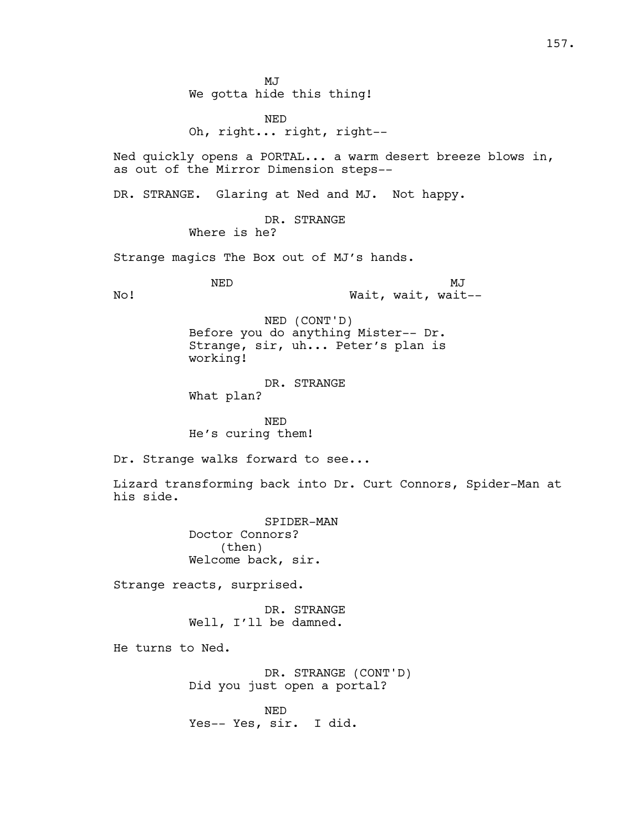MJ We gotta hide this thing!

NED Oh, right... right, right--

Ned quickly opens a PORTAL... a warm desert breeze blows in, as out of the Mirror Dimension steps--

DR. STRANGE. Glaring at Ned and MJ. Not happy.

DR. STRANGE Where is he?

Strange magics The Box out of MJ's hands.

NED No! MJ Wait, wait, wait--

> NED (CONT'D) Before you do anything Mister-- Dr. Strange, sir, uh... Peter's plan is working!

DR. STRANGE What plan?

NED He's curing them!

Dr. Strange walks forward to see...

Lizard transforming back into Dr. Curt Connors, Spider-Man at his side.

> SPIDER-MAN Doctor Connors? (then) Welcome back, sir.

Strange reacts, surprised.

DR. STRANGE Well, I'll be damned.

He turns to Ned.

DR. STRANGE (CONT'D) Did you just open a portal?

NED Yes-- Yes, sir. I did.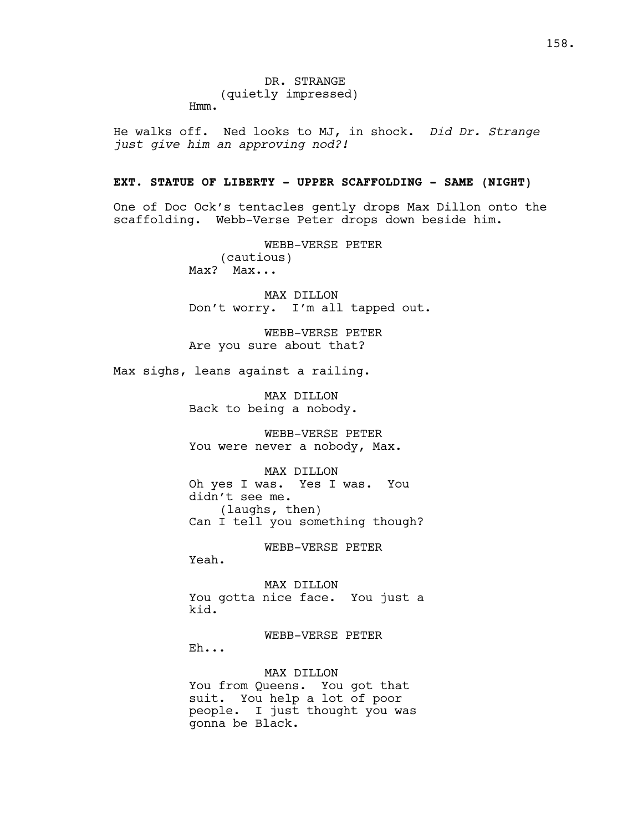He walks off. Ned looks to MJ, in shock. *Did Dr. Strange just give him an approving nod?!*

# **EXT. STATUE OF LIBERTY - UPPER SCAFFOLDING - SAME (NIGHT)**

One of Doc Ock's tentacles gently drops Max Dillon onto the scaffolding. Webb-Verse Peter drops down beside him.

> WEBB-VERSE PETER (cautious) Max? Max...

MAX DILLON Don't worry. I'm all tapped out.

WEBB-VERSE PETER Are you sure about that?

Max sighs, leans against a railing.

MAX DILLON Back to being a nobody.

WEBB-VERSE PETER You were never a nobody, Max.

MAX DILLON Oh yes I was. Yes I was. You didn't see me. (laughs, then) Can I tell you something though?

WEBB-VERSE PETER

Yeah.

MAX DILLON You gotta nice face. You just a kid.

WEBB-VERSE PETER Eh...

MAX DILLON You from Queens. You got that suit. You help a lot of poor people. I just thought you was gonna be Black.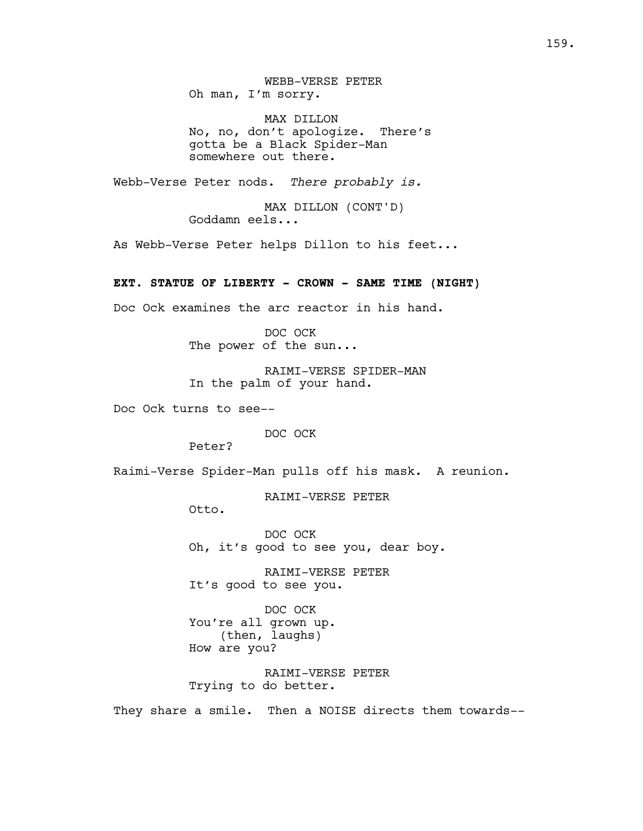WEBB-VERSE PETER Oh man, I'm sorry.

MAX DILLON No, no, don't apologize. There's gotta be a Black Spider-Man somewhere out there.

Webb-Verse Peter nods. *There probably is.* 

MAX DILLON (CONT'D) Goddamn eels...

As Webb-Verse Peter helps Dillon to his feet...

# **EXT. STATUE OF LIBERTY - CROWN - SAME TIME (NIGHT)**

Doc Ock examines the arc reactor in his hand.

DOC OCK The power of the sun...

RAIMI-VERSE SPIDER-MAN In the palm of your hand.

Doc Ock turns to see--

DOC OCK

Peter?

Raimi-Verse Spider-Man pulls off his mask. A reunion.

RAIMI-VERSE PETER

Otto.

DOC OCK Oh, it's good to see you, dear boy.

RAIMI-VERSE PETER It's good to see you.

DOC OCK You're all grown up. (then, laughs) How are you?

RAIMI-VERSE PETER Trying to do better.

They share a smile. Then a NOISE directs them towards--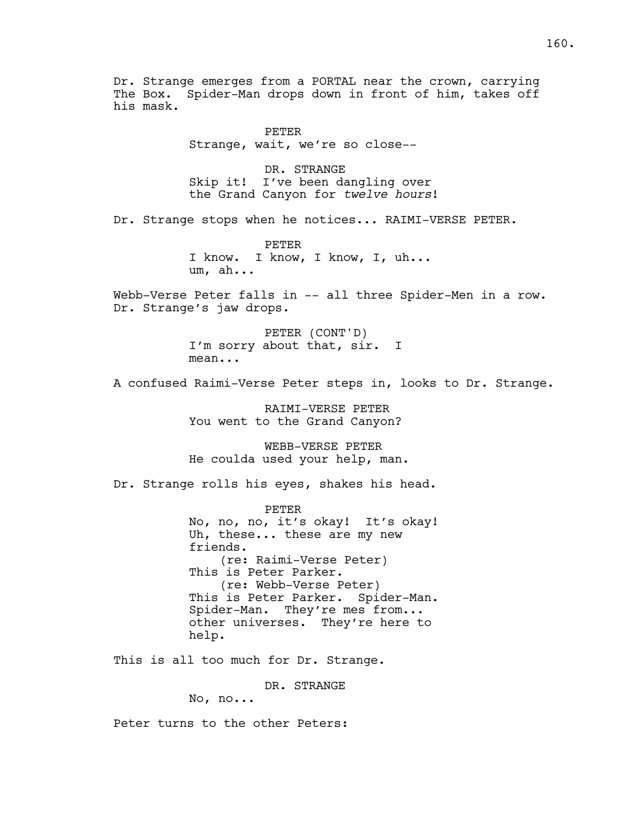Dr. Strange emerges from a PORTAL near the crown, carrying The Box. Spider-Man drops down in front of him, takes off his mask. PETER Strange, wait, we're so close-- DR. STRANGE Skip it! I've been dangling over the Grand Canyon for *twelve hours*!

Dr. Strange stops when he notices... RAIMI-VERSE PETER.

PETER I know. I know, I know, I, uh... um, ah...

Webb-Verse Peter falls in -- all three Spider-Men in a row. Dr. Strange's jaw drops.

> PETER (CONT'D) I'm sorry about that, sir. I mean...

A confused Raimi-Verse Peter steps in, looks to Dr. Strange.

RAIMI-VERSE PETER You went to the Grand Canyon?

WEBB-VERSE PETER He coulda used your help, man.

Dr. Strange rolls his eyes, shakes his head.

PETER No, no, no, it's okay! It's okay! Uh, these... these are my new friends. (re: Raimi-Verse Peter) This is Peter Parker. (re: Webb-Verse Peter) This is Peter Parker. Spider-Man. Spider-Man. They're mes from... other universes. They're here to help.

This is all too much for Dr. Strange.

DR. STRANGE

No, no...

Peter turns to the other Peters: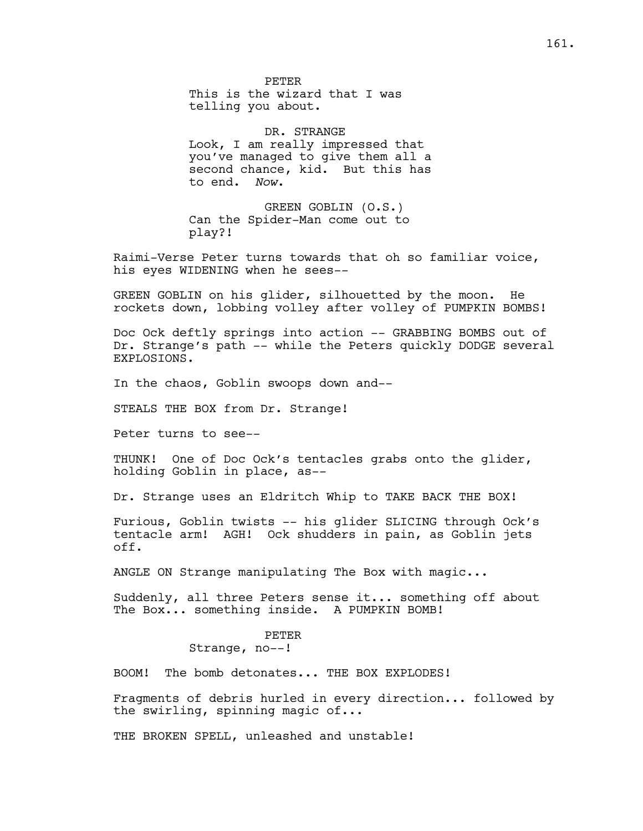PETER This is the wizard that I was telling you about.

DR. STRANGE Look, I am really impressed that you've managed to give them all a second chance, kid. But this has to end. *Now*.

GREEN GOBLIN (O.S.) Can the Spider-Man come out to play?!

Raimi-Verse Peter turns towards that oh so familiar voice, his eyes WIDENING when he sees--

GREEN GOBLIN on his glider, silhouetted by the moon. He rockets down, lobbing volley after volley of PUMPKIN BOMBS!

Doc Ock deftly springs into action -- GRABBING BOMBS out of Dr. Strange's path -- while the Peters quickly DODGE several EXPLOSIONS.

In the chaos, Goblin swoops down and--

STEALS THE BOX from Dr. Strange!

Peter turns to see--

THUNK! One of Doc Ock's tentacles grabs onto the glider, holding Goblin in place, as--

Dr. Strange uses an Eldritch Whip to TAKE BACK THE BOX!

Furious, Goblin twists -- his glider SLICING through Ock's tentacle arm! AGH! Ock shudders in pain, as Goblin jets off.

ANGLE ON Strange manipulating The Box with magic...

Suddenly, all three Peters sense it... something off about The Box... something inside. A PUMPKIN BOMB!

# PETER

# Strange, no--!

BOOM! The bomb detonates... THE BOX EXPLODES!

Fragments of debris hurled in every direction... followed by the swirling, spinning magic of...

THE BROKEN SPELL, unleashed and unstable!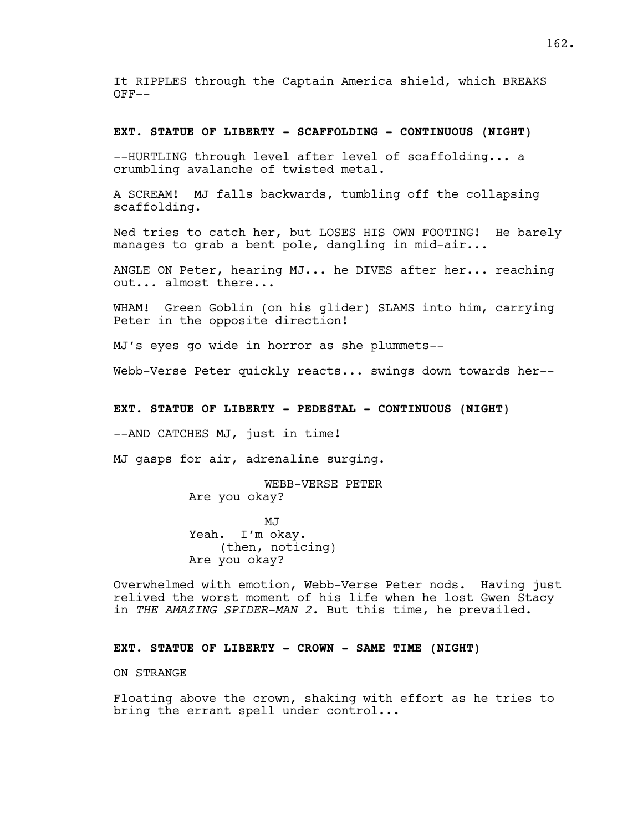It RIPPLES through the Captain America shield, which BREAKS OFF--

## **EXT. STATUE OF LIBERTY - SCAFFOLDING - CONTINUOUS (NIGHT)**

--HURTLING through level after level of scaffolding... a crumbling avalanche of twisted metal.

A SCREAM! MJ falls backwards, tumbling off the collapsing scaffolding.

Ned tries to catch her, but LOSES HIS OWN FOOTING! He barely manages to grab a bent pole, dangling in mid-air...

ANGLE ON Peter, hearing MJ... he DIVES after her... reaching out... almost there...

WHAM! Green Goblin (on his glider) SLAMS into him, carrying Peter in the opposite direction!

MJ's eyes go wide in horror as she plummets--

Webb-Verse Peter quickly reacts... swings down towards her--

## **EXT. STATUE OF LIBERTY - PEDESTAL - CONTINUOUS (NIGHT)**

--AND CATCHES MJ, just in time!

MJ gasps for air, adrenaline surging.

WEBB-VERSE PETER Are you okay?

MJ Yeah. I'm okay. (then, noticing) Are you okay?

Overwhelmed with emotion, Webb-Verse Peter nods. Having just relived the worst moment of his life when he lost Gwen Stacy in *THE AMAZING SPIDER-MAN 2*. But this time, he prevailed.

# **EXT. STATUE OF LIBERTY - CROWN - SAME TIME (NIGHT)**

### ON STRANGE

Floating above the crown, shaking with effort as he tries to bring the errant spell under control...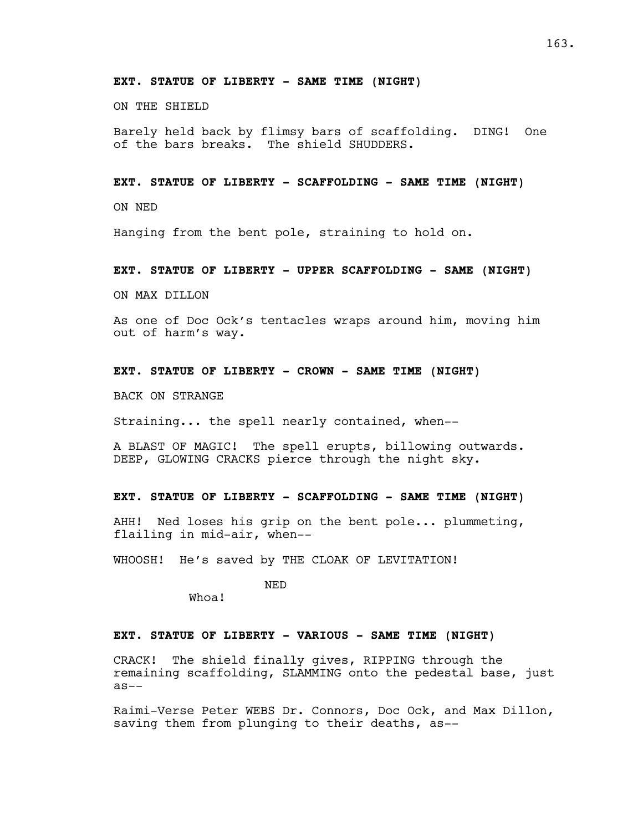## **EXT. STATUE OF LIBERTY - SAME TIME (NIGHT)**

ON THE SHIELD

Barely held back by flimsy bars of scaffolding. DING! One of the bars breaks. The shield SHUDDERS.

## **EXT. STATUE OF LIBERTY - SCAFFOLDING - SAME TIME (NIGHT)**

ON NED

Hanging from the bent pole, straining to hold on.

## **EXT. STATUE OF LIBERTY - UPPER SCAFFOLDING - SAME (NIGHT)**

ON MAX DILLON

As one of Doc Ock's tentacles wraps around him, moving him out of harm's way.

## **EXT. STATUE OF LIBERTY - CROWN - SAME TIME (NIGHT)**

BACK ON STRANGE

Straining... the spell nearly contained, when--

A BLAST OF MAGIC! The spell erupts, billowing outwards. DEEP, GLOWING CRACKS pierce through the night sky.

## **EXT. STATUE OF LIBERTY - SCAFFOLDING - SAME TIME (NIGHT)**

AHH! Ned loses his grip on the bent pole... plummeting, flailing in mid-air, when--

WHOOSH! He's saved by THE CLOAK OF LEVITATION!

NED

Whoa!

# **EXT. STATUE OF LIBERTY - VARIOUS - SAME TIME (NIGHT)**

CRACK! The shield finally gives, RIPPING through the remaining scaffolding, SLAMMING onto the pedestal base, just as--

Raimi-Verse Peter WEBS Dr. Connors, Doc Ock, and Max Dillon, saving them from plunging to their deaths, as--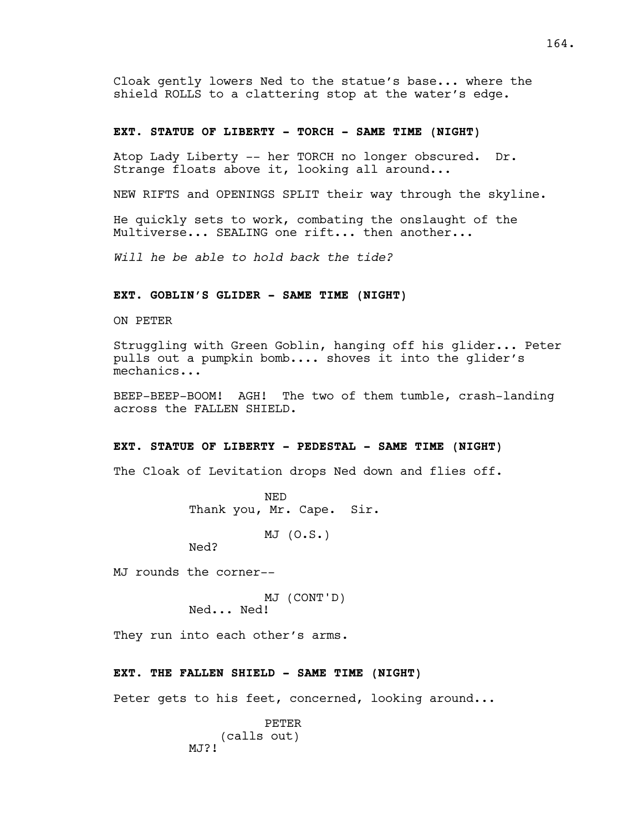Cloak gently lowers Ned to the statue's base... where the shield ROLLS to a clattering stop at the water's edge.

# **EXT. STATUE OF LIBERTY - TORCH - SAME TIME (NIGHT)**

Atop Lady Liberty -- her TORCH no longer obscured. Dr. Strange floats above it, looking all around...

NEW RIFTS and OPENINGS SPLIT their way through the skyline.

He quickly sets to work, combating the onslaught of the Multiverse... SEALING one rift... then another...

*Will he be able to hold back the tide?*

## **EXT. GOBLIN'S GLIDER - SAME TIME (NIGHT)**

ON PETER

Struggling with Green Goblin, hanging off his glider... Peter pulls out a pumpkin bomb.... shoves it into the glider's mechanics...

BEEP-BEEP-BOOM! AGH! The two of them tumble, crash-landing across the FALLEN SHIELD.

## **EXT. STATUE OF LIBERTY - PEDESTAL - SAME TIME (NIGHT)**

The Cloak of Levitation drops Ned down and flies off.

NED Thank you, Mr. Cape. Sir.

MJ (O.S.)

Ned?

MJ rounds the corner--

MJ (CONT'D)

Ned... Ned!

They run into each other's arms.

#### **EXT. THE FALLEN SHIELD - SAME TIME (NIGHT)**

Peter gets to his feet, concerned, looking around...

PETER (calls out) MJ?!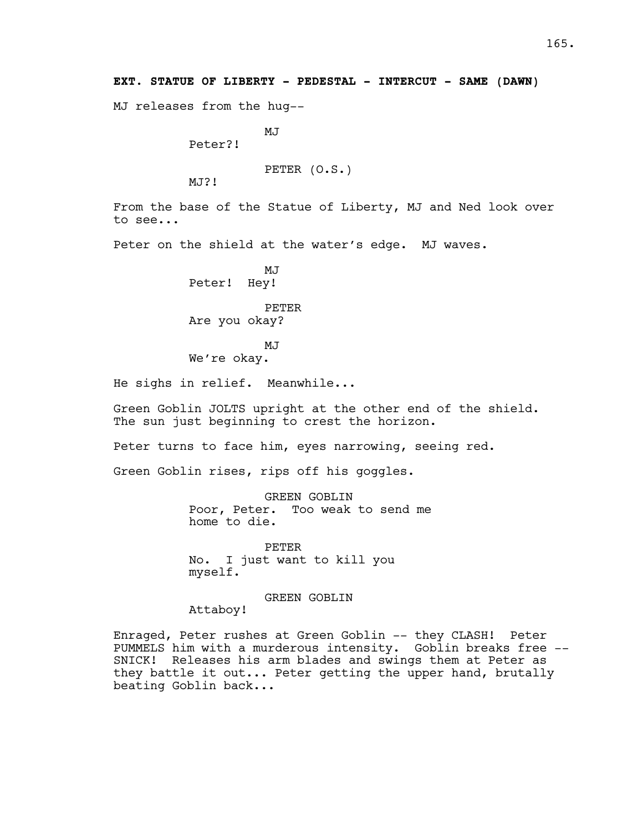MJ releases from the hug--

MJ<sub>J</sub>

Peter?!

PETER (O.S.)

MJ?!

From the base of the Statue of Liberty, MJ and Ned look over to see...

Peter on the shield at the water's edge. MJ waves.

MJ Peter! Hey!

PETER Are you okay?

MJ We're okay.

He sighs in relief. Meanwhile...

Green Goblin JOLTS upright at the other end of the shield. The sun just beginning to crest the horizon.

Peter turns to face him, eyes narrowing, seeing red.

Green Goblin rises, rips off his goggles.

GREEN GOBLIN Poor, Peter. Too weak to send me home to die.

PETER No. I just want to kill you myself.

GREEN GOBLIN

Attaboy!

Enraged, Peter rushes at Green Goblin -- they CLASH! Peter PUMMELS him with a murderous intensity. Goblin breaks free --SNICK! Releases his arm blades and swings them at Peter as they battle it out... Peter getting the upper hand, brutally beating Goblin back...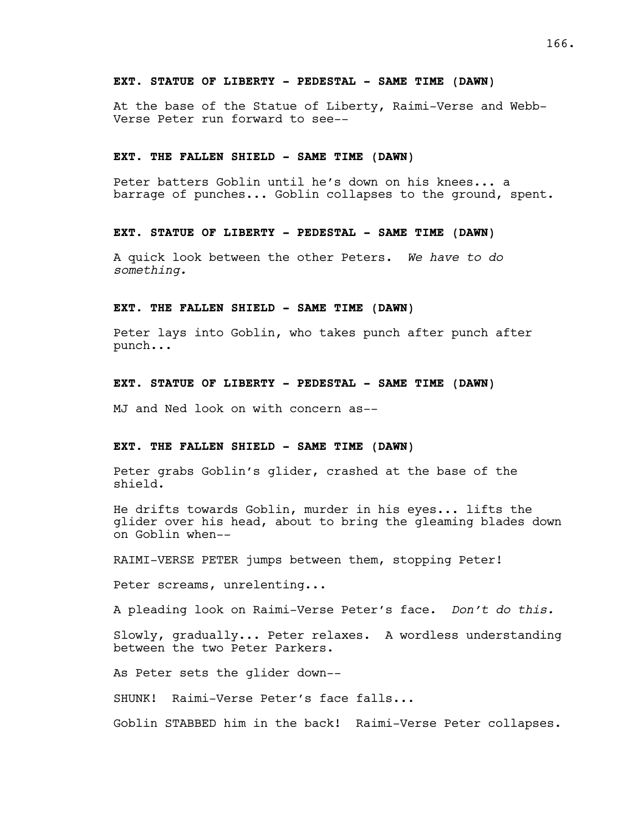## **EXT. STATUE OF LIBERTY - PEDESTAL - SAME TIME (DAWN)**

At the base of the Statue of Liberty, Raimi-Verse and Webb-Verse Peter run forward to see--

### **EXT. THE FALLEN SHIELD - SAME TIME (DAWN)**

Peter batters Goblin until he's down on his knees... a barrage of punches... Goblin collapses to the ground, spent.

## **EXT. STATUE OF LIBERTY - PEDESTAL - SAME TIME (DAWN)**

A quick look between the other Peters. *We have to do something.*

## **EXT. THE FALLEN SHIELD - SAME TIME (DAWN)**

Peter lays into Goblin, who takes punch after punch after punch...

## **EXT. STATUE OF LIBERTY - PEDESTAL - SAME TIME (DAWN)**

MJ and Ned look on with concern as--

## **EXT. THE FALLEN SHIELD - SAME TIME (DAWN)**

Peter grabs Goblin's glider, crashed at the base of the shield.

He drifts towards Goblin, murder in his eyes... lifts the glider over his head, about to bring the gleaming blades down on Goblin when--

RAIMI-VERSE PETER jumps between them, stopping Peter!

Peter screams, unrelenting...

A pleading look on Raimi-Verse Peter's face. *Don't do this.* 

Slowly, gradually... Peter relaxes. A wordless understanding between the two Peter Parkers.

As Peter sets the glider down--

SHUNK! Raimi-Verse Peter's face falls...

Goblin STABBED him in the back! Raimi-Verse Peter collapses.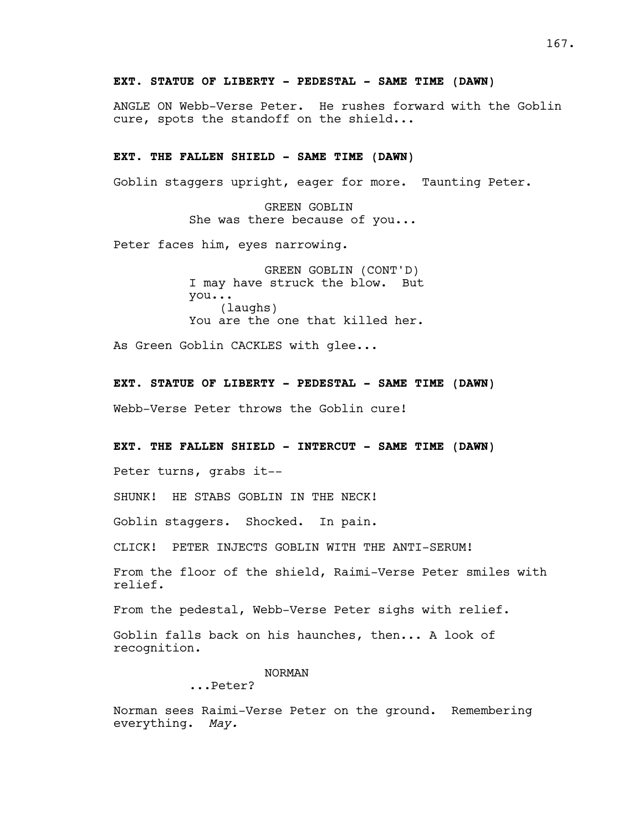# **EXT. STATUE OF LIBERTY - PEDESTAL - SAME TIME (DAWN)**

ANGLE ON Webb-Verse Peter. He rushes forward with the Goblin cure, spots the standoff on the shield...

# **EXT. THE FALLEN SHIELD - SAME TIME (DAWN)**

Goblin staggers upright, eager for more. Taunting Peter.

GREEN GOBLIN She was there because of you...

Peter faces him, eyes narrowing.

GREEN GOBLIN (CONT'D) I may have struck the blow. But you... (laughs) You are the one that killed her.

As Green Goblin CACKLES with glee...

**EXT. STATUE OF LIBERTY - PEDESTAL - SAME TIME (DAWN)**

Webb-Verse Peter throws the Goblin cure!

**EXT. THE FALLEN SHIELD - INTERCUT - SAME TIME (DAWN)**

Peter turns, grabs it--

SHUNK! HE STABS GOBLIN IN THE NECK!

Goblin staggers. Shocked. In pain.

CLICK! PETER INJECTS GOBLIN WITH THE ANTI-SERUM!

From the floor of the shield, Raimi-Verse Peter smiles with relief.

From the pedestal, Webb-Verse Peter sighs with relief.

Goblin falls back on his haunches, then... A look of recognition.

NORMAN

...Peter?

Norman sees Raimi-Verse Peter on the ground. Remembering everything. *May.*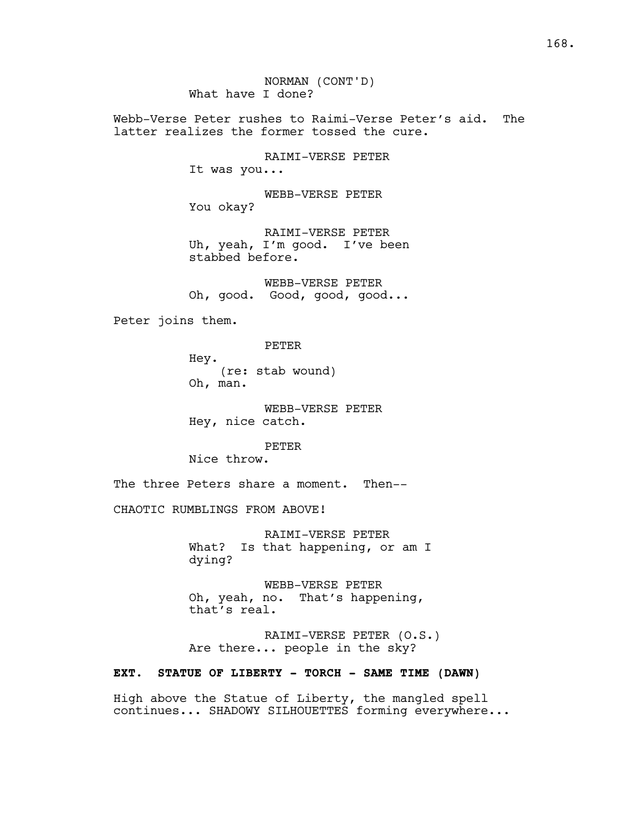NORMAN (CONT'D) What have I done?

Webb-Verse Peter rushes to Raimi-Verse Peter's aid. The latter realizes the former tossed the cure.

> RAIMI-VERSE PETER It was you...

WEBB-VERSE PETER You okay?

RAIMI-VERSE PETER Uh, yeah, I'm good. I've been stabbed before.

WEBB-VERSE PETER Oh, good. Good, good, good...

Peter joins them.

PETER

Hey. (re: stab wound) Oh, man.

WEBB-VERSE PETER Hey, nice catch.

PETER

Nice throw.

The three Peters share a moment. Then--

CHAOTIC RUMBLINGS FROM ABOVE!

RAIMI-VERSE PETER What? Is that happening, or am I dying?

WEBB-VERSE PETER Oh, yeah, no. That's happening, that's real.

RAIMI-VERSE PETER (O.S.) Are there... people in the sky?

## **EXT. STATUE OF LIBERTY - TORCH - SAME TIME (DAWN)**

High above the Statue of Liberty, the mangled spell continues... SHADOWY SILHOUETTES forming everywhere...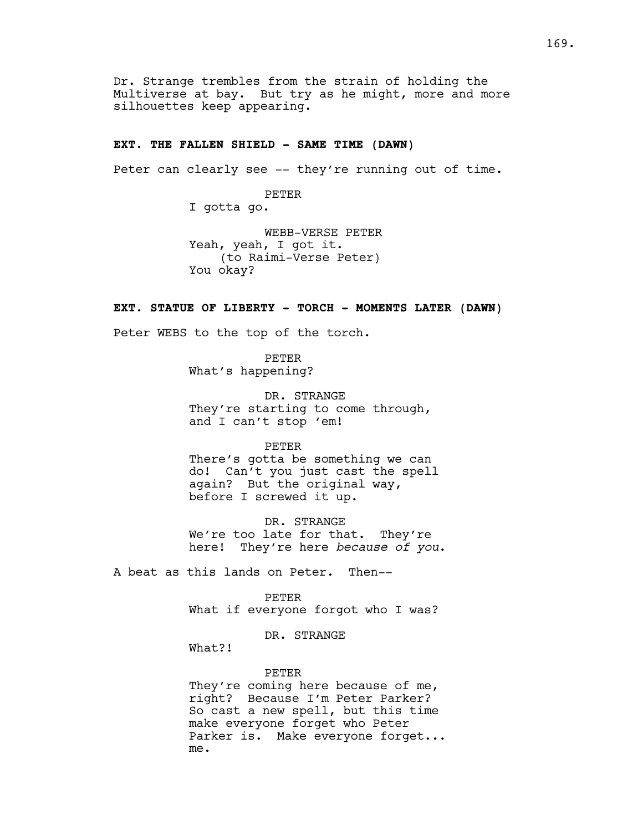Dr. Strange trembles from the strain of holding the Multiverse at bay. But try as he might, more and more silhouettes keep appearing.

## **EXT. THE FALLEN SHIELD - SAME TIME (DAWN)**

Peter can clearly see -- they're running out of time.

PETER

I gotta go.

WEBB-VERSE PETER Yeah, yeah, I got it. (to Raimi-Verse Peter) You okay?

## **EXT. STATUE OF LIBERTY - TORCH - MOMENTS LATER (DAWN)**

Peter WEBS to the top of the torch.

PETER What's happening?

DR. STRANGE They're starting to come through, and I can't stop 'em!

PETER

There's gotta be something we can do! Can't you just cast the spell again? But the original way, before I screwed it up.

DR. STRANGE We're too late for that. They're here! They're here *because of you*.

A beat as this lands on Peter. Then--

PETER

What if everyone forgot who I was?

DR. STRANGE

What?!

## PETER

They're coming here because of me, right? Because I'm Peter Parker? So cast a new spell, but this time make everyone forget who Peter Parker is. Make everyone forget... me.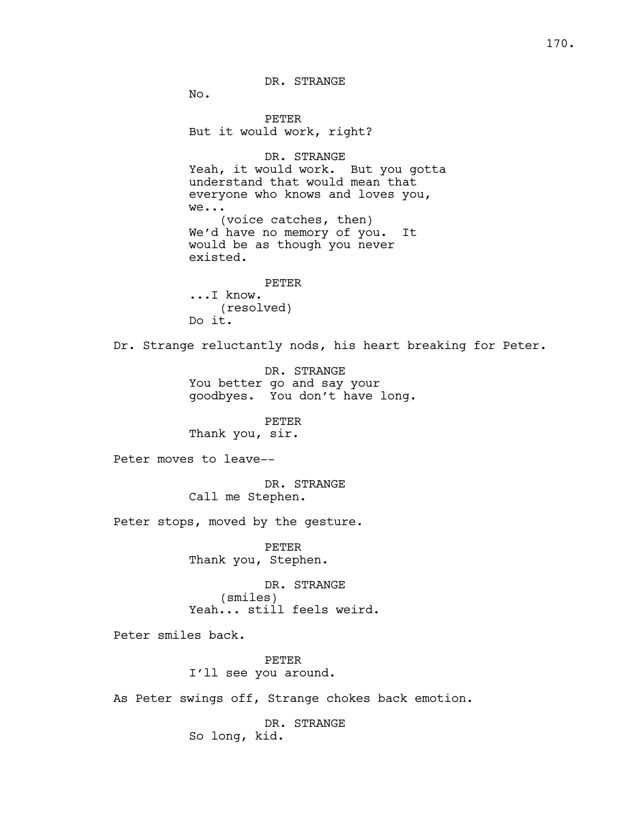DR. STRANGE

No.

PETER But it would work, right? DR. STRANGE Yeah, it would work. But you gotta understand that would mean that everyone who knows and loves you, we... (voice catches, then) We'd have no memory of you. It would be as though you never existed. PETER ...I know. (resolved) Do it. Dr. Strange reluctantly nods, his heart breaking for Peter. DR. STRANGE You better go and say your goodbyes. You don't have long. PETER Thank you, sir. Peter moves to leave-- DR. STRANGE Call me Stephen. Peter stops, moved by the gesture. PETER Thank you, Stephen. DR. STRANGE (smiles) Yeah... still feels weird. Peter smiles back. PETER I'll see you around. As Peter swings off, Strange chokes back emotion. DR. STRANGE So long, kid.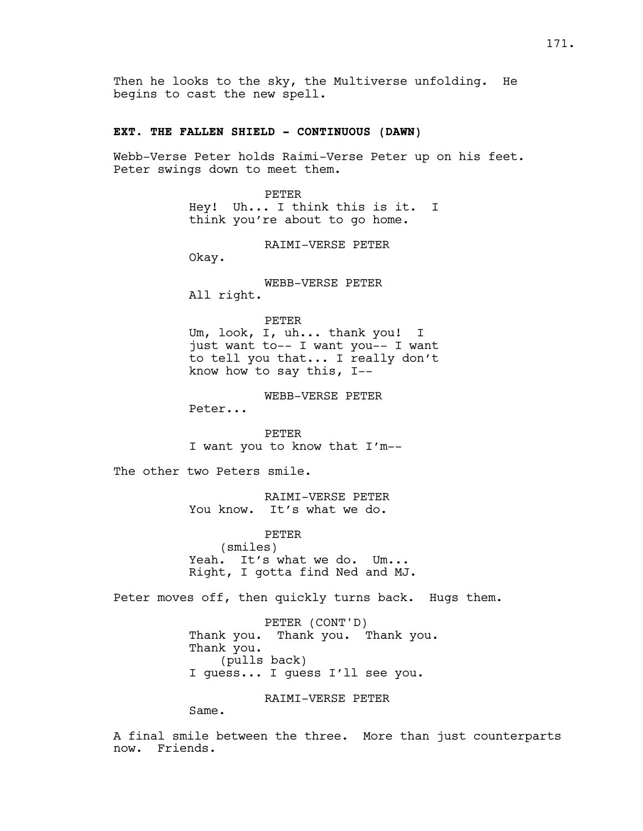Then he looks to the sky, the Multiverse unfolding. He begins to cast the new spell.

# **EXT. THE FALLEN SHIELD - CONTINUOUS (DAWN)**

Webb-Verse Peter holds Raimi-Verse Peter up on his feet. Peter swings down to meet them.

> PETER Hey! Uh... I think this is it. I think you're about to go home.

> > RAIMI-VERSE PETER

Okay.

WEBB-VERSE PETER All right.

PETER

Um, look, I, uh... thank you! I just want to-- I want you-- I want to tell you that... I really don't know how to say this, I--

WEBB-VERSE PETER

Peter...

PETER I want you to know that I'm--

The other two Peters smile.

RAIMI-VERSE PETER You know. It's what we do.

PETER (smiles) Yeah. It's what we do. Um... Right, I gotta find Ned and MJ.

Peter moves off, then quickly turns back. Hugs them.

PETER (CONT'D) Thank you. Thank you. Thank you. Thank you. (pulls back) I guess... I guess I'll see you.

RAIMI-VERSE PETER

Same.

A final smile between the three. More than just counterparts now. Friends.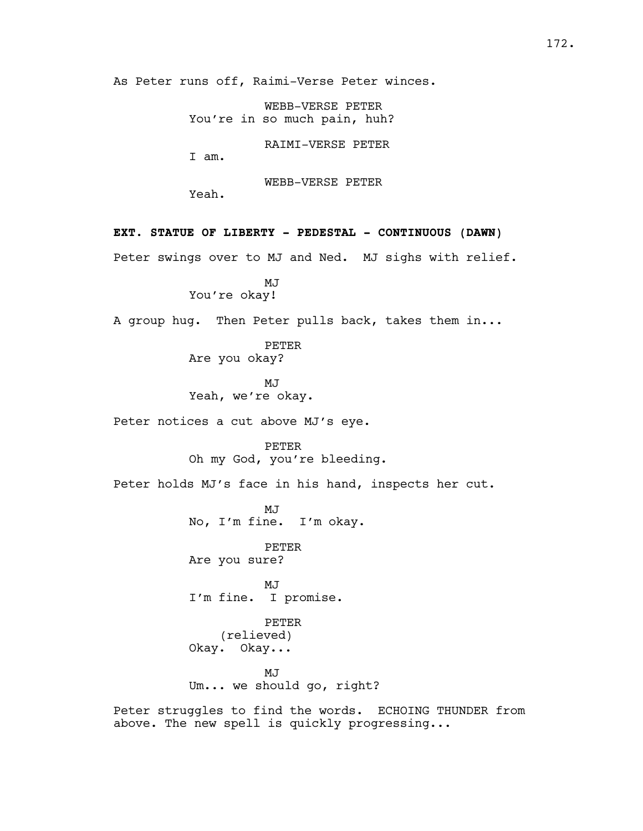As Peter runs off, Raimi-Verse Peter winces.

WEBB-VERSE PETER You're in so much pain, huh?

RAIMI-VERSE PETER

I am.

WEBB-VERSE PETER

Yeah.

**EXT. STATUE OF LIBERTY - PEDESTAL - CONTINUOUS (DAWN)**

Peter swings over to MJ and Ned. MJ sighs with relief.

MJ You're okay!

A group hug. Then Peter pulls back, takes them in...

PETER Are you okay?

MJ Yeah, we're okay.

Peter notices a cut above MJ's eye.

PETER Oh my God, you're bleeding.

Peter holds MJ's face in his hand, inspects her cut.

MJ No, I'm fine. I'm okay.

PETER Are you sure?

MJ I'm fine. I promise.

PETER (relieved) Okay. Okay...

MJ Um... we should go, right?

Peter struggles to find the words. ECHOING THUNDER from above. The new spell is quickly progressing...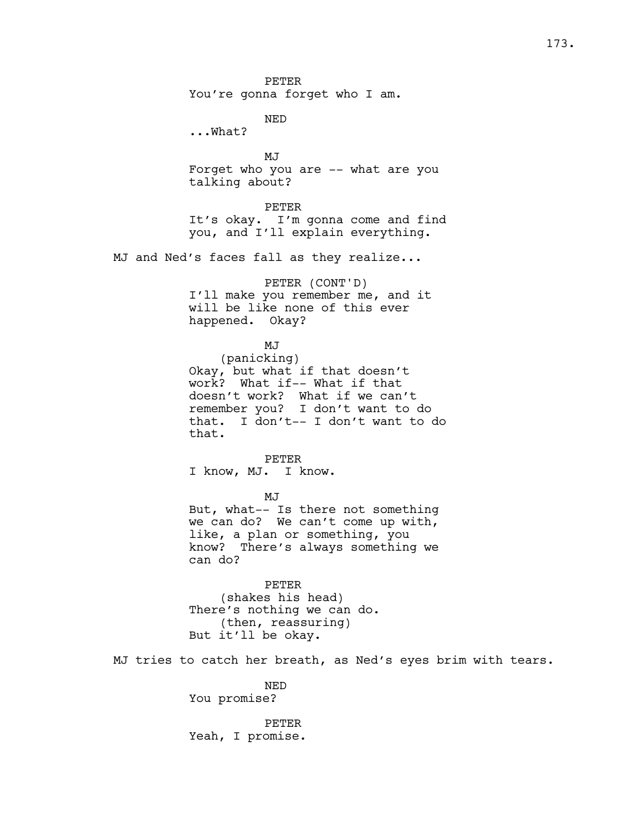PETER You're gonna forget who I am.

NED

...What?

MJ Forget who you are -- what are you talking about?

PETER

It's okay. I'm gonna come and find you, and I'll explain everything.

MJ and Ned's faces fall as they realize...

PETER (CONT'D) I'll make you remember me, and it will be like none of this ever happened. Okay?

#### MJ

(panicking) Okay, but what if that doesn't work? What if-- What if that doesn't work? What if we can't remember you? I don't want to do that. I don't-- I don't want to do that.

PETER I know, MJ. I know.

MJ

But, what-- Is there not something we can do? We can't come up with, like, a plan or something, you know? There's always something we can do?

PETER (shakes his head) There's nothing we can do. (then, reassuring) But it'll be okay.

MJ tries to catch her breath, as Ned's eyes brim with tears.

NED You promise?

PETER Yeah, I promise.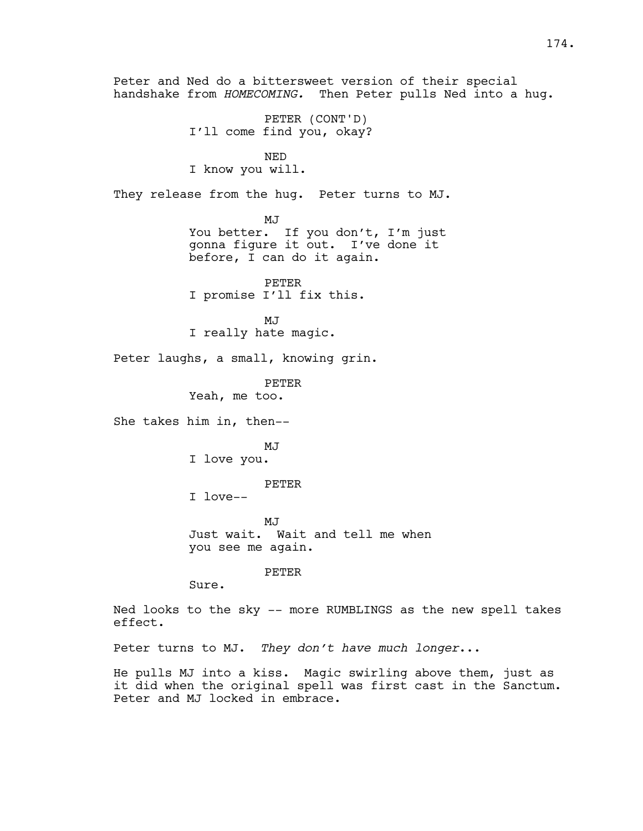Peter and Ned do a bittersweet version of their special handshake from *HOMECOMING.* Then Peter pulls Ned into a hug. PETER (CONT'D) I'll come find you, okay? NED I know you will. They release from the hug. Peter turns to MJ. MJ You better. If you don't, I'm just gonna figure it out. I've done it before, I can do it again. PETER I promise I'll fix this. MJ I really hate magic. Peter laughs, a small, knowing grin. PETER Yeah, me too. She takes him in, then-- MJ I love you. PETER I love-- MJ Just wait. Wait and tell me when you see me again. PETER Sure. Ned looks to the sky -- more RUMBLINGS as the new spell takes effect. Peter turns to MJ. *They don't have much longer*... He pulls MJ into a kiss. Magic swirling above them, just as it did when the original spell was first cast in the Sanctum. Peter and MJ locked in embrace.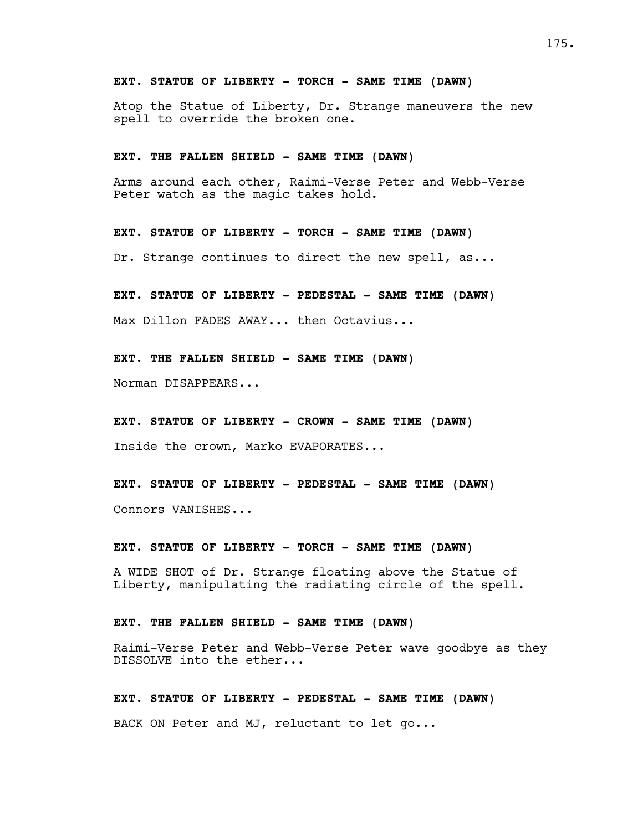## **EXT. STATUE OF LIBERTY - TORCH - SAME TIME (DAWN)**

Atop the Statue of Liberty, Dr. Strange maneuvers the new spell to override the broken one.

### **EXT. THE FALLEN SHIELD - SAME TIME (DAWN)**

Arms around each other, Raimi-Verse Peter and Webb-Verse Peter watch as the magic takes hold.

**EXT. STATUE OF LIBERTY - TORCH - SAME TIME (DAWN)**

Dr. Strange continues to direct the new spell, as...

**EXT. STATUE OF LIBERTY - PEDESTAL - SAME TIME (DAWN)**

Max Dillon FADES AWAY... then Octavius...

**EXT. THE FALLEN SHIELD - SAME TIME (DAWN)**

Norman DISAPPEARS...

**EXT. STATUE OF LIBERTY - CROWN - SAME TIME (DAWN)**

Inside the crown, Marko EVAPORATES...

**EXT. STATUE OF LIBERTY - PEDESTAL - SAME TIME (DAWN)** Connors VANISHES...

**EXT. STATUE OF LIBERTY - TORCH - SAME TIME (DAWN)**

A WIDE SHOT of Dr. Strange floating above the Statue of Liberty, manipulating the radiating circle of the spell.

## **EXT. THE FALLEN SHIELD - SAME TIME (DAWN)**

Raimi-Verse Peter and Webb-Verse Peter wave goodbye as they DISSOLVE into the ether...

**EXT. STATUE OF LIBERTY - PEDESTAL - SAME TIME (DAWN)**

BACK ON Peter and MJ, reluctant to let go...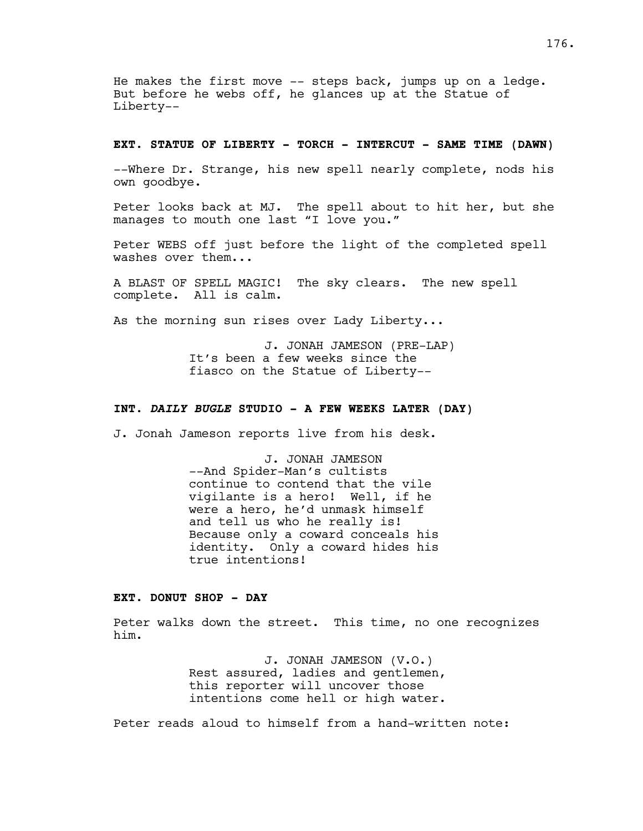He makes the first move -- steps back, jumps up on a ledge. But before he webs off, he glances up at the Statue of Liberty--

## **EXT. STATUE OF LIBERTY - TORCH - INTERCUT - SAME TIME (DAWN)**

--Where Dr. Strange, his new spell nearly complete, nods his own goodbye.

Peter looks back at MJ. The spell about to hit her, but she manages to mouth one last "I love you."

Peter WEBS off just before the light of the completed spell washes over them...

A BLAST OF SPELL MAGIC! The sky clears. The new spell complete. All is calm.

As the morning sun rises over Lady Liberty...

J. JONAH JAMESON (PRE-LAP) It's been a few weeks since the fiasco on the Statue of Liberty--

# **INT.** *DAILY BUGLE* **STUDIO - A FEW WEEKS LATER (DAY)**

J. Jonah Jameson reports live from his desk.

J. JONAH JAMESON --And Spider-Man's cultists continue to contend that the vile vigilante is a hero! Well, if he were a hero, he'd unmask himself and tell us who he really is! Because only a coward conceals his identity. Only a coward hides his true intentions!

# **EXT. DONUT SHOP - DAY**

Peter walks down the street. This time, no one recognizes him.

> J. JONAH JAMESON (V.O.) Rest assured, ladies and gentlemen, this reporter will uncover those intentions come hell or high water.

Peter reads aloud to himself from a hand-written note: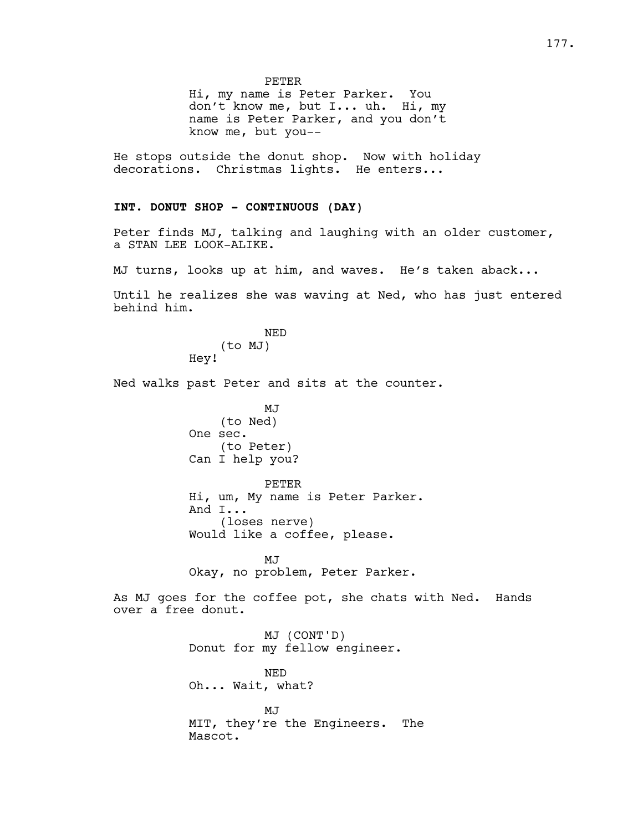PETER

Hi, my name is Peter Parker. You don't know me, but I... uh. Hi, my name is Peter Parker, and you don't know me, but you--

He stops outside the donut shop. Now with holiday decorations. Christmas lights. He enters...

# **INT. DONUT SHOP - CONTINUOUS (DAY)**

Peter finds MJ, talking and laughing with an older customer, a STAN LEE LOOK-ALIKE.

MJ turns, looks up at him, and waves. He's taken aback...

Until he realizes she was waving at Ned, who has just entered behind him.

> NED (to MJ) Hey!

Ned walks past Peter and sits at the counter.

MJ (to Ned) One sec. (to Peter) Can I help you?

PETER Hi, um, My name is Peter Parker. And I... (loses nerve) Would like a coffee, please.

MJ Okay, no problem, Peter Parker.

As MJ goes for the coffee pot, she chats with Ned. Hands over a free donut.

> MJ (CONT'D) Donut for my fellow engineer.

NED Oh... Wait, what?

MJ MIT, they're the Engineers. The Mascot.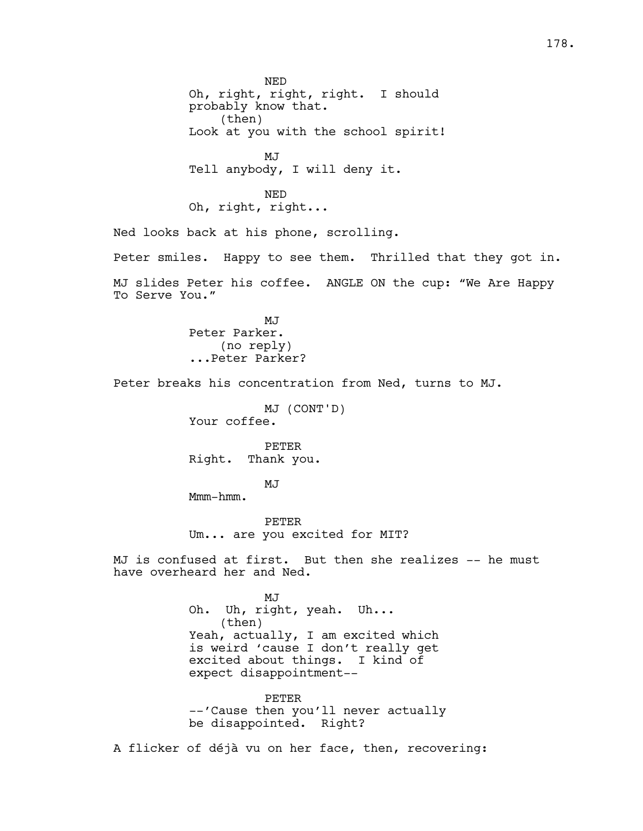NED Oh, right, right, right. I should probably know that. (then) Look at you with the school spirit! MJ Tell anybody, I will deny it. NED Oh, right, right... Ned looks back at his phone, scrolling. Peter smiles. Happy to see them. Thrilled that they got in. MJ slides Peter his coffee. ANGLE ON the cup: "We Are Happy To Serve You." MJ Peter Parker. (no reply) ...Peter Parker? Peter breaks his concentration from Ned, turns to MJ. MJ (CONT'D) Your coffee. PETER Right. Thank you. MJ Mmm-hmm. PETER Um... are you excited for MIT? MJ is confused at first. But then she realizes -- he must have overheard her and Ned. MJ Oh. Uh, right, yeah. Uh... (then) Yeah, actually, I am excited which is weird 'cause I don't really get excited about things. I kind of expect disappointment-- PETER --'Cause then you'll never actually be disappointed. Right? A flicker of déjà vu on her face, then, recovering: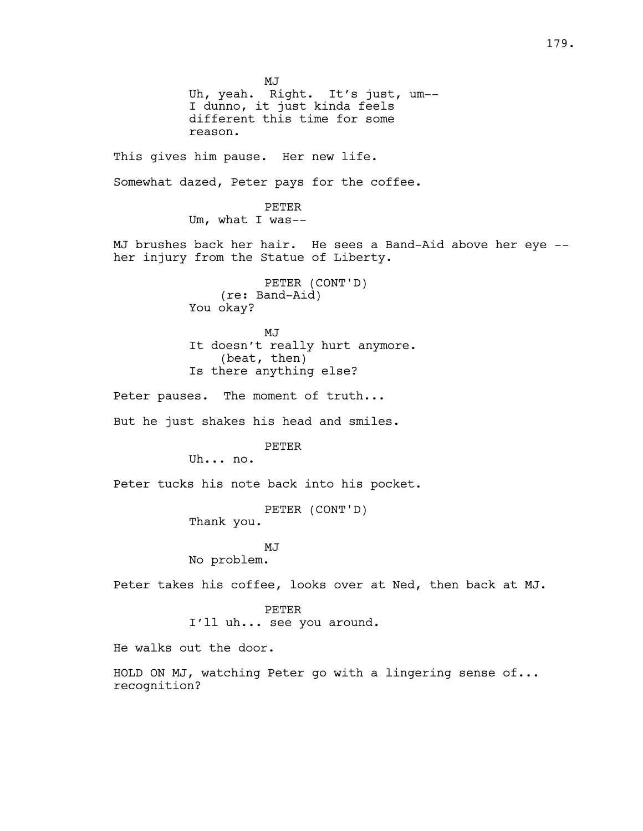MJ Uh, yeah. Right. It's just, um-- I dunno, it just kinda feels different this time for some reason. This gives him pause. Her new life. Somewhat dazed, Peter pays for the coffee. PETER Um, what I was-- MJ brushes back her hair. He sees a Band-Aid above her eye - her injury from the Statue of Liberty. PETER (CONT'D) (re: Band-Aid) You okay? MJ It doesn't really hurt anymore. (beat, then) Is there anything else? Peter pauses. The moment of truth... But he just shakes his head and smiles. PETER Uh... no. Peter tucks his note back into his pocket. PETER (CONT'D) Thank you. MJ No problem. Peter takes his coffee, looks over at Ned, then back at MJ. PETER I'll uh... see you around. He walks out the door. HOLD ON MJ, watching Peter go with a lingering sense of... recognition?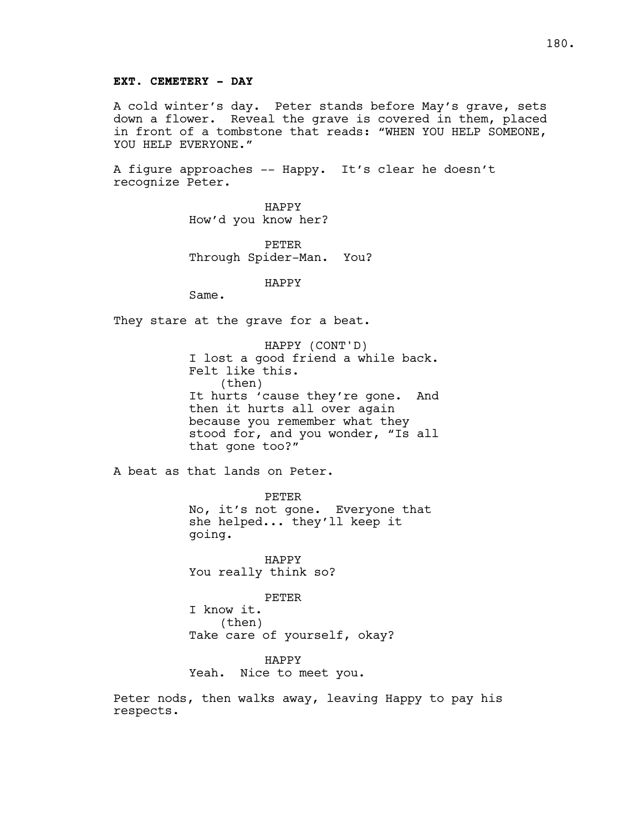A cold winter's day. Peter stands before May's grave, sets down a flower. Reveal the grave is covered in them, placed in front of a tombstone that reads: "WHEN YOU HELP SOMEONE, YOU HELP EVERYONE."

A figure approaches -- Happy. It's clear he doesn't recognize Peter.

> HAPPY How'd you know her?

PETER Through Spider-Man. You?

HAPPY

Same.

They stare at the grave for a beat.

HAPPY (CONT'D) I lost a good friend a while back. Felt like this. (then) It hurts 'cause they're gone. And then it hurts all over again because you remember what they stood for, and you wonder, "Is all that gone too?"

A beat as that lands on Peter.

PETER No, it's not gone. Everyone that she helped... they'll keep it going.

HAPPY You really think so?

PETER I know it. (then) Take care of yourself, okay?

HAPPY Yeah. Nice to meet you.

Peter nods, then walks away, leaving Happy to pay his respects.